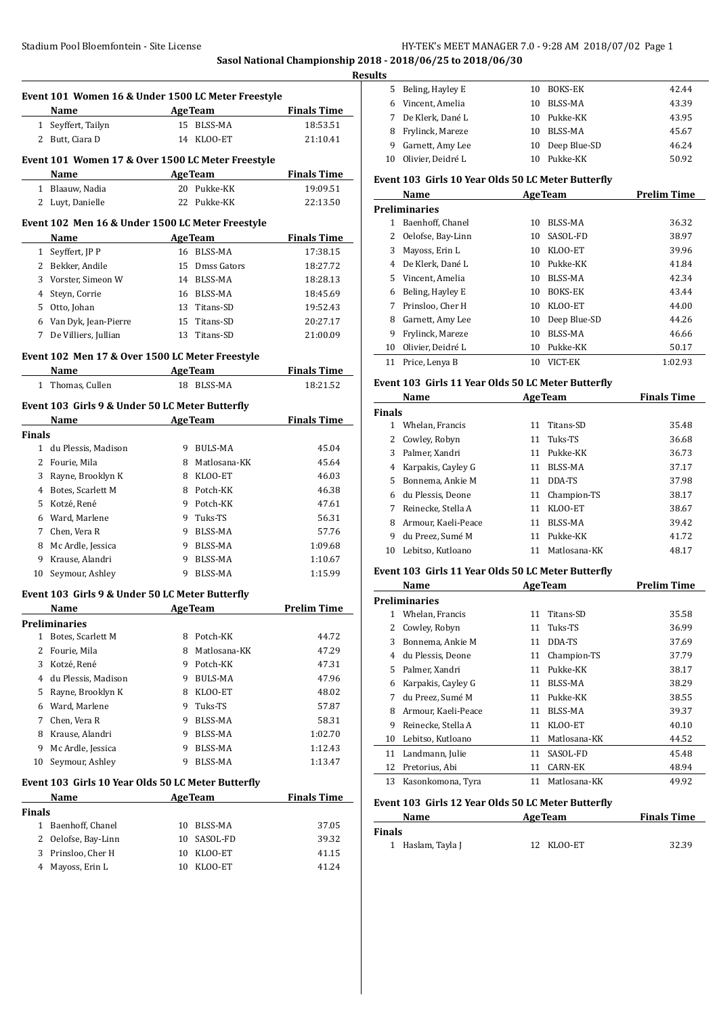**Sasol National Championship 2018 - 2018/06/25 to 2018/06/30 Results**

|                | Event 101 Women 16 & Under 1500 LC Meter Freestyle                                                                                                                                                                             |    |                                         |                                |
|----------------|--------------------------------------------------------------------------------------------------------------------------------------------------------------------------------------------------------------------------------|----|-----------------------------------------|--------------------------------|
|                | <b>Name</b>                                                                                                                                                                                                                    |    | <b>Example 2018 Age Team</b>            | <b>Finals Time</b>             |
|                | 1 Seyffert, Tailyn                                                                                                                                                                                                             |    | 15 BLSS-MA                              | 18:53.51                       |
|                | 2 Butt, Ciara D                                                                                                                                                                                                                |    | 14 KLOO-ET                              | 21:10.41                       |
|                |                                                                                                                                                                                                                                |    |                                         |                                |
|                | Event 101 Women 17 & Over 1500 LC Meter Freestyle                                                                                                                                                                              |    |                                         |                                |
|                | Name AgeTeam                                                                                                                                                                                                                   |    |                                         | <b>Finals Time</b>             |
|                | 1 Blaauw, Nadia                                                                                                                                                                                                                |    | 20 Pukke-KK                             | 19:09.51                       |
|                | 2 Luyt, Danielle                                                                                                                                                                                                               |    | 22 Pukke-KK                             | 22:13.50                       |
|                | Event 102 Men 16 & Under 1500 LC Meter Freestyle                                                                                                                                                                               |    |                                         |                                |
|                | Name                                                                                                                                                                                                                           |    | Age Team                                | <b>Finals Time</b>             |
|                | 1 Seyffert, JP P                                                                                                                                                                                                               |    | 16 BLSS-MA                              | 17:38.15                       |
|                | 2 Bekker, Andile                                                                                                                                                                                                               |    | 15 Dmss Gators                          | 18:27.72                       |
|                | 3 Vorster, Simeon W                                                                                                                                                                                                            |    | 14 BLSS-MA                              | 18:28.13                       |
|                | 4 Steyn, Corrie                                                                                                                                                                                                                |    | 16 BLSS-MA                              | 18:45.69                       |
|                | 5 Otto, Johan                                                                                                                                                                                                                  |    | 13 Titans-SD                            | 19:52.43                       |
|                | 6 Van Dyk, Jean-Pierre                                                                                                                                                                                                         |    | 15 Titans-SD                            | 20:27.17                       |
|                | 7 De Villiers, Jullian                                                                                                                                                                                                         |    | 13 Titans-SD                            | 21:00.09                       |
|                |                                                                                                                                                                                                                                |    |                                         |                                |
|                | Event 102 Men 17 & Over 1500 LC Meter Freestyle                                                                                                                                                                                |    |                                         |                                |
|                | Name<br>1 Thomas, Cullen                                                                                                                                                                                                       |    | <b>Example 2</b> Age Team<br>18 BLSS-MA | <b>Finals Time</b><br>18:21.52 |
|                |                                                                                                                                                                                                                                |    |                                         |                                |
|                | Event 103 Girls 9 & Under 50 LC Meter Butterfly                                                                                                                                                                                |    |                                         |                                |
|                | Name and the state of the state of the state of the state of the state of the state of the state of the state of the state of the state of the state of the state of the state of the state of the state of the state of the s |    | <b>AgeTeam</b>                          | <b>Finals Time</b>             |
| <b>Finals</b>  |                                                                                                                                                                                                                                |    |                                         |                                |
|                | 1 du Plessis, Madison                                                                                                                                                                                                          |    | 9 BULS-MA                               | 45.04                          |
|                | 2 Fourie, Mila                                                                                                                                                                                                                 |    | 8 Matlosana-KK                          | 45.64                          |
|                | 3 Rayne, Brooklyn K                                                                                                                                                                                                            |    | 8 KLOO-ET                               | 46.03                          |
|                | 4 Botes, Scarlett M                                                                                                                                                                                                            |    | 8 Potch-KK                              | 46.38                          |
|                | 5 Kotzé, René                                                                                                                                                                                                                  |    | 9 Potch-KK                              | 47.61                          |
|                | 6 Ward, Marlene                                                                                                                                                                                                                |    | 9 Tuks-TS                               | 56.31                          |
|                | 7 Chen, Vera R                                                                                                                                                                                                                 |    | 9 BLSS-MA                               | 57.76                          |
|                | 8 Mc Ardle, Jessica                                                                                                                                                                                                            |    | 9 BLSS-MA                               | 1:09.68                        |
|                | 9 Krause, Alandri                                                                                                                                                                                                              |    | 9 BLSS-MA                               | 1:10.67                        |
|                | 10 Seymour, Ashley                                                                                                                                                                                                             |    | 9 BLSS-MA                               | 1:15.99                        |
|                |                                                                                                                                                                                                                                |    |                                         |                                |
|                | Event 103 Girls 9 & Under 50 LC Meter Butterfly                                                                                                                                                                                |    |                                         |                                |
|                | Name                                                                                                                                                                                                                           |    | <b>AgeTeam</b>                          | <b>Prelim Time</b>             |
|                | <b>Preliminaries</b>                                                                                                                                                                                                           |    |                                         |                                |
| 1              | Botes, Scarlett M                                                                                                                                                                                                              | 8  | Potch-KK                                | 44.72                          |
| 2              | Fourie, Mila                                                                                                                                                                                                                   | 8  | Matlosana-KK                            | 47.29                          |
| 3              | Kotzé, René                                                                                                                                                                                                                    |    | 9 Potch-KK                              | 47.31                          |
| 4              | du Plessis, Madison                                                                                                                                                                                                            |    | 9 BULS-MA                               | 47.96                          |
| 5              | Rayne, Brooklyn K                                                                                                                                                                                                              |    | 8 KLOO-ET                               | 48.02                          |
| 6              | Ward, Marlene                                                                                                                                                                                                                  |    | 9 Tuks-TS                               | 57.87                          |
| $\overline{7}$ | Chen, Vera R                                                                                                                                                                                                                   | 9  | BLSS-MA                                 | 58.31                          |
| 8              | Krause, Alandri                                                                                                                                                                                                                |    | 9 BLSS-MA                               | 1:02.70                        |
|                | 9 Mc Ardle, Jessica                                                                                                                                                                                                            | 9  | BLSS-MA                                 | 1:12.43                        |
| 10             | Seymour, Ashley                                                                                                                                                                                                                | 9  | <b>BLSS-MA</b>                          | 1:13.47                        |
|                | Event 103 Girls 10 Year Olds 50 LC Meter Butterfly                                                                                                                                                                             |    |                                         |                                |
|                | Name                                                                                                                                                                                                                           |    | <b>AgeTeam</b>                          | <b>Finals Time</b>             |
| <b>Finals</b>  |                                                                                                                                                                                                                                |    |                                         |                                |
|                | 1 Baenhoff, Chanel                                                                                                                                                                                                             | 10 | BLSS-MA                                 | 37.05                          |
| 2              | Oelofse, Bay-Linn                                                                                                                                                                                                              | 10 | SASOL-FD                                | 39.32                          |
| 3              | Prinsloo, Cher H                                                                                                                                                                                                               | 10 | KLOO-ET                                 | 41.15                          |
| 4              | Mayoss, Erin L                                                                                                                                                                                                                 | 10 | KLOO-ET                                 | 41.24                          |
|                |                                                                                                                                                                                                                                |    |                                         |                                |

| . . |                      |     |                 |       |
|-----|----------------------|-----|-----------------|-------|
|     | 5 Beling, Hayley E   |     | 10 BOKS-EK      | 42.44 |
|     | 6 Vincent, Amelia    | 10. | BLSS-MA         | 43.39 |
| 7   | De Klerk, Dané L     |     | 10 Pukke-KK     | 43.95 |
|     | 8 Frylinck, Mareze   | 10. | BLSS-MA         | 45.67 |
| 9   | Garnett, Amy Lee     |     | 10 Deep Blue-SD | 46.24 |
|     | 10 Olivier, Deidré L | 10  | Pukke-KK        | 50.92 |

#### **Event 103 Girls 10 Year Olds 50 LC Meter Butterfly**

|    | Name              |    | <b>AgeTeam</b> | <b>Prelim Time</b> |
|----|-------------------|----|----------------|--------------------|
|    | Preliminaries     |    |                |                    |
| 1  | Baenhoff, Chanel  | 10 | BLSS-MA        | 36.32              |
| 2  | Oelofse, Bay-Linn | 10 | SASOL-FD       | 38.97              |
| 3  | Mayoss, Erin L    | 10 | KLOO-ET        | 39.96              |
| 4  | De Klerk, Dané L  | 10 | Pukke-KK       | 41.84              |
| 5. | Vincent. Amelia   | 10 | BLSS-MA        | 42.34              |
| 6  | Beling, Hayley E  | 10 | <b>BOKS-EK</b> | 43.44              |
| 7  | Prinsloo, Cher H  | 10 | KLOO-ET        | 44.00              |
| 8  | Garnett, Amy Lee  | 10 | Deep Blue-SD   | 44.26              |
| 9  | Frylinck, Mareze  | 10 | BLSS-MA        | 46.66              |
| 10 | Olivier, Deidré L | 10 | Pukke-KK       | 50.17              |
| 11 | Price, Lenya B    | 10 | VICT-EK        | 1:02.93            |

#### **Event 103 Girls 11 Year Olds 50 LC Meter Butterfly**

|               | <b>AgeTeam</b><br>Name |    |                | <b>Finals Time</b> |
|---------------|------------------------|----|----------------|--------------------|
| <b>Finals</b> |                        |    |                |                    |
|               | Whelan, Francis        | 11 | Titans-SD      | 35.48              |
| 2             | Cowley, Robyn          |    | 11 Tuks-TS     | 36.68              |
| 3             | Palmer. Xandri         | 11 | Pukke-KK       | 36.73              |
| 4             | Karpakis, Cayley G     | 11 | BLSS-MA        | 37.17              |
| 5.            | Bonnema, Ankie M       | 11 | DDA-TS         | 37.98              |
| 6             | du Plessis. Deone      |    | 11 Champion-TS | 38.17              |
| 7             | Reinecke, Stella A     | 11 | KLOO-ET        | 38.67              |
| 8             | Armour, Kaeli-Peace    | 11 | BLSS-MA        | 39.42              |
| 9             | du Preez. Sumé M       | 11 | Pukke-KK       | 41.72              |
| 10            | Lebitso, Kutloano      |    | Matlosana-KK   | 48.17              |

## **Event 103 Girls 11 Year Olds 50 LC Meter Butterfly**

|    | Name                |    | <b>AgeTeam</b> | <b>Prelim Time</b> |
|----|---------------------|----|----------------|--------------------|
|    | Preliminaries       |    |                |                    |
| 1  | Whelan, Francis     | 11 | Titans-SD      | 35.58              |
| 2  | Cowley, Robyn       | 11 | Tuks-TS        | 36.99              |
| 3  | Bonnema, Ankie M    | 11 | DDA-TS         | 37.69              |
| 4  | du Plessis, Deone   | 11 | Champion-TS    | 37.79              |
| 5. | Palmer, Xandri      | 11 | Pukke-KK       | 38.17              |
| 6  | Karpakis, Cayley G  | 11 | BLSS-MA        | 38.29              |
| 7  | du Preez, Sumé M    | 11 | Pukke-KK       | 38.55              |
| 8  | Armour, Kaeli-Peace | 11 | BLSS-MA        | 39.37              |
| 9  | Reinecke, Stella A  | 11 | KLOO-ET        | 40.10              |
| 10 | Lebitso, Kutloano   | 11 | Matlosana-KK   | 44.52              |
| 11 | Landmann, Julie     | 11 | SASOL-FD       | 45.48              |
| 12 | Pretorius, Abi      | 11 | CARN-EK        | 48.94              |
| 13 | Kasonkomona, Tyra   | 11 | Matlosana-KK   | 49.92              |

#### **Event 103 Girls 12 Year Olds 50 LC Meter Butterfly**

| Name              | <b>AgeTeam</b> | <b>Finals Time</b> |
|-------------------|----------------|--------------------|
| <b>Finals</b>     |                |                    |
| 1 Haslam, Tayla J | 12 KLOO-ET     | 32.39              |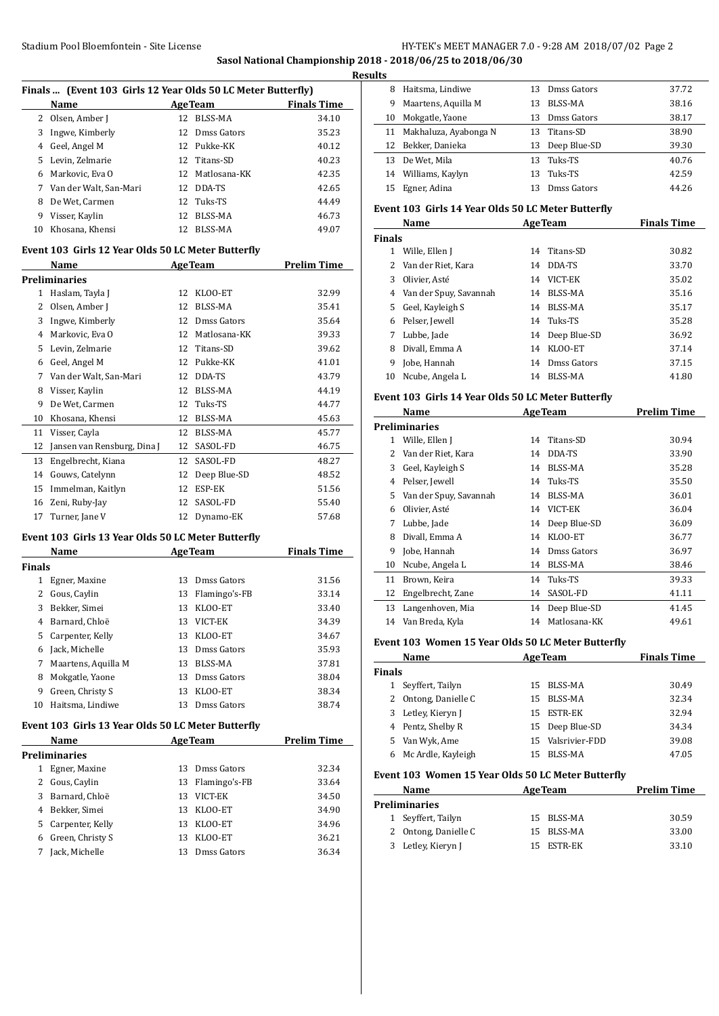**Sasol National Championship 2018 - 2018/06/25 to 2018/06/30**

|              |                                                              |    |                 |                    | <b>Results</b> |
|--------------|--------------------------------------------------------------|----|-----------------|--------------------|----------------|
|              | Finals  (Event 103 Girls 12 Year Olds 50 LC Meter Butterfly) |    |                 |                    |                |
|              | Name                                                         |    | <b>AgeTeam</b>  | <b>Finals Time</b> |                |
| $\mathbf{2}$ | Olsen, Amber J                                               |    | 12 BLSS-MA      | 34.10              |                |
| 3            | Ingwe, Kimberly                                              | 12 | Dmss Gators     | 35.23              |                |
| 4            | Geel, Angel M                                                |    | 12 Pukke-KK     | 40.12              |                |
| 5            | Levin, Zelmarie                                              | 12 | Titans-SD       | 40.23              |                |
| 6            | Markovic, Eva O                                              | 12 | Matlosana-KK    | 42.35              |                |
| 7            | Van der Walt, San-Mari                                       |    | 12 DDA-TS       | 42.65              |                |
| 8            | De Wet. Carmen                                               | 12 | Tuks-TS         | 44.49              |                |
|              | 9 Visser, Kaylin                                             | 12 | BLSS-MA         | 46.73              | <b>Eve</b>     |
| 10           | Khosana, Khensi                                              | 12 | <b>BLSS-MA</b>  | 49.07              |                |
|              |                                                              |    |                 |                    | Fin            |
|              | Event 103 Girls 12 Year Olds 50 LC Meter Butterfly           |    |                 |                    |                |
|              | Name                                                         |    | <b>AgeTeam</b>  | <b>Prelim Time</b> |                |
|              | <b>Preliminaries</b>                                         |    |                 |                    |                |
| 1            | Haslam, Tayla J                                              | 12 | KLOO-ET         | 32.99              |                |
| 2            | Olsen, Amber J                                               | 12 | <b>BLSS-MA</b>  | 35.41              |                |
| 3            | Ingwe, Kimberly                                              | 12 | Dmss Gators     | 35.64              |                |
| 4            | Markovic, Eva O                                              |    | 12 Matlosana-KK | 39.33              |                |
| 5            | Levin, Zelmarie                                              | 12 | Titans-SD       | 39.62              |                |
| 6            | Geel, Angel M                                                |    | 12 Pukke-KK     | 41.01              |                |
| 7            | Van der Walt, San-Mari                                       | 12 | DDA-TS          | 43.79              |                |
| 8            | Visser, Kaylin                                               | 12 | BLSS-MA         | 44.19              | <b>Eve</b>     |
| 9            | De Wet, Carmen                                               | 12 | Tuks-TS         | 44.77              |                |
| 10           | Khosana, Khensi                                              | 12 | BLSS-MA         | 45.63              |                |
| 11           | Visser, Cayla                                                | 12 | <b>BLSS-MA</b>  | 45.77              | Pre            |
| 12           | Jansen van Rensburg, Dina J                                  | 12 | SASOL-FD        | 46.75              |                |
| 13           | Engelbrecht, Kiana                                           | 12 | SASOL-FD        | 48.27              |                |
| 14           | Gouws, Catelynn                                              | 12 | Deep Blue-SD    | 48.52              |                |
| 15           | Immelman, Kaitlyn                                            | 12 | ESP-EK          | 51.56              |                |

# **Event 103 Girls 13 Year Olds 50 LC Meter Butterfly**

|               | Name                | <b>AgeTeam</b> |               | <b>Finals Time</b> |
|---------------|---------------------|----------------|---------------|--------------------|
| <b>Finals</b> |                     |                |               |                    |
| 1             | Egner, Maxine       | 13             | Dmss Gators   | 31.56              |
| 2             | Gous, Caylin        | 13             | Flamingo's-FB | 33.14              |
| 3             | Bekker, Simei       | 13             | KLOO-ET       | 33.40              |
| 4             | Barnard, Chloë      | 13             | VICT-EK       | 34.39              |
| 5.            | Carpenter, Kelly    | 13             | KLOO-ET       | 34.67              |
| 6             | Jack, Michelle      | 13             | Dmss Gators   | 35.93              |
| 7             | Maartens, Aquilla M | 13             | BLSS-MA       | 37.81              |
| 8             | Mokgatle, Yaone     | 13             | Dmss Gators   | 38.04              |
| 9             | Green, Christy S    | 13             | KLOO-ET       | 38.34              |
| 10            | Haitsma, Lindiwe    | 13             | Dmss Gators   | 38.74              |

 Zeni, Ruby-Jay 12 SASOL-FD 55.40 17 Turner, Jane V 12 Dynamo-EK 57.68

#### **Event 103 Girls 13 Year Olds 50 LC Meter Butterfly**

|    | Name                 | <b>AgeTeam</b> |                  | <b>Prelim Time</b> |
|----|----------------------|----------------|------------------|--------------------|
|    | <b>Preliminaries</b> |                |                  |                    |
| 1  | Egner, Maxine        | 13             | Dmss Gators      | 32.34              |
|    | 2 Gous, Caylin       |                | 13 Flamingo's-FB | 33.64              |
| 3  | Barnard, Chloë       | 13             | VICT-EK          | 34.50              |
| 4  | Bekker, Simei        | 13             | KLOO-ET          | 34.90              |
| 5. | Carpenter, Kelly     | 13             | KLOO-ET          | 34.96              |
| 6  | Green, Christy S     | 13             | KLOO-ET          | 36.21              |
|    | Jack, Michelle       | 13             | Dmss Gators      | 36.34              |

| แร |                       |     |              |       |
|----|-----------------------|-----|--------------|-------|
| 8  | Haitsma, Lindiwe      | 13  | Dmss Gators  | 37.72 |
| 9  | Maartens, Aquilla M   | 13  | BLSS-MA      | 38.16 |
| 10 | Mokgatle, Yaone       | 13  | Dmss Gators  | 38.17 |
| 11 | Makhaluza, Ayabonga N |     | 13 Titans-SD | 38.90 |
| 12 | Bekker, Danieka       | 13  | Deep Blue-SD | 39.30 |
| 13 | De Wet. Mila          | 13. | Tuks-TS      | 40.76 |
|    | 14 Williams, Kaylyn   | 13  | Tuks-TS      | 42.59 |
| 15 | Egner, Adina          | 13  | Dmss Gators  | 44.26 |

#### **Event 103 Girls 14 Year Olds 50 LC Meter Butterfly**

|               | Name                   | <b>AgeTeam</b> |                 | <b>Finals Time</b> |
|---------------|------------------------|----------------|-----------------|--------------------|
| <b>Finals</b> |                        |                |                 |                    |
| 1             | Wille, Ellen J         | 14             | Titans-SD       | 30.82              |
|               | 2 Van der Riet, Kara   | 14             | DDA-TS          | 33.70              |
| 3             | Olivier, Asté          | 14             | VICT-EK         | 35.02              |
| 4             | Van der Spuy, Savannah | 14             | BLSS-MA         | 35.16              |
| 5.            | Geel, Kayleigh S       | 14             | BLSS-MA         | 35.17              |
| 6             | Pelser, Jewell         | 14             | Tuks-TS         | 35.28              |
|               | Lubbe, Jade            |                | 14 Deep Blue-SD | 36.92              |
| 8             | Divall. Emma A         | 14             | KLOO-ET         | 37.14              |
| 9             | Jobe, Hannah           | 14             | Dmss Gators     | 37.15              |
| 10            | Ncube, Angela L        | 14             | BLSS-MA         | 41.80              |

#### **Event 103 Girls 14 Year Olds 50 LC Meter Butterfly**

|    | Name                   |    | <b>AgeTeam</b> | <b>Prelim Time</b> |
|----|------------------------|----|----------------|--------------------|
|    | <b>Preliminaries</b>   |    |                |                    |
| 1  | Wille, Ellen J         | 14 | Titans-SD      | 30.94              |
| 2  | Van der Riet, Kara     | 14 | DDA-TS         | 33.90              |
| 3  | Geel, Kayleigh S       | 14 | BLSS-MA        | 35.28              |
| 4  | Pelser, Jewell         | 14 | Tuks-TS        | 35.50              |
| 5  | Van der Spuy, Savannah | 14 | BLSS-MA        | 36.01              |
| 6  | Olivier, Asté          | 14 | VICT-EK        | 36.04              |
| 7  | Lubbe, Jade            | 14 | Deep Blue-SD   | 36.09              |
| 8  | Divall, Emma A         | 14 | KLOO-ET        | 36.77              |
| 9  | Jobe, Hannah           | 14 | Dmss Gators    | 36.97              |
| 10 | Ncube, Angela L        | 14 | BLSS-MA        | 38.46              |
| 11 | Brown, Keira           | 14 | Tuks-TS        | 39.33              |
| 12 | Engelbrecht, Zane      | 14 | SASOL-FD       | 41.11              |
| 13 | Langenhoven, Mia       | 14 | Deep Blue-SD   | 41.45              |
| 14 | Van Breda, Kyla        | 14 | Matlosana-KK   | 49.61              |

#### **Event 103 Women 15 Year Olds 50 LC Meter Butterfly**

|               | Name               |    | <b>AgeTeam</b>    | <b>Finals Time</b> |
|---------------|--------------------|----|-------------------|--------------------|
| <b>Finals</b> |                    |    |                   |                    |
|               | Seyffert, Tailyn   | 15 | BLSS-MA           | 30.49              |
| 2.            | Ontong, Danielle C |    | 15 BLSS-MA        | 32.34              |
|               | 3 Letley, Kieryn J | 15 | <b>ESTR-EK</b>    | 32.94              |
|               | 4 Pentz, Shelby R  |    | 15 Deep Blue-SD   | 34.34              |
| 5.            | Van Wyk, Ame       |    | 15 Valsrivier-FDD | 39.08              |
| 6             | Mc Ardle, Kayleigh | 15 | BLSS-MA           | 47.05              |

# **Event 103 Women 15 Year Olds 50 LC Meter Butterfly**

| Name |                      | <b>AgeTeam</b> |            | <b>Prelim Time</b> |       |
|------|----------------------|----------------|------------|--------------------|-------|
|      | Preliminaries        |                |            |                    |       |
|      | 1 Seyffert, Tailyn   |                | 15 BLSS-MA |                    | 30.59 |
|      | 2 Ontong, Danielle C |                | 15 BLSS-MA |                    | 33.00 |
|      | 3 Letley, Kieryn J   |                | 15 ESTR-EK |                    | 33.10 |
|      |                      |                |            |                    |       |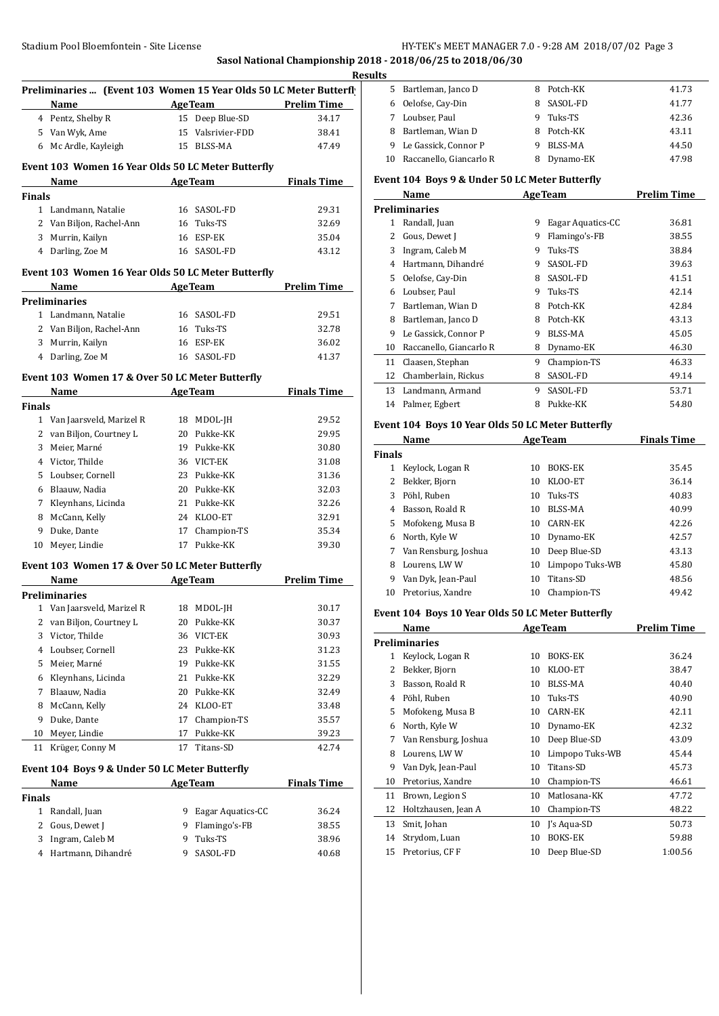**Sasol National Championship 2018 - 2018/06/25 to 2018/06/30**

|              |                                                                                                                                                                                                                               |    |                                       | Re                 |
|--------------|-------------------------------------------------------------------------------------------------------------------------------------------------------------------------------------------------------------------------------|----|---------------------------------------|--------------------|
|              | Preliminaries  (Event 103 Women 15 Year Olds 50 LC Meter Butterfly<br>Name                                                                                                                                                    |    | <b>Example 2 Age Team</b> Prelim Time |                    |
|              | 4 Pentz, Shelby R                                                                                                                                                                                                             |    | 15 Deep Blue-SD                       | 34.17              |
|              | 5 Van Wyk, Ame                                                                                                                                                                                                                |    | 15 Valsrivier-FDD                     | 38.41              |
|              | 6 Mc Ardle, Kayleigh                                                                                                                                                                                                          |    | 15 BLSS-MA                            | 47.49              |
|              | Event 103 Women 16 Year Olds 50 LC Meter Butterfly                                                                                                                                                                            |    |                                       |                    |
|              | Name AgeTeam                                                                                                                                                                                                                  |    |                                       | <b>Finals Time</b> |
| Finals       |                                                                                                                                                                                                                               |    |                                       |                    |
|              | 1 Landmann, Natalie                                                                                                                                                                                                           |    | 16 SASOL-FD                           | 29.31              |
|              | 2 Van Biljon, Rachel-Ann                                                                                                                                                                                                      |    | 16 Tuks-TS                            | 32.69              |
|              | 3 Murrin, Kailyn                                                                                                                                                                                                              |    | 16 ESP-EK                             | 35.04              |
|              | 4 Darling, Zoe M                                                                                                                                                                                                              |    | 16 SASOL-FD                           | 43.12              |
|              | Event 103 Women 16 Year Olds 50 LC Meter Butterfly                                                                                                                                                                            |    |                                       |                    |
|              | Name AgeTeam Prelim Time                                                                                                                                                                                                      |    |                                       |                    |
|              | Preliminaries                                                                                                                                                                                                                 |    |                                       |                    |
|              | 1 Landmann, Natalie                                                                                                                                                                                                           |    | 16 SASOL-FD                           | 29.51              |
|              | 2 Van Biljon, Rachel-Ann                                                                                                                                                                                                      |    | 16 Tuks-TS                            | 32.78              |
|              | 3 Murrin, Kailyn                                                                                                                                                                                                              |    | 16 ESP-EK                             | 36.02              |
|              | 4 Darling, Zoe M                                                                                                                                                                                                              |    | 16 SASOL-FD                           | 41.37              |
|              | Event 103 Women 17 & Over 50 LC Meter Butterfly                                                                                                                                                                               |    |                                       |                    |
|              | Name and the same state of the same state of the same state of the same state of the same state of the same state of the same state of the same state of the same state of the same state of the same state of the same state |    | <b>AgeTeam</b>                        | <b>Finals Time</b> |
| Finals       |                                                                                                                                                                                                                               |    |                                       |                    |
|              | 1 Van Jaarsveld, Marizel R                                                                                                                                                                                                    |    | 18 MDOL-JH                            | 29.52              |
|              | 2 van Biljon, Courtney L                                                                                                                                                                                                      |    | 20 Pukke-KK                           | 29.95              |
| 3            | Meier, Marné                                                                                                                                                                                                                  |    | 19 Pukke-KK                           | 30.80              |
|              | 4 Victor, Thilde                                                                                                                                                                                                              |    | 36 VICT-EK                            | 31.08              |
| 5.           | Loubser, Cornell                                                                                                                                                                                                              |    | 23 Pukke-KK                           | 31.36              |
|              | 6 Blaauw, Nadia                                                                                                                                                                                                               |    | 20 Pukke-KK                           | 32.03              |
| 7            | Kleynhans, Licinda                                                                                                                                                                                                            |    | 21 Pukke-KK                           | 32.26              |
| 8            | McCann, Kelly                                                                                                                                                                                                                 |    | 24 KLOO-ET                            | 32.91              |
| 9            | Duke, Dante                                                                                                                                                                                                                   |    | 17 Champion-TS                        | 35.34              |
| 10           | Meyer, Lindie                                                                                                                                                                                                                 |    | 17 Pukke-KK                           | 39.30              |
|              | Event 103 Women 17 & Over 50 LC Meter Butterfly                                                                                                                                                                               |    |                                       |                    |
|              | Name and the state of the state of the state of the state of the state of the state of the state of the state o                                                                                                               |    | AgeTeam Prelim Time                   |                    |
|              | Preliminaries                                                                                                                                                                                                                 |    |                                       |                    |
| 1            | Van Jaarsveld, Marizel R                                                                                                                                                                                                      |    | 18 MDOL-JH                            | 30.17              |
| 2            | van Biljon, Courtney L                                                                                                                                                                                                        | 20 | Pukke-KK                              | 30.37              |
| 3            | Victor, Thilde                                                                                                                                                                                                                | 36 | VICT-EK                               | 30.93              |
| 4            | Loubser, Cornell                                                                                                                                                                                                              | 23 | Pukke-KK                              | 31.23              |
| 5            | Meier, Marné                                                                                                                                                                                                                  | 19 | Pukke-KK                              | 31.55              |
| 6            | Kleynhans, Licinda                                                                                                                                                                                                            | 21 | Pukke-KK                              | 32.29              |
| 7            | Blaauw, Nadia                                                                                                                                                                                                                 | 20 | Pukke-KK                              | 32.49              |
| 8            | McCann, Kelly                                                                                                                                                                                                                 | 24 | KLOO-ET                               | 33.48              |
| 9            | Duke, Dante                                                                                                                                                                                                                   | 17 | Champion-TS                           | 35.57              |
| 10           | Meyer, Lindie                                                                                                                                                                                                                 | 17 | Pukke-KK                              | 39.23              |
| 11           | Krüger, Conny M                                                                                                                                                                                                               | 17 | Titans-SD                             | 42.74              |
|              | Event 104 Boys 9 & Under 50 LC Meter Butterfly                                                                                                                                                                                |    |                                       |                    |
|              | Name                                                                                                                                                                                                                          |    | <b>AgeTeam</b>                        | <b>Finals Time</b> |
| Finals       |                                                                                                                                                                                                                               |    |                                       |                    |
| $\mathbf{1}$ | Randall, Juan                                                                                                                                                                                                                 | 9  | Eagar Aquatics-CC                     | 36.24              |
| 2            | Gous, Dewet J                                                                                                                                                                                                                 | 9  | Flamingo's-FB                         | 38.55              |
| 3            | Ingram, Caleb M                                                                                                                                                                                                               | 9  | Tuks-TS                               | 38.96              |
| 4            | Hartmann, Dihandré                                                                                                                                                                                                            | 9  | SASOL-FD                              | 40.68              |

| Results |                            |    |            |       |
|---------|----------------------------|----|------------|-------|
| 5.      | Bartleman, Janco D         |    | Potch-KK   | 41.73 |
| 6       | Oelofse, Cay-Din           | 8. | SASOL-FD   | 41.77 |
|         | Loubser, Paul              | 9  | Tuks-TS    | 42.36 |
| 8       | Bartleman, Wian D          |    | 8 Potch-KK | 43.11 |
| 9.      | Le Gassick, Connor P       | 9  | BLSS-MA    | 44.50 |
|         | 10 Raccanello, Giancarlo R |    | Dynamo-EK  | 47.98 |

#### **Event 104 Boys 9 & Under 50 LC Meter Butterfly**

|    | Name                    | <b>AgeTeam</b> |                   | <b>Prelim Time</b> |
|----|-------------------------|----------------|-------------------|--------------------|
|    | <b>Preliminaries</b>    |                |                   |                    |
| 1  | Randall, Juan           | 9              | Eagar Aquatics-CC | 36.81              |
| 2  | Gous, Dewet J           | 9              | Flamingo's-FB     | 38.55              |
| 3  | Ingram, Caleb M         | 9              | Tuks-TS           | 38.84              |
| 4  | Hartmann, Dihandré      | 9              | SASOL-FD          | 39.63              |
| 5. | Oelofse, Cay-Din        | 8              | SASOL-FD          | 41.51              |
| 6  | Loubser. Paul           | 9              | Tuks-TS           | 42.14              |
| 7  | Bartleman, Wian D       | 8              | Potch-KK          | 42.84              |
| 8  | Bartleman, Janco D      | 8              | Potch-KK          | 43.13              |
| 9  | Le Gassick, Connor P    | 9              | BLSS-MA           | 45.05              |
| 10 | Raccanello, Giancarlo R | 8              | Dynamo-EK         | 46.30              |
| 11 | Claasen, Stephan        | 9              | Champion-TS       | 46.33              |
| 12 | Chamberlain, Rickus     | 8              | SASOL-FD          | 49.14              |
| 13 | Landmann, Armand        | 9              | SASOL-FD          | 53.71              |
| 14 | Palmer, Egbert          | 8              | Pukke-KK          | 54.80              |
|    |                         |                |                   |                    |

# **Event 104 Boys 10 Year Olds 50 LC Meter Butterfly**

| Name          |                      |    | <b>AgeTeam</b>  | <b>Finals Time</b> |
|---------------|----------------------|----|-----------------|--------------------|
| <b>Finals</b> |                      |    |                 |                    |
|               | Keylock, Logan R     | 10 | <b>BOKS-EK</b>  | 35.45              |
| 2             | Bekker, Bjorn        | 10 | KLOO-ET         | 36.14              |
| 3             | Pöhl, Ruben          | 10 | Tuks-TS         | 40.83              |
| 4             | Basson, Roald R      | 10 | BLSS-MA         | 40.99              |
| 5.            | Mofokeng, Musa B     | 10 | CARN-EK         | 42.26              |
| 6             | North, Kyle W        | 10 | Dynamo-EK       | 42.57              |
| 7             | Van Rensburg, Joshua | 10 | Deep Blue-SD    | 43.13              |
| 8             | Lourens, LWW         | 10 | Limpopo Tuks-WB | 45.80              |
| 9             | Van Dyk, Jean-Paul   | 10 | Titans-SD       | 48.56              |
| 10            | Pretorius, Xandre    | 10 | Champion-TS     | 49.42              |

## **Event 104 Boys 10 Year Olds 50 LC Meter Butterfly**

|    | Name                 | <b>AgeTeam</b> |                 | <b>Prelim Time</b> |
|----|----------------------|----------------|-----------------|--------------------|
|    | <b>Preliminaries</b> |                |                 |                    |
| 1  | Keylock, Logan R     | 10             | BOKS-EK         | 36.24              |
| 2  | Bekker, Bjorn        | 10             | KLOO-ET         | 38.47              |
| 3  | Basson, Roald R      | 10             | BLSS-MA         | 40.40              |
| 4  | Pöhl, Ruben          | 10             | Tuks-TS         | 40.90              |
| 5. | Mofokeng, Musa B     | 10             | <b>CARN-EK</b>  | 42.11              |
| 6  | North, Kyle W        | 10             | Dynamo-EK       | 42.32              |
| 7  | Van Rensburg, Joshua | 10             | Deep Blue-SD    | 43.09              |
| 8  | Lourens, LWW         | 10             | Limpopo Tuks-WB | 45.44              |
| 9  | Van Dyk, Jean-Paul   | 10             | Titans-SD       | 45.73              |
| 10 | Pretorius, Xandre    | 10             | Champion-TS     | 46.61              |
| 11 | Brown, Legion S      | 10             | Matlosana-KK    | 47.72              |
| 12 | Holtzhausen, Jean A  | 10             | Champion-TS     | 48.22              |
| 13 | Smit, Johan          | 10             | J's Aqua-SD     | 50.73              |
| 14 | Strydom, Luan        | 10             | <b>BOKS-EK</b>  | 59.88              |
| 15 | Pretorius, CF F      | 10             | Deep Blue-SD    | 1:00.56            |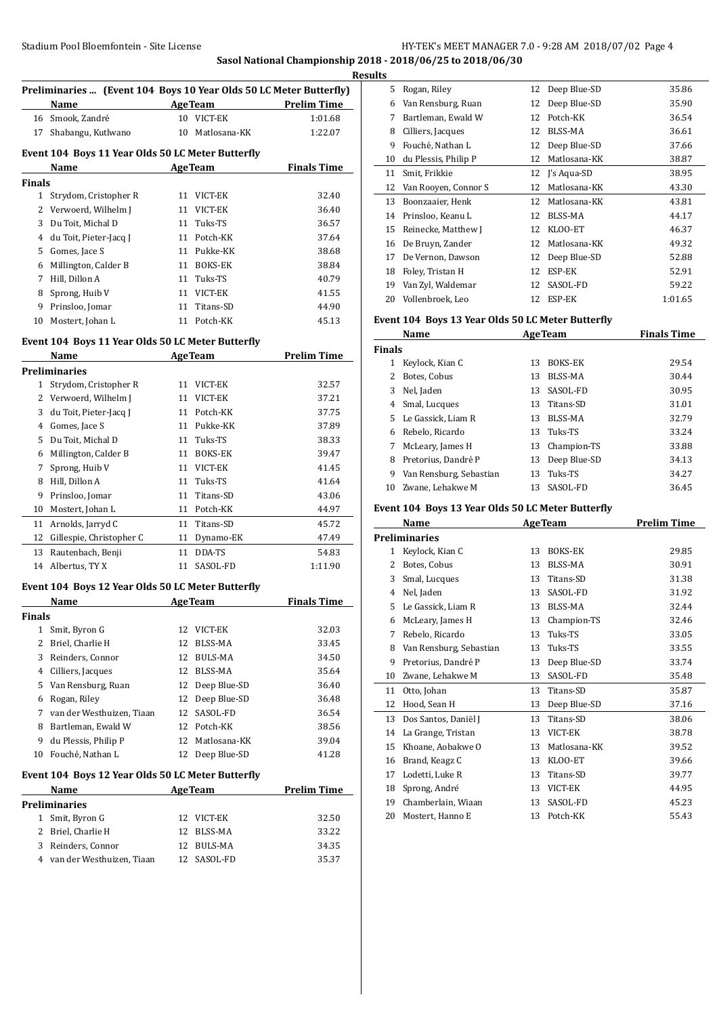# Stadium Pool Bloemfontein - Site License **HY-TEK's MEET MANAGER 7.0 - 9:28 AM 2018/07/02** Page 4 **Sasol National Championship 2018 - 2018/06/25 to 2018/06/30**

**Results**

 $\overline{a}$ 

 $\overline{a}$ 

 $\overline{a}$ 

| <u>к</u><br>Preliminaries  (Event 104 Boys 10 Year Olds 50 LC Meter Butterfly) |                                                   |    |                 |                    |
|--------------------------------------------------------------------------------|---------------------------------------------------|----|-----------------|--------------------|
|                                                                                |                                                   |    | <b>AgeTeam</b>  | <b>Prelim Time</b> |
|                                                                                | Name<br>16 Smook, Zandré                          |    | 10 VICT-EK      | 1:01.68            |
|                                                                                | 17 Shabangu, Kutlwano                             |    | 10 Matlosana-KK | 1:22.07            |
|                                                                                |                                                   |    |                 |                    |
|                                                                                | Event 104 Boys 11 Year Olds 50 LC Meter Butterfly |    |                 |                    |
|                                                                                | Name                                              |    | <b>AgeTeam</b>  | <b>Finals Time</b> |
| <b>Finals</b>                                                                  |                                                   |    |                 |                    |
|                                                                                | 1 Strydom, Cristopher R                           | 11 | VICT-EK         | 32.40              |
|                                                                                | 2 Verwoerd, Wilhelm J                             |    | 11 VICT-EK      | 36.40              |
|                                                                                | 3 Du Toit, Michal D                               |    | 11 Tuks-TS      | 36.57              |
|                                                                                | 4 du Toit, Pieter-Jacq J                          |    | 11 Potch-KK     | 37.64              |
|                                                                                | 5 Gomes, Jace S                                   |    | 11 Pukke-KK     | 38.68              |
|                                                                                | 6 Millington, Calder B                            |    | 11 BOKS-EK      | 38.84              |
|                                                                                | 7 Hill, Dillon A                                  |    | 11 Tuks-TS      | 40.79              |
|                                                                                | 8 Sprong, Huib V                                  |    | 11 VICT-EK      | 41.55              |
| 9                                                                              | Prinsloo, Jomar                                   |    | 11 Titans-SD    | 44.90              |
| 10                                                                             | Mostert, Johan L                                  |    | 11 Potch-KK     | 45.13              |
|                                                                                | Event 104 Boys 11 Year Olds 50 LC Meter Butterfly |    |                 |                    |
|                                                                                | Name AgeTeam                                      |    |                 | <b>Prelim Time</b> |
|                                                                                | <b>Preliminaries</b>                              |    |                 |                    |
|                                                                                | 1 Strydom, Cristopher R                           | 11 | VICT-EK         | 32.57              |
|                                                                                | 2 Verwoerd, Wilhelm J                             |    | 11 VICT-EK      | 37.21              |
|                                                                                | 3 du Toit, Pieter-Jacq J                          |    | 11 Potch-KK     | 37.75              |
|                                                                                | 4 Gomes, Jace S                                   |    | 11 Pukke-KK     | 37.89              |
|                                                                                | 5 Du Toit, Michal D                               |    | 11 Tuks-TS      | 38.33              |
|                                                                                | 6 Millington, Calder B                            |    | 11 BOKS-EK      | 39.47              |
| 7                                                                              | Sprong, Huib V                                    |    | 11 VICT-EK      | 41.45              |
|                                                                                | 8 Hill, Dillon A                                  |    | 11 Tuks-TS      | 41.64              |
| 9                                                                              | Prinsloo, Jomar                                   |    | 11 Titans-SD    | 43.06              |
| 10                                                                             | Mostert, Johan L                                  |    | 11 Potch-KK     | 44.97              |
| 11                                                                             | Arnolds, Jarryd C                                 |    | 11 Titans-SD    | 45.72              |
| 12                                                                             | Gillespie, Christopher C                          |    | 11 Dynamo-EK    | 47.49              |
| 13                                                                             | Rautenbach, Benji                                 | 11 | DDA-TS          | 54.83              |
| 14                                                                             | Albertus, TY X                                    | 11 | SASOL-FD        | 1:11.90            |
|                                                                                | Event 104 Boys 12 Year Olds 50 LC Meter Butterfly |    |                 |                    |
|                                                                                | Name                                              |    | <b>AgeTeam</b>  | <b>Finals Time</b> |
| Finals                                                                         |                                                   |    |                 |                    |
| 1                                                                              | Smit, Byron G                                     | 12 | VICT-EK         | 32.03              |
| 2                                                                              | Briel, Charlie H                                  | 12 | BLSS-MA         | 33.45              |
|                                                                                | 3 Reinders, Connor                                | 12 | BULS-MA         | 34.50              |
|                                                                                | 4 Cilliers, Jacques                               | 12 | BLSS-MA         | 35.64              |
|                                                                                | 5 Van Rensburg, Ruan                              | 12 | Deep Blue-SD    | 36.40              |
| 6                                                                              | Rogan, Riley                                      | 12 | Deep Blue-SD    | 36.48              |
|                                                                                | 7 van der Westhuizen, Tiaan                       | 12 | SASOL-FD        | 36.54              |
| 8                                                                              | Bartleman, Ewald W                                |    | 12 Potch-KK     | 38.56              |
| 9                                                                              | du Plessis, Philip P                              | 12 | Matlosana-KK    | 39.04              |
| 10                                                                             | Fouché, Nathan L                                  | 12 | Deep Blue-SD    | 41.28              |
|                                                                                | Event 104 Boys 12 Year Olds 50 LC Meter Butterfly |    |                 |                    |
|                                                                                | Name                                              |    | <b>AgeTeam</b>  | <b>Prelim Time</b> |
|                                                                                | <b>Preliminaries</b>                              |    |                 |                    |
| 1                                                                              | Smit, Byron G                                     | 12 | VICT-EK         | 32.50              |
| 2                                                                              | Briel, Charlie H                                  | 12 | BLSS-MA         | 33.22              |
| 3                                                                              | Reinders, Connor                                  | 12 | BULS-MA         | 34.35              |
|                                                                                | 4 van der Westhuizen, Tiaan                       | 12 | SASOL-FD        | 35.37              |
|                                                                                |                                                   |    |                 |                    |

| Its                                               |                      |    |              |         |  |  |
|---------------------------------------------------|----------------------|----|--------------|---------|--|--|
| 5                                                 | Rogan, Riley         | 12 | Deep Blue-SD | 35.86   |  |  |
| 6                                                 | Van Rensburg, Ruan   | 12 | Deep Blue-SD | 35.90   |  |  |
| 7                                                 | Bartleman, Ewald W   | 12 | Potch-KK     | 36.54   |  |  |
| 8                                                 | Cilliers, Jacques    | 12 | BLSS-MA      | 36.61   |  |  |
| 9                                                 | Fouché, Nathan L     | 12 | Deep Blue-SD | 37.66   |  |  |
| 10                                                | du Plessis, Philip P | 12 | Matlosana-KK | 38.87   |  |  |
| 11                                                | Smit, Frikkie        | 12 | J's Aqua-SD  | 38.95   |  |  |
| 12                                                | Van Rooyen, Connor S | 12 | Matlosana-KK | 43.30   |  |  |
| 13                                                | Boonzaaier, Henk     | 12 | Matlosana-KK | 43.81   |  |  |
| 14                                                | Prinsloo, Keanu L    | 12 | BLSS-MA      | 44.17   |  |  |
| 15                                                | Reinecke, Matthew J  | 12 | KLOO-ET      | 46.37   |  |  |
| 16                                                | De Bruyn, Zander     | 12 | Matlosana-KK | 49.32   |  |  |
| 17                                                | De Vernon, Dawson    | 12 | Deep Blue-SD | 52.88   |  |  |
| 18                                                | Foley, Tristan H     | 12 | ESP-EK       | 52.91   |  |  |
| 19                                                | Van Zyl, Waldemar    | 12 | SASOL-FD     | 59.22   |  |  |
| 20                                                | Vollenbroek, Leo     | 12 | ESP-EK       | 1:01.65 |  |  |
| Event 104 Boys 13 Year Olds 50 LC Meter Butterfly |                      |    |              |         |  |  |

| Name          |                         | <b>AgeTeam</b> |                | <b>Finals Time</b> |  |
|---------------|-------------------------|----------------|----------------|--------------------|--|
| <b>Finals</b> |                         |                |                |                    |  |
|               | Keylock, Kian C         | 13             | <b>BOKS-EK</b> | 29.54              |  |
|               | Botes, Cobus            | 13             | BLSS-MA        | 30.44              |  |
| 3             | Nel, Jaden              | 13             | SASOL-FD       | 30.95              |  |
| 4             | Smal, Lucques           | 13             | Titans-SD      | 31.01              |  |
|               | 5 Le Gassick. Liam R    | 13             | BLSS-MA        | 32.79              |  |
| 6             | Rebelo, Ricardo         | 13             | Tuks-TS        | 33.24              |  |
| 7             | McLeary, James H        | 13             | Champion-TS    | 33.88              |  |
| 8             | Pretorius, Dandré P     | 13             | Deep Blue-SD   | 34.13              |  |
| 9             | Van Rensburg, Sebastian | 13             | Tuks-TS        | 34.27              |  |
| 10            | Zwane. Lehakwe M        | 13             | SASOL-FD       | 36.45              |  |
|               |                         |                |                |                    |  |

# **Event 104 Boys 13 Year Olds 50 LC Meter Butterfly**

|    | Name                    |    | <b>AgeTeam</b> | <b>Prelim Time</b> |
|----|-------------------------|----|----------------|--------------------|
|    | Preliminaries           |    |                |                    |
| 1  | Keylock, Kian C         | 13 | <b>BOKS-EK</b> | 29.85              |
| 2  | Botes, Cobus            | 13 | BLSS-MA        | 30.91              |
| 3  | Smal, Lucques           | 13 | Titans-SD      | 31.38              |
| 4  | Nel, Jaden              | 13 | SASOL-FD       | 31.92              |
| 5  | Le Gassick, Liam R      | 13 | BLSS-MA        | 32.44              |
| 6  | McLeary, James H        | 13 | Champion-TS    | 32.46              |
| 7  | Rebelo, Ricardo         | 13 | Tuks-TS        | 33.05              |
| 8  | Van Rensburg, Sebastian | 13 | Tuks-TS        | 33.55              |
| 9  | Pretorius, Dandré P     | 13 | Deep Blue-SD   | 33.74              |
| 10 | Zwane, Lehakwe M        | 13 | SASOL-FD       | 35.48              |
| 11 | Otto, Johan             | 13 | Titans-SD      | 35.87              |
| 12 | Hood, Sean H            | 13 | Deep Blue-SD   | 37.16              |
| 13 | Dos Santos, Daniël J    | 13 | Titans-SD      | 38.06              |
| 14 | La Grange, Tristan      | 13 | VICT-EK        | 38.78              |
| 15 | Khoane, Aobakwe O       | 13 | Matlosana-KK   | 39.52              |
| 16 | Brand, Keagz C          | 13 | KLOO-ET        | 39.66              |
| 17 | Lodetti, Luke R         | 13 | Titans-SD      | 39.77              |
| 18 | Sprong, André           | 13 | VICT-EK        | 44.95              |
| 19 | Chamberlain, Wiaan      | 13 | SASOL-FD       | 45.23              |
| 20 | Mostert, Hanno E        | 13 | Potch-KK       | 55.43              |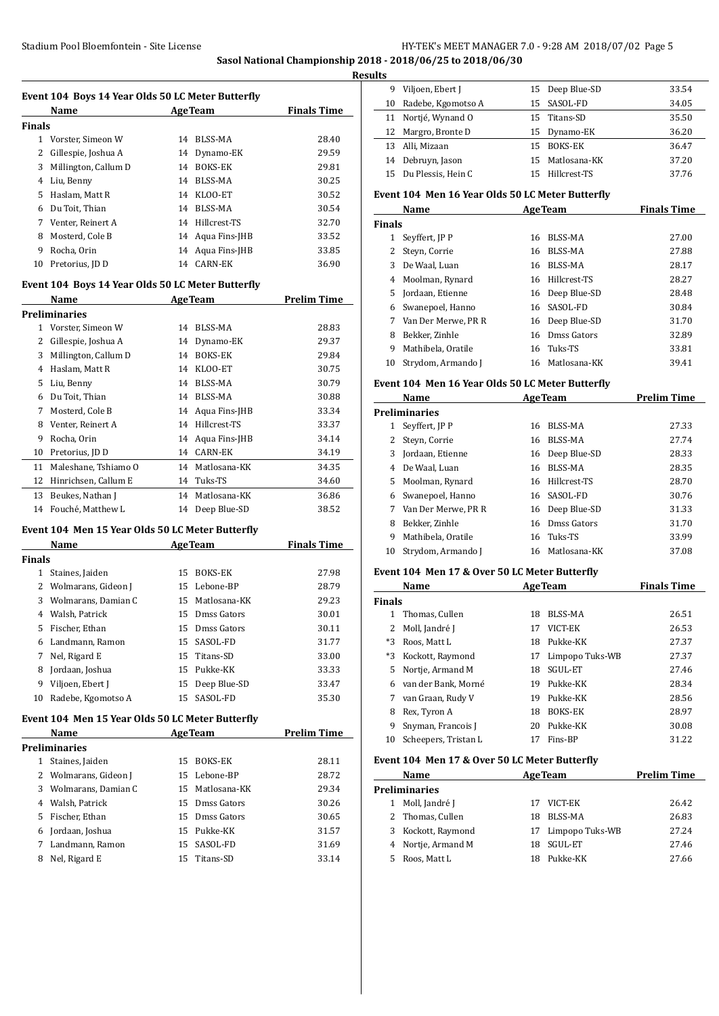**Sasol National Championship 2018 - 2018/06/25 to 2018/06/30**

**Results**

Í.

|                                                   | Event 104 Boys 14 Year Olds 50 LC Meter Butterfly<br>Name |    | <b>AgeTeam</b>   | <b>Finals Time</b> |  |  |
|---------------------------------------------------|-----------------------------------------------------------|----|------------------|--------------------|--|--|
| Finals                                            |                                                           |    |                  |                    |  |  |
| 1                                                 | Vorster, Simeon W                                         | 14 | BLSS-MA          | 28.40              |  |  |
| 2                                                 | Gillespie, Joshua A                                       |    | 14 Dynamo-EK     | 29.59              |  |  |
| 3                                                 | Millington, Callum D                                      | 14 | <b>BOKS-EK</b>   | 29.81              |  |  |
| 4                                                 | Liu, Benny                                                | 14 | BLSS-MA          | 30.25              |  |  |
| 5.                                                | Haslam, Matt R                                            |    | 14 KLOO-ET       | 30.52              |  |  |
| 6                                                 | Du Toit, Thian                                            | 14 | BLSS-MA          | 30.54              |  |  |
| 7                                                 | Venter, Reinert A                                         |    | 14 Hillcrest-TS  | 32.70              |  |  |
| 8                                                 | Mosterd, Cole B                                           |    | 14 Aqua Fins-JHB | 33.52              |  |  |
| 9                                                 | Rocha, Orin                                               |    | 14 Aqua Fins-JHB | 33.85              |  |  |
| 10                                                | Pretorius, JD D                                           |    | 14 CARN-EK       | 36.90              |  |  |
| Event 104 Boys 14 Year Olds 50 LC Meter Butterfly |                                                           |    |                  |                    |  |  |
|                                                   | Name                                                      |    | AgeTeam          | Prelim Time        |  |  |

|    | Name                 |    | дge геаш       | гтении гипе |
|----|----------------------|----|----------------|-------------|
|    | <b>Preliminaries</b> |    |                |             |
| 1  | Vorster, Simeon W    | 14 | BLSS-MA        | 28.83       |
| 2  | Gillespie, Joshua A  | 14 | Dynamo-EK      | 29.37       |
| 3  | Millington, Callum D | 14 | <b>BOKS-EK</b> | 29.84       |
| 4  | Haslam, Matt R       | 14 | KLOO-ET        | 30.75       |
| 5  | Liu, Benny           | 14 | BLSS-MA        | 30.79       |
| 6  | Du Toit, Thian       | 14 | <b>BLSS-MA</b> | 30.88       |
| 7  | Mosterd, Cole B      | 14 | Aqua Fins-JHB  | 33.34       |
| 8  | Venter, Reinert A    | 14 | Hillcrest-TS   | 33.37       |
| 9  | Rocha, Orin          | 14 | Aqua Fins-JHB  | 34.14       |
| 10 | Pretorius, JD D      | 14 | <b>CARN-EK</b> | 34.19       |
| 11 | Maleshane, Tshiamo O | 14 | Matlosana-KK   | 34.35       |
| 12 | Hinrichsen, Callum E | 14 | Tuks-TS        | 34.60       |
| 13 | Beukes, Nathan J     | 14 | Matlosana-KK   | 36.86       |
| 14 | Fouché, Matthew L    | 14 | Deep Blue-SD   | 38.52       |

#### **Event 104 Men 15 Year Olds 50 LC Meter Butterfly**

|               | Name                  | <b>AgeTeam</b> |                 | <b>Finals Time</b> |
|---------------|-----------------------|----------------|-----------------|--------------------|
| <b>Finals</b> |                       |                |                 |                    |
| 1             | Staines, Jaiden       | 15.            | <b>BOKS-EK</b>  | 27.98              |
|               | 2 Wolmarans, Gideon J |                | 15 Lebone-BP    | 28.79              |
| 3             | Wolmarans, Damian C   |                | 15 Matlosana-KK | 29.23              |
| 4             | Walsh, Patrick        | 15             | Dmss Gators     | 30.01              |
| 5.            | Fischer, Ethan        | 15.            | Dmss Gators     | 30.11              |
| 6             | Landmann, Ramon       |                | 15 SASOL-FD     | 31.77              |
| 7             | Nel, Rigard E         |                | 15 Titans-SD    | 33.00              |
| 8             | Jordaan, Joshua       |                | 15 Pukke-KK     | 33.33              |
| 9             | Viljoen, Ebert J      |                | 15 Deep Blue-SD | 33.47              |
| 10            | Radebe, Kgomotso A    | 15             | SASOL-FD        | 35.30              |

#### **Event 104 Men 15 Year Olds 50 LC Meter Butterfly**

|    | Name                  |    | <b>AgeTeam</b>  | <b>Prelim Time</b> |  |
|----|-----------------------|----|-----------------|--------------------|--|
|    | <b>Preliminaries</b>  |    |                 |                    |  |
|    | Staines, Jaiden       | 15 | BOKS-EK         | 28.11              |  |
|    | 2 Wolmarans, Gideon J |    | 15 Lebone-BP    | 28.72              |  |
|    | 3 Wolmarans, Damian C |    | 15 Matlosana-KK | 29.34              |  |
|    | 4 Walsh, Patrick      |    | 15 Dmss Gators  | 30.26              |  |
| 5. | Fischer, Ethan        |    | 15 Dmss Gators  | 30.65              |  |
| 6  | Jordaan, Joshua       |    | 15 Pukke-KK     | 31.57              |  |
|    | Landmann, Ramon       |    | 15 SASOL-FD     | 31.69              |  |
| 8  | Nel, Rigard E         |    | 15 Titans-SD    | 33.14              |  |

| 9  | Viljoen, Ebert J      | 15 Deep Blue-SD | 33.54 |
|----|-----------------------|-----------------|-------|
|    | 10 Radebe, Kgomotso A | 15 SASOL-FD     | 34.05 |
|    | 11 Nortjé, Wynand O   | 15 Titans-SD    | 35.50 |
|    | 12 Margro, Bronte D   | 15 Dynamo-EK    | 36.20 |
| 13 | Alli, Mizaan          | 15 BOKS-EK      | 36.47 |
| 14 | Debruyn, Jason        | 15 Matlosana-KK | 37.20 |
|    | 15 Du Plessis, Hein C | 15 Hillcrest-TS | 37.76 |
|    |                       |                 |       |

#### **Event 104 Men 16 Year Olds 50 LC Meter Butterfly**

|               | Name                | <b>AgeTeam</b> |                 | <b>Finals Time</b> |
|---------------|---------------------|----------------|-----------------|--------------------|
| <b>Finals</b> |                     |                |                 |                    |
|               | Seyffert, JP P      | 16             | BLSS-MA         | 27.00              |
|               | Steyn, Corrie       | 16             | BLSS-MA         | 27.88              |
| 3             | De Waal, Luan       | 16             | BLSS-MA         | 28.17              |
| 4             | Moolman, Rynard     | 16             | Hillcrest-TS    | 28.27              |
| 5.            | Jordaan, Etienne    |                | 16 Deep Blue-SD | 28.48              |
| 6             | Swanepoel, Hanno    |                | 16 SASOL-FD     | 30.84              |
|               | Van Der Merwe, PR R |                | 16 Deep Blue-SD | 31.70              |
| 8             | Bekker, Zinhle      | 16             | Dmss Gators     | 32.89              |
| 9             | Mathibela, Oratile  | 16             | Tuks-TS         | 33.81              |
| 10            | Strydom, Armando I  |                | 16 Matlosana-KK | 39.41              |

#### **Event 104 Men 16 Year Olds 50 LC Meter Butterfly**

|    | Name<br><b>AgeTeam</b> |    |                 | <b>Prelim Time</b> |
|----|------------------------|----|-----------------|--------------------|
|    | <b>Preliminaries</b>   |    |                 |                    |
|    | Seyffert, JP P         | 16 | BLSS-MA         | 27.33              |
|    | Steyn, Corrie          | 16 | BLSS-MA         | 27.74              |
| 3  | Jordaan, Etienne       |    | 16 Deep Blue-SD | 28.33              |
| 4  | De Waal, Luan          | 16 | BLSS-MA         | 28.35              |
| 5. | Moolman, Rynard        | 16 | Hillcrest-TS    | 28.70              |
|    | 6 Swanepoel, Hanno     |    | 16 SASOL-FD     | 30.76              |
|    | Van Der Merwe, PR R    |    | 16 Deep Blue-SD | 31.33              |
| 8  | Bekker, Zinhle         | 16 | Dmss Gators     | 31.70              |
| 9  | Mathibela, Oratile     |    | 16 Tuks-TS      | 33.99              |
| 10 | Strydom, Armando J     | 16 | Matlosana-KK    | 37.08              |

# **Event 104 Men 17 & Over 50 LC Meter Butterfly**

| Name          |                      |    | <b>AgeTeam</b>  | <b>Finals Time</b> |  |
|---------------|----------------------|----|-----------------|--------------------|--|
| <b>Finals</b> |                      |    |                 |                    |  |
| 1             | Thomas. Cullen       | 18 | BLSS-MA         | 26.51              |  |
| 2             | Moll, Jandré J       | 17 | VICT-EK         | 26.53              |  |
| $*3$          | Roos, Matt L         | 18 | Pukke-KK        | 27.37              |  |
| $*3$          | Kockott, Raymond     | 17 | Limpopo Tuks-WB | 27.37              |  |
| 5.            | Nortje, Armand M     | 18 | SGUL-ET         | 27.46              |  |
| 6.            | van der Bank, Morné  | 19 | Pukke-KK        | 28.34              |  |
| 7             | van Graan, Rudy V    | 19 | Pukke-KK        | 28.56              |  |
| 8             | Rex, Tyron A         | 18 | <b>BOKS-EK</b>  | 28.97              |  |
| 9             | Snyman, Francois J   | 20 | Pukke-KK        | 30.08              |  |
| 10            | Scheepers, Tristan L |    | Fins-BP         | 31.22              |  |

#### **Event 104 Men 17 & Over 50 LC Meter Butterfly**

| Name |                      |     | <b>AgeTeam</b>     | <b>Prelim Time</b> |
|------|----------------------|-----|--------------------|--------------------|
|      | <b>Preliminaries</b> |     |                    |                    |
| 1    | Moll, Jandré J       |     | 17 VICT-EK         | 26.42              |
|      | 2 Thomas, Cullen     | 18  | BLSS-MA            | 26.83              |
|      | 3 Kockott, Raymond   |     | 17 Limpopo Tuks-WB | 27.24              |
|      | 4 Nortje, Armand M   | 18  | SGUL-ET            | 27.46              |
| 5.   | Roos, Matt L         | 18. | Pukke-KK           | 27.66              |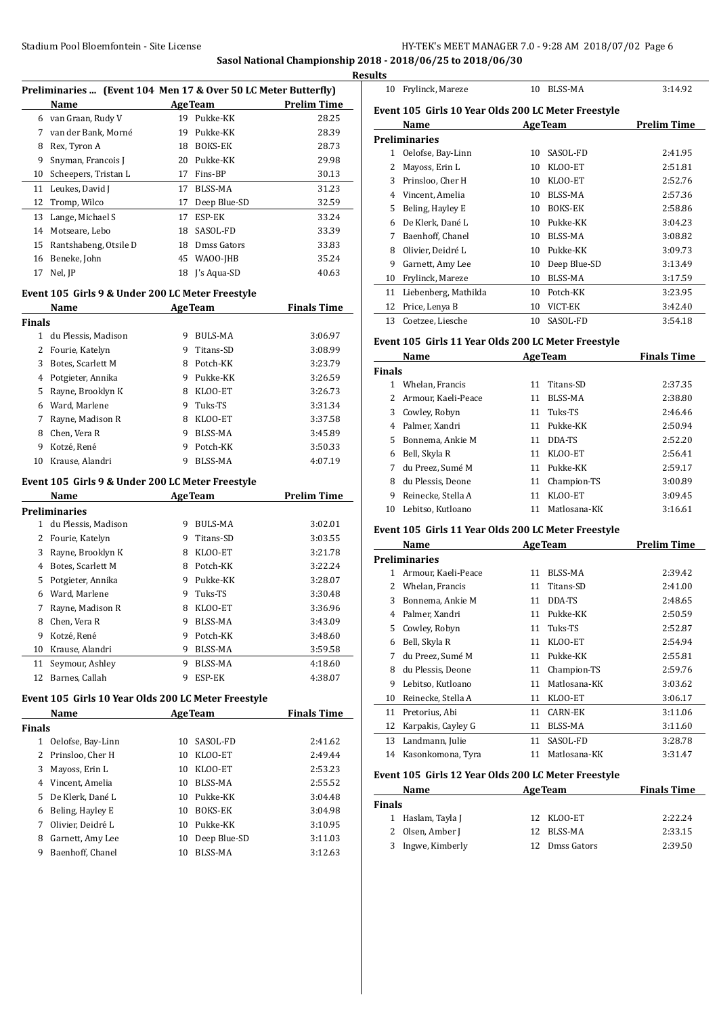# **Sasol National Championship 2018 - 2018/06/25 to 2018/06/30**

|                  | Preliminaries  (Event 104 Men 17 & Over 50 LC Meter Butterfly) |          |                         |                     |
|------------------|----------------------------------------------------------------|----------|-------------------------|---------------------|
|                  | Name                                                           |          |                         | AgeTeam Prelim Time |
|                  | 6 van Graan, Rudy V                                            |          | 19 Pukke-KK             | 28.25               |
|                  | 7 van der Bank, Morné                                          |          | 19 Pukke-KK             | 28.39               |
|                  | 8 Rex, Tyron A                                                 |          | 18 BOKS-EK              | 28.73               |
| 9                | Snyman, Francois J                                             |          | 20 Pukke-KK             | 29.98               |
|                  | 10 Scheepers, Tristan L                                        |          | 17 Fins-BP              | 30.13               |
|                  | 11 Leukes, David J                                             |          | 17 BLSS-MA              | 31.23               |
|                  | 12 Tromp, Wilco                                                |          | 17 Deep Blue-SD         | 32.59               |
|                  | 13 Lange, Michael S                                            |          | 17 ESP-EK               | 33.24               |
|                  | 14 Motseare, Lebo                                              |          | 18 SASOL-FD             | 33.39               |
|                  | 15 Rantshabeng, Otsile D                                       |          | 18 Dmss Gators          | 33.83               |
|                  | 16 Beneke, John                                                |          | 45 WAOO-JHB             | 35.24               |
| 17               | Nel, JP                                                        |          | 18 J's Aqua-SD          | 40.63               |
|                  |                                                                |          |                         |                     |
|                  | Event 105 Girls 9 & Under 200 LC Meter Freestyle               |          |                         |                     |
|                  | Name                                                           |          | <b>AgeTeam</b>          | <b>Finals Time</b>  |
| <b>Finals</b>    |                                                                |          |                         |                     |
|                  | 1 du Plessis, Madison                                          |          | 9 BULS-MA               | 3:06.97             |
|                  | 2 Fourie, Katelyn                                              |          | 9 Titans-SD             | 3:08.99             |
|                  | 3 Botes, Scarlett M                                            |          | 8 Potch-KK              | 3:23.79             |
|                  | 4 Potgieter, Annika                                            |          | 9 Pukke-KK              | 3:26.59             |
|                  | 5 Rayne, Brooklyn K                                            |          | 8 KLOO-ET               | 3:26.73             |
|                  | 6 Ward, Marlene                                                |          | 9 Tuks-TS               | 3:31.34             |
| 7                | Rayne, Madison R                                               |          | 8 KLOO-ET               | 3:37.58             |
|                  | 8 Chen, Vera R                                                 |          | 9 BLSS-MA               | 3:45.89             |
|                  | 9 Kotzé, René                                                  |          | 9 Potch-KK              | 3:50.33             |
|                  | 10 Krause, Alandri                                             |          | 9 BLSS-MA               | 4:07.19             |
|                  | Event 105 Girls 9 & Under 200 LC Meter Freestyle               |          |                         |                     |
|                  | Name                                                           |          | <b>AgeTeam</b>          | <b>Prelim Time</b>  |
|                  | Preliminaries                                                  |          |                         |                     |
|                  | 1 du Plessis, Madison                                          |          | 9 BULS-MA               | 3:02.01             |
|                  | 2 Fourie, Katelyn                                              |          | 9 Titans-SD             | 3:03.55             |
|                  | 3 Rayne, Brooklyn K                                            |          | 8 KLOO-ET               | 3:21.78             |
|                  | 4 Botes, Scarlett M                                            |          | 8 Potch-KK              | 3:22.24             |
|                  | 5 Potgieter, Annika                                            |          | 9 Pukke-KK              | 3:28.07             |
|                  | 6 Ward, Marlene                                                |          | 9 Tuks-TS               | 3:30.48             |
|                  | 7 Ravne. Madison R                                             |          | 8 KLOO-ET               | 3:36.96             |
| 8                | Chen, Vera R                                                   |          | 9 BLSS-MA               | 3:43.09             |
| 9                | Kotzé, René                                                    | 9.       | Potch-KK                | 3:48.60             |
| 10               | Krause, Alandri                                                | 9        | BLSS-MA                 | 3:59.58             |
|                  | Seymour, Ashley                                                | 9.       | BLSS-MA                 | 4:18.60             |
| 11               |                                                                | 9        | ESP-EK                  | 4:38.07             |
|                  | 12 Barnes, Callah                                              |          |                         |                     |
|                  |                                                                |          |                         |                     |
|                  | Event 105 Girls 10 Year Olds 200 LC Meter Freestyle            |          |                         |                     |
|                  | Name                                                           |          | <b>AgeTeam</b>          | <b>Finals Time</b>  |
|                  |                                                                |          |                         |                     |
|                  | 1 Oelofse, Bay-Linn                                            | 10       | SASOL-FD                | 2:41.62             |
| 2                | Prinsloo, Cher H                                               | 10       | KLOO-ET                 | 2:49.44             |
| 3                | Mayoss, Erin L                                                 | 10       | KLOO-ET                 | 2:53.23             |
| 4                | Vincent, Amelia                                                | 10       | BLSS-MA                 | 2:55.52             |
| 5                | De Klerk, Dané L                                               | 10       | Pukke-KK                | 3:04.48             |
| 6                | Beling, Hayley E                                               | 10       | BOKS-EK                 | 3:04.98             |
| 7                | Olivier, Deidré L                                              | 10       | Pukke-KK                | 3:10.95             |
| Finals<br>8<br>9 | Garnett, Amy Lee<br>Baenhoff, Chanel                           | 10<br>10 | Deep Blue-SD<br>BLSS-MA | 3:11.03<br>3:12.63  |

| 10 | Frylinck, Mareze                                    | 10 | <b>BLSS-MA</b> | 3:14.92            |
|----|-----------------------------------------------------|----|----------------|--------------------|
|    | Event 105 Girls 10 Year Olds 200 LC Meter Freestyle |    |                |                    |
|    | Name                                                |    | <b>AgeTeam</b> | <b>Prelim Time</b> |
|    | <b>Preliminaries</b>                                |    |                |                    |
| 1  | Oelofse, Bay-Linn                                   | 10 | SASOL-FD       | 2:41.95            |
| 2  | Mayoss, Erin L                                      | 10 | KLOO-ET        | 2:51.81            |
| 3  | Prinsloo, Cher H                                    | 10 | KLOO-ET        | 2:52.76            |
| 4  | Vincent, Amelia                                     | 10 | BLSS-MA        | 2:57.36            |
| 5  | Beling, Hayley E                                    | 10 | <b>BOKS-EK</b> | 2:58.86            |
| 6  | De Klerk, Dané L                                    | 10 | Pukke-KK       | 3:04.23            |
| 7  | Baenhoff, Chanel                                    | 10 | BLSS-MA        | 3:08.82            |
| 8  | Olivier, Deidré L                                   | 10 | Pukke-KK       | 3:09.73            |
| 9  | Garnett, Amy Lee                                    | 10 | Deep Blue-SD   | 3:13.49            |
| 10 | Frylinck, Mareze                                    | 10 | BLSS-MA        | 3:17.59            |
| 11 | Liebenberg, Mathilda                                | 10 | Potch-KK       | 3:23.95            |
| 12 | Price, Lenya B                                      | 10 | VICT-EK        | 3:42.40            |
| 13 | Coetzee, Liesche                                    | 10 | SASOL-FD       | 3:54.18            |

# **Event 105 Girls 11 Year Olds 200 LC Meter Freestyle**

| Name          |                     |    | <b>AgeTeam</b> | <b>Finals Time</b> |  |
|---------------|---------------------|----|----------------|--------------------|--|
| <b>Finals</b> |                     |    |                |                    |  |
| 1             | Whelan, Francis     | 11 | Titans-SD      | 2:37.35            |  |
| 2.            | Armour, Kaeli-Peace | 11 | BLSS-MA        | 2:38.80            |  |
| 3             | Cowley, Robyn       | 11 | Tuks-TS        | 2:46.46            |  |
| 4             | Palmer, Xandri      | 11 | Pukke-KK       | 2:50.94            |  |
| 5.            | Bonnema, Ankie M    | 11 | DDA-TS         | 2:52.20            |  |
| 6             | Bell, Skyla R       | 11 | KLOO-ET        | 2:56.41            |  |
| 7             | du Preez. Sumé M    | 11 | Pukke-KK       | 2:59.17            |  |
| 8             | du Plessis, Deone   | 11 | Champion-TS    | 3:00.89            |  |
| 9             | Reinecke, Stella A  | 11 | KLOO-ET        | 3:09.45            |  |
| 10            | Lebitso, Kutloano   |    | Matlosana-KK   | 3:16.61            |  |

# **Event 105 Girls 11 Year Olds 200 LC Meter Freestyle**

|    | Name                | <b>AgeTeam</b> |                | <b>Prelim Time</b> |
|----|---------------------|----------------|----------------|--------------------|
|    | Preliminaries       |                |                |                    |
| 1  | Armour, Kaeli-Peace | 11             | BLSS-MA        | 2:39.42            |
| 2  | Whelan, Francis     | 11             | Titans-SD      | 2:41.00            |
| 3  | Bonnema, Ankie M    | 11             | DDA-TS         | 2:48.65            |
| 4  | Palmer, Xandri      | 11             | Pukke-KK       | 2:50.59            |
| 5  | Cowley, Robyn       | 11             | Tuks-TS        | 2:52.87            |
| 6  | Bell, Skyla R       | 11             | KLOO-ET        | 2:54.94            |
| 7  | du Preez, Sumé M    | 11             | Pukke-KK       | 2:55.81            |
| 8  | du Plessis, Deone   | 11             | Champion-TS    | 2:59.76            |
| 9  | Lebitso, Kutloano   | 11             | Matlosana-KK   | 3:03.62            |
| 10 | Reinecke, Stella A  | 11             | KLOO-ET        | 3:06.17            |
| 11 | Pretorius, Abi      | 11             | <b>CARN-EK</b> | 3:11.06            |
| 12 | Karpakis, Cayley G  | 11             | BLSS-MA        | 3:11.60            |
| 13 | Landmann, Julie     | 11             | SASOL-FD       | 3:28.78            |
| 14 | Kasonkomona, Tyra   | 11             | Matlosana-KK   | 3:31.47            |

#### **Event 105 Girls 12 Year Olds 200 LC Meter Freestyle**

|               | Name              | <b>AgeTeam</b> | <b>Finals Time</b> |
|---------------|-------------------|----------------|--------------------|
| <b>Finals</b> |                   |                |                    |
|               | 1 Haslam, Tayla J | 12 KLOO-ET     | 2:22.24            |
|               | 2 Olsen, Amber J  | 12 BLSS-MA     | 2:33.15            |
|               | 3 Ingwe, Kimberly | 12 Dmss Gators | 2:39.50            |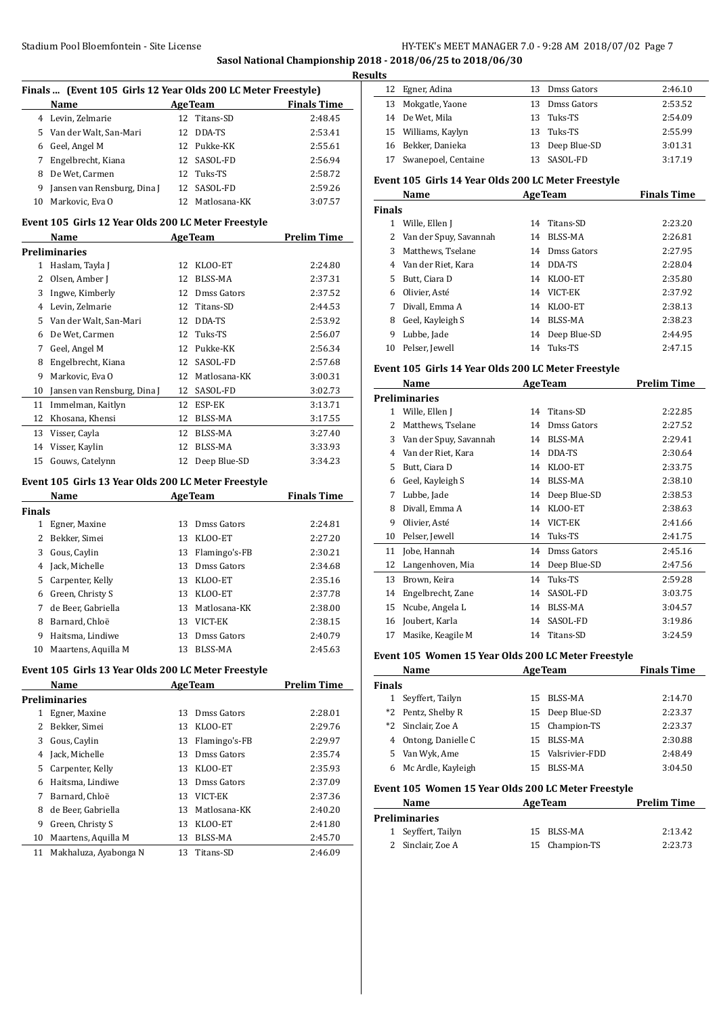**Sasol National Championship 2018 - 2018/06/25 to 2018/06/30**

|                | Finals  (Event 105 Girls 12 Year Olds 200 LC Meter Freestyle) |    |                    |                    |
|----------------|---------------------------------------------------------------|----|--------------------|--------------------|
|                | Name                                                          |    | <b>AgeTeam</b>     | <b>Finals Time</b> |
|                | 4 Levin, Zelmarie                                             | 12 | Titans-SD          | 2:48.45            |
| 5.             | Van der Walt, San-Mari                                        | 12 | DDA-TS             | 2:53.41            |
| 6              | Geel, Angel M                                                 |    | 12 Pukke-KK        | 2:55.61            |
| 7              | Engelbrecht, Kiana                                            | 12 | SASOL-FD           | 2:56.94            |
| 8              | De Wet, Carmen                                                | 12 | Tuks-TS            | 2:58.72            |
| 9              | Jansen van Rensburg, Dina J                                   | 12 | SASOL-FD           | 2:59.26            |
| 10             | Markovic, Eva O                                               |    | 12 Matlosana-KK    | 3:07.57            |
|                |                                                               |    |                    |                    |
|                | Event 105 Girls 12 Year Olds 200 LC Meter Freestyle<br>Name   |    | <b>AgeTeam</b>     | <b>Prelim Time</b> |
|                | Preliminaries                                                 |    |                    |                    |
| $\mathbf 1$    | Haslam, Tayla J                                               |    | 12 KLOO-ET         | 2:24.80            |
|                | 2 Olsen, Amber J                                              |    | 12 BLSS-MA         | 2:37.31            |
| 3              | Ingwe, Kimberly                                               |    | 12 Dmss Gators     | 2:37.52            |
| 4              | Levin, Zelmarie                                               |    | 12 Titans-SD       | 2:44.53            |
| 5              | Van der Walt, San-Mari                                        |    | 12 DDA-TS          | 2:53.92            |
| 6              | De Wet, Carmen                                                |    | 12 Tuks-TS         | 2:56.07            |
| 7              | Geel, Angel M                                                 |    | 12 Pukke-KK        | 2:56.34            |
| 8              | Engelbrecht, Kiana                                            | 12 | SASOL-FD           | 2:57.68            |
| 9              | Markovic, Eva O                                               |    | 12 Matlosana-KK    | 3:00.31            |
| 10             | Jansen van Rensburg, Dina J                                   |    | 12 SASOL-FD        | 3:02.73            |
| 11             | Immelman, Kaitlyn                                             |    | 12 ESP-EK          | 3:13.71            |
| 12             | Khosana, Khensi                                               |    | 12 BLSS-MA         | 3:17.55            |
| 13             | Visser, Cayla                                                 | 12 | <b>BLSS-MA</b>     | 3:27.40            |
| 14             | Visser, Kaylin                                                | 12 | <b>BLSS-MA</b>     | 3:33.93            |
| 15             | Gouws, Catelynn                                               |    | 12 Deep Blue-SD    | 3:34.23            |
|                |                                                               |    |                    |                    |
|                | Event 105 Girls 13 Year Olds 200 LC Meter Freestyle           |    |                    |                    |
|                | Name                                                          |    | <b>AgeTeam</b>     | <b>Finals Time</b> |
| Finals         |                                                               |    |                    |                    |
|                | 1 Egner, Maxine                                               |    | 13 Dmss Gators     | 2:24.81            |
| $\overline{2}$ | Bekker, Simei                                                 |    | 13 KLOO-ET         | 2:27.20            |
| 3              | Gous, Caylin                                                  | 13 | Flamingo's-FB      | 2:30.21            |
| 4              | Jack, Michelle                                                | 13 | <b>Dmss Gators</b> | 2:34.68            |
| 5              | Carpenter, Kelly                                              | 13 | KLOO-ET            | 2:35.16            |
| 6              | Green, Christy S                                              | 13 | KLOO-ET            | 2:37.78            |
| 7              | de Beer, Gabriella                                            | 13 | Matlosana-KK       | 2:38.00            |
| 8              | Barnard, Chloë                                                |    | 13 VICT-EK         | 2:38.15            |
| 9              | Haitsma, Lindiwe                                              | 13 | Dmss Gators        | 2:40.79            |
| 10             | Maartens, Aquilla M                                           | 13 | <b>BLSS-MA</b>     | 2:45.63            |
|                | Event 105 Girls 13 Year Olds 200 LC Meter Freestyle           |    |                    |                    |
|                | Name                                                          |    | <b>AgeTeam</b>     | <b>Prelim Time</b> |
|                | <b>Preliminaries</b>                                          |    |                    |                    |
| $\mathbf{1}$   | Egner, Maxine                                                 | 13 | Dmss Gators        | 2:28.01            |
| 2              | Bekker, Simei                                                 | 13 | KLOO-ET            | 2:29.76            |
| 3              | Gous, Caylin                                                  | 13 | Flamingo's-FB      | 2:29.97            |
| 4              | Jack, Michelle                                                | 13 | Dmss Gators        | 2:35.74            |
| 5              | Carpenter, Kelly                                              |    | 13 KLOO-ET         | 2:35.93            |
| 6              | Haitsma, Lindiwe                                              |    | 13 Dmss Gators     | 2:37.09            |
| 7              | Barnard, Chloë                                                |    | 13 VICT-EK         | 2:37.36            |
| 8              | de Beer, Gabriella                                            | 13 | Matlosana-KK       | 2:40.20            |
| 9              | Green, Christy S                                              | 13 | KLOO-ET            | 2:41.80            |
| 10             | Maartens, Aquilla M                                           | 13 | BLSS-MA            | 2:45.70            |
| 11             | Makhaluza, Ayabonga N                                         | 13 | Titans-SD          | 2:46.09            |

| <b>Results</b> |                                                                                                                                 |                                                                                                |
|----------------|---------------------------------------------------------------------------------------------------------------------------------|------------------------------------------------------------------------------------------------|
|                |                                                                                                                                 | 2:46.10                                                                                        |
|                |                                                                                                                                 | 2:53.52                                                                                        |
|                |                                                                                                                                 | 2:54.09                                                                                        |
|                |                                                                                                                                 | 2:55.99                                                                                        |
|                |                                                                                                                                 | 3:01.31                                                                                        |
|                |                                                                                                                                 | 3:17.19                                                                                        |
|                | 12 Egner, Adina<br>13 Mokgatle, Yaone<br>14 De Wet. Mila<br>15 Williams, Kaylyn<br>16 Bekker, Danieka<br>17 Swanepoel, Centaine | 13 Dmss Gators<br>13 Dmss Gators<br>13 Tuks-TS<br>13 Tuks-TS<br>13 Deep Blue-SD<br>13 SASOL-FD |

# **Event 105 Girls 14 Year Olds 200 LC Meter Freestyle**

|               | Name                     |    | <b>AgeTeam</b> | <b>Finals Time</b> |
|---------------|--------------------------|----|----------------|--------------------|
| <b>Finals</b> |                          |    |                |                    |
|               | Wille, Ellen J           | 14 | Titans-SD      | 2:23.20            |
|               | 2 Van der Spuy, Savannah | 14 | BLSS-MA        | 2:26.81            |
| 3             | Matthews, Tselane        | 14 | Dmss Gators    | 2:27.95            |
|               | 4 Van der Riet, Kara     | 14 | DDA-TS         | 2:28.04            |
| 5.            | Butt, Ciara D            | 14 | KLOO-ET        | 2:35.80            |
| 6             | Olivier. Asté            | 14 | VICT-EK        | 2:37.92            |
| 7             | Divall, Emma A           | 14 | KLOO-ET        | 2:38.13            |
| 8             | Geel, Kayleigh S         | 14 | BLSS-MA        | 2:38.23            |
| 9             | Lubbe, Jade              | 14 | Deep Blue-SD   | 2:44.95            |
| 10            | Pelser, Jewell           | 14 | Tuks-TS        | 2:47.15            |

# **Event 105 Girls 14 Year Olds 200 LC Meter Freestyle**

|    | Name                   |    | <b>AgeTeam</b> | <b>Prelim Time</b> |
|----|------------------------|----|----------------|--------------------|
|    | <b>Preliminaries</b>   |    |                |                    |
| 1  | Wille, Ellen J         | 14 | Titans-SD      | 2:22.85            |
| 2  | Matthews, Tselane      | 14 | Dmss Gators    | 2:27.52            |
| 3  | Van der Spuy, Savannah | 14 | BLSS-MA        | 2:29.41            |
| 4  | Van der Riet, Kara     | 14 | DDA-TS         | 2:30.64            |
| 5. | Butt, Ciara D          | 14 | KLOO-ET        | 2:33.75            |
| 6  | Geel, Kayleigh S       | 14 | BLSS-MA        | 2:38.10            |
| 7  | Lubbe, Jade            | 14 | Deep Blue-SD   | 2:38.53            |
| 8  | Divall, Emma A         | 14 | KLOO-ET        | 2:38.63            |
| 9  | Olivier, Asté          | 14 | VICT-EK        | 2:41.66            |
| 10 | Pelser, Jewell         | 14 | Tuks-TS        | 2:41.75            |
| 11 | Jobe, Hannah           | 14 | Dmss Gators    | 2:45.16            |
| 12 | Langenhoven, Mia       | 14 | Deep Blue-SD   | 2:47.56            |
| 13 | Brown, Keira           | 14 | Tuks-TS        | 2:59.28            |
| 14 | Engelbrecht, Zane      | 14 | SASOL-FD       | 3:03.75            |
| 15 | Ncube, Angela L        | 14 | BLSS-MA        | 3:04.57            |
| 16 | Joubert, Karla         | 14 | SASOL-FD       | 3:19.86            |
| 17 | Masike, Keagile M      | 14 | Titans-SD      | 3:24.59            |
|    |                        |    |                |                    |

## **Event 105 Women 15 Year Olds 200 LC Meter Freestyle**

|               | Name               | <b>AgeTeam</b> | <b>Finals Time</b> |         |
|---------------|--------------------|----------------|--------------------|---------|
| <b>Finals</b> |                    |                |                    |         |
|               | Seyffert, Tailyn   | 15             | BLSS-MA            | 2:14.70 |
|               | *2 Pentz, Shelby R |                | 15 Deep Blue-SD    | 2:23.37 |
|               | *2 Sinclair, Zoe A |                | 15 Champion-TS     | 2:23.37 |
| 4             | Ontong, Danielle C | 15.            | BLSS-MA            | 2:30.88 |
|               | 5 Van Wyk, Ame     | 15.            | Valsrivier-FDD     | 2:48.49 |
| 6.            | Mc Ardle, Kayleigh | 15             | BLSS-MA            | 3:04.50 |
|               |                    |                |                    |         |

# **Event 105 Women 15 Year Olds 200 LC Meter Freestyle**

| <b>AgeTeam</b><br>Name |                    |  |                | <b>Prelim Time</b> |
|------------------------|--------------------|--|----------------|--------------------|
|                        | Preliminaries      |  |                |                    |
|                        | 1 Seyffert, Tailyn |  | 15 BLSS-MA     | 2:13.42            |
|                        | 2 Sinclair, Zoe A  |  | 15 Champion-TS | 2:23.73            |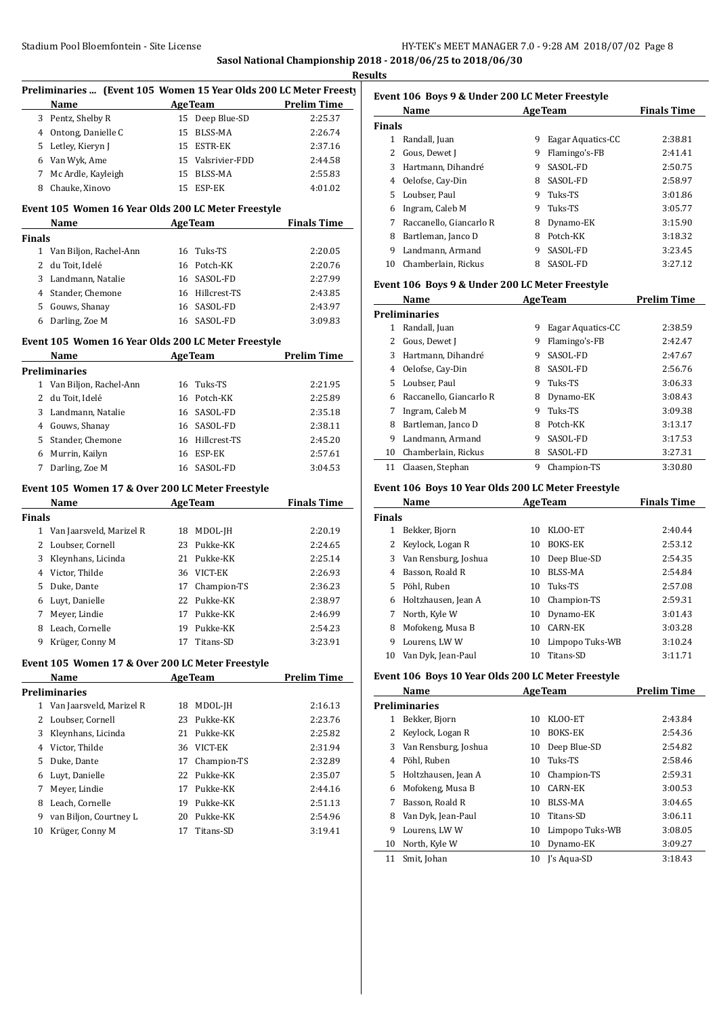# Stadium Pool Bloemfontein - Site License (Stadium Pool Bloemfontein - Site License **Sasol National Championship 2018 - 2018/06/25 to 2018/06/30**

**Results**

|                                              | Preliminaries  (Event 105 Women 15 Year Olds 200 LC Meter Freesty                                                                                                                                                             |    |                     |                                            |  |
|----------------------------------------------|-------------------------------------------------------------------------------------------------------------------------------------------------------------------------------------------------------------------------------|----|---------------------|--------------------------------------------|--|
|                                              | Name                                                                                                                                                                                                                          |    |                     | <b>ExamPrelim Time</b> AgeTeam Prelim Time |  |
|                                              | 3 Pentz, Shelby R                                                                                                                                                                                                             |    | 15 Deep Blue-SD     | 2:25.37                                    |  |
|                                              | 4 Ontong, Danielle C                                                                                                                                                                                                          |    | 15 BLSS-MA          | 2:26.74                                    |  |
|                                              | 5 Letley, Kieryn J                                                                                                                                                                                                            |    | 15 ESTR-EK          | 2:37.16                                    |  |
|                                              | 6 Van Wyk, Ame                                                                                                                                                                                                                |    | 15 Valsrivier-FDD   | 2:44.58                                    |  |
|                                              | 7 Mc Ardle, Kayleigh                                                                                                                                                                                                          |    | 15 BLSS-MA          | 2:55.83                                    |  |
|                                              | 8 Chauke, Xinovo                                                                                                                                                                                                              |    | 15 ESP-EK           | 4:01.02                                    |  |
|                                              | Event 105 Women 16 Year Olds 200 LC Meter Freestyle                                                                                                                                                                           |    |                     |                                            |  |
|                                              | Name                                                                                                                                                                                                                          |    | AgeTeam Finals Time |                                            |  |
| <b>Finals</b>                                |                                                                                                                                                                                                                               |    |                     |                                            |  |
|                                              | 1 Van Biljon, Rachel-Ann                                                                                                                                                                                                      |    | 16 Tuks-TS          | 2:20.05                                    |  |
|                                              | 2 du Toit, Idelé                                                                                                                                                                                                              |    | 16 Potch-KK         | 2:20.76                                    |  |
|                                              | 3 Landmann, Natalie                                                                                                                                                                                                           |    | 16 SASOL-FD         | 2:27.99                                    |  |
|                                              | 4 Stander, Chemone                                                                                                                                                                                                            |    | 16 Hillcrest-TS     | 2:43.85                                    |  |
|                                              | 5 Gouws, Shanay                                                                                                                                                                                                               |    | 16 SASOL-FD         | 2:43.97                                    |  |
|                                              | 6 Darling, Zoe M                                                                                                                                                                                                              |    | 16 SASOL-FD         | 3:09.83                                    |  |
|                                              | Event 105 Women 16 Year Olds 200 LC Meter Freestyle                                                                                                                                                                           |    |                     |                                            |  |
| <b>Prelim Time</b><br><b>AgeTeam</b><br>Name |                                                                                                                                                                                                                               |    |                     |                                            |  |
|                                              | <b>Preliminaries</b>                                                                                                                                                                                                          |    |                     |                                            |  |
|                                              | 1 Van Biljon, Rachel-Ann                                                                                                                                                                                                      |    | 16 Tuks-TS          | 2:21.95                                    |  |
|                                              | 2 du Toit, Idelé                                                                                                                                                                                                              |    | 16 Potch-KK         | 2:25.89                                    |  |
|                                              | 3 Landmann, Natalie                                                                                                                                                                                                           |    | 16 SASOL-FD         | 2:35.18                                    |  |
|                                              | 4 Gouws, Shanay                                                                                                                                                                                                               |    | 16 SASOL-FD         | 2:38.11                                    |  |
|                                              | 5 Stander, Chemone                                                                                                                                                                                                            |    | 16 Hillcrest-TS     | 2:45.20                                    |  |
|                                              |                                                                                                                                                                                                                               |    |                     |                                            |  |
|                                              | 6 Murrin, Kailyn                                                                                                                                                                                                              |    | 16 ESP-EK           | 2:57.61                                    |  |
|                                              | 7 Darling, Zoe M                                                                                                                                                                                                              |    | 16 SASOL-FD         | 3:04.53                                    |  |
|                                              | Event 105 Women 17 & Over 200 LC Meter Freestyle                                                                                                                                                                              |    |                     |                                            |  |
|                                              | Name and the same of the same of the same of the same of the same of the same of the same of the same of the same of the same of the same of the same of the same of the same of the same of the same of the same of the same |    | AgeTeam             | <b>Finals Time</b>                         |  |
|                                              |                                                                                                                                                                                                                               |    |                     |                                            |  |
|                                              | 1 Van Jaarsveld, Marizel R                                                                                                                                                                                                    |    | 18 MDOL-JH          | 2:20.19                                    |  |
|                                              | 2 Loubser, Cornell                                                                                                                                                                                                            |    | 23 Pukke-KK         | 2:24.65                                    |  |
|                                              | 3 Kleynhans, Licinda                                                                                                                                                                                                          |    | 21 Pukke-KK         | 2:25.14                                    |  |
|                                              | 4 Victor, Thilde                                                                                                                                                                                                              |    | 36 VICT-EK          | 2:26.93                                    |  |
|                                              | 5 Duke, Dante                                                                                                                                                                                                                 |    | 17 Champion-TS      | 2:36.23                                    |  |
|                                              | 6 Luyt, Danielle                                                                                                                                                                                                              |    | 22 Pukke-KK         | 2:38.97                                    |  |
| 7                                            | Meyer, Lindie                                                                                                                                                                                                                 |    | 17 Pukke-KK         | 2:46.99                                    |  |
|                                              | 8 Leach, Cornelle                                                                                                                                                                                                             |    | 19 Pukke-KK         | 2:54.23                                    |  |
| 9                                            | Krüger, Conny M                                                                                                                                                                                                               | 17 | Titans-SD           | 3:23.91                                    |  |
|                                              | Event 105 Women 17 & Over 200 LC Meter Freestyle                                                                                                                                                                              |    |                     |                                            |  |
|                                              | Name                                                                                                                                                                                                                          |    | <b>AgeTeam</b>      | <b>Prelim Time</b>                         |  |
|                                              | <b>Preliminaries</b>                                                                                                                                                                                                          |    |                     |                                            |  |
|                                              | 1 Van Jaarsveld, Marizel R                                                                                                                                                                                                    | 18 | MDOL-JH             | 2:16.13                                    |  |
| 2                                            | Loubser, Cornell                                                                                                                                                                                                              | 23 | Pukke-KK            | 2:23.76                                    |  |
| 3                                            | Kleynhans, Licinda                                                                                                                                                                                                            |    | 21 Pukke-KK         | 2:25.82                                    |  |
|                                              | 4 Victor, Thilde                                                                                                                                                                                                              |    | 36 VICT-EK          | 2:31.94                                    |  |
| 5                                            | Duke, Dante                                                                                                                                                                                                                   |    | 17 Champion-TS      | 2:32.89                                    |  |
| 6                                            | Luyt, Danielle                                                                                                                                                                                                                |    | 22 Pukke-KK         | 2:35.07                                    |  |
| 7                                            |                                                                                                                                                                                                                               |    | 17 Pukke-KK         | 2:44.16                                    |  |
| <b>Finals</b><br>8                           | Meyer, Lindie                                                                                                                                                                                                                 |    | 19 Pukke-KK         | 2:51.13                                    |  |
| 9                                            | Leach, Cornelle<br>van Biljon, Courtney L                                                                                                                                                                                     |    | 20 Pukke-KK         | 2:54.96                                    |  |

# **Event 106 Boys 9 & Under 200 LC Meter Freestyle**

|               | Name                    |   | <b>AgeTeam</b>    | <b>Finals Time</b> |
|---------------|-------------------------|---|-------------------|--------------------|
| <b>Finals</b> |                         |   |                   |                    |
| 1             | Randall, Juan           | 9 | Eagar Aquatics-CC | 2:38.81            |
|               | Gous, Dewet J           | 9 | Flamingo's-FB     | 2:41.41            |
| 3             | Hartmann, Dihandré      | 9 | SASOL-FD          | 2:50.75            |
| 4             | Oelofse, Cay-Din        | 8 | SASOL-FD          | 2:58.97            |
|               | 5 Loubser, Paul         | 9 | Tuks-TS           | 3:01.86            |
| 6             | Ingram, Caleb M         | 9 | Tuks-TS           | 3:05.77            |
| 7             | Raccanello, Giancarlo R | 8 | Dynamo-EK         | 3:15.90            |
| 8             | Bartleman, Janco D      | 8 | Potch-KK          | 3:18.32            |
| 9             | Landmann, Armand        | 9 | SASOL-FD          | 3:23.45            |
| 10            | Chamberlain, Rickus     | 8 | SASOL-FD          | 3:27.12            |

#### **Event 106 Boys 9 & Under 200 LC Meter Freestyle**

|    | Name                    | <b>AgeTeam</b> | <b>Prelim Time</b> |         |
|----|-------------------------|----------------|--------------------|---------|
|    | <b>Preliminaries</b>    |                |                    |         |
| 1  | Randall, Juan           | 9              | Eagar Aquatics-CC  | 2:38.59 |
|    | Gous, Dewet J           | 9              | Flamingo's-FB      | 2:42.47 |
| 3  | Hartmann, Dihandré      | 9              | SASOL-FD           | 2:47.67 |
| 4  | Oelofse, Cay-Din        | 8              | SASOL-FD           | 2:56.76 |
| 5. | Loubser. Paul           | 9              | Tuks-TS            | 3:06.33 |
| 6  | Raccanello, Giancarlo R | 8              | Dynamo-EK          | 3:08.43 |
|    | Ingram, Caleb M         | 9              | Tuks-TS            | 3:09.38 |
| 8  | Bartleman, Janco D      | 8              | Potch-KK           | 3:13.17 |
| 9  | Landmann, Armand        | 9              | SASOL-FD           | 3:17.53 |
| 10 | Chamberlain, Rickus     | 8              | SASOL-FD           | 3:27.31 |
| 11 | Claasen, Stephan        | 9              | Champion-TS        | 3:30.80 |

# **Event 106 Boys 10 Year Olds 200 LC Meter Freestyle**

|               | Name<br><b>AgeTeam</b> |    |                 | <b>Finals Time</b> |
|---------------|------------------------|----|-----------------|--------------------|
| <b>Finals</b> |                        |    |                 |                    |
| 1             | Bekker, Bjorn          | 10 | KLOO-ET         | 2:40.44            |
| 2             | Keylock, Logan R       | 10 | <b>BOKS-EK</b>  | 2:53.12            |
| 3             | Van Rensburg, Joshua   | 10 | Deep Blue-SD    | 2:54.35            |
| 4             | Basson, Roald R        | 10 | BLSS-MA         | 2:54.84            |
| 5.            | Pöhl, Ruben            | 10 | Tuks-TS         | 2:57.08            |
| 6             | Holtzhausen, Jean A    | 10 | Champion-TS     | 2:59.31            |
| 7             | North, Kyle W          | 10 | Dynamo-EK       | 3:01.43            |
| 8             | Mofokeng, Musa B       | 10 | CARN-EK         | 3:03.28            |
| 9             | Lourens, LWW           | 10 | Limpopo Tuks-WB | 3:10.24            |
| 10            | Van Dyk, Jean-Paul     |    | Titans-SD       | 3:11.71            |

#### **Event 106 Boys 10 Year Olds 200 LC Meter Freestyle**

|    | Name                 |    | <b>AgeTeam</b>  | <b>Prelim Time</b> |
|----|----------------------|----|-----------------|--------------------|
|    | <b>Preliminaries</b> |    |                 |                    |
| 1  | Bekker, Bjorn        | 10 | KLOO-ET         | 2:43.84            |
|    | Keylock, Logan R     | 10 | <b>BOKS-EK</b>  | 2:54.36            |
| 3  | Van Rensburg, Joshua | 10 | Deep Blue-SD    | 2:54.82            |
| 4  | Pöhl, Ruben          | 10 | Tuks-TS         | 2:58.46            |
| 5. | Holtzhausen, Jean A  | 10 | Champion-TS     | 2:59.31            |
| 6  | Mofokeng, Musa B     | 10 | CARN-EK         | 3:00.53            |
| 7  | Basson, Roald R      | 10 | BLSS-MA         | 3:04.65            |
| 8  | Van Dyk, Jean-Paul   | 10 | Titans-SD       | 3:06.11            |
| 9  | Lourens, LWW         | 10 | Limpopo Tuks-WB | 3:08.05            |
| 10 | North, Kyle W        | 10 | Dynamo-EK       | 3:09.27            |
| 11 | Smit, Johan          | 10 | I's Agua-SD     | 3:18.43            |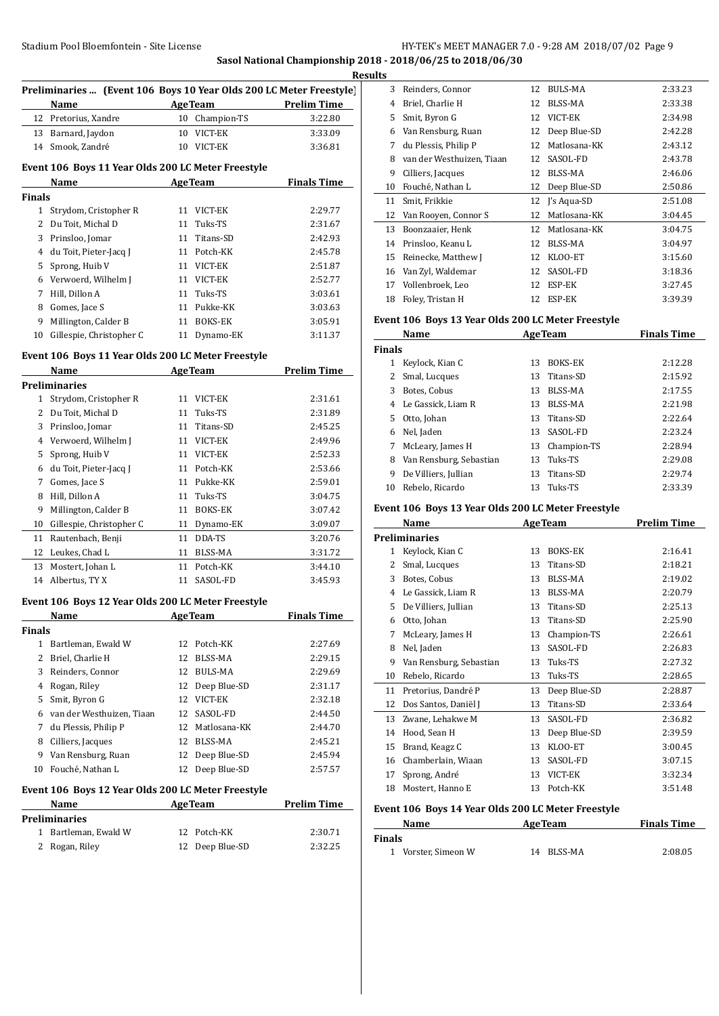# Stadium Pool Bloemfontein - Site License **HY-TEK's MEET MANAGER 7.0 - 9:28 AM 2018/07/02** Page 9 **Sasol National Championship 2018 - 2018/06/25 to 2018/06/30**

**Results**

 $\overline{a}$ 

 $\overline{a}$ 

 $\overline{a}$ 

|               | Name                                                                                                                                                                                                                           |    | <b>AgeTeam</b>  | <b>Prelim Time</b> |
|---------------|--------------------------------------------------------------------------------------------------------------------------------------------------------------------------------------------------------------------------------|----|-----------------|--------------------|
|               | 12 Pretorius, Xandre                                                                                                                                                                                                           |    | 10 Champion-TS  | 3:22.80            |
|               | 13 Barnard, Jaydon                                                                                                                                                                                                             |    | 10 VICT-EK      | 3:33.09            |
| 14            | Smook, Zandré                                                                                                                                                                                                                  |    | 10 VICT-EK      | 3:36.81            |
|               | Event 106 Boys 11 Year Olds 200 LC Meter Freestyle                                                                                                                                                                             |    |                 |                    |
|               | Name and the state of the state of the state of the state of the state of the state of the state of the state of the state of the state of the state of the state of the state of the state of the state of the state of the s |    | AgeTeam         | <b>Finals Time</b> |
| <b>Finals</b> |                                                                                                                                                                                                                                |    |                 |                    |
|               | 1 Strydom, Cristopher R                                                                                                                                                                                                        |    | 11 VICT-EK      | 2:29.77            |
|               | 2 Du Toit, Michal D                                                                                                                                                                                                            | 11 | Tuks-TS         | 2:31.67            |
|               | 3 Prinsloo, Jomar                                                                                                                                                                                                              | 11 | Titans-SD       | 2:42.93            |
|               | 4 du Toit, Pieter-Jacq J                                                                                                                                                                                                       |    | 11 Potch-KK     | 2:45.78            |
| 5             | Sprong, Huib V                                                                                                                                                                                                                 |    | 11 VICT-EK      | 2:51.87            |
|               | 6 Verwoerd, Wilhelm J                                                                                                                                                                                                          |    | 11 VICT-EK      | 2:52.77            |
|               | 7 Hill, Dillon A                                                                                                                                                                                                               |    | 11 Tuks-TS      | 3:03.61            |
|               | 8 Gomes, Jace S                                                                                                                                                                                                                |    | 11 Pukke-KK     | 3:03.63            |
| 9             | Millington, Calder B                                                                                                                                                                                                           |    | 11 BOKS-EK      | 3:05.91            |
| 10            | Gillespie, Christopher C                                                                                                                                                                                                       | 11 | Dynamo-EK       | 3:11.37            |
|               | Event 106 Boys 11 Year Olds 200 LC Meter Freestyle                                                                                                                                                                             |    |                 |                    |
|               | Name                                                                                                                                                                                                                           |    | AgeTeam         | <b>Prelim Time</b> |
|               | <b>Preliminaries</b>                                                                                                                                                                                                           |    |                 |                    |
| 1             | Strydom, Cristopher R                                                                                                                                                                                                          |    | 11 VICT-EK      | 2:31.61            |
|               | 2 Du Toit, Michal D                                                                                                                                                                                                            | 11 | Tuks-TS         | 2:31.89            |
|               | 3 Prinsloo, Jomar                                                                                                                                                                                                              | 11 | Titans-SD       | 2:45.25            |
|               | 4 Verwoerd, Wilhelm J                                                                                                                                                                                                          |    | 11 VICT-EK      | 2:49.96            |
|               | 5 Sprong, Huib V                                                                                                                                                                                                               |    | 11 VICT-EK      | 2:52.33            |
|               | 6 du Toit, Pieter-Jacq J                                                                                                                                                                                                       |    | 11 Potch-KK     | 2:53.66            |
| 7             | Gomes, Jace S                                                                                                                                                                                                                  |    | 11 Pukke-KK     | 2:59.01            |
| 8             | Hill, Dillon A                                                                                                                                                                                                                 |    | 11 Tuks-TS      | 3:04.75            |
| 9             | Millington, Calder B                                                                                                                                                                                                           |    | 11 BOKS-EK      | 3:07.42            |
| 10            | Gillespie, Christopher C                                                                                                                                                                                                       |    | 11 Dynamo-EK    | 3:09.07            |
|               | 11 Rautenbach, Benji                                                                                                                                                                                                           |    | 11 DDA-TS       | 3:20.76            |
|               | 12 Leukes, Chad L                                                                                                                                                                                                              |    | 11 BLSS-MA      | 3:31.72            |
| 13            | Mostert, Johan L                                                                                                                                                                                                               |    | 11 Potch-KK     | 3:44.10            |
| 14            | Albertus, TY X                                                                                                                                                                                                                 |    | 11 SASOL-FD     | 3:45.93            |
|               | Event 106 Boys 12 Year Olds 200 LC Meter Freestyle                                                                                                                                                                             |    |                 |                    |
|               | Name                                                                                                                                                                                                                           |    | <u>Age Team</u> | <u>Finals Time</u> |
| <b>Finals</b> |                                                                                                                                                                                                                                |    |                 |                    |
|               | 1 Bartleman, Ewald W                                                                                                                                                                                                           | 12 | Potch-KK        | 2:27.69            |
|               | 2 Briel, Charlie H                                                                                                                                                                                                             | 12 | BLSS-MA         | 2:29.15            |
|               | 3 Reinders, Connor                                                                                                                                                                                                             |    | 12 BULS-MA      | 2:29.69            |
|               | 4 Rogan, Riley                                                                                                                                                                                                                 |    | 12 Deep Blue-SD | 2:31.17            |
|               | 5 Smit, Byron G                                                                                                                                                                                                                |    | 12 VICT-EK      | 2:32.18            |
|               | 6 van der Westhuizen, Tiaan                                                                                                                                                                                                    |    | 12 SASOL-FD     | 2:44.50            |
|               | 7 du Plessis, Philip P                                                                                                                                                                                                         |    | 12 Matlosana-KK | 2:44.70            |
|               | 8 Cilliers, Jacques                                                                                                                                                                                                            |    | 12 BLSS-MA      | 2:45.21            |
|               | 9 Van Rensburg, Ruan                                                                                                                                                                                                           |    | 12 Deep Blue-SD | 2:45.94            |
|               | 10 Fouché, Nathan L                                                                                                                                                                                                            | 12 | Deep Blue-SD    | 2:57.57            |
|               | Event 106 Boys 12 Year Olds 200 LC Meter Freestyle                                                                                                                                                                             |    |                 |                    |
|               | Name                                                                                                                                                                                                                           |    | <b>AgeTeam</b>  | <b>Prelim Time</b> |
|               | <b>Preliminaries</b>                                                                                                                                                                                                           |    |                 |                    |
| 1             | Bartleman, Ewald W                                                                                                                                                                                                             | 12 | Potch-KK        | 2:30.71            |
| 2             | Rogan, Riley                                                                                                                                                                                                                   | 12 | Deep Blue-SD    | 2:32.25            |

| uıts |                           |    |                |         |
|------|---------------------------|----|----------------|---------|
| 3    | Reinders, Connor          | 12 | <b>BULS-MA</b> | 2:33.23 |
| 4    | Briel, Charlie H          | 12 | BLSS-MA        | 2:33.38 |
| 5.   | Smit, Byron G             | 12 | VICT-EK        | 2:34.98 |
| 6    | Van Rensburg, Ruan        | 12 | Deep Blue-SD   | 2:42.28 |
| 7    | du Plessis, Philip P      | 12 | Matlosana-KK   | 2:43.12 |
| 8    | van der Westhuizen, Tiaan | 12 | SASOL-FD       | 2:43.78 |
| 9    | Cilliers, Jacques         | 12 | BLSS-MA        | 2:46.06 |
| 10   | Fouché, Nathan L          | 12 | Deep Blue-SD   | 2:50.86 |
| 11   | Smit, Frikkie             | 12 | J's Aqua-SD    | 2:51.08 |
| 12   | Van Rooyen, Connor S      | 12 | Matlosana-KK   | 3:04.45 |
| 13   | Boonzaaier, Henk          | 12 | Matlosana-KK   | 3:04.75 |
| 14   | Prinsloo, Keanu L         | 12 | BLSS-MA        | 3:04.97 |
| 15   | Reinecke, Matthew J       | 12 | KLOO-ET        | 3:15.60 |
| 16   | Van Zyl, Waldemar         | 12 | SASOL-FD       | 3:18.36 |
| 17   | Vollenbroek, Leo          | 12 | ESP-EK         | 3:27.45 |
| 18   | Foley, Tristan H          | 12 | ESP-EK         | 3:39.39 |

# **Event 106 Boys 13 Year Olds 200 LC Meter Freestyle**

| Name          |                         |    | <b>AgeTeam</b> | <b>Finals Time</b> |  |
|---------------|-------------------------|----|----------------|--------------------|--|
| <b>Finals</b> |                         |    |                |                    |  |
| 1             | Keylock, Kian C         | 13 | <b>BOKS-EK</b> | 2:12.28            |  |
|               | 2 Smal, Lucques         | 13 | Titans-SD      | 2:15.92            |  |
| 3             | Botes, Cobus            | 13 | BLSS-MA        | 2:17.55            |  |
| 4             | Le Gassick, Liam R      | 13 | BLSS-MA        | 2:21.98            |  |
| 5.            | Otto, Johan             | 13 | Titans-SD      | 2:22.64            |  |
| 6             | Nel, Jaden              | 13 | SASOL-FD       | 2:23.24            |  |
| 7             | McLeary, James H        | 13 | Champion-TS    | 2:28.94            |  |
| 8             | Van Rensburg, Sebastian | 13 | Tuks-TS        | 2:29.08            |  |
| 9             | De Villiers, Jullian    | 13 | Titans-SD      | 2:29.74            |  |
| 10            | Rebelo, Ricardo         | 13 | Tuks-TS        | 2:33.39            |  |

# **Event 106 Boys 13 Year Olds 200 LC Meter Freestyle**

|    | Name                    |    | <b>AgeTeam</b> | <b>Prelim Time</b> |
|----|-------------------------|----|----------------|--------------------|
|    | Preliminaries           |    |                |                    |
| 1  | Keylock, Kian C         | 13 | <b>BOKS-EK</b> | 2:16.41            |
| 2  | Smal, Lucques           | 13 | Titans-SD      | 2:18.21            |
| 3  | Botes, Cobus            | 13 | <b>BLSS-MA</b> | 2:19.02            |
| 4  | Le Gassick, Liam R      | 13 | BLSS-MA        | 2:20.79            |
| 5  | De Villiers, Jullian    | 13 | Titans-SD      | 2:25.13            |
| 6  | Otto, Johan             | 13 | Titans-SD      | 2:25.90            |
| 7  | McLeary, James H        | 13 | Champion-TS    | 2:26.61            |
| 8  | Nel, Jaden              | 13 | SASOL-FD       | 2:26.83            |
| 9  | Van Rensburg, Sebastian | 13 | Tuks-TS        | 2:27.32            |
| 10 | Rebelo, Ricardo         | 13 | Tuks-TS        | 2:28.65            |
| 11 | Pretorius, Dandré P     | 13 | Deep Blue-SD   | 2:28.87            |
| 12 | Dos Santos, Daniël J    | 13 | Titans-SD      | 2:33.64            |
| 13 | Zwane, Lehakwe M        | 13 | SASOL-FD       | 2:36.82            |
| 14 | Hood, Sean H            | 13 | Deep Blue-SD   | 2:39.59            |
| 15 | Brand, Keagz C          | 13 | KLOO-ET        | 3:00.45            |
| 16 | Chamberlain, Wiaan      | 13 | SASOL-FD       | 3:07.15            |
| 17 | Sprong, André           | 13 | VICT-EK        | 3:32.34            |
| 18 | Mostert, Hanno E        | 13 | Potch-KK       | 3:51.48            |

#### **Event 106 Boys 14 Year Olds 200 LC Meter Freestyle**

| Name                | <b>AgeTeam</b> | <b>Finals Time</b> |
|---------------------|----------------|--------------------|
| Finals              |                |                    |
| 1 Vorster, Simeon W | 14 BLSS-MA     | 2:08.05            |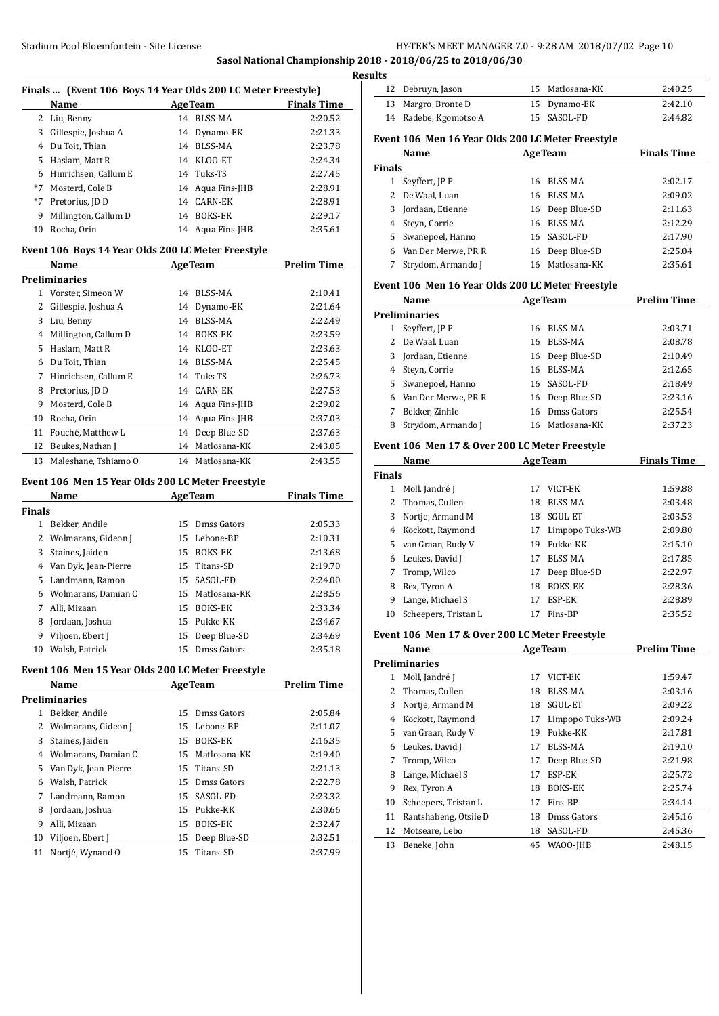**Sasol National Championship 2018 - 2018/06/25 to 2018/06/30**

**Results**

| Finals  (Event 106 Boys 14 Year Olds 200 LC Meter Freestyle) |                      |    |                  |                    |  |
|--------------------------------------------------------------|----------------------|----|------------------|--------------------|--|
|                                                              | Name                 |    | <b>AgeTeam</b>   | <b>Finals Time</b> |  |
| 2                                                            | Liu, Benny           | 14 | <b>BLSS-MA</b>   | 2:20.52            |  |
| 3                                                            | Gillespie, Joshua A  | 14 | Dynamo-EK        | 2:21.33            |  |
| 4                                                            | Du Toit, Thian       | 14 | BLSS-MA          | 2:23.78            |  |
| 5.                                                           | Haslam, Matt R       | 14 | KLOO-ET          | 2:24.34            |  |
| 6                                                            | Hinrichsen, Callum E |    | 14 Tuks-TS       | 2:27.45            |  |
| $*7$                                                         | Mosterd. Cole B      |    | 14 Agua Fins-JHB | 2:28.91            |  |
| *7                                                           | Pretorius, JD D      | 14 | CARN-EK          | 2:28.91            |  |
| 9                                                            | Millington, Callum D | 14 | <b>BOKS-EK</b>   | 2:29.17            |  |
| 10                                                           | Rocha, Orin          |    | 14 Aqua Fins-JHB | 2:35.61            |  |

#### **Event 106 Boys 14 Year Olds 200 LC Meter Freestyle**

|    | Name                 | <b>AgeTeam</b> |                  | <b>Prelim Time</b> |
|----|----------------------|----------------|------------------|--------------------|
|    | <b>Preliminaries</b> |                |                  |                    |
| 1  | Vorster, Simeon W    | 14             | BLSS-MA          | 2:10.41            |
| 2  | Gillespie, Joshua A  | 14             | Dynamo-EK        | 2:21.64            |
| 3  | Liu, Benny           | 14             | BLSS-MA          | 2:22.49            |
| 4  | Millington, Callum D | 14             | <b>BOKS-EK</b>   | 2:23.59            |
| 5  | Haslam, Matt R       |                | 14 KLOO-ET       | 2:23.63            |
| 6  | Du Toit, Thian       | 14             | BLSS-MA          | 2:25.45            |
| 7  | Hinrichsen, Callum E |                | 14 Tuks-TS       | 2:26.73            |
| 8  | Pretorius, JD D      | 14             | CARN-EK          | 2:27.53            |
| 9  | Mosterd, Cole B      |                | 14 Agua Fins-JHB | 2:29.02            |
| 10 | Rocha, Orin          | 14             | Aqua Fins-JHB    | 2:37.03            |
| 11 | Fouché, Matthew L    | 14             | Deep Blue-SD     | 2:37.63            |
| 12 | Beukes, Nathan J     | 14             | Matlosana-KK     | 2:43.05            |
| 13 | Maleshane, Tshiamo O | 14             | Matlosana-KK     | 2:43.55            |

# **Event 106 Men 15 Year Olds 200 LC Meter Freestyle**

|        | Name                  |    | <b>AgeTeam</b> | <b>Finals Time</b> |
|--------|-----------------------|----|----------------|--------------------|
| Finals |                       |    |                |                    |
| 1      | Bekker, Andile        | 15 | Dmss Gators    | 2:05.33            |
|        | 2 Wolmarans, Gideon J | 15 | Lebone-BP      | 2:10.31            |
| 3      | Staines, Jaiden       | 15 | <b>BOKS-EK</b> | 2:13.68            |
| 4      | Van Dyk, Jean-Pierre  |    | 15 Titans-SD   | 2:19.70            |
| 5.     | Landmann, Ramon       | 15 | SASOL-FD       | 2:24.00            |
| 6      | Wolmarans, Damian C   | 15 | Matlosana-KK   | 2:28.56            |
| 7      | Alli. Mizaan          | 15 | <b>BOKS-EK</b> | 2:33.34            |
| 8      | Jordaan, Joshua       | 15 | Pukke-KK       | 2:34.67            |
| 9      | Viljoen, Ebert J      | 15 | Deep Blue-SD   | 2:34.69            |
| 10     | Walsh. Patrick        | 15 | Dmss Gators    | 2:35.18            |

## **Event 106 Men 15 Year Olds 200 LC Meter Freestyle**

|    | Name                 |    | <b>AgeTeam</b>  | Prelim Time |
|----|----------------------|----|-----------------|-------------|
|    | Preliminaries        |    |                 |             |
|    | Bekker, Andile       | 15 | Dmss Gators     | 2:05.84     |
| 2  | Wolmarans, Gideon J  | 15 | Lebone-BP       | 2:11.07     |
| 3  | Staines, Jaiden      | 15 | <b>BOKS-EK</b>  | 2:16.35     |
| 4  | Wolmarans, Damian C  |    | 15 Matlosana-KK | 2:19.40     |
| 5. | Van Dyk, Jean-Pierre |    | 15 Titans-SD    | 2:21.13     |
| 6  | Walsh, Patrick       | 15 | Dmss Gators     | 2:22.78     |
| 7  | Landmann, Ramon      | 15 | SASOL-FD        | 2:23.32     |
| 8  | Jordaan, Joshua      | 15 | Pukke-KK        | 2:30.66     |
| 9  | Alli, Mizaan         | 15 | <b>BOKS-EK</b>  | 2:32.47     |
| 10 | Viljoen, Ebert J     | 15 | Deep Blue-SD    | 2:32.51     |
| 11 | Nortié, Wynand O     | 15 | Titans-SD       | 2:37.99     |

| 12            | Debruyn, Jason                                    | 15                 | Matlosana-KK   | 2:40.25            |  |  |  |
|---------------|---------------------------------------------------|--------------------|----------------|--------------------|--|--|--|
| 13            | Margro, Bronte D                                  | 15                 | Dynamo-EK      | 2:42.10            |  |  |  |
| 14            | Radebe, Kgomotso A                                | 15                 | SASOL-FD       | 2:44.82            |  |  |  |
|               | Event 106 Men 16 Year Olds 200 LC Meter Freestyle |                    |                |                    |  |  |  |
|               | Name                                              |                    | <b>AgeTeam</b> | <b>Finals Time</b> |  |  |  |
| <b>Finals</b> |                                                   |                    |                |                    |  |  |  |
| 1             | Seyffert, JP P                                    | 16                 | BLSS-MA        | 2:02.17            |  |  |  |
| 2             | De Waal, Luan                                     | 16                 | BLSS-MA        | 2:09.02            |  |  |  |
| 3             | Jordaan, Etienne                                  | 16                 | Deep Blue-SD   | 2:11.63            |  |  |  |
| 4             | Steyn, Corrie                                     | 16                 | BLSS-MA        | 2:12.29            |  |  |  |
| 5.            | Swanepoel, Hanno                                  | 16                 | SASOL-FD       | 2:17.90            |  |  |  |
| 6             | Van Der Merwe, PR R                               | 16                 | Deep Blue-SD   | 2:25.04            |  |  |  |
| 7             | Strydom, Armando J                                | 16                 | Matlosana-KK   | 2:35.61            |  |  |  |
|               | Event 106 Men 16 Year Olds 200 LC Meter Freestyle |                    |                |                    |  |  |  |
|               | Name                                              | <b>Prelim Time</b> |                |                    |  |  |  |

|    | <b>Preliminaries</b> |    |                 |         |
|----|----------------------|----|-----------------|---------|
| 1  | Seyffert, JP P       | 16 | BLSS-MA         | 2:03.71 |
|    | 2 De Waal, Luan      | 16 | BLSS-MA         | 2:08.78 |
|    | 3 Jordaan, Etienne   |    | 16 Deep Blue-SD | 2:10.49 |
|    | 4 Steyn, Corrie      | 16 | BLSS-MA         | 2:12.65 |
|    | 5 Swanepoel, Hanno   |    | 16 SASOL-FD     | 2:18.49 |
| 6. | Van Der Merwe, PR R  |    | 16 Deep Blue-SD | 2:23.16 |
|    | Bekker, Zinhle       |    | 16 Dmss Gators  | 2:25.54 |
| 8  | Strydom, Armando J   | 16 | Matlosana-KK    | 2:37.23 |

#### **Event 106 Men 17 & Over 200 LC Meter Freestyle**

|               | Name<br><b>AgeTeam</b> |    | <b>Finals Time</b> |         |
|---------------|------------------------|----|--------------------|---------|
| <b>Finals</b> |                        |    |                    |         |
|               | Moll, Jandré J         | 17 | VICT-EK            | 1:59.88 |
| 2             | Thomas, Cullen         | 18 | BLSS-MA            | 2:03.48 |
| 3             | Nortje, Armand M       | 18 | SGUL-ET            | 2:03.53 |
| 4             | Kockott, Raymond       | 17 | Limpopo Tuks-WB    | 2:09.80 |
| 5.            | van Graan, Rudy V      | 19 | Pukke-KK           | 2:15.10 |
| 6             | Leukes, David J        | 17 | BLSS-MA            | 2:17.85 |
| 7             | Tromp, Wilco           | 17 | Deep Blue-SD       | 2:22.97 |
| 8             | Rex, Tyron A           | 18 | <b>BOKS-EK</b>     | 2:28.36 |
| 9             | Lange, Michael S       | 17 | ESP-EK             | 2:28.89 |
| 10            | Scheepers, Tristan L   | 17 | Fins-BP            | 2:35.52 |

#### **Event 106 Men 17 & Over 200 LC Meter Freestyle**

|               | Name                  |    | <b>AgeTeam</b>  | <b>Prelim Time</b> |  |  |
|---------------|-----------------------|----|-----------------|--------------------|--|--|
| Preliminaries |                       |    |                 |                    |  |  |
| 1             | Moll, Jandré J        | 17 | VICT-EK         | 1:59.47            |  |  |
| 2             | Thomas, Cullen        | 18 | BLSS-MA         | 2:03.16            |  |  |
| 3             | Nortje, Armand M      | 18 | <b>SGUL-ET</b>  | 2:09.22            |  |  |
| 4             | Kockott, Raymond      | 17 | Limpopo Tuks-WB | 2:09.24            |  |  |
| 5.            | van Graan, Rudy V     | 19 | Pukke-KK        | 2:17.81            |  |  |
| 6             | Leukes, David J       | 17 | BLSS-MA         | 2:19.10            |  |  |
| 7             | Tromp, Wilco          | 17 | Deep Blue-SD    | 2:21.98            |  |  |
| 8             | Lange, Michael S      | 17 | ESP-EK          | 2:25.72            |  |  |
| 9             | Rex, Tyron A          | 18 | BOKS-EK         | 2:25.74            |  |  |
| 10            | Scheepers, Tristan L  | 17 | Fins-BP         | 2:34.14            |  |  |
| 11            | Rantshabeng, Otsile D | 18 | Dmss Gators     | 2:45.16            |  |  |
| 12            | Motseare, Lebo        | 18 | SASOL-FD        | 2:45.36            |  |  |
| 13            | Beneke, John          | 45 | WAOO-JHB        | 2:48.15            |  |  |
|               |                       |    |                 |                    |  |  |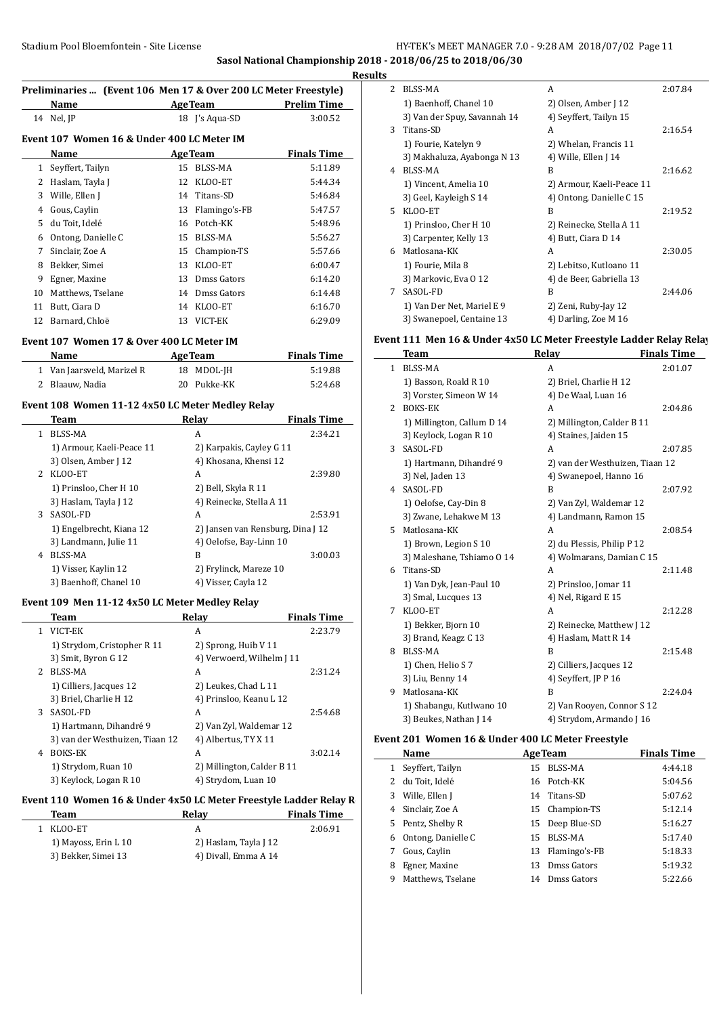## **Sasol National Championship 2018 - 2018/06/25 to 2018/06/30**

**Results**

 $\overline{\phantom{a}}$ 

Ĭ.

| Preliminaries  (Event 106 Men 17 & Over 200 LC Meter Freestyle) |                                            |                |                    |  |  |  |  |
|-----------------------------------------------------------------|--------------------------------------------|----------------|--------------------|--|--|--|--|
|                                                                 | <b>Name</b>                                | <b>AgeTeam</b> | <b>Prelim Time</b> |  |  |  |  |
|                                                                 | 14 Nel, JP                                 | 18 I's Aqua-SD | 3:00.52            |  |  |  |  |
|                                                                 | Event 107 Women 16 & Under 400 LC Meter IM |                |                    |  |  |  |  |
|                                                                 | <b>Name</b>                                | <b>AgeTeam</b> | <b>Finals Time</b> |  |  |  |  |
|                                                                 | 1 Seyffert, Tailyn                         | 15 BLSS-MA     | 5:11.89            |  |  |  |  |
|                                                                 |                                            |                |                    |  |  |  |  |

|    | 2 Haslam, Tayla J  |    | 12 KLOO-ET       | 5:44.34 |
|----|--------------------|----|------------------|---------|
| 3  | Wille, Ellen J     |    | 14 Titans-SD     | 5:46.84 |
| 4  | Gous, Caylin       |    | 13 Flamingo's-FB | 5:47.57 |
| 5. | du Toit, Idelé     |    | 16 Potch-KK      | 5:48.96 |
| 6  | Ontong, Danielle C | 15 | BLSS-MA          | 5:56.27 |
| 7  | Sinclair, Zoe A    |    | 15 Champion-TS   | 5:57.66 |
| 8  | Bekker, Simei      | 13 | KLOO-ET          | 6:00.47 |
| 9  | Egner, Maxine      |    | 13 Dmss Gators   | 6:14.20 |
| 10 | Matthews, Tselane  |    | 14 Dmss Gators   | 6:14.48 |
| 11 | Butt, Ciara D      | 14 | KLOO-ET          | 6:16.70 |
| 12 | Barnard, Chloë     | 13 | VICT-EK          | 6:29.09 |

#### **Event 107 Women 17 & Over 400 LC Meter IM**

 $\frac{1}{1}$ 

 $\overline{\phantom{a}}$ 

| <b>Name</b>                | <b>AgeTeam</b> | <b>Finals Time</b> |
|----------------------------|----------------|--------------------|
| 1 Van Jaarsveld, Marizel R | 18 MDOL-JH     | 5:19.88            |
| 2 Blaauw, Nadia            | 20 Pukke-KK    | 5:24.68            |

## **Event 108 Women 11-12 4x50 LC Meter Medley Relay**

|             | Team                      | Relav                             | <b>Finals Time</b> |
|-------------|---------------------------|-----------------------------------|--------------------|
| 1           | <b>BLSS-MA</b>            | A                                 | 2:34.21            |
|             | 1) Armour, Kaeli-Peace 11 | 2) Karpakis, Cayley G 11          |                    |
|             | 3) Olsen, Amber J 12      | 4) Khosana, Khensi 12             |                    |
| $2^{\circ}$ | KLOO-ET                   | A                                 | 2:39.80            |
|             | 1) Prinsloo, Cher H 10    | 2) Bell, Skyla R 11               |                    |
|             | 3) Haslam, Tayla J 12     | 4) Reinecke, Stella A 11          |                    |
| 3           | SASOL-FD                  | A                                 | 2:53.91            |
|             | 1) Engelbrecht, Kiana 12  | 2) Jansen van Rensburg, Dina J 12 |                    |
|             | 3) Landmann, Julie 11     | 4) Oelofse, Bay-Linn 10           |                    |
| 4           | BLSS-MA                   | B                                 | 3:00.03            |
|             | 1) Visser, Kaylin 12      | 2) Frylinck, Mareze 10            |                    |
|             | 3) Baenhoff, Chanel 10    | 4) Visser, Cayla 12               |                    |

#### **Event 109 Men 11-12 4x50 LC Meter Medley Relay**

|             | Team                            | Relav                      | <b>Finals Time</b> |
|-------------|---------------------------------|----------------------------|--------------------|
| 1.          | VICT-EK                         | A                          | 2:23.79            |
|             | 1) Strydom, Cristopher R 11     | 2) Sprong, Huib V 11       |                    |
|             | 3) Smit, Byron G 12             | 4) Verwoerd, Wilhelm J 11  |                    |
| $2^{\circ}$ | BLSS-MA                         | A                          | 2:31.24            |
|             | 1) Cilliers, Jacques 12         | 2) Leukes, Chad L 11       |                    |
|             | 3) Briel, Charlie H 12          | 4) Prinsloo, Keanu L 12    |                    |
| 3           | SASOL-FD                        | A                          | 2:54.68            |
|             | 1) Hartmann, Dihandré 9         | 2) Van Zyl, Waldemar 12    |                    |
|             | 3) van der Westhuizen, Tiaan 12 | 4) Albertus, TY X 11       |                    |
| 4           | <b>BOKS-EK</b>                  | A                          | 3:02.14            |
|             | 1) Strydom, Ruan 10             | 2) Millington, Calder B 11 |                    |
|             | 3) Keylock, Logan R 10          | 4) Strydom, Luan 10        |                    |

#### Event 110 Women 16 & Under 4x50 LC Meter Freestyle Ladder Relay R

| Team                 | Relav                 | <b>Finals Time</b> |
|----------------------|-----------------------|--------------------|
| 1 KLOO-ET            |                       | 2:06.91            |
| 1) Mayoss, Erin L 10 | 2) Haslam, Tayla J 12 |                    |
| 3) Bekker, Simei 13  | 4) Divall, Emma A 14  |                    |

| 2  | <b>BLSS-MA</b>               | A                         | 2:07.84 |
|----|------------------------------|---------------------------|---------|
|    | 1) Baenhoff, Chanel 10       | 2) Olsen, Amber J 12      |         |
|    | 3) Van der Spuy, Savannah 14 | 4) Seyffert, Tailyn 15    |         |
| 3  | Titans-SD                    | A                         | 2:16.54 |
|    | 1) Fourie, Katelyn 9         | 2) Whelan, Francis 11     |         |
|    | 3) Makhaluza, Ayabonga N 13  | 4) Wille, Ellen J 14      |         |
| 4  | BLSS-MA                      | R                         | 2:16.62 |
|    | 1) Vincent, Amelia 10        | 2) Armour, Kaeli-Peace 11 |         |
|    | 3) Geel, Kayleigh S 14       | 4) Ontong, Danielle C 15  |         |
| 5. | KLOO-ET                      | B                         | 2:19.52 |
|    | 1) Prinsloo, Cher H 10       | 2) Reinecke, Stella A 11  |         |
|    | 3) Carpenter, Kelly 13       | 4) Butt, Ciara D 14       |         |
| 6  | Matlosana-KK                 | A                         | 2:30.05 |
|    | 1) Fourie, Mila 8            | 2) Lebitso, Kutloano 11   |         |
|    | 3) Markovic, Eva 0 12        | 4) de Beer, Gabriella 13  |         |
| 7  | SASOL-FD                     | B                         | 2:44.06 |
|    | 1) Van Der Net, Mariel E 9   | 2) Zeni, Ruby-Jay 12      |         |
|    | 3) Swanepoel, Centaine 13    | 4) Darling, Zoe M 16      |         |
|    |                              |                           |         |

# **Event 111 Men 16 & Under 4x50 LC Meter Freestyle Ladder Relay Relay**

|    | <b>Team</b>                | Relay                           | <b>Finals Time</b> |
|----|----------------------------|---------------------------------|--------------------|
| 1  | <b>BLSS-MA</b>             | A                               | 2:01.07            |
|    | 1) Basson, Roald R 10      | 2) Briel, Charlie H 12          |                    |
|    | 3) Vorster, Simeon W 14    | 4) De Waal, Luan 16             |                    |
| 2  | <b>BOKS-EK</b>             | A                               | 2:04.86            |
|    | 1) Millington, Callum D 14 | 2) Millington, Calder B 11      |                    |
|    | 3) Keylock, Logan R 10     | 4) Staines, Jaiden 15           |                    |
| 3  | SASOL-FD                   | A                               | 2:07.85            |
|    | 1) Hartmann, Dihandré 9    | 2) van der Westhuizen, Tiaan 12 |                    |
|    | 3) Nel, Jaden 13           | 4) Swanepoel, Hanno 16          |                    |
| 4  | SASOL-FD                   | B                               | 2:07.92            |
|    | 1) Oelofse, Cay-Din 8      | 2) Van Zyl, Waldemar 12         |                    |
|    | 3) Zwane, Lehakwe M 13     | 4) Landmann, Ramon 15           |                    |
| 5. | Matlosana-KK               | A                               | 2:08.54            |
|    | 1) Brown, Legion S 10      | 2) du Plessis, Philip P 12      |                    |
|    | 3) Maleshane, Tshiamo O 14 | 4) Wolmarans, Damian C 15       |                    |
| 6  | Titans-SD                  | A                               | 2:11.48            |
|    | 1) Van Dyk, Jean-Paul 10   | 2) Prinsloo, Jomar 11           |                    |
|    | 3) Smal, Lucques 13        | 4) Nel, Rigard E 15             |                    |
| 7  | KLOO-ET                    | A                               | 2:12.28            |
|    | 1) Bekker, Bjorn 10        | 2) Reinecke, Matthew J 12       |                    |
|    | 3) Brand, Keagz C 13       | 4) Haslam, Matt R 14            |                    |
| 8  | BLSS-MA                    | B                               | 2:15.48            |
|    | 1) Chen, Helio S 7         | 2) Cilliers, Jacques 12         |                    |
|    | 3) Liu, Benny 14           | 4) Seyffert, JP P 16            |                    |
| 9  | Matlosana-KK               | B                               | 2:24.04            |
|    | 1) Shabangu, Kutlwano 10   | 2) Van Rooyen, Connor S 12      |                    |
|    | 3) Beukes, Nathan J 14     | 4) Strydom, Armando J 16        |                    |

## **Event 201 Women 16 & Under 400 LC Meter Freestyle**

|   | Name               |    | <b>AgeTeam</b>   | <b>Finals Time</b> |
|---|--------------------|----|------------------|--------------------|
| 1 | Seyffert, Tailyn   | 15 | BLSS-MA          | 4:44.18            |
| 2 | du Toit, Idelé     |    | 16 Potch-KK      | 5:04.56            |
| 3 | Wille, Ellen J     |    | 14 Titans-SD     | 5:07.62            |
| 4 | Sinclair, Zoe A    |    | 15 Champion-TS   | 5:12.14            |
|   | 5 Pentz, Shelby R  |    | 15 Deep Blue-SD  | 5:16.27            |
| 6 | Ontong, Danielle C |    | 15 BLSS-MA       | 5:17.40            |
| 7 | Gous, Caylin       |    | 13 Flamingo's-FB | 5:18.33            |
| 8 | Egner, Maxine      | 13 | Dmss Gators      | 5:19.32            |
| 9 | Matthews, Tselane  |    | 14 Dmss Gators   | 5:22.66            |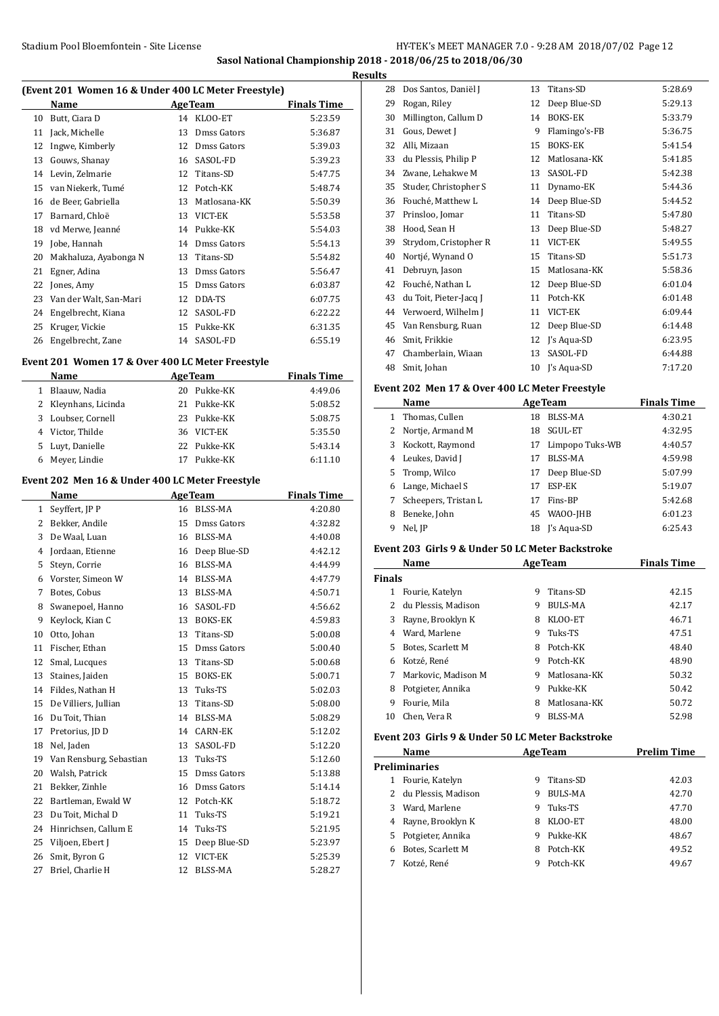#### Stadium Pool Bloemfontein - Site License **HY-TEK's MEET MANAGER 7.0 - 9:28 AM 2018/07/02** Page 12 **Sasol National Championship 2018 - 2018/06/25 to 2018/06/30**

**Results**

 $\overline{\phantom{a}}$ 

| Name              | <b>AgeTeam</b> | <b>Finals Time</b> |
|-------------------|----------------|--------------------|
| 10 Butt. Ciara D  | 14 KLOO-ET     | 5:23.59            |
| 11 Jack, Michelle | 13 Dmss Gators | 5:36.87            |

**(Event 201 Women 16 & Under 400 LC Meter Freestyle)**

| 11 | Jack, Michelle         | 13. | Dmss Gators    | 5:36.87 |
|----|------------------------|-----|----------------|---------|
| 12 | Ingwe, Kimberly        |     | 12 Dmss Gators | 5:39.03 |
| 13 | Gouws, Shanay          | 16  | SASOL-FD       | 5:39.23 |
| 14 | Levin, Zelmarie        |     | 12 Titans-SD   | 5:47.75 |
| 15 | van Niekerk, Tumé      |     | 12 Potch-KK    | 5:48.74 |
| 16 | de Beer, Gabriella     | 13  | Matlosana-KK   | 5:50.39 |
| 17 | Barnard, Chloë         | 13  | VICT-EK        | 5:53.58 |
| 18 | vd Merwe, Jeanné       | 14  | Pukke-KK       | 5:54.03 |
| 19 | Jobe, Hannah           | 14  | Dmss Gators    | 5:54.13 |
| 20 | Makhaluza, Ayabonga N  | 13  | Titans-SD      | 5:54.82 |
| 21 | Egner, Adina           | 13  | Dmss Gators    | 5:56.47 |
| 22 | Jones, Amy             | 15  | Dmss Gators    | 6:03.87 |
| 23 | Van der Walt, San-Mari | 12  | DDA-TS         | 6:07.75 |
| 24 | Engelbrecht, Kiana     |     | 12 SASOL-FD    | 6:22.22 |
| 25 | Kruger, Vickie         | 15  | Pukke-KK       | 6:31.35 |
| 26 | Engelbrecht, Zane      |     | 14 SASOL-FD    | 6:55.19 |

## **Event 201 Women 17 & Over 400 LC Meter Freestyle**

|   | Name                 |     | <b>AgeTeam</b> | <b>Finals Time</b> |
|---|----------------------|-----|----------------|--------------------|
| 1 | Blaauw, Nadia        | 20. | Pukke-KK       | 4:49.06            |
|   | 2 Kleynhans, Licinda |     | 21 Pukke-KK    | 5:08.52            |
| 3 | Loubser, Cornell     |     | 23 Pukke-KK    | 5:08.75            |
|   | 4 Victor, Thilde     |     | 36 VICT-EK     | 5:35.50            |
|   | 5 Luyt, Danielle     |     | 22 Pukke-KK    | 5:43.14            |
| 6 | Meyer, Lindie        | 17  | Pukke-KK       | 6:11.10            |

#### **Event 202 Men 16 & Under 400 LC Meter Freestyle**

|              | Name                    |    | <b>AgeTeam</b> | <b>Finals Time</b> |
|--------------|-------------------------|----|----------------|--------------------|
| $\mathbf{1}$ | Seyffert, JP P          | 16 | <b>BLSS-MA</b> | 4:20.80            |
| 2            | Bekker, Andile          | 15 | Dmss Gators    | 4:32.82            |
| 3            | De Waal, Luan           | 16 | <b>BLSS-MA</b> | 4:40.08            |
| 4            | Jordaan, Etienne        | 16 | Deep Blue-SD   | 4:42.12            |
| 5            | Steyn, Corrie           | 16 | <b>BLSS-MA</b> | 4:44.99            |
| 6            | Vorster, Simeon W       | 14 | BLSS-MA        | 4:47.79            |
| 7            | Botes, Cobus            | 13 | <b>BLSS-MA</b> | 4:50.71            |
| 8            | Swanepoel, Hanno        | 16 | SASOL-FD       | 4:56.62            |
| 9            | Keylock, Kian C         | 13 | <b>BOKS-EK</b> | 4:59.83            |
| 10           | Otto, Johan             | 13 | Titans-SD      | 5:00.08            |
| 11           | Fischer, Ethan          | 15 | Dmss Gators    | 5:00.40            |
| 12           | Smal, Lucques           | 13 | Titans-SD      | 5:00.68            |
| 13           | Staines, Jaiden         | 15 | <b>BOKS-EK</b> | 5:00.71            |
| 14           | Fildes, Nathan H        | 13 | Tuks-TS        | 5:02.03            |
| 15           | De Villiers, Jullian    | 13 | Titans-SD      | 5:08.00            |
| 16           | Du Toit, Thian          | 14 | <b>BLSS-MA</b> | 5:08.29            |
| 17           | Pretorius, JD D         | 14 | <b>CARN-EK</b> | 5:12.02            |
| 18           | Nel, Jaden              | 13 | SASOL-FD       | 5:12.20            |
| 19           | Van Rensburg, Sebastian | 13 | Tuks-TS        | 5:12.60            |
| 20           | Walsh, Patrick          | 15 | Dmss Gators    | 5:13.88            |
| 21           | Bekker, Zinhle          | 16 | Dmss Gators    | 5:14.14            |
| 22           | Bartleman, Ewald W      | 12 | Potch-KK       | 5:18.72            |
| 23           | Du Toit, Michal D       | 11 | Tuks-TS        | 5:19.21            |
| 24           | Hinrichsen, Callum E    | 14 | Tuks-TS        | 5:21.95            |
| 25           | Viljoen, Ebert J        | 15 | Deep Blue-SD   | 5:23.97            |
| 26           | Smit, Byron G           | 12 | VICT-EK        | 5:25.39            |
| 27           | Briel, Charlie H        | 12 | BLSS-MA        | 5:28.27            |
|              |                         |    |                |                    |

| 28 | Dos Santos, Daniël J   | 13 | Titans-SD      | 5:28.69 |
|----|------------------------|----|----------------|---------|
| 29 | Rogan, Riley           | 12 | Deep Blue-SD   | 5:29.13 |
| 30 | Millington, Callum D   | 14 | BOKS-EK        | 5:33.79 |
| 31 | Gous, Dewet J          | 9  | Flamingo's-FB  | 5:36.75 |
| 32 | Alli, Mizaan           | 15 | <b>BOKS-EK</b> | 5:41.54 |
| 33 | du Plessis, Philip P   | 12 | Matlosana-KK   | 5:41.85 |
| 34 | Zwane, Lehakwe M       | 13 | SASOL-FD       | 5:42.38 |
| 35 | Studer, Christopher S  | 11 | Dynamo-EK      | 5:44.36 |
| 36 | Fouché, Matthew L      | 14 | Deep Blue-SD   | 5:44.52 |
| 37 | Prinsloo, Jomar        | 11 | Titans-SD      | 5:47.80 |
| 38 | Hood, Sean H           | 13 | Deep Blue-SD   | 5:48.27 |
| 39 | Strydom, Cristopher R  | 11 | VICT-EK        | 5:49.55 |
| 40 | Nortjé, Wynand O       | 15 | Titans-SD      | 5:51.73 |
| 41 | Debruyn, Jason         | 15 | Matlosana-KK   | 5:58.36 |
| 42 | Fouché, Nathan L       | 12 | Deep Blue-SD   | 6:01.04 |
| 43 | du Toit, Pieter-Jacq J | 11 | Potch-KK       | 6:01.48 |
| 44 | Verwoerd, Wilhelm J    | 11 | VICT-EK        | 6:09.44 |
| 45 | Van Rensburg, Ruan     | 12 | Deep Blue-SD   | 6:14.48 |
| 46 | Smit, Frikkie          | 12 | J's Aqua-SD    | 6:23.95 |
| 47 | Chamberlain, Wiaan     | 13 | SASOL-FD       | 6:44.88 |
| 48 | Smit, Johan            | 10 | J's Aqua-SD    | 7:17.20 |
|    |                        |    |                |         |

# **Event 202 Men 17 & Over 400 LC Meter Freestyle**

|              | Name                 |    | <b>AgeTeam</b>  | <b>Finals Time</b> |
|--------------|----------------------|----|-----------------|--------------------|
| $\mathbf{1}$ | Thomas, Cullen       | 18 | <b>BLSS-MA</b>  | 4:30.21            |
| 2            | Nortje, Armand M     | 18 | SGUL-ET         | 4:32.95            |
| 3            | Kockott, Raymond     | 17 | Limpopo Tuks-WB | 4:40.57            |
| 4            | Leukes, David J      | 17 | <b>BLSS-MA</b>  | 4:59.98            |
| 5            | Tromp, Wilco         | 17 | Deep Blue-SD    | 5:07.99            |
| 6            | Lange, Michael S     | 17 | ESP-EK          | 5:19.07            |
| 7            | Scheepers, Tristan L | 17 | Fins-BP         | 5:42.68            |
| 8            | Beneke, John         | 45 | WAOO-JHB        | 6:01.23            |
| 9            | Nel, JP              | 18 | I's Aqua-SD     | 6:25.43            |

## **Event 203 Girls 9 & Under 50 LC Meter Backstroke**

|               | Name                |   | <b>AgeTeam</b> | <b>Finals Time</b> |
|---------------|---------------------|---|----------------|--------------------|
| <b>Finals</b> |                     |   |                |                    |
| 1             | Fourie, Katelyn     | 9 | Titans-SD      | 42.15              |
| 2             | du Plessis, Madison | 9 | <b>BULS-MA</b> | 42.17              |
| 3             | Rayne, Brooklyn K   | 8 | KLOO-ET        | 46.71              |
| 4             | Ward, Marlene       | 9 | Tuks-TS        | 47.51              |
| 5.            | Botes. Scarlett M   | 8 | Potch-KK       | 48.40              |
| 6             | Kotzé, René         | 9 | Potch-KK       | 48.90              |
| 7             | Markovic. Madison M | 9 | Matlosana-KK   | 50.32              |
| 8             | Potgieter, Annika   | 9 | Pukke-KK       | 50.42              |
| 9             | Fourie, Mila        | 8 | Matlosana-KK   | 50.72              |
| 10            | Chen. Vera R        | 9 | BLSS-MA        | 52.98              |

# **Event 203 Girls 9 & Under 50 LC Meter Backstroke**

|    | Name                  |   | <b>AgeTeam</b> | <b>Prelim Time</b> |
|----|-----------------------|---|----------------|--------------------|
|    | Preliminaries         |   |                |                    |
|    | Fourie, Katelyn       | 9 | Titans-SD      | 42.03              |
|    | 2 du Plessis, Madison | 9 | BULS-MA        | 42.70              |
| 3  | Ward, Marlene         | 9 | Tuks-TS        | 47.70              |
| 4  | Rayne, Brooklyn K     | 8 | KLOO-ET        | 48.00              |
| 5. | Potgieter, Annika     | 9 | Pukke-KK       | 48.67              |
| 6  | Botes, Scarlett M     | 8 | Potch-KK       | 49.52              |
|    | Kotzé, René           | 9 | Potch-KK       | 49.67              |
|    |                       |   |                |                    |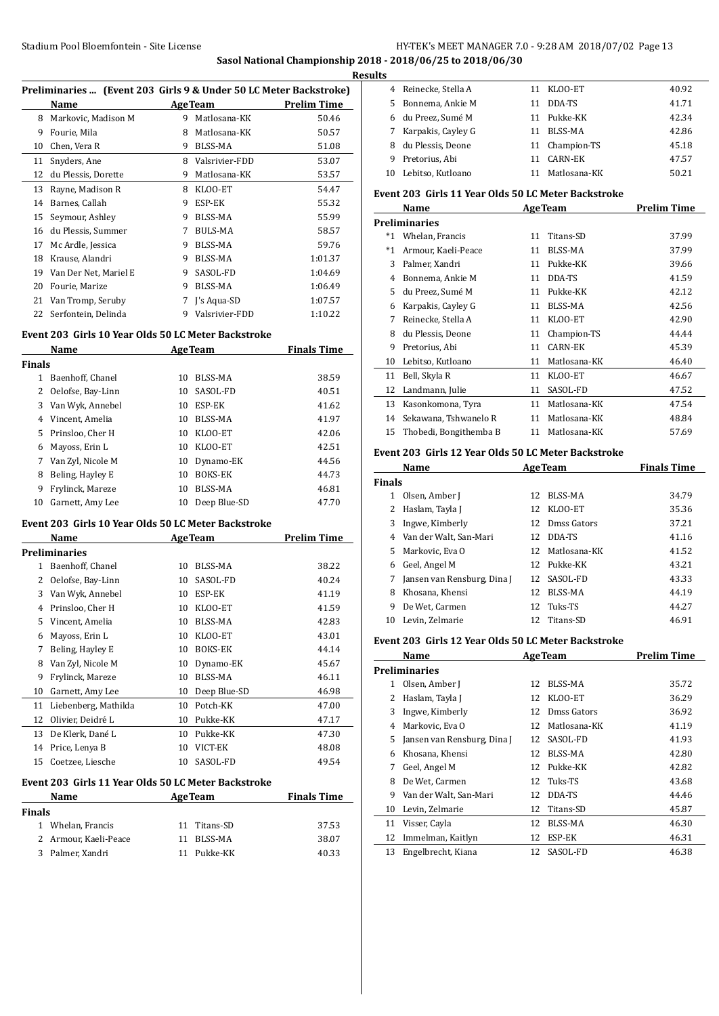#### **Sasol National Championship 2018 - 2018/06/25 to 2018/06/30 Results**

| Preliminaries  (Event 203 Girls 9 & Under 50 LC Meter Backstroke) |                       |   |                |                    |
|-------------------------------------------------------------------|-----------------------|---|----------------|--------------------|
|                                                                   | Name                  |   | <b>AgeTeam</b> | <b>Prelim Time</b> |
| 8                                                                 | Markovic, Madison M   | 9 | Matlosana-KK   | 50.46              |
| 9                                                                 | Fourie, Mila          | 8 | Matlosana-KK   | 50.57              |
| 10                                                                | Chen, Vera R          | 9 | BLSS-MA        | 51.08              |
| 11                                                                | Snyders, Ane          | 8 | Valsrivier-FDD | 53.07              |
| 12                                                                | du Plessis, Dorette   | 9 | Matlosana-KK   | 53.57              |
| 13                                                                | Rayne, Madison R      | 8 | KLOO-ET        | 54.47              |
| 14                                                                | Barnes, Callah        | 9 | ESP-EK         | 55.32              |
| 15                                                                | Seymour, Ashley       | 9 | BLSS-MA        | 55.99              |
| 16                                                                | du Plessis, Summer    | 7 | <b>BULS-MA</b> | 58.57              |
| 17                                                                | Mc Ardle, Jessica     | 9 | BLSS-MA        | 59.76              |
| 18                                                                | Krause, Alandri       | 9 | BLSS-MA        | 1:01.37            |
| 19                                                                | Van Der Net, Mariel E | 9 | SASOL-FD       | 1:04.69            |
| 20                                                                | Fourie, Marize        | 9 | <b>BLSS-MA</b> | 1:06.49            |
| 21                                                                | Van Tromp, Seruby     | 7 | J's Aqua-SD    | 1:07.57            |
| 22                                                                | Serfontein, Delinda   | 9 | Valsrivier-FDD | 1:10.22            |

# **Event 203 Girls 10 Year Olds 50 LC Meter Backstroke**

|               | Name              |    | <b>AgeTeam</b> | <b>Finals Time</b> |
|---------------|-------------------|----|----------------|--------------------|
| <b>Finals</b> |                   |    |                |                    |
| 1             | Baenhoff, Chanel  | 10 | BLSS-MA        | 38.59              |
| 2             | Oelofse, Bay-Linn | 10 | SASOL-FD       | 40.51              |
| 3             | Van Wyk, Annebel  | 10 | ESP-EK         | 41.62              |
| 4             | Vincent, Amelia   | 10 | BLSS-MA        | 41.97              |
| 5             | Prinsloo, Cher H  | 10 | KLOO-ET        | 42.06              |
| 6             | Mayoss, Erin L    | 10 | KLOO-ET        | 42.51              |
| 7             | Van Zyl, Nicole M | 10 | Dynamo-EK      | 44.56              |
| 8             | Beling, Hayley E  | 10 | <b>BOKS-EK</b> | 44.73              |
| 9             | Frylinck, Mareze  | 10 | BLSS-MA        | 46.81              |
| 10            | Garnett, Amy Lee  | 10 | Deep Blue-SD   | 47.70              |

## **Event 203 Girls 10 Year Olds 50 LC Meter Backstroke**

|               | Name                                                |    | <b>AgeTeam</b> | <b>Prelim Time</b> |
|---------------|-----------------------------------------------------|----|----------------|--------------------|
|               | <b>Preliminaries</b>                                |    |                |                    |
| 1             | Baenhoff, Chanel                                    | 10 | <b>BLSS-MA</b> | 38.22              |
| 2             | Oelofse, Bay-Linn                                   | 10 | SASOL-FD       | 40.24              |
| 3             | Van Wyk, Annebel                                    | 10 | ESP-EK         | 41.19              |
| 4             | Prinsloo, Cher H                                    | 10 | KLOO-ET        | 41.59              |
| 5             | Vincent, Amelia                                     | 10 | <b>BLSS-MA</b> | 42.83              |
| 6             | Mayoss, Erin L                                      | 10 | KLOO-ET        | 43.01              |
| 7             | Beling, Hayley E                                    | 10 | <b>BOKS-EK</b> | 44.14              |
| 8             | Van Zyl, Nicole M                                   | 10 | Dynamo-EK      | 45.67              |
| 9             | Frylinck, Mareze                                    | 10 | <b>BLSS-MA</b> | 46.11              |
| 10            | Garnett, Amy Lee                                    | 10 | Deep Blue-SD   | 46.98              |
| 11            | Liebenberg, Mathilda                                | 10 | Potch-KK       | 47.00              |
| 12            | Olivier, Deidré L                                   | 10 | Pukke-KK       | 47.17              |
| 13            | De Klerk, Dané L                                    | 10 | Pukke-KK       | 47.30              |
| 14            | Price, Lenya B                                      | 10 | VICT-EK        | 48.08              |
| 15            | Coetzee, Liesche                                    | 10 | SASOL-FD       | 49.54              |
|               | Event 203 Girls 11 Year Olds 50 LC Meter Backstroke |    |                |                    |
|               | Name                                                |    | <b>AgeTeam</b> | <b>Finals Time</b> |
| <b>Finals</b> |                                                     |    |                |                    |
| 1             | Whelan, Francis                                     | 11 | Titans-SD      | 37.53              |
| 2             | Armour Kaeli-Peace                                  |    | 11 RICC-MA     | 38.07              |

| ır Olds 50 LC Meter Backstroke |  |
|--------------------------------|--|
|                                |  |

| als |                       |              |       |
|-----|-----------------------|--------------|-------|
|     | 1 Whelan, Francis     | 11 Titans-SD | 37.53 |
|     | 2 Armour, Kaeli-Peace | 11 BLSS-MA   | 38.07 |

| 3 Palmer, Xandri | 11 Pukke-KK | 40.33 |
|------------------|-------------|-------|
|                  |             |       |

| э  |                      |    |                |       |
|----|----------------------|----|----------------|-------|
|    | Reinecke, Stella A   |    | 11 KLOO-ET     | 40.92 |
| 5. | Bonnema, Ankie M     | 11 | DDA-TS         | 41.71 |
|    | 6 du Preez, Sumé M   |    | 11 Pukke-KK    | 42.34 |
|    | 7 Karpakis, Cayley G | 11 | BLSS-MA        | 42.86 |
| 8  | du Plessis, Deone    |    | 11 Champion-TS | 45.18 |
| 9  | Pretorius, Abi       | 11 | CARN-EK        | 47.57 |
| 10 | Lebitso, Kutloano    |    | Matlosana-KK   | 50.21 |

#### **Event 203 Girls 11 Year Olds 50 LC Meter Backstroke**

|       | Name                   | <b>AgeTeam</b> |              | <b>Prelim Time</b> |
|-------|------------------------|----------------|--------------|--------------------|
|       | <b>Preliminaries</b>   |                |              |                    |
| $^*1$ | Whelan, Francis        | 11             | Titans-SD    | 37.99              |
| $*1$  | Armour, Kaeli-Peace    | 11             | BLSS-MA      | 37.99              |
| 3     | Palmer, Xandri         | 11             | Pukke-KK     | 39.66              |
| 4     | Bonnema, Ankie M       | 11             | DDA-TS       | 41.59              |
| 5     | du Preez, Sumé M       | 11             | Pukke-KK     | 42.12              |
| 6     | Karpakis, Cayley G     | 11             | BLSS-MA      | 42.56              |
| 7     | Reinecke, Stella A     | 11             | KLOO-ET      | 42.90              |
| 8     | du Plessis, Deone      | 11             | Champion-TS  | 44.44              |
| 9     | Pretorius, Abi         | 11             | CARN-EK      | 45.39              |
| 10    | Lebitso, Kutloano      | 11             | Matlosana-KK | 46.40              |
| 11    | Bell, Skyla R          | 11             | KLOO-ET      | 46.67              |
| 12    | Landmann, Julie        | 11             | SASOL-FD     | 47.52              |
| 13    | Kasonkomona, Tyra      | 11             | Matlosana-KK | 47.54              |
| 14    | Sekawana, Tshwanelo R  | 11             | Matlosana-KK | 48.84              |
| 15    | Thobedi, Bongithemba B | 11             | Matlosana-KK | 57.69              |

# **Event 203 Girls 12 Year Olds 50 LC Meter Backstroke**

| Name          |                             |     | <b>AgeTeam</b> | <b>Finals Time</b> |
|---------------|-----------------------------|-----|----------------|--------------------|
| <b>Finals</b> |                             |     |                |                    |
| 1             | Olsen, Amber J              | 12  | BLSS-MA        | 34.79              |
| 2             | Haslam, Tayla J             | 12  | KLOO-ET        | 35.36              |
| 3             | Ingwe, Kimberly             | 12  | Dmss Gators    | 37.21              |
|               | 4 Van der Walt, San-Mari    | 12  | DDA-TS         | 41.16              |
| 5.            | Markovic. Eva O             | 12  | Matlosana-KK   | 41.52              |
| 6             | Geel, Angel M               |     | 12 Pukke-KK    | 43.21              |
|               | Jansen van Rensburg, Dina J |     | 12 SASOL-FD    | 43.33              |
| 8             | Khosana, Khensi             | 12  | BLSS-MA        | 44.19              |
| 9             | De Wet, Carmen              | 12  | Tuks-TS        | 44.27              |
| 10            | Levin, Zelmarie             | 12. | Titans-SD      | 46.91              |

#### **Event 203 Girls 12 Year Olds 50 LC Meter Backstroke**

|    | Name                        | <b>AgeTeam</b> |              | <b>Prelim Time</b> |
|----|-----------------------------|----------------|--------------|--------------------|
|    | <b>Preliminaries</b>        |                |              |                    |
| 1  | Olsen, Amber J              | 12             | BLSS-MA      | 35.72              |
| 2  | Haslam, Tayla J             | 12             | KLOO-ET      | 36.29              |
| 3  | Ingwe, Kimberly             | 12             | Dmss Gators  | 36.92              |
| 4  | Markovic, Eva O             | 12             | Matlosana-KK | 41.19              |
| 5  | Jansen van Rensburg, Dina J | 12             | SASOL-FD     | 41.93              |
| 6  | Khosana, Khensi             | 12             | BLSS-MA      | 42.80              |
| 7  | Geel, Angel M               | 12             | Pukke-KK     | 42.82              |
| 8  | De Wet, Carmen              | 12             | Tuks-TS      | 43.68              |
| 9  | Van der Walt, San-Mari      | 12             | DDA-TS       | 44.46              |
| 10 | Levin, Zelmarie             | 12             | Titans-SD    | 45.87              |
| 11 | Visser, Cayla               | 12             | BLSS-MA      | 46.30              |
| 12 | Immelman, Kaitlyn           | 12             | ESP-EK       | 46.31              |
| 13 | Engelbrecht, Kiana          | 12             | SASOL-FD     | 46.38              |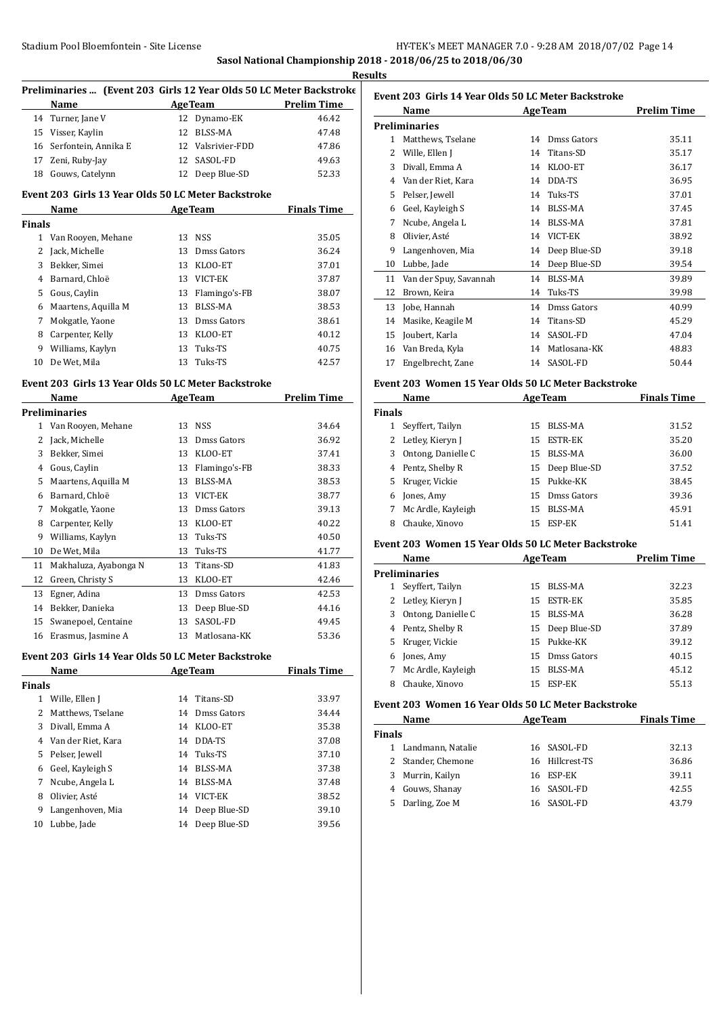# Stadium Pool Bloemfontein - Site License **HY-TEK's MEET MANAGER 7.0 - 9:28 AM 2018/07/02** Page 14 **Sasol National Championship 2018 - 2018/06/25 to 2018/06/30**

**Results**

| Preliminaries  (Event 203 Girls 12 Year Olds 50 LC Meter Backstroke<br>Name<br>14 Turner, Jane V<br>15 Visser, Kaylin<br>16 Serfontein, Annika E<br>17 Zeni, Ruby-Jay<br>18 Gouws, Catelynn<br>Event 203 Girls 13 Year Olds 50 LC Meter Backstroke<br>Name<br>1 Van Rooyen, Mehane<br>Jack, Michelle<br>Bekker, Simei<br>Barnard, Chloë<br>Gous, Caylin<br>Maartens, Aquilla M<br>Mokgatle, Yaone<br>Carpenter, Kelly<br>Williams, Kaylyn<br>De Wet, Mila<br>Event 203 Girls 13 Year Olds 50 LC Meter Backstroke<br>Name | 13                   | <b>Example 2.1 Age Team</b><br>12 Dynamo-EK<br>12 BLSS-MA<br>12 Valsrivier-FDD<br>12 SASOL-FD<br>12 Deep Blue-SD<br><b>AgeTeam</b><br>13 NSS<br>13 Dmss Gators<br>13 KLOO-ET<br>13 VICT-EK<br>13 Flamingo's-FB<br>13 BLSS-MA<br>13 Dmss Gators<br>13 KLOO-ET<br>13 Tuks-TS<br>Tuks-TS | <b>Prelim Time</b><br>46.42<br>47.48<br>47.86<br>49.63<br>52.33<br><b>Finals Time</b><br>35.05<br>36.24<br>37.01<br>37.87<br>38.07<br>38.53<br>38.61<br>40.12<br>40.75 |
|--------------------------------------------------------------------------------------------------------------------------------------------------------------------------------------------------------------------------------------------------------------------------------------------------------------------------------------------------------------------------------------------------------------------------------------------------------------------------------------------------------------------------|----------------------|---------------------------------------------------------------------------------------------------------------------------------------------------------------------------------------------------------------------------------------------------------------------------------------|------------------------------------------------------------------------------------------------------------------------------------------------------------------------|
|                                                                                                                                                                                                                                                                                                                                                                                                                                                                                                                          |                      |                                                                                                                                                                                                                                                                                       |                                                                                                                                                                        |
|                                                                                                                                                                                                                                                                                                                                                                                                                                                                                                                          |                      |                                                                                                                                                                                                                                                                                       |                                                                                                                                                                        |
|                                                                                                                                                                                                                                                                                                                                                                                                                                                                                                                          |                      |                                                                                                                                                                                                                                                                                       |                                                                                                                                                                        |
|                                                                                                                                                                                                                                                                                                                                                                                                                                                                                                                          |                      |                                                                                                                                                                                                                                                                                       |                                                                                                                                                                        |
|                                                                                                                                                                                                                                                                                                                                                                                                                                                                                                                          |                      |                                                                                                                                                                                                                                                                                       |                                                                                                                                                                        |
|                                                                                                                                                                                                                                                                                                                                                                                                                                                                                                                          |                      |                                                                                                                                                                                                                                                                                       |                                                                                                                                                                        |
|                                                                                                                                                                                                                                                                                                                                                                                                                                                                                                                          |                      |                                                                                                                                                                                                                                                                                       |                                                                                                                                                                        |
|                                                                                                                                                                                                                                                                                                                                                                                                                                                                                                                          |                      |                                                                                                                                                                                                                                                                                       |                                                                                                                                                                        |
|                                                                                                                                                                                                                                                                                                                                                                                                                                                                                                                          |                      |                                                                                                                                                                                                                                                                                       |                                                                                                                                                                        |
|                                                                                                                                                                                                                                                                                                                                                                                                                                                                                                                          |                      |                                                                                                                                                                                                                                                                                       |                                                                                                                                                                        |
|                                                                                                                                                                                                                                                                                                                                                                                                                                                                                                                          |                      |                                                                                                                                                                                                                                                                                       |                                                                                                                                                                        |
|                                                                                                                                                                                                                                                                                                                                                                                                                                                                                                                          |                      |                                                                                                                                                                                                                                                                                       |                                                                                                                                                                        |
|                                                                                                                                                                                                                                                                                                                                                                                                                                                                                                                          |                      |                                                                                                                                                                                                                                                                                       |                                                                                                                                                                        |
|                                                                                                                                                                                                                                                                                                                                                                                                                                                                                                                          |                      |                                                                                                                                                                                                                                                                                       |                                                                                                                                                                        |
|                                                                                                                                                                                                                                                                                                                                                                                                                                                                                                                          |                      |                                                                                                                                                                                                                                                                                       |                                                                                                                                                                        |
|                                                                                                                                                                                                                                                                                                                                                                                                                                                                                                                          |                      |                                                                                                                                                                                                                                                                                       |                                                                                                                                                                        |
|                                                                                                                                                                                                                                                                                                                                                                                                                                                                                                                          |                      |                                                                                                                                                                                                                                                                                       |                                                                                                                                                                        |
|                                                                                                                                                                                                                                                                                                                                                                                                                                                                                                                          |                      |                                                                                                                                                                                                                                                                                       |                                                                                                                                                                        |
|                                                                                                                                                                                                                                                                                                                                                                                                                                                                                                                          |                      |                                                                                                                                                                                                                                                                                       |                                                                                                                                                                        |
|                                                                                                                                                                                                                                                                                                                                                                                                                                                                                                                          |                      |                                                                                                                                                                                                                                                                                       | 42.57                                                                                                                                                                  |
|                                                                                                                                                                                                                                                                                                                                                                                                                                                                                                                          |                      |                                                                                                                                                                                                                                                                                       |                                                                                                                                                                        |
|                                                                                                                                                                                                                                                                                                                                                                                                                                                                                                                          |                      | <b>Example 2 Age Team</b>                                                                                                                                                                                                                                                             | <b>Prelim Time</b>                                                                                                                                                     |
| <b>Preliminaries</b>                                                                                                                                                                                                                                                                                                                                                                                                                                                                                                     |                      |                                                                                                                                                                                                                                                                                       |                                                                                                                                                                        |
| 1 Van Rooyen, Mehane                                                                                                                                                                                                                                                                                                                                                                                                                                                                                                     |                      | 13 NSS                                                                                                                                                                                                                                                                                | 34.64                                                                                                                                                                  |
| Jack, Michelle                                                                                                                                                                                                                                                                                                                                                                                                                                                                                                           |                      | 13 Dmss Gators                                                                                                                                                                                                                                                                        | 36.92                                                                                                                                                                  |
| Bekker, Simei                                                                                                                                                                                                                                                                                                                                                                                                                                                                                                            |                      | 13 KLOO-ET                                                                                                                                                                                                                                                                            | 37.41                                                                                                                                                                  |
| Gous, Caylin                                                                                                                                                                                                                                                                                                                                                                                                                                                                                                             |                      | 13 Flamingo's-FB                                                                                                                                                                                                                                                                      | 38.33                                                                                                                                                                  |
| Maartens, Aquilla M                                                                                                                                                                                                                                                                                                                                                                                                                                                                                                      |                      | 13 BLSS-MA                                                                                                                                                                                                                                                                            | 38.53                                                                                                                                                                  |
| Barnard, Chloë                                                                                                                                                                                                                                                                                                                                                                                                                                                                                                           |                      | 13 VICT-EK                                                                                                                                                                                                                                                                            | 38.77                                                                                                                                                                  |
| Mokgatle, Yaone                                                                                                                                                                                                                                                                                                                                                                                                                                                                                                          |                      | 13 Dmss Gators                                                                                                                                                                                                                                                                        | 39.13                                                                                                                                                                  |
| Carpenter, Kelly                                                                                                                                                                                                                                                                                                                                                                                                                                                                                                         |                      | 13 KLOO-ET                                                                                                                                                                                                                                                                            | 40.22                                                                                                                                                                  |
| Williams, Kaylyn                                                                                                                                                                                                                                                                                                                                                                                                                                                                                                         |                      | 13 Tuks-TS                                                                                                                                                                                                                                                                            | 40.50                                                                                                                                                                  |
| De Wet, Mila                                                                                                                                                                                                                                                                                                                                                                                                                                                                                                             |                      | 13 Tuks-TS                                                                                                                                                                                                                                                                            | 41.77                                                                                                                                                                  |
| Makhaluza, Ayabonga N                                                                                                                                                                                                                                                                                                                                                                                                                                                                                                    |                      | 13 Titans-SD                                                                                                                                                                                                                                                                          | 41.83                                                                                                                                                                  |
| Green, Christy S                                                                                                                                                                                                                                                                                                                                                                                                                                                                                                         |                      | 13 KLOO-ET                                                                                                                                                                                                                                                                            | 42.46                                                                                                                                                                  |
| Egner, Adina                                                                                                                                                                                                                                                                                                                                                                                                                                                                                                             |                      | 13 Dmss Gators                                                                                                                                                                                                                                                                        | 42.53                                                                                                                                                                  |
| 14 Bekker, Danieka                                                                                                                                                                                                                                                                                                                                                                                                                                                                                                       | 13                   | Deep Blue-SD                                                                                                                                                                                                                                                                          | 44.16                                                                                                                                                                  |
| Swanepoel, Centaine                                                                                                                                                                                                                                                                                                                                                                                                                                                                                                      |                      | 13 SASOL-FD                                                                                                                                                                                                                                                                           | 49.45                                                                                                                                                                  |
| 16 Erasmus, Jasmine A                                                                                                                                                                                                                                                                                                                                                                                                                                                                                                    | 13                   | Matlosana-KK                                                                                                                                                                                                                                                                          | 53.36                                                                                                                                                                  |
| Event 203  Girls 14 Year Olds 50 LC Meter Backstroke                                                                                                                                                                                                                                                                                                                                                                                                                                                                     |                      |                                                                                                                                                                                                                                                                                       |                                                                                                                                                                        |
| Name                                                                                                                                                                                                                                                                                                                                                                                                                                                                                                                     |                      | <b>AgeTeam</b>                                                                                                                                                                                                                                                                        | <b>Finals Time</b>                                                                                                                                                     |
|                                                                                                                                                                                                                                                                                                                                                                                                                                                                                                                          |                      |                                                                                                                                                                                                                                                                                       |                                                                                                                                                                        |
| 1 Wille, Ellen J                                                                                                                                                                                                                                                                                                                                                                                                                                                                                                         | 14                   | Titans-SD                                                                                                                                                                                                                                                                             | 33.97                                                                                                                                                                  |
| Matthews, Tselane                                                                                                                                                                                                                                                                                                                                                                                                                                                                                                        | 14                   | Dmss Gators                                                                                                                                                                                                                                                                           | 34.44                                                                                                                                                                  |
| Divall, Emma A                                                                                                                                                                                                                                                                                                                                                                                                                                                                                                           |                      |                                                                                                                                                                                                                                                                                       | 35.38                                                                                                                                                                  |
|                                                                                                                                                                                                                                                                                                                                                                                                                                                                                                                          |                      |                                                                                                                                                                                                                                                                                       | 37.08                                                                                                                                                                  |
|                                                                                                                                                                                                                                                                                                                                                                                                                                                                                                                          |                      |                                                                                                                                                                                                                                                                                       | 37.10                                                                                                                                                                  |
|                                                                                                                                                                                                                                                                                                                                                                                                                                                                                                                          |                      |                                                                                                                                                                                                                                                                                       | 37.38                                                                                                                                                                  |
| Pelser, Jewell                                                                                                                                                                                                                                                                                                                                                                                                                                                                                                           |                      |                                                                                                                                                                                                                                                                                       | 37.48                                                                                                                                                                  |
| Geel, Kayleigh S                                                                                                                                                                                                                                                                                                                                                                                                                                                                                                         |                      |                                                                                                                                                                                                                                                                                       | 38.52                                                                                                                                                                  |
| Ncube, Angela L                                                                                                                                                                                                                                                                                                                                                                                                                                                                                                          |                      |                                                                                                                                                                                                                                                                                       |                                                                                                                                                                        |
| Olivier, Asté                                                                                                                                                                                                                                                                                                                                                                                                                                                                                                            |                      |                                                                                                                                                                                                                                                                                       | 39.10                                                                                                                                                                  |
| Langenhoven, Mia                                                                                                                                                                                                                                                                                                                                                                                                                                                                                                         |                      |                                                                                                                                                                                                                                                                                       | 39.56                                                                                                                                                                  |
|                                                                                                                                                                                                                                                                                                                                                                                                                                                                                                                          | 4 Van der Riet, Kara | 14<br>14                                                                                                                                                                                                                                                                              | 14 KLOO-ET<br>14 DDA-TS<br>Tuks-TS<br><b>BLSS-MA</b><br>14 BLSS-MA<br>14 VICT-EK<br>14 Deep Blue-SD<br>Lubbe, Jade<br>14 Deep Blue-SD                                  |

|    | Name                   |    | <b>AgeTeam</b> | <b>Prelim Time</b> |
|----|------------------------|----|----------------|--------------------|
|    | <b>Preliminaries</b>   |    |                |                    |
| 1  | Matthews, Tselane      | 14 | Dmss Gators    | 35.11              |
| 2  | Wille, Ellen J         | 14 | Titans-SD      | 35.17              |
| 3  | Divall, Emma A         | 14 | KLOO-ET        | 36.17              |
| 4  | Van der Riet, Kara     | 14 | DDA-TS         | 36.95              |
| 5  | Pelser, Jewell         | 14 | Tuks-TS        | 37.01              |
| 6  | Geel, Kayleigh S       | 14 | <b>BLSS-MA</b> | 37.45              |
| 7  | Ncube, Angela L        | 14 | <b>BLSS-MA</b> | 37.81              |
| 8  | Olivier, Asté          | 14 | VICT-EK        | 38.92              |
| 9  | Langenhoven, Mia       | 14 | Deep Blue-SD   | 39.18              |
| 10 | Lubbe, Jade            | 14 | Deep Blue-SD   | 39.54              |
| 11 | Van der Spuy, Savannah | 14 | <b>BLSS-MA</b> | 39.89              |
| 12 | Brown, Keira           | 14 | Tuks-TS        | 39.98              |
| 13 | Jobe, Hannah           | 14 | Dmss Gators    | 40.99              |
| 14 | Masike, Keagile M      | 14 | Titans-SD      | 45.29              |
| 15 | Joubert, Karla         | 14 | SASOL-FD       | 47.04              |
| 16 | Van Breda, Kyla        | 14 | Matlosana-KK   | 48.83              |
| 17 | Engelbrecht, Zane      | 14 | SASOL-FD       | 50.44              |

#### **Event 203 Women 15 Year Olds 50 LC Meter Backstroke**

| Name          |                    |    | <b>AgeTeam</b>  | <b>Finals Time</b> |  |
|---------------|--------------------|----|-----------------|--------------------|--|
| <b>Finals</b> |                    |    |                 |                    |  |
|               | Seyffert, Tailyn   | 15 | <b>BLSS-MA</b>  | 31.52              |  |
|               | 2 Letley, Kieryn J | 15 | ESTR-EK         | 35.20              |  |
| 3             | Ontong, Danielle C | 15 | BLSS-MA         | 36.00              |  |
| 4             | Pentz, Shelby R    |    | 15 Deep Blue-SD | 37.52              |  |
|               | 5 Kruger, Vickie   |    | 15 Pukke-KK     | 38.45              |  |
| 6             | Jones, Amy         | 15 | Dmss Gators     | 39.36              |  |
| 7             | Mc Ardle, Kayleigh | 15 | BLSS-MA         | 45.91              |  |
| 8             | Chauke, Xinovo     | 15 | ESP-EK          | 51.41              |  |

# **Event 203 Women 15 Year Olds 50 LC Meter Backstroke**

|                      | <b>Name</b>        |     | <b>AgeTeam</b>  | <b>Prelim Time</b> |  |  |
|----------------------|--------------------|-----|-----------------|--------------------|--|--|
| <b>Preliminaries</b> |                    |     |                 |                    |  |  |
|                      | Seyffert, Tailyn   |     | 15 BLSS-MA      | 32.23              |  |  |
|                      | 2 Letley, Kieryn J |     | 15 ESTR-EK      | 35.85              |  |  |
| 3                    | Ontong, Danielle C |     | 15 BLSS-MA      | 36.28              |  |  |
|                      | 4 Pentz, Shelby R  |     | 15 Deep Blue-SD | 37.89              |  |  |
|                      | 5 Kruger, Vickie   |     | 15 Pukke-KK     | 39.12              |  |  |
| 6                    | Jones, Amy         |     | 15 Dmss Gators  | 40.15              |  |  |
| 7                    | Mc Ardle, Kayleigh | 15  | BLSS-MA         | 45.12              |  |  |
| 8                    | Chauke, Xinovo     | 15. | ESP-EK          | 55.13              |  |  |

#### **Event 203 Women 16 Year Olds 50 LC Meter Backstroke**

| Name          |                     | <b>AgeTeam</b>  | <b>Finals Time</b> |
|---------------|---------------------|-----------------|--------------------|
| <b>Finals</b> |                     |                 |                    |
|               | 1 Landmann, Natalie | 16 SASOL-FD     | 32.13              |
|               | 2 Stander, Chemone  | 16 Hillcrest-TS | 36.86              |
|               | 3 Murrin, Kailyn    | 16 ESP-EK       | 39.11              |
|               | 4 Gouws, Shanay     | 16 SASOL-FD     | 42.55              |
| 5.            | Darling, Zoe M      | 16 SASOL-FD     | 43.79              |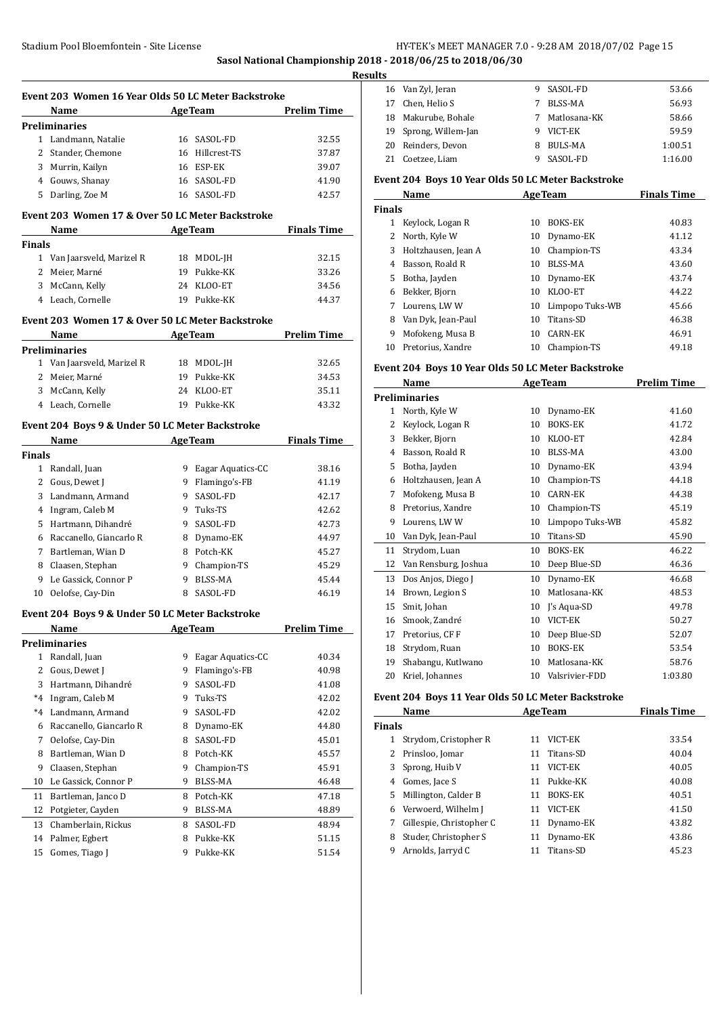**Sasol National Championship 2018 - 2018/06/25 to 2018/06/30**

|               | Event 203 Women 16 Year Olds 50 LC Meter Backstroke<br><b>Prelim Time</b><br><b>AgeTeam</b>                                 |    |                     |                    |  |  |  |
|---------------|-----------------------------------------------------------------------------------------------------------------------------|----|---------------------|--------------------|--|--|--|
|               | Name<br><b>Preliminaries</b>                                                                                                |    |                     |                    |  |  |  |
|               | 1 Landmann, Natalie                                                                                                         |    | 16 SASOL-FD         | 32.55              |  |  |  |
|               | 2 Stander, Chemone                                                                                                          |    | 16 Hillcrest-TS     | 37.87              |  |  |  |
|               | 3 Murrin, Kailyn                                                                                                            |    | 16 ESP-EK           | 39.07              |  |  |  |
|               | 4 Gouws, Shanay                                                                                                             |    | 16 SASOL-FD         | 41.90              |  |  |  |
|               | 5 Darling, Zoe M                                                                                                            |    | 16 SASOL-FD         | 42.57              |  |  |  |
|               |                                                                                                                             |    |                     |                    |  |  |  |
|               | Event 203 Women 17 & Over 50 LC Meter Backstroke<br>Name                                                                    |    | <b>AgeTeam</b>      | <b>Finals Time</b> |  |  |  |
| <b>Finals</b> |                                                                                                                             |    |                     |                    |  |  |  |
|               | 1 Van Jaarsveld, Marizel R                                                                                                  |    | 18 MDOL-JH          | 32.15              |  |  |  |
|               | 2 Meier, Marné                                                                                                              |    | 19 Pukke-KK         | 33.26              |  |  |  |
|               | 3 McCann, Kelly                                                                                                             |    | 24 KLOO-ET          | 34.56              |  |  |  |
|               | 4 Leach, Cornelle                                                                                                           |    | 19 Pukke-KK         | 44.37              |  |  |  |
|               |                                                                                                                             |    |                     |                    |  |  |  |
|               | Event 203 Women 17 & Over 50 LC Meter Backstroke                                                                            |    |                     |                    |  |  |  |
|               | Name<br><u> 1990 - Johann John Store, markin samti samti samti samti samti samti samti samti samti samti samti samti sa</u> |    | <b>AgeTeam</b>      | <b>Prelim Time</b> |  |  |  |
|               | <b>Preliminaries</b>                                                                                                        |    |                     |                    |  |  |  |
|               | 1 Van Jaarsveld, Marizel R                                                                                                  |    | 18 MDOL-JH          | 32.65              |  |  |  |
|               | 2 Meier, Marné                                                                                                              |    | 19 Pukke-KK         | 34.53              |  |  |  |
|               | 3 McCann, Kelly                                                                                                             |    | 24 KLOO-ET          | 35.11              |  |  |  |
|               | 4 Leach, Cornelle                                                                                                           |    | 19 Pukke-KK         | 43.32              |  |  |  |
|               | Event 204 Boys 9 & Under 50 LC Meter Backstroke                                                                             |    |                     |                    |  |  |  |
|               | <b>Name</b>                                                                                                                 |    | <b>AgeTeam</b>      | <b>Finals Time</b> |  |  |  |
| <b>Finals</b> |                                                                                                                             |    |                     |                    |  |  |  |
|               | 1 Randall, Juan                                                                                                             |    | 9 Eagar Aquatics-CC | 38.16              |  |  |  |
|               | 2 Gous, Dewet J                                                                                                             |    | 9 Flamingo's-FB     | 41.19              |  |  |  |
|               | 3 Landmann, Armand                                                                                                          |    | 9 SASOL-FD          | 42.17              |  |  |  |
|               | 4 Ingram, Caleb M                                                                                                           |    | 9 Tuks-TS           | 42.62              |  |  |  |
|               | 5 Hartmann, Dihandré                                                                                                        |    | 9 SASOL-FD          | 42.73              |  |  |  |
|               | 6 Raccanello, Giancarlo R                                                                                                   |    | 8 Dynamo-EK         | 44.97              |  |  |  |
|               | 7 Bartleman, Wian D                                                                                                         |    | 8 Potch-KK          | 45.27              |  |  |  |
|               | 8 Claasen, Stephan                                                                                                          |    | 9 Champion-TS       | 45.29              |  |  |  |
|               | 9 Le Gassick. Connor P                                                                                                      |    | 9 BLSS-MA           | 45.44              |  |  |  |
|               | 10 Oelofse, Cay-Din                                                                                                         |    | 8 SASOL-FD          | 46.19              |  |  |  |
|               |                                                                                                                             |    |                     |                    |  |  |  |
|               | Event 204 Boys 9 & Under 50 LC Meter Backstroke                                                                             |    |                     |                    |  |  |  |
|               | <b>Name</b>                                                                                                                 |    | <b>AgeTeam</b>      | <b>Prelim Time</b> |  |  |  |
|               | <b>Preliminaries</b>                                                                                                        |    |                     |                    |  |  |  |
| $\mathbf{1}$  | Randall, Juan                                                                                                               | 9  | Eagar Aquatics-CC   | 40.34              |  |  |  |
| 2             | Gous, Dewet J                                                                                                               | 9  | Flamingo's-FB       | 40.98              |  |  |  |
| 3             | Hartmann, Dihandré                                                                                                          | 9. | SASOL-FD            | 41.08              |  |  |  |
| $*4$          | Ingram, Caleb M                                                                                                             | 9. | Tuks-TS             | 42.02              |  |  |  |
| $*4$          | Landmann, Armand                                                                                                            | 9  | SASOL-FD            | 42.02              |  |  |  |
| 6             | Raccanello, Giancarlo R                                                                                                     | 8  | Dynamo-EK           | 44.80              |  |  |  |
| 7             | Oelofse, Cay-Din                                                                                                            | 8  | SASOL-FD            | 45.01              |  |  |  |
| 8             | Bartleman, Wian D                                                                                                           | 8  | Potch-KK            | 45.57              |  |  |  |
| 9             | Claasen, Stephan                                                                                                            | 9  | Champion-TS         | 45.91              |  |  |  |
| 10            | Le Gassick, Connor P                                                                                                        | 9  | BLSS-MA             | 46.48              |  |  |  |
| 11            | Bartleman, Janco D                                                                                                          | 8  | Potch-KK            | 47.18              |  |  |  |
| 12            | Potgieter, Cayden                                                                                                           | 9  | <b>BLSS-MA</b>      | 48.89              |  |  |  |
| 13            | Chamberlain, Rickus                                                                                                         | 8  | SASOL-FD            | 48.94              |  |  |  |
| 14            | Palmer, Egbert                                                                                                              | 8  | Pukke-KK            | 51.15              |  |  |  |
| 15            | Gomes, Tiago J                                                                                                              | 9  | Pukke-KK            | 51.54              |  |  |  |

| <b>Results</b> |  |                       |   |              |         |  |
|----------------|--|-----------------------|---|--------------|---------|--|
|                |  | 16 Van Zyl, Jeran     |   | SASOL-FD     | 53.66   |  |
|                |  | 17 Chen. Helio S      |   | BLSS-MA      | 56.93   |  |
|                |  | 18 Makurube, Bohale   | 7 | Matlosana-KK | 58.66   |  |
|                |  | 19 Sprong, Willem-Jan |   | VICT-EK      | 59.59   |  |
|                |  | 20 Reinders, Devon    | 8 | BULS-MA      | 1:00.51 |  |
|                |  | 21 Coetzee, Liam      |   | SASOL-FD     | 1:16.00 |  |

#### **Event 204 Boys 10 Year Olds 50 LC Meter Backstroke**

|    | Name                |    | <b>AgeTeam</b>  | <b>Finals Time</b> |  |  |  |  |
|----|---------------------|----|-----------------|--------------------|--|--|--|--|
|    | <b>Finals</b>       |    |                 |                    |  |  |  |  |
|    | Keylock, Logan R    | 10 | <b>BOKS-EK</b>  | 40.83              |  |  |  |  |
| 2  | North, Kyle W       | 10 | Dynamo-EK       | 41.12              |  |  |  |  |
| 3  | Holtzhausen, Jean A | 10 | Champion-TS     | 43.34              |  |  |  |  |
| 4  | Basson, Roald R     | 10 | BLSS-MA         | 43.60              |  |  |  |  |
| 5. | Botha, Jayden       | 10 | Dynamo-EK       | 43.74              |  |  |  |  |
| 6  | Bekker, Bjorn       | 10 | KLOO-ET         | 44.22              |  |  |  |  |
| 7  | Lourens, LW W       | 10 | Limpopo Tuks-WB | 45.66              |  |  |  |  |
| 8  | Van Dyk, Jean-Paul  | 10 | Titans-SD       | 46.38              |  |  |  |  |
| 9  | Mofokeng, Musa B    | 10 | <b>CARN-EK</b>  | 46.91              |  |  |  |  |
| 10 | Pretorius, Xandre   | 10 | Champion-TS     | 49.18              |  |  |  |  |

#### **Event 204 Boys 10 Year Olds 50 LC Meter Backstroke**

|    | Name                 |    | <b>AgeTeam</b>  | <b>Prelim Time</b> |
|----|----------------------|----|-----------------|--------------------|
|    | <b>Preliminaries</b> |    |                 |                    |
| 1  | North, Kyle W        | 10 | Dynamo-EK       | 41.60              |
| 2  | Keylock, Logan R     | 10 | <b>BOKS-EK</b>  | 41.72              |
| 3  | Bekker, Bjorn        | 10 | KLOO-ET         | 42.84              |
| 4  | Basson, Roald R      | 10 | <b>BLSS-MA</b>  | 43.00              |
| 5  | Botha, Jayden        | 10 | Dynamo-EK       | 43.94              |
| 6  | Holtzhausen, Jean A  | 10 | Champion-TS     | 44.18              |
| 7  | Mofokeng, Musa B     | 10 | CARN-EK         | 44.38              |
| 8  | Pretorius, Xandre    | 10 | Champion-TS     | 45.19              |
| 9  | Lourens, LWW         | 10 | Limpopo Tuks-WB | 45.82              |
| 10 | Van Dyk, Jean-Paul   | 10 | Titans-SD       | 45.90              |
| 11 | Strydom, Luan        | 10 | <b>BOKS-EK</b>  | 46.22              |
| 12 | Van Rensburg, Joshua | 10 | Deep Blue-SD    | 46.36              |
| 13 | Dos Anjos, Diego J   | 10 | Dynamo-EK       | 46.68              |
| 14 | Brown, Legion S      | 10 | Matlosana-KK    | 48.53              |
| 15 | Smit, Johan          | 10 | J's Aqua-SD     | 49.78              |
| 16 | Smook, Zandré        | 10 | VICT-EK         | 50.27              |
| 17 | Pretorius, CF F      | 10 | Deep Blue-SD    | 52.07              |
| 18 | Strydom, Ruan        | 10 | <b>BOKS-EK</b>  | 53.54              |
| 19 | Shabangu, Kutlwano   | 10 | Matlosana-KK    | 58.76              |
| 20 | Kriel, Johannes      | 10 | Valsrivier-FDD  | 1:03.80            |

## **Event 204 Boys 11 Year Olds 50 LC Meter Backstroke**

| Name<br><b>AgeTeam</b> |                          |    |                | <b>Finals Time</b> |
|------------------------|--------------------------|----|----------------|--------------------|
| <b>Finals</b>          |                          |    |                |                    |
|                        | Strydom, Cristopher R    | 11 | VICT-EK        | 33.54              |
|                        | Prinsloo, Jomar          | 11 | Titans-SD      | 40.04              |
| 3                      | Sprong, Huib V           | 11 | VICT-EK        | 40.05              |
| 4                      | Gomes, Jace S            | 11 | Pukke-KK       | 40.08              |
| 5.                     | Millington, Calder B     | 11 | <b>BOKS-EK</b> | 40.51              |
| 6                      | Verwoerd, Wilhelm J      | 11 | VICT-EK        | 41.50              |
| 7                      | Gillespie, Christopher C | 11 | Dynamo-EK      | 43.82              |
| 8                      | Studer, Christopher S    | 11 | Dynamo-EK      | 43.86              |
| 9                      | Arnolds, Jarryd C        | 11 | Titans-SD      | 45.23              |
|                        |                          |    |                |                    |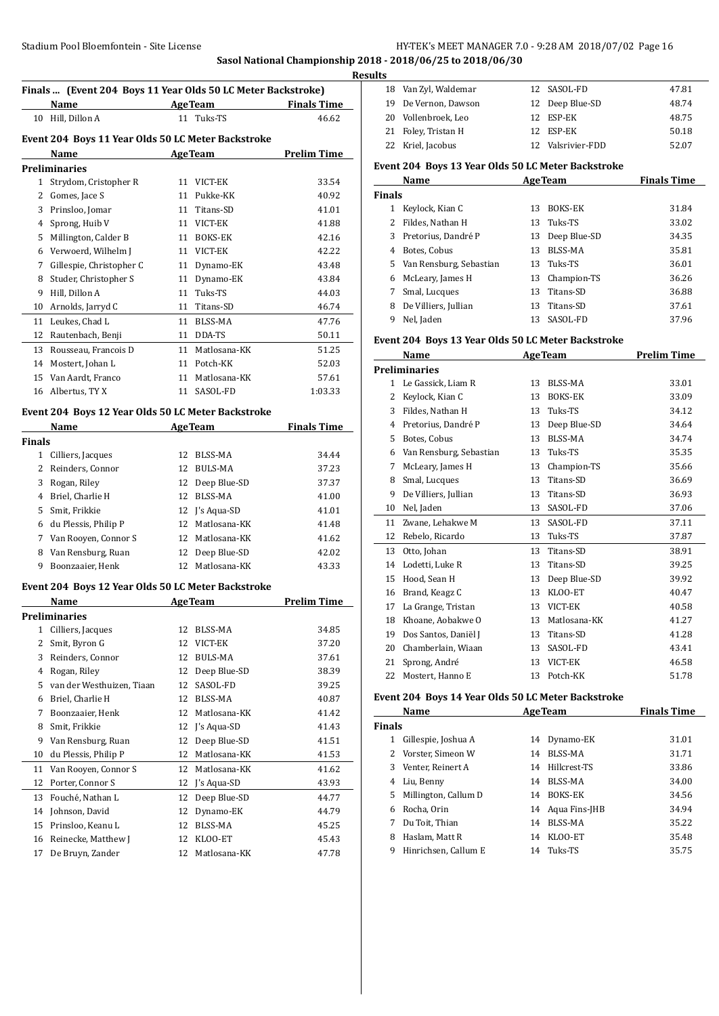**Sasol National Championship 2018 - 2018/06/25 to 2018/06/30**

|                       | Finals  (Event 204 Boys 11 Year Olds 50 LC Meter Backstroke) |    |                 |                    |
|-----------------------|--------------------------------------------------------------|----|-----------------|--------------------|
|                       | Name AgeTeam Finals Time                                     |    |                 |                    |
|                       | 10 Hill, Dillon A                                            |    | 11 Tuks-TS      | 46.62              |
|                       | Event 204 Boys 11 Year Olds 50 LC Meter Backstroke           |    |                 |                    |
|                       | Name<br><b>AgeTeam</b>                                       |    |                 | <b>Prelim Time</b> |
|                       | Preliminaries                                                |    |                 |                    |
|                       | 1 Strydom, Cristopher R                                      |    | 11 VICT-EK      | 33.54              |
|                       | 2 Gomes, Jace S                                              |    | 11 Pukke-KK     | 40.92              |
|                       | 3 Prinsloo, Jomar                                            |    | 11 Titans-SD    | 41.01              |
|                       | 4 Sprong, Huib V                                             |    | 11 VICT-EK      | 41.88              |
|                       | 5 Millington, Calder B                                       |    | 11 BOKS-EK      | 42.16              |
|                       | 6 Verwoerd, Wilhelm J                                        |    | 11 VICT-EK      | 42.22              |
|                       | 7 Gillespie, Christopher C                                   |    | 11 Dynamo-EK    | 43.48              |
|                       | 8 Studer, Christopher S                                      |    | 11 Dynamo-EK    | 43.84              |
|                       | 9 Hill, Dillon A                                             |    | 11 Tuks-TS      | 44.03              |
|                       | 10 Arnolds, Jarryd C                                         |    | 11 Titans-SD    | 46.74              |
|                       | 11 Leukes, Chad L                                            |    | 11 BLSS-MA      | 47.76              |
|                       | 12 Rautenbach, Benji                                         |    | 11 DDA-TS       | 50.11              |
|                       | 13 Rousseau, Francois D                                      |    | 11 Matlosana-KK | 51.25              |
|                       | 14 Mostert, Johan L                                          |    | 11 Potch-KK     | 52.03              |
|                       | 15 Van Aardt, Franco                                         |    | 11 Matlosana-KK | 57.61              |
|                       | 16 Albertus, TY X                                            |    | 11 SASOL-FD     | 1:03.33            |
|                       |                                                              |    |                 |                    |
|                       | Event 204 Boys 12 Year Olds 50 LC Meter Backstroke           |    |                 |                    |
|                       | Name AgeTeam                                                 |    |                 | <b>Finals Time</b> |
| Finals                |                                                              |    |                 |                    |
|                       | 1 Cilliers, Jacques                                          |    | 12 BLSS-MA      | 34.44              |
|                       | 2 Reinders, Connor                                           |    | 12 BULS-MA      | 37.23              |
|                       | 3 Rogan, Riley                                               |    | 12 Deep Blue-SD | 37.37              |
|                       | 4 Briel, Charlie H                                           |    | 12 BLSS-MA      | 41.00              |
|                       | 5 Smit, Frikkie                                              |    | 12 J's Aqua-SD  | 41.01              |
|                       | 6 du Plessis, Philip P                                       |    | 12 Matlosana-KK | 41.48              |
|                       | 7 Van Rooyen, Connor S                                       |    | 12 Matlosana-KK | 41.62              |
|                       | 8 Van Rensburg, Ruan                                         |    | 12 Deep Blue-SD | 42.02              |
|                       | 9 Boonzaaier, Henk                                           |    | 12 Matlosana-KK | 43.33              |
|                       | Event 204 Boys 12 Year Olds 50 LC Meter Backstroke           |    |                 |                    |
|                       | Name                                                         |    | <b>AgeTeam</b>  | <b>Prelim Time</b> |
|                       | Preliminaries                                                |    |                 |                    |
| 1                     | Cilliers, Jacques                                            | 12 | BLSS-MA         | 34.85              |
| $\mathbf{2}^{\prime}$ | Smit, Byron G                                                | 12 | VICT-EK         | 37.20              |
| 3                     | Reinders. Connor                                             | 12 | <b>BULS-MA</b>  | 37.61              |
| 4                     | Rogan, Riley                                                 | 12 | Deep Blue-SD    | 38.39              |
|                       | 5 van der Westhuizen, Tiaan                                  | 12 | SASOL-FD        | 39.25              |
| 6                     | Briel, Charlie H                                             | 12 | BLSS-MA         | 40.87              |
| 7                     | Boonzaaier, Henk                                             | 12 | Matlosana-KK    | 41.42              |
| 8                     | Smit, Frikkie                                                | 12 | J's Aqua-SD     | 41.43              |
| 9                     | Van Rensburg, Ruan                                           | 12 | Deep Blue-SD    | 41.51              |
| 10                    | du Plessis, Philip P                                         | 12 | Matlosana-KK    | 41.53              |
| 11                    | Van Rooyen, Connor S                                         | 12 | Matlosana-KK    | 41.62              |
| 12                    | Porter, Connor S                                             | 12 | J's Aqua-SD     | 43.93              |
| 13                    | Fouché, Nathan L                                             | 12 | Deep Blue-SD    | 44.77              |
| 14                    | Johnson, David                                               | 12 | Dynamo-EK       | 44.79              |
| 15                    | Prinsloo, Keanu L                                            | 12 | BLSS-MA         | 45.25              |
| 16                    | Reinecke, Matthew J                                          | 12 | KLOO-ET         | 45.43              |
| 17                    | De Bruyn, Zander                                             | 12 | Matlosana-KK    | 47.78              |
|                       |                                                              |    |                 |                    |

| .s                                                          |                      |  |                   |       |
|-------------------------------------------------------------|----------------------|--|-------------------|-------|
|                                                             | 18 Van Zyl, Waldemar |  | 12 SASOL-FD       | 47.81 |
|                                                             | 19 De Vernon, Dawson |  | 12 Deep Blue-SD   | 48.74 |
|                                                             | 20 Vollenbroek, Leo  |  | 12 ESP-EK         | 48.75 |
|                                                             | 21 Foley, Tristan H  |  | 12 ESP-EK         | 50.18 |
|                                                             | 22 Kriel, Jacobus    |  | 12 Valsrivier-FDD | 52.07 |
| $\sim$ 0.04 $\sim$ 0.057 0.11 = 0.1.034 $\sim$ 0.1 $\sim$ 1 |                      |  |                   |       |

## **Event 204 Boys 13 Year Olds 50 LC Meter Backstroke**

| Name          |                           |    | <b>AgeTeam</b> | <b>Finals Time</b> |  |
|---------------|---------------------------|----|----------------|--------------------|--|
| <b>Finals</b> |                           |    |                |                    |  |
|               | Keylock, Kian C           | 13 | <b>BOKS-EK</b> | 31.84              |  |
| 2             | Fildes, Nathan H          | 13 | Tuks-TS        | 33.02              |  |
| 3.            | Pretorius, Dandré P       | 13 | Deep Blue-SD   | 34.35              |  |
| 4             | Botes, Cobus              | 13 | BLSS-MA        | 35.81              |  |
|               | 5 Van Rensburg, Sebastian |    | 13 Tuks-TS     | 36.01              |  |
| 6             | McLeary, James H          | 13 | Champion-TS    | 36.26              |  |
| 7             | Smal, Lucques             | 13 | Titans-SD      | 36.88              |  |
| 8             | De Villiers, Jullian      | 13 | Titans-SD      | 37.61              |  |
| 9             | Nel, Jaden                | 13 | SASOL-FD       | 37.96              |  |

#### **Event 204 Boys 13 Year Olds 50 LC Meter Backstroke**

|    | Name                    |    | <b>AgeTeam</b> | <b>Prelim Time</b> |
|----|-------------------------|----|----------------|--------------------|
|    | <b>Preliminaries</b>    |    |                |                    |
| 1  | Le Gassick, Liam R      | 13 | BLSS-MA        | 33.01              |
| 2  | Keylock, Kian C         | 13 | <b>BOKS-EK</b> | 33.09              |
| 3  | Fildes, Nathan H        | 13 | Tuks-TS        | 34.12              |
| 4  | Pretorius, Dandré P     | 13 | Deep Blue-SD   | 34.64              |
| 5  | Botes, Cobus            | 13 | <b>BLSS-MA</b> | 34.74              |
| 6  | Van Rensburg, Sebastian | 13 | Tuks-TS        | 35.35              |
| 7  | McLeary, James H        | 13 | Champion-TS    | 35.66              |
| 8  | Smal, Lucques           | 13 | Titans-SD      | 36.69              |
| 9  | De Villiers, Jullian    | 13 | Titans-SD      | 36.93              |
| 10 | Nel, Jaden              | 13 | SASOL-FD       | 37.06              |
| 11 | Zwane, Lehakwe M        | 13 | SASOL-FD       | 37.11              |
| 12 | Rebelo, Ricardo         | 13 | Tuks-TS        | 37.87              |
| 13 | Otto, Johan             | 13 | Titans-SD      | 38.91              |
| 14 | Lodetti, Luke R         | 13 | Titans-SD      | 39.25              |
| 15 | Hood, Sean H            | 13 | Deep Blue-SD   | 39.92              |
| 16 | Brand, Keagz C          | 13 | KLOO-ET        | 40.47              |
| 17 | La Grange, Tristan      | 13 | VICT-EK        | 40.58              |
| 18 | Khoane, Aobakwe O       | 13 | Matlosana-KK   | 41.27              |
| 19 | Dos Santos, Daniël J    | 13 | Titans-SD      | 41.28              |
| 20 | Chamberlain, Wiaan      | 13 | SASOL-FD       | 43.41              |
| 21 | Sprong, André           | 13 | VICT-EK        | 46.58              |
| 22 | Mostert, Hanno E        | 13 | Potch-KK       | 51.78              |

#### **Event 204 Boys 14 Year Olds 50 LC Meter Backstroke**

|               | Name                 |    | <b>AgeTeam</b>   | <b>Finals Time</b> |
|---------------|----------------------|----|------------------|--------------------|
| <b>Finals</b> |                      |    |                  |                    |
|               | Gillespie, Joshua A  |    | 14 Dynamo-EK     | 31.01              |
|               | 2 Vorster, Simeon W  | 14 | BLSS-MA          | 31.71              |
| 3             | Venter, Reinert A    | 14 | Hillcrest-TS     | 33.86              |
| 4             | Liu, Benny           | 14 | BLSS-MA          | 34.00              |
| 5.            | Millington, Callum D | 14 | <b>BOKS-EK</b>   | 34.56              |
| 6             | Rocha, Orin          |    | 14 Agua Fins-JHB | 34.94              |
| 7             | Du Toit, Thian       | 14 | BLSS-MA          | 35.22              |
| 8             | Haslam, Matt R       | 14 | KLOO-ET          | 35.48              |
| 9             | Hinrichsen, Callum E | 14 | Tuks-TS          | 35.75              |
|               |                      |    |                  |                    |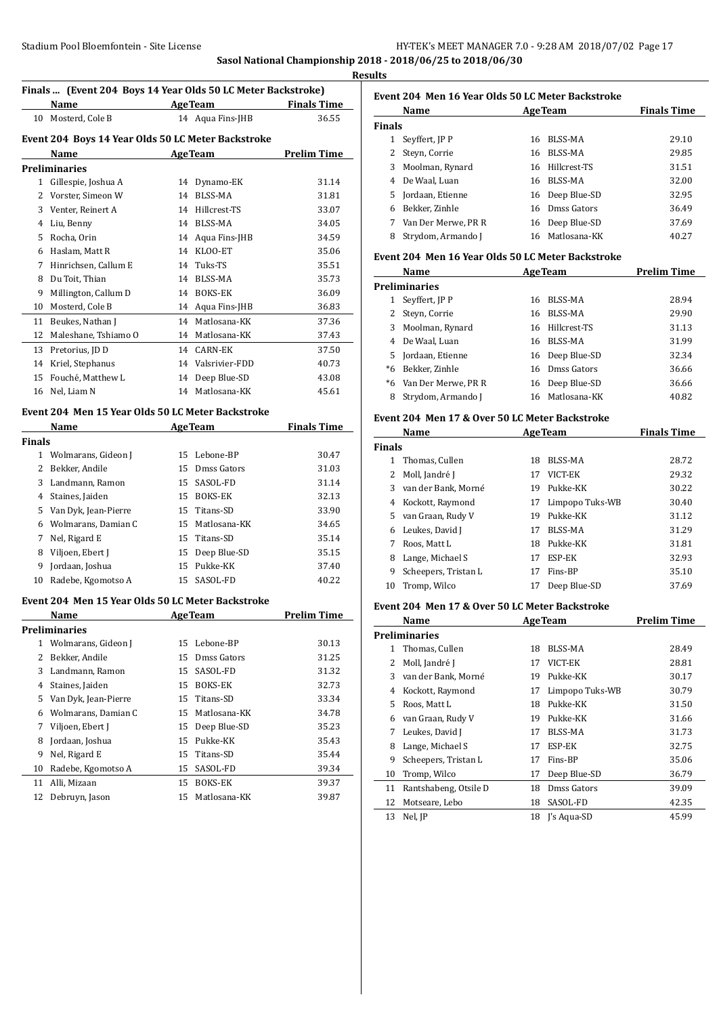#### **Sasol National Championship 2018 - 2018/06/25 to 2018/06/30 Results**

# **Finals ... (Event 204 Boys 14 Year Olds 50 LC Meter Backstroke)**

| Finals    (Event 204  Boys 14 year Olds 50 LC Meter Backstroke) |                                                    |    |                  |                    |  |  |
|-----------------------------------------------------------------|----------------------------------------------------|----|------------------|--------------------|--|--|
|                                                                 | Name                                               |    | <b>AgeTeam</b>   | <b>Finals Time</b> |  |  |
| 10                                                              | Mosterd, Cole B                                    |    | 14 Aqua Fins-JHB | 36.55              |  |  |
|                                                                 | Event 204 Boys 14 Year Olds 50 LC Meter Backstroke |    |                  |                    |  |  |
|                                                                 | Name                                               |    | <b>AgeTeam</b>   | <b>Prelim Time</b> |  |  |
|                                                                 | Preliminaries                                      |    |                  |                    |  |  |
| 1                                                               | Gillespie, Joshua A                                | 14 | Dynamo-EK        | 31.14              |  |  |
| 2                                                               | Vorster, Simeon W                                  | 14 | <b>BLSS-MA</b>   | 31.81              |  |  |
| 3                                                               | Venter, Reinert A                                  | 14 | Hillcrest-TS     | 33.07              |  |  |
| 4                                                               | Liu, Benny                                         | 14 | <b>BLSS-MA</b>   | 34.05              |  |  |
| 5                                                               | Rocha, Orin                                        | 14 | Aqua Fins-JHB    | 34.59              |  |  |
| 6                                                               | Haslam, Matt R                                     | 14 | KLOO-ET          | 35.06              |  |  |
| 7                                                               | Hinrichsen. Callum E                               | 14 | Tuks-TS          | 35.51              |  |  |
| 8                                                               | Du Toit, Thian                                     | 14 | BLSS-MA          | 35.73              |  |  |
| 9                                                               | Millington, Callum D                               | 14 | <b>BOKS-EK</b>   | 36.09              |  |  |
| 10                                                              | Mosterd, Cole B                                    | 14 | Aqua Fins-JHB    | 36.83              |  |  |
| 11                                                              | Beukes, Nathan J                                   | 14 | Matlosana-KK     | 37.36              |  |  |
| 12                                                              | Maleshane, Tshiamo O                               | 14 | Matlosana-KK     | 37.43              |  |  |
| 13                                                              | Pretorius, JD D                                    | 14 | <b>CARN-EK</b>   | 37.50              |  |  |
| 14                                                              | Kriel, Stephanus                                   | 14 | Valsrivier-FDD   | 40.73              |  |  |
| 15                                                              | Fouché, Matthew L                                  | 14 | Deep Blue-SD     | 43.08              |  |  |
| 16                                                              | Nel, Liam N                                        | 14 | Matlosana-KK     | 45.61              |  |  |
|                                                                 |                                                    |    |                  |                    |  |  |

# **Event 204 Men 15 Year Olds 50 LC Meter Backstroke**

| Name<br><b>AgeTeam</b> |                        |    | <b>Finals Time</b> |       |
|------------------------|------------------------|----|--------------------|-------|
| <b>Finals</b>          |                        |    |                    |       |
| 1                      | Wolmarans, Gideon J    |    | 15 Lebone-BP       | 30.47 |
| 2                      | Bekker, Andile         | 15 | Dmss Gators        | 31.03 |
| 3                      | Landmann, Ramon        | 15 | SASOL-FD           | 31.14 |
| 4                      | Staines, Jaiden        | 15 | <b>BOKS-EK</b>     | 32.13 |
|                        | 5 Van Dyk, Jean-Pierre |    | 15 Titans-SD       | 33.90 |
| 6                      | Wolmarans, Damian C    |    | 15 Matlosana-KK    | 34.65 |
|                        | Nel, Rigard E          |    | 15 Titans-SD       | 35.14 |
| 8                      | Viljoen, Ebert J       | 15 | Deep Blue-SD       | 35.15 |
| 9                      | Jordaan, Joshua        | 15 | Pukke-KK           | 37.40 |
| 10                     | Radebe, Kgomotso A     |    | 15 SASOL-FD        | 40.22 |

#### **Event 204 Men 15 Year Olds 50 LC Meter Backstroke**

|               | Name                 |    | <b>AgeTeam</b>  | <b>Prelim Time</b> |  |  |
|---------------|----------------------|----|-----------------|--------------------|--|--|
| Preliminaries |                      |    |                 |                    |  |  |
| 1             | Wolmarans, Gideon J  | 15 | Lebone-BP       | 30.13              |  |  |
| 2             | Bekker, Andile       | 15 | Dmss Gators     | 31.25              |  |  |
| 3             | Landmann, Ramon      | 15 | SASOL-FD        | 31.32              |  |  |
| 4             | Staines, Jaiden      | 15 | <b>BOKS-EK</b>  | 32.73              |  |  |
| 5             | Van Dyk, Jean-Pierre |    | 15 Titans-SD    | 33.34              |  |  |
| 6             | Wolmarans, Damian C  | 15 | Matlosana-KK    | 34.78              |  |  |
| 7             | Viljoen, Ebert J     |    | 15 Deep Blue-SD | 35.23              |  |  |
| 8             | Jordaan, Joshua      | 15 | Pukke-KK        | 35.43              |  |  |
| 9             | Nel, Rigard E        | 15 | Titans-SD       | 35.44              |  |  |
| 10            | Radebe, Kgomotso A   | 15 | SASOL-FD        | 39.34              |  |  |
| 11            | Alli, Mizaan         | 15 | <b>BOKS-EK</b>  | 39.37              |  |  |
| 12            | Debruyn, Jason       | 15 | Matlosana-KK    | 39.87              |  |  |

## **Event 204 Men 16 Year Olds 50 LC Meter Backstroke**

|               | Name                |    | <b>AgeTeam</b>  | <b>Finals Time</b> |
|---------------|---------------------|----|-----------------|--------------------|
| <b>Finals</b> |                     |    |                 |                    |
|               | Seyffert, JP P      | 16 | BLSS-MA         | 29.10              |
|               | Steyn, Corrie       | 16 | BLSS-MA         | 29.85              |
| 3             | Moolman, Rynard     |    | 16 Hillcrest-TS | 31.51              |
| 4             | De Waal. Luan       | 16 | BLSS-MA         | 32.00              |
|               | 5 Jordaan, Etienne  |    | 16 Deep Blue-SD | 32.95              |
| 6             | Bekker, Zinhle      |    | 16 Dmss Gators  | 36.49              |
|               | Van Der Merwe, PR R | 16 | Deep Blue-SD    | 37.69              |
| 8             | Strydom, Armando J  |    | 16 Matlosana-KK | 40.27              |

#### **Event 204 Men 16 Year Olds 50 LC Meter Backstroke**

|      | Name                   | <b>AgeTeam</b> |                 | <b>Prelim Time</b> |
|------|------------------------|----------------|-----------------|--------------------|
|      | <b>Preliminaries</b>   |                |                 |                    |
|      | Seyffert, JP P         | 16             | BLSS-MA         | 28.94              |
|      | Steyn, Corrie          | 16             | BLSS-MA         | 29.90              |
| 3    | Moolman, Rynard        |                | 16 Hillcrest-TS | 31.13              |
| 4    | De Waal, Luan          | 16             | BLSS-MA         | 31.99              |
| 5.   | Jordaan, Etienne       |                | 16 Deep Blue-SD | 32.34              |
| $*6$ | Bekker, Zinhle         |                | 16 Dmss Gators  | 36.66              |
|      | *6 Van Der Merwe, PR R |                | 16 Deep Blue-SD | 36.66              |
| 8    | Strydom, Armando I     |                | 16 Matlosana-KK | 40.82              |

#### **Event 204 Men 17 & Over 50 LC Meter Backstroke**

| Name          |                      |     | <b>AgeTeam</b>  | <b>Finals Time</b> |
|---------------|----------------------|-----|-----------------|--------------------|
| <b>Finals</b> |                      |     |                 |                    |
| 1.            | Thomas. Cullen       | 18  | BLSS-MA         | 28.72              |
| 2             | Moll, Jandré J       | 17  | VICT-EK         | 29.32              |
| 3             | van der Bank, Morné  | 19. | Pukke-KK        | 30.22              |
| 4             | Kockott, Raymond     | 17  | Limpopo Tuks-WB | 30.40              |
| 5.            | van Graan, Rudy V    | 19  | Pukke-KK        | 31.12              |
| 6             | Leukes, David J      | 17  | BLSS-MA         | 31.29              |
|               | Roos, Matt L         | 18  | Pukke-KK        | 31.81              |
| 8             | Lange, Michael S     | 17  | ESP-EK          | 32.93              |
| 9             | Scheepers, Tristan L | 17  | Fins-BP         | 35.10              |
| 10            | Tromp, Wilco         | 17  | Deep Blue-SD    | 37.69              |

#### **Event 204 Men 17 & Over 50 LC Meter Backstroke**

|    | Name                  | <b>AgeTeam</b> | <b>Prelim Time</b> |       |
|----|-----------------------|----------------|--------------------|-------|
|    | <b>Preliminaries</b>  |                |                    |       |
| 1. | Thomas, Cullen        | 18             | BLSS-MA            | 28.49 |
| 2  | Moll, Jandré J        | 17             | VICT-EK            | 28.81 |
| 3  | van der Bank, Morné   | 19             | Pukke-KK           | 30.17 |
| 4  | Kockott, Raymond      | 17             | Limpopo Tuks-WB    | 30.79 |
| 5  | Roos, Matt L          | 18             | Pukke-KK           | 31.50 |
| 6  | van Graan, Rudy V     | 19             | Pukke-KK           | 31.66 |
| 7  | Leukes, David J       | 17             | BLSS-MA            | 31.73 |
| 8  | Lange, Michael S      | 17             | ESP-EK             | 32.75 |
| 9  | Scheepers, Tristan L  | 17             | Fins-BP            | 35.06 |
| 10 | Tromp, Wilco          | 17             | Deep Blue-SD       | 36.79 |
| 11 | Rantshabeng, Otsile D | 18             | Dmss Gators        | 39.09 |
| 12 | Motseare, Lebo        | 18             | SASOL-FD           | 42.35 |
| 13 | Nel, JP               | 18             | J's Aqua-SD        | 45.99 |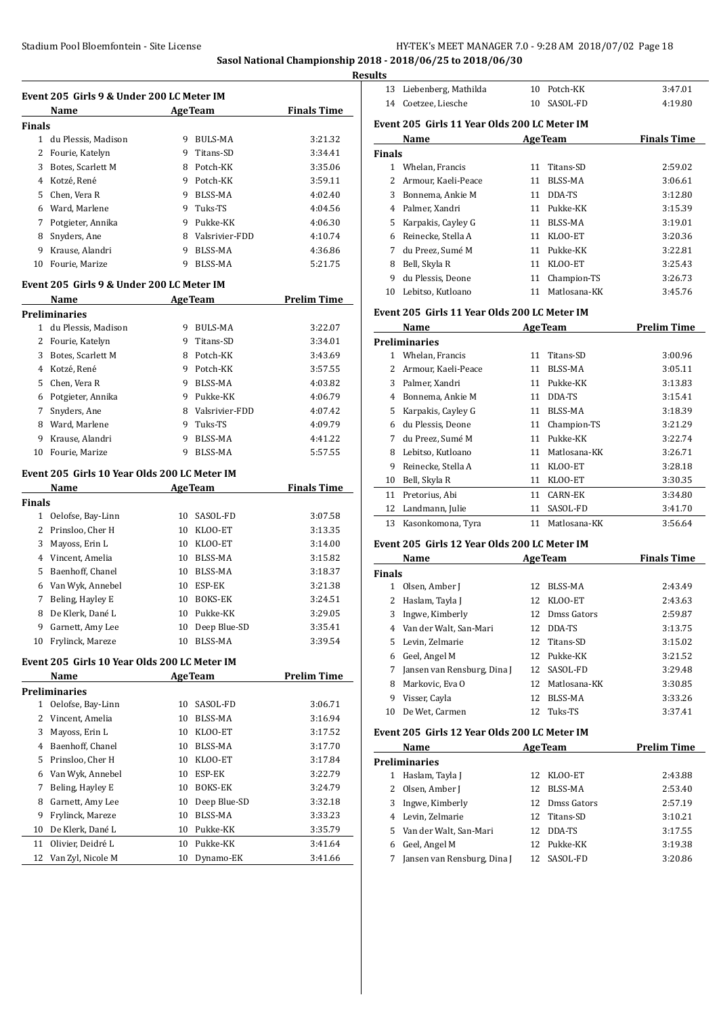**Sasol National Championship 2018 - 2018/06/25 to 2018/06/30**

**Results**

|        | Name                |   | <b>AgeTeam</b> | <b>Finals Time</b> |
|--------|---------------------|---|----------------|--------------------|
| Finals |                     |   |                |                    |
| 1      | du Plessis, Madison | 9 | BULS-MA        | 3:21.32            |
| 2      | Fourie, Katelyn     | 9 | Titans-SD      | 3:34.41            |
| 3      | Botes, Scarlett M   | 8 | Potch-KK       | 3:35.06            |
| 4      | Kotzé, René         | 9 | Potch-KK       | 3:59.11            |
| 5.     | Chen. Vera R        | 9 | BLSS-MA        | 4:02.40            |
| 6      | Ward, Marlene       | 9 | Tuks-TS        | 4:04.56            |
| 7      | Potgieter, Annika   | 9 | Pukke-KK       | 4:06.30            |
| 8      | Snyders, Ane        | 8 | Valsrivier-FDD | 4:10.74            |
| 9      | Krause, Alandri     | 9 | BLSS-MA        | 4:36.86            |
| 10     | Fourie, Marize      | 9 | BLSS-MA        | 5:21.75            |

# **Event 205 Girls 9 & Under 200 LC Meter IM**

|    | Name                 |   | <b>AgeTeam</b> | <b>Prelim Time</b> |
|----|----------------------|---|----------------|--------------------|
|    | <b>Preliminaries</b> |   |                |                    |
| 1  | du Plessis, Madison  | 9 | BULS-MA        | 3:22.07            |
|    | Fourie, Katelyn      | 9 | Titans-SD      | 3:34.01            |
| 3  | Botes. Scarlett M    | 8 | Potch-KK       | 3:43.69            |
| 4  | Kotzé, René          | 9 | Potch-KK       | 3:57.55            |
| 5. | Chen. Vera R         | 9 | BLSS-MA        | 4:03.82            |
| 6  | Potgieter, Annika    | 9 | Pukke-KK       | 4:06.79            |
|    | Snyders, Ane         | 8 | Valsrivier-FDD | 4:07.42            |
| 8  | Ward, Marlene        | 9 | Tuks-TS        | 4:09.79            |
| 9  | Krause, Alandri      | 9 | BLSS-MA        | 4:41.22            |
| 10 | Fourie, Marize       | 9 | <b>BLSS-MA</b> | 5:57.55            |

#### **Event 205 Girls 10 Year Olds 200 LC Meter IM**

|               | Name               |    | <b>AgeTeam</b> | <b>Finals Time</b> |
|---------------|--------------------|----|----------------|--------------------|
| <b>Finals</b> |                    |    |                |                    |
| 1             | Oelofse, Bay-Linn  | 10 | SASOL-FD       | 3:07.58            |
|               | 2 Prinsloo, Cher H | 10 | KLOO-ET        | 3:13.35            |
| 3             | Mayoss, Erin L     | 10 | KLOO-ET        | 3:14.00            |
| 4             | Vincent, Amelia    | 10 | BLSS-MA        | 3:15.82            |
| 5.            | Baenhoff, Chanel   | 10 | BLSS-MA        | 3:18.37            |
| 6             | Van Wyk, Annebel   | 10 | ESP-EK         | 3:21.38            |
| 7             | Beling, Hayley E   | 10 | <b>BOKS-EK</b> | 3:24.51            |
| 8             | De Klerk, Dané L   | 10 | Pukke-KK       | 3:29.05            |
| 9             | Garnett, Amy Lee   | 10 | Deep Blue-SD   | 3:35.41            |
| 10            | Frylinck, Mareze   | 10 | <b>BLSS-MA</b> | 3:39.54            |

#### **Event 205 Girls 10 Year Olds 200 LC Meter IM**

|    | Name                 |    | <b>AgeTeam</b> | <b>Prelim Time</b> |
|----|----------------------|----|----------------|--------------------|
|    | <b>Preliminaries</b> |    |                |                    |
| 1  | Oelofse, Bay-Linn    | 10 | SASOL-FD       | 3:06.71            |
| 2  | Vincent, Amelia      | 10 | BLSS-MA        | 3:16.94            |
| 3  | Mayoss, Erin L       | 10 | KLOO-ET        | 3:17.52            |
| 4  | Baenhoff, Chanel     | 10 | BLSS-MA        | 3:17.70            |
| 5  | Prinsloo, Cher H     | 10 | KLOO-ET        | 3:17.84            |
| 6  | Van Wyk, Annebel     | 10 | ESP-EK         | 3:22.79            |
| 7  | Beling, Hayley E     | 10 | <b>BOKS-EK</b> | 3:24.79            |
| 8  | Garnett, Amy Lee     | 10 | Deep Blue-SD   | 3:32.18            |
| 9  | Frylinck, Mareze     | 10 | BLSS-MA        | 3:33.23            |
| 10 | De Klerk, Dané L     | 10 | Pukke-KK       | 3:35.79            |
| 11 | Olivier, Deidré L    | 10 | Pukke-KK       | 3:41.64            |
| 12 | Van Zyl, Nicole M    | 10 | Dynamo-EK      | 3:41.66            |
|    |                      |    |                |                    |

| нs     |                                               |    |                |                    |
|--------|-----------------------------------------------|----|----------------|--------------------|
| 13     | Liebenberg, Mathilda                          | 10 | Potch-KK       | 3:47.01            |
| 14     | Coetzee, Liesche                              | 10 | SASOL-FD       | 4:19.80            |
|        | Event 205  Girls 11 Year Olds 200 LC Meter IM |    |                |                    |
|        | Name                                          |    | <b>AgeTeam</b> | <b>Finals Time</b> |
| Finals |                                               |    |                |                    |
| 1      | Whelan, Francis                               | 11 | Titans-SD      | 2:59.02            |
| 2      | Armour, Kaeli-Peace                           | 11 | BLSS-MA        | 3:06.61            |
| 3      | Bonnema, Ankie M                              | 11 | DDA-TS         | 3:12.80            |
| 4      | Palmer, Xandri                                | 11 | Pukke-KK       | 3:15.39            |
| 5      | Karpakis, Cayley G                            | 11 | <b>BLSS-MA</b> | 3:19.01            |
| 6      | Reinecke, Stella A                            | 11 | KLOO-ET        | 3:20.36            |
| 7      | du Preez, Sumé M                              | 11 | Pukke-KK       | 3:22.81            |
| 8      | Bell, Skyla R                                 | 11 | KLOO-ET        | 3:25.43            |
| 9      | du Plessis, Deone                             | 11 | Champion-TS    | 3:26.73            |
| 10     | Lebitso, Kutloano                             | 11 | Matlosana-KK   | 3:45.76            |
|        |                                               |    |                |                    |

# **Event 205 Girls 11 Year Olds 200 LC Meter IM**

|    | Name                 | <b>AgeTeam</b> |                | Prelim Time |
|----|----------------------|----------------|----------------|-------------|
|    | <b>Preliminaries</b> |                |                |             |
|    | Whelan, Francis      | 11             | Titans-SD      | 3:00.96     |
| 2  | Armour, Kaeli-Peace  | 11             | BLSS-MA        | 3:05.11     |
| 3  | Palmer, Xandri       | 11             | Pukke-KK       | 3:13.83     |
| 4  | Bonnema, Ankie M     | 11             | DDA-TS         | 3:15.41     |
| 5. | Karpakis, Cayley G   | 11             | BLSS-MA        | 3:18.39     |
| 6  | du Plessis, Deone    | 11             | Champion-TS    | 3:21.29     |
| 7  | du Preez, Sumé M     | 11             | Pukke-KK       | 3:22.74     |
| 8  | Lebitso, Kutloano    | 11             | Matlosana-KK   | 3:26.71     |
| 9  | Reinecke, Stella A   | 11             | KLOO-ET        | 3:28.18     |
| 10 | Bell, Skyla R        | 11             | KLOO-ET        | 3:30.35     |
| 11 | Pretorius, Abi       | 11             | <b>CARN-EK</b> | 3:34.80     |
| 12 | Landmann, Julie      | 11             | SASOL-FD       | 3:41.70     |
| 13 | Kasonkomona, Tyra    | 11             | Matlosana-KK   | 3:56.64     |

#### **Event 205 Girls 12 Year Olds 200 LC Meter IM**

| Name          |                             |     | <b>AgeTeam</b> | <b>Finals Time</b> |
|---------------|-----------------------------|-----|----------------|--------------------|
| <b>Finals</b> |                             |     |                |                    |
|               | Olsen, Amber J              | 12  | BLSS-MA        | 2:43.49            |
| 2             | Haslam, Tayla J             | 12. | KLOO-ET        | 2:43.63            |
| 3             | Ingwe, Kimberly             | 12  | Dmss Gators    | 2:59.87            |
| 4             | Van der Walt, San-Mari      | 12  | DDA-TS         | 3:13.75            |
|               | 5 Levin, Zelmarie           |     | 12 Titans-SD   | 3:15.02            |
| 6             | Geel, Angel M               |     | 12 Pukke-KK    | 3:21.52            |
| 7             | Jansen van Rensburg, Dina J | 12. | SASOL-FD       | 3:29.48            |
| 8             | Markovic, Eva O             | 12  | Matlosana-KK   | 3:30.85            |
| 9             | Visser, Cayla               | 12. | BLSS-MA        | 3:33.26            |
| 10            | De Wet, Carmen              | 12. | Tuks-TS        | 3:37.41            |

## **Event 205 Girls 12 Year Olds 200 LC Meter IM**

| Name |                             |     | <b>AgeTeam</b> | <b>Prelim Time</b> |
|------|-----------------------------|-----|----------------|--------------------|
|      | <b>Preliminaries</b>        |     |                |                    |
| 1    | Haslam, Tayla J             | 12. | KLOO-ET        | 2:43.88            |
|      | Olsen, Amber J              | 12  | BLSS-MA        | 2:53.40            |
| 3.   | Ingwe, Kimberly             | 12. | Dmss Gators    | 2:57.19            |
| 4    | Levin, Zelmarie             |     | 12 Titans-SD   | 3:10.21            |
| 5.   | Van der Walt, San-Mari      | 12. | DDA-TS         | 3:17.55            |
|      | Geel, Angel M               | 12  | Pukke-KK       | 3:19.38            |
|      | Jansen van Rensburg, Dina J | 12  | SASOL-FD       | 3:20.86            |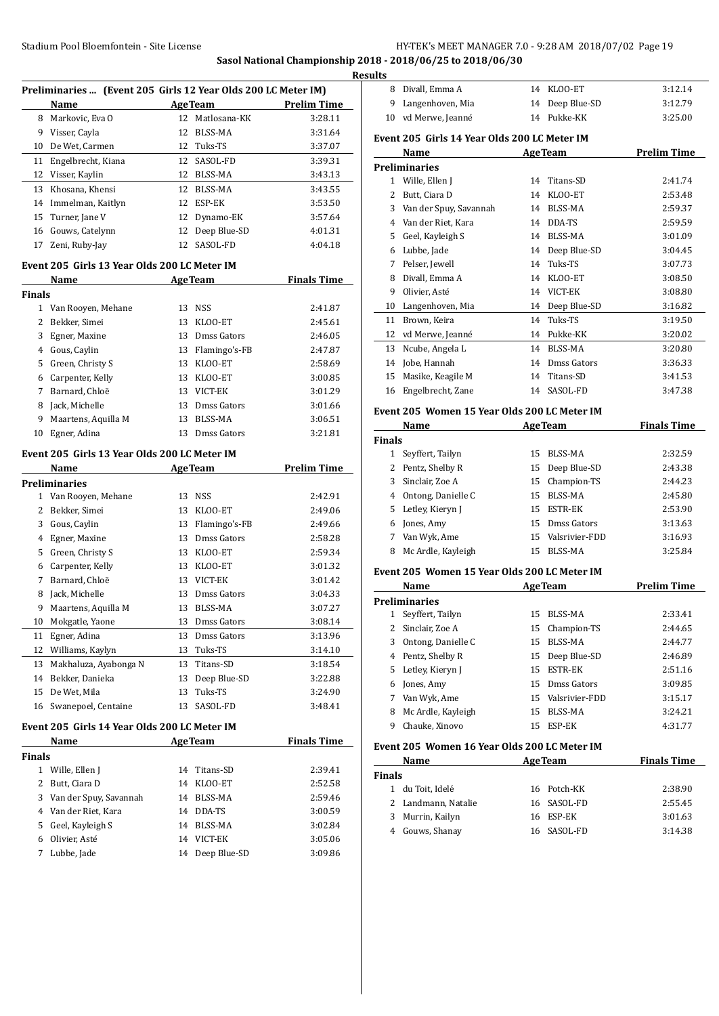**Sasol National Championship 2018 - 2018/06/25 to 2018/06/30**

| Preliminaries  (Event 205 Girls 12 Year Olds 200 LC Meter IM) |                                              |    |                  |                    |  |  |
|---------------------------------------------------------------|----------------------------------------------|----|------------------|--------------------|--|--|
|                                                               | Name                                         |    | <b>AgeTeam</b>   | <b>Prelim Time</b> |  |  |
|                                                               | 8 Markovic, Eva O                            |    | 12 Matlosana-KK  | 3:28.11            |  |  |
|                                                               | 9 Visser, Cayla                              | 12 | BLSS-MA          | 3:31.64            |  |  |
| 10                                                            | De Wet, Carmen                               |    | 12 Tuks-TS       | 3:37.07            |  |  |
|                                                               | 11 Engelbrecht, Kiana                        |    | 12 SASOL-FD      | 3:39.31            |  |  |
|                                                               | 12 Visser, Kaylin                            |    | 12 BLSS-MA       | 3:43.13            |  |  |
|                                                               | 13 Khosana, Khensi                           |    | 12 BLSS-MA       | 3:43.55            |  |  |
|                                                               | 14 Immelman, Kaitlyn                         | 12 | ESP-EK           | 3:53.50            |  |  |
|                                                               | 15 Turner, Jane V                            | 12 | Dynamo-EK        | 3:57.64            |  |  |
|                                                               | 16 Gouws, Catelynn                           | 12 | Deep Blue-SD     | 4:01.31            |  |  |
| 17                                                            | Zeni, Ruby-Jay                               | 12 | SASOL-FD         | 4:04.18            |  |  |
|                                                               | Event 205 Girls 13 Year Olds 200 LC Meter IM |    |                  |                    |  |  |
|                                                               | Name                                         |    | <b>AgeTeam</b>   | <b>Finals Time</b> |  |  |
| <b>Finals</b>                                                 |                                              |    |                  |                    |  |  |
|                                                               | 1 Van Rooyen, Mehane                         |    | 13 NSS           | 2:41.87            |  |  |
|                                                               | 2 Bekker, Simei                              | 13 | KLOO-ET          | 2:45.61            |  |  |
|                                                               | 3 Egner, Maxine                              | 13 | Dmss Gators      | 2:46.05            |  |  |
|                                                               | 4 Gous, Caylin                               | 13 | Flamingo's-FB    | 2:47.87            |  |  |
|                                                               | 5 Green, Christy S                           | 13 | KLOO-ET          | 2:58.69            |  |  |
|                                                               | 6 Carpenter, Kelly                           | 13 | KLOO-ET          | 3:00.85            |  |  |
|                                                               | 7 Barnard, Chloë                             |    | 13 VICT-EK       | 3:01.29            |  |  |
| 8                                                             | Jack, Michelle                               | 13 | Dmss Gators      | 3:01.66            |  |  |
| 9                                                             | Maartens, Aquilla M                          | 13 | BLSS-MA          | 3:06.51            |  |  |
| 10                                                            | Egner, Adina                                 |    | 13 Dmss Gators   | 3:21.81            |  |  |
|                                                               |                                              |    |                  |                    |  |  |
|                                                               | Event 205 Girls 13 Year Olds 200 LC Meter IM |    |                  |                    |  |  |
|                                                               | Name                                         |    | <b>AgeTeam</b>   | <b>Prelim Time</b> |  |  |
|                                                               | Preliminaries                                |    |                  |                    |  |  |
|                                                               | 1 Van Rooyen, Mehane                         |    | 13 NSS           | 2:42.91            |  |  |
|                                                               | 2 Bekker, Simei                              | 13 | KLOO-ET          | 2:49.06            |  |  |
|                                                               | 3 Gous, Caylin                               |    | 13 Flamingo's-FB | 2:49.66            |  |  |
|                                                               | 4 Egner, Maxine                              | 13 | Dmss Gators      | 2:58.28            |  |  |
|                                                               | 5 Green, Christy S                           | 13 | KLOO-ET          | 2:59.34            |  |  |
|                                                               | 6 Carpenter, Kelly                           | 13 | KLOO-ET          | 3:01.32            |  |  |
|                                                               | 7 Barnard, Chloë                             | 13 | VICT-EK          | 3:01.42            |  |  |
| 8                                                             | Jack, Michelle                               | 13 | Dmss Gators      | 3:04.33            |  |  |
| 9                                                             | Maartens, Aquilla M                          | 13 | BLSS-MA          | 3:07.27            |  |  |
| 10                                                            | Mokgatle, Yaone                              | 13 | Dmss Gators      | 3:08.14            |  |  |
| 11                                                            | Egner, Adina                                 | 13 | Dmss Gators      | 3:13.96            |  |  |
| 12                                                            | Williams, Kaylyn                             | 13 | Tuks-TS          | 3:14.10            |  |  |
| 13                                                            | Makhaluza, Ayabonga N                        | 13 | Titans-SD        | 3:18.54            |  |  |
| 14                                                            | Bekker, Danieka                              | 13 | Deep Blue-SD     | 3:22.88            |  |  |
| 15                                                            | De Wet, Mila                                 | 13 | Tuks-TS          | 3:24.90            |  |  |
| 16                                                            | Swanepoel, Centaine                          | 13 | SASOL-FD         | 3:48.41            |  |  |
|                                                               |                                              |    |                  |                    |  |  |
|                                                               | Event 205 Girls 14 Year Olds 200 LC Meter IM |    |                  |                    |  |  |
|                                                               | Name                                         |    | <b>AgeTeam</b>   | <b>Finals Time</b> |  |  |
| <b>Finals</b>                                                 | 1 Wille, Ellen J                             | 14 | Titans-SD        | 2:39.41            |  |  |
| 2                                                             | Butt, Ciara D                                | 14 |                  |                    |  |  |
|                                                               |                                              |    | KLOO-ET          | 2:52.58            |  |  |
| 3                                                             | Van der Spuy, Savannah                       | 14 | BLSS-MA          | 2:59.46            |  |  |
| 4                                                             | Van der Riet, Kara                           | 14 | DDA-TS           | 3:00.59            |  |  |
| 5                                                             | Geel, Kayleigh S                             | 14 | BLSS-MA          | 3:02.84            |  |  |
| 6                                                             | Olivier, Asté                                | 14 | VICT-EK          | 3:05.06            |  |  |
| 7                                                             | Lubbe, Jade                                  | 14 | Deep Blue-SD     | 3:09.86            |  |  |

| <u>esults</u> |                                              |    |                 |                    |
|---------------|----------------------------------------------|----|-----------------|--------------------|
|               | 8 Divall, Emma A                             |    | 14 KLOO-ET      | 3:12.14            |
| 9             | Langenhoven, Mia                             |    | 14 Deep Blue-SD | 3:12.79            |
|               | 10 vd Merwe, Jeanné                          |    | 14 Pukke-KK     | 3:25.00            |
|               | Event 205 Girls 14 Year Olds 200 LC Meter IM |    |                 |                    |
|               | Name                                         |    | <b>AgeTeam</b>  | <b>Prelim Time</b> |
|               | <b>Preliminaries</b>                         |    |                 |                    |
|               | 1 Wille, Ellen J                             | 14 | Titans-SD       | 2:41.74            |
| 2             | Butt, Ciara D                                |    | 14 KLOO-ET      | 2:53.48            |
|               | 3 Van der Spuy, Savannah                     |    | 14 BLSS-MA      | 2:59.37            |
|               | 4 Van der Riet, Kara                         |    | 14 DDA-TS       | 2:59.59            |
|               | 5 Geel, Kayleigh S                           |    | 14 BLSS-MA      | 3:01.09            |
|               | 6 Lubbe, Jade                                | 14 | Deep Blue-SD    | 3:04.45            |
| 7             | Pelser, Jewell                               | 14 | Tuks-TS         | 3:07.73            |
|               | 8 Divall, Emma A                             |    | 14 KLOO-ET      | 3:08.50            |
| 9             | Olivier, Asté                                |    | 14 VICT-EK      | 3:08.80            |
|               | 10 Langenhoven, Mia                          |    | 14 Deep Blue-SD | 3:16.82            |
|               | 11 Brown, Keira                              | 14 | Tuks-TS         | 3:19.50            |
|               | 12 vd Merwe, Jeanné                          |    | 14 Pukke-KK     | 3:20.02            |
|               | 13 Ncube, Angela L                           |    | 14 BLSS-MA      | 3:20.80            |
| 14            | Jobe, Hannah                                 |    | 14 Dmss Gators  | 3:36.33            |
| 15            | Masike, Keagile M                            |    | 14 Titans-SD    | 3:41.53            |
| 16            | Engelbrecht, Zane                            |    | 14 SASOL-FD     | 3:47.38            |
|               | Event 205 Women 15 Year Olds 200 LC Meter IM |    |                 |                    |
|               | Name                                         |    | <b>AgeTeam</b>  | <b>Finals Time</b> |
| <b>Finals</b> |                                              |    |                 |                    |
|               | 1 Seyffert, Tailyn                           | 15 | BLSS-MA         | 2:32.59            |
|               | 2 Pentz, Shelby R                            |    | 15 Deep Blue-SD | 2:43.38            |
|               | 3 Sinclair, Zoe A                            |    | 15 Champion-TS  | 2:44.23            |
|               | 4 Ontong, Danielle C                         | 15 | <b>BLSS-MA</b>  | 2:45.80            |
|               | 5 Letley, Kieryn J                           | 15 | <b>ESTR-EK</b>  | 2:53.90            |
|               | 6 Jones, Amy                                 | 15 | Dmss Gators     | 3:13.63            |
|               | 7 Van Wyk, Ame                               | 15 | Valsrivier-FDD  | 3:16.93            |
|               | 8 Mc Ardle, Kayleigh                         |    | 15 BLSS-MA      | 3:25.84            |
|               | Event 205 Women 15 Year Olds 200 LC Meter IM |    |                 |                    |
|               | Name                                         |    | <b>AgeTeam</b>  | <b>Prelim Time</b> |
|               | <b>Preliminaries</b>                         |    |                 |                    |
| 1             | Seyffert, Tailyn                             |    | 15 BLSS-MA      | 2:33.41            |
| 2             | Sinclair, Zoe A                              |    | 15 Champion-TS  | 2:44.65            |
|               | 2. Ontong Danielle C                         |    | 15 RICC-MA      | 7.44.77            |

|   | 3 Ontong, Danielle C |     | 15 BLSS-MA        | 2:44.77 |
|---|----------------------|-----|-------------------|---------|
|   | 4 Pentz, Shelby R    |     | 15 Deep Blue-SD   | 2:46.89 |
|   | 5 Letley, Kieryn J   |     | 15 ESTR-EK        | 2:51.16 |
|   | 6 Jones, Amy         |     | 15 Dmss Gators    | 3:09.85 |
|   | 7 Van Wyk, Ame       |     | 15 Valsrivier-FDD | 3:15.17 |
|   | 8 Mc Ardle, Kayleigh |     | 15 BLSS-MA        | 3:24.21 |
| 9 | Chauke, Xinovo       | 15. | ESP-EK            | 4:31.77 |

# **Event 205 Women 16 Year Olds 200 LC Meter IM**

| Name                | <b>AgeTeam</b> | <b>Finals Time</b> |
|---------------------|----------------|--------------------|
| Finals              |                |                    |
| du Toit, Idelé<br>1 | 16 Potch-KK    | 2:38.90            |
| 2 Landmann, Natalie | 16 SASOL-FD    | 2:55.45            |
| Murrin, Kailyn<br>3 | 16 ESP-EK      | 3:01.63            |
| Gouws, Shanay       | 16 SASOL-FD    | 3:14.38            |
|                     |                |                    |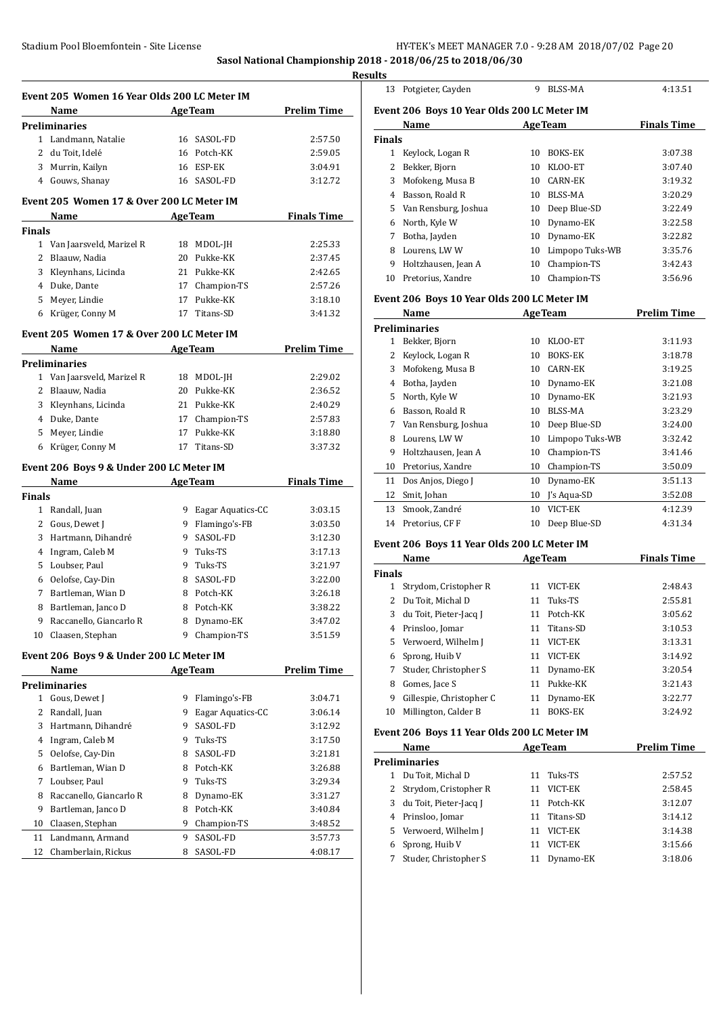**Sasol National Championship 2018 - 2018/06/25 to 2018/06/30**

**Results**

| Event 205 Women 16 Year Olds 200 LC Meter IM |                                           |    |                     |                    |  |
|----------------------------------------------|-------------------------------------------|----|---------------------|--------------------|--|
|                                              | Name<br><b>Example 2</b> Age Team         |    |                     | <b>Prelim Time</b> |  |
|                                              | <b>Preliminaries</b>                      |    |                     |                    |  |
|                                              | 1 Landmann, Natalie                       |    | 16 SASOL-FD         | 2:57.50            |  |
|                                              | 2 du Toit, Idelé                          |    | 16 Potch-KK         | 2:59.05            |  |
|                                              | 3 Murrin, Kailyn                          |    | 16 ESP-EK           | 3:04.91            |  |
|                                              | 4 Gouws, Shanay                           |    | 16 SASOL-FD         | 3:12.72            |  |
|                                              | Event 205 Women 17 & Over 200 LC Meter IM |    |                     |                    |  |
|                                              | Name                                      |    | <b>AgeTeam</b>      | <b>Finals Time</b> |  |
| <b>Finals</b>                                |                                           |    |                     |                    |  |
|                                              | 1 Van Jaarsveld, Marizel R                |    | 18 MDOL-JH          | 2:25.33            |  |
|                                              | 2 Blaauw, Nadia                           |    | 20 Pukke-KK         | 2:37.45            |  |
|                                              | 3 Kleynhans, Licinda                      |    | 21 Pukke-KK         | 2:42.65            |  |
|                                              | 4 Duke, Dante                             |    | 17 Champion-TS      | 2:57.26            |  |
|                                              | 5 Meyer, Lindie                           |    | 17 Pukke-KK         | 3:18.10            |  |
|                                              | 6 Krüger, Conny M                         | 17 | Titans-SD           | 3:41.32            |  |
|                                              | Event 205 Women 17 & Over 200 LC Meter IM |    |                     |                    |  |
|                                              | Name                                      |    | <b>AgeTeam</b>      | <b>Prelim Time</b> |  |
|                                              | <b>Preliminaries</b>                      |    |                     |                    |  |
|                                              | 1 Van Jaarsveld, Marizel R                |    | 18 MDOL-JH          | 2:29.02            |  |
|                                              | 2 Blaauw, Nadia                           |    | 20 Pukke-KK         | 2:36.52            |  |
|                                              | 3 Kleynhans, Licinda                      |    | 21 Pukke-KK         | 2:40.29            |  |
|                                              | 4 Duke, Dante                             |    | 17 Champion-TS      | 2:57.83            |  |
|                                              | 5 Meyer, Lindie                           |    | 17 Pukke-KK         | 3:18.80            |  |
|                                              | 6 Krüger, Conny M                         | 17 | Titans-SD           | 3:37.32            |  |
|                                              |                                           |    |                     |                    |  |
|                                              | Event 206 Boys 9 & Under 200 LC Meter IM  |    |                     |                    |  |
|                                              | <b>Example 2</b> Age Team<br>Name         |    |                     | <b>Finals Time</b> |  |
| <b>Finals</b>                                |                                           |    |                     |                    |  |
|                                              | 1 Randall, Juan                           |    | 9 Eagar Aquatics-CC | 3:03.15            |  |
|                                              | 2 Gous, Dewet J                           |    | 9 Flamingo's-FB     | 3:03.50            |  |
|                                              |                                           |    |                     |                    |  |
|                                              | 3 Hartmann, Dihandré                      |    | 9 SASOL-FD          | 3:12.30            |  |
|                                              | 4 Ingram, Caleb M                         |    | 9 Tuks-TS           | 3:17.13            |  |
|                                              | 5 Loubser, Paul                           |    | 9 Tuks-TS           | 3:21.97            |  |
|                                              | 6 Oelofse, Cay-Din                        |    | 8 SASOL-FD          | 3:22.00            |  |
| 7                                            | Bartleman, Wian D                         |    | 8 Potch-KK          | 3:26.18            |  |
|                                              | 8 Bartleman, Janco D                      |    | 8 Potch-KK          | 3:38.22            |  |
| 9                                            | Raccanello, Giancarlo R                   | 8  | Dynamo-EK           | 3:47.02            |  |
|                                              | 10 Claasen, Stephan                       | 9  | Champion-TS         | 3:51.59            |  |
|                                              | Event 206 Boys 9 & Under 200 LC Meter IM  |    |                     |                    |  |
|                                              | Name                                      |    | <b>AgeTeam</b>      | <b>Prelim Time</b> |  |
|                                              | <b>Preliminaries</b>                      |    |                     |                    |  |
|                                              | 1 Gous, Dewet J                           | 9. | Flamingo's-FB       | 3:04.71            |  |
|                                              | 2 Randall, Juan                           | 9  | Eagar Aquatics-CC   | 3:06.14            |  |
|                                              | 3 Hartmann, Dihandré                      | 9  | SASOL-FD            | 3:12.92            |  |
|                                              | 4 Ingram, Caleb M                         |    | 9 Tuks-TS           | 3:17.50            |  |
| 5                                            | Oelofse, Cay-Din                          | 8. | SASOL-FD            | 3:21.81            |  |
|                                              | 6 Bartleman, Wian D                       |    | 8 Potch-KK          | 3:26.88            |  |
| 7                                            | Loubser, Paul                             |    | 9 Tuks-TS           | 3:29.34            |  |
|                                              | 8 Raccanello, Giancarlo R                 | 8  | Dynamo-EK           | 3:31.27            |  |
| 9                                            | Bartleman, Janco D                        |    | 8 Potch-KK          | 3:40.84            |  |
| 10                                           | Claasen, Stephan                          |    | 9 Champion-TS       | 3:48.52            |  |
| 11                                           | Landmann, Armand                          | 9  | SASOL-FD            | 3:57.73            |  |
| 12                                           | Chamberlain, Rickus                       | 8  | SASOL-FD            | 4:08.17            |  |

| 13             | Potgieter, Cayden                           | 9  | <b>BLSS-MA</b>  | 4:13.51            |
|----------------|---------------------------------------------|----|-----------------|--------------------|
|                | Event 206 Boys 10 Year Olds 200 LC Meter IM |    |                 |                    |
|                | Name                                        |    | <b>AgeTeam</b>  | <b>Finals Time</b> |
| <b>Finals</b>  |                                             |    |                 |                    |
| $\mathbf{1}$   | Keylock, Logan R                            | 10 | <b>BOKS-EK</b>  | 3:07.38            |
| $\overline{c}$ | Bekker, Bjorn                               | 10 | KLOO-ET         | 3:07.40            |
| 3              | Mofokeng, Musa B                            | 10 | <b>CARN-EK</b>  | 3:19.32            |
| 4              | Basson, Roald R                             | 10 | BLSS-MA         | 3:20.29            |
| 5              | Van Rensburg, Joshua                        | 10 | Deep Blue-SD    | 3:22.49            |
| 6              | North, Kyle W                               | 10 | Dynamo-EK       | 3:22.58            |
| 7              | Botha, Jayden                               | 10 | Dynamo-EK       | 3:22.82            |
| 8              | Lourens, LWW                                | 10 | Limpopo Tuks-WB | 3:35.76            |
| 9              | Holtzhausen, Jean A                         | 10 | Champion-TS     | 3:42.43            |
| 10             | Pretorius, Xandre                           | 10 | Champion-TS     | 3:56.96            |
|                | Event 206 Boys 10 Year Olds 200 LC Meter IM |    |                 |                    |
|                |                                             |    |                 |                    |
|                | Name                                        |    | <b>AgeTeam</b>  | <b>Prelim Time</b> |
|                | <b>Preliminaries</b>                        |    |                 |                    |
| 1              | Bekker, Bjorn                               | 10 | KLOO-ET         | 3:11.93            |
| 2              | Keylock, Logan R                            | 10 | <b>BOKS-EK</b>  | 3:18.78            |
| 3              | Mofokeng, Musa B                            |    | 10 CARN-EK      | 3:19.25            |
| 4              | Botha, Jayden                               | 10 | Dynamo-EK       | 3:21.08            |
| 5              | North, Kyle W                               | 10 | Dynamo-EK       | 3:21.93            |
| 6              | Basson, Roald R                             | 10 | BLSS-MA         | 3:23.29            |
| 7              | Van Rensburg, Joshua                        | 10 | Deep Blue-SD    | 3:24.00            |
| 8              | Lourens, LWW                                | 10 | Limpopo Tuks-WB | 3:32.42            |
| 9              | Holtzhausen, Jean A                         | 10 | Champion-TS     | 3:41.46            |
| 10             | Pretorius, Xandre                           | 10 | Champion-TS     | 3:50.09            |
| 11             | Dos Anjos, Diego J                          | 10 | Dynamo-EK       | 3:51.13            |
| 12             | Smit, Johan                                 | 10 | J's Aqua-SD     | 3:52.08            |
| 13             | Smook. Zandré                               | 10 | VICT-EK         | 4:12.39            |

# **Event 206 Boys 11 Year Olds 200 LC Meter IM**

|               | Name                     | <b>AgeTeam</b> |                | <b>Finals Time</b> |
|---------------|--------------------------|----------------|----------------|--------------------|
| <b>Finals</b> |                          |                |                |                    |
|               | Strydom, Cristopher R    | 11             | VICT-EK        | 2:48.43            |
| 2             | Du Toit, Michal D        | 11             | Tuks-TS        | 2:55.81            |
| 3             | du Toit, Pieter-Jacq J   | 11             | Potch-KK       | 3:05.62            |
| 4             | Prinsloo, Jomar          | 11             | Titans-SD      | 3:10.53            |
| 5.            | Verwoerd, Wilhelm J      | 11             | VICT-EK        | 3:13.31            |
| 6             | Sprong, Huib V           | 11             | VICT-EK        | 3:14.92            |
| 7             | Studer, Christopher S    | 11             | Dynamo-EK      | 3:20.54            |
| 8             | Gomes, Jace S            | 11             | Pukke-KK       | 3:21.43            |
| 9             | Gillespie, Christopher C | 11             | Dynamo-EK      | 3:22.77            |
| 10            | Millington, Calder B     | 11             | <b>BOKS-EK</b> | 3:24.92            |

# **Event 206 Boys 11 Year Olds 200 LC Meter IM**

| Name<br><b>AgeTeam</b> |                         |    |             | <b>Prelim Time</b> |
|------------------------|-------------------------|----|-------------|--------------------|
|                        | <b>Preliminaries</b>    |    |             |                    |
|                        | Du Toit, Michal D       | 11 | Tuks-TS     | 2:57.52            |
|                        | 2 Strydom, Cristopher R | 11 | VICT-EK     | 2:58.45            |
| 3                      | du Toit, Pieter-Jacq J  |    | 11 Potch-KK | 3:12.07            |
|                        | 4 Prinsloo, Jomar       | 11 | Titans-SD   | 3:14.12            |
|                        | 5 Verwoerd, Wilhelm J   | 11 | VICT-EK     | 3:14.38            |
| 6                      | Sprong, Huib V          | 11 | VICT-EK     | 3:15.66            |
|                        | Studer, Christopher S   | 11 | Dynamo-EK   | 3:18.06            |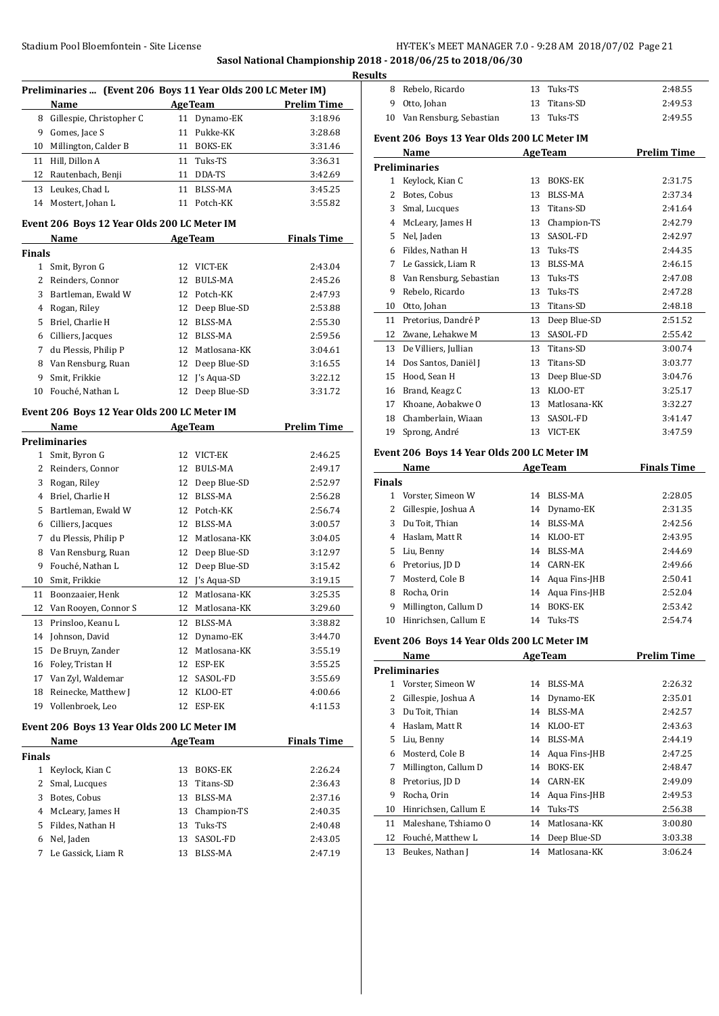**Sasol National Championship 2018 - 2018/06/25 to 2018/06/30**

 $\overline{a}$ 

|                                              | Preliminaries  (Event 206 Boys 11 Year Olds 200 LC Meter IM) |    |                 |                    |
|----------------------------------------------|--------------------------------------------------------------|----|-----------------|--------------------|
|                                              | Name                                                         |    | <b>AgeTeam</b>  | <b>Prelim Time</b> |
| 8                                            | Gillespie, Christopher C                                     |    | 11 Dynamo-EK    | 3:18.96            |
| 9                                            | Gomes, Jace S                                                | 11 | Pukke-KK        | 3:28.68            |
| 10                                           | Millington, Calder B                                         |    | 11 BOKS-EK      | 3:31.46            |
| 11                                           | Hill, Dillon A                                               | 11 | Tuks-TS         | 3:36.31            |
| 12                                           | Rautenbach, Benji                                            | 11 | DDA-TS          | 3:42.69            |
| 13                                           | Leukes, Chad L                                               | 11 | <b>BLSS-MA</b>  | 3:45.25            |
| 14                                           | Mostert, Johan L                                             | 11 | Potch-KK        | 3:55.82            |
| Event 206 Boys 12 Year Olds 200 LC Meter IM  |                                                              |    |                 |                    |
| <b>Finals Time</b><br><b>AgeTeam</b><br>Name |                                                              |    |                 |                    |
| Finals                                       |                                                              |    |                 |                    |
| 1                                            | Smit, Byron G                                                | 12 | VICT-EK         | 2:43.04            |
| 2                                            | Reinders, Connor                                             | 12 | <b>BULS-MA</b>  | 2:45.26            |
| 3                                            | Bartleman, Ewald W                                           |    | 12 Potch-KK     | 2:47.93            |
| 4                                            | Rogan, Riley                                                 |    | 12 Deep Blue-SD | 2:53.88            |
| 5                                            | Briel, Charlie H                                             |    | 12 BLSS-MA      | 2:55.30            |
| 6                                            | Cilliers, Jacques                                            |    | 12 BLSS-MA      | 2:59.56            |
| 7                                            | du Plessis, Philip P                                         |    | 12 Matlosana-KK | 3:04.61            |
| 8                                            | Van Rensburg, Ruan                                           | 12 | Deep Blue-SD    | 3:16.55            |
| 9                                            | Smit. Frikkie                                                | 12 | I's Aqua-SD     | 3:22.12            |
|                                              | Fouché, Nathan L                                             | 12 |                 |                    |
| 10                                           |                                                              |    | Deep Blue-SD    | 3:31.72            |
|                                              | Event 206 Boys 12 Year Olds 200 LC Meter IM                  |    |                 |                    |
|                                              | Name                                                         |    | <b>AgeTeam</b>  | <b>Prelim Time</b> |
|                                              | Preliminaries                                                |    |                 |                    |
| 1                                            | Smit, Byron G                                                | 12 | VICT-EK         | 2:46.25            |
| 2                                            | Reinders, Connor                                             | 12 | <b>BULS-MA</b>  | 2:49.17            |
| 3                                            | Rogan, Riley                                                 | 12 | Deep Blue-SD    | 2:52.97            |
| 4                                            | Briel, Charlie H                                             |    | 12 BLSS-MA      | 2:56.28            |
| 5                                            | Bartleman, Ewald W                                           |    | 12 Potch-KK     | 2:56.74            |
| 6                                            | Cilliers, Jacques                                            |    | 12 BLSS-MA      | 3:00.57            |
| 7                                            | du Plessis, Philip P                                         |    | 12 Matlosana-KK | 3:04.05            |
| 8                                            | Van Rensburg, Ruan                                           | 12 | Deep Blue-SD    | 3:12.97            |
| 9                                            | Fouché, Nathan L                                             | 12 | Deep Blue-SD    | 3:15.42            |
| 10                                           | Smit, Frikkie                                                |    | 12 J's Aqua-SD  | 3:19.15            |
| 11                                           | Boonzaaier, Henk                                             | 12 | Matlosana-KK    | 3:25.35            |
| 12                                           | Van Rooyen, Connor S                                         | 12 | Matlosana-KK    | 3:29.60            |
| 13                                           | Prinsloo, Keanu L                                            | 12 | <b>BLSS-MA</b>  | 3:38.82            |
| 14                                           | Johnson, David                                               | 12 | Dynamo-EK       | 3:44.70            |
| 15                                           | De Bruyn, Zander                                             | 12 | Matlosana-KK    | 3:55.19            |
| 16                                           | Foley, Tristan H                                             | 12 | ESP-EK          | 3:55.25            |
| 17                                           | Van Zyl, Waldemar                                            | 12 | SASOL-FD        | 3:55.69            |
| 18                                           | Reinecke, Matthew J                                          | 12 | KLOO-ET         | 4:00.66            |
| 19                                           | Vollenbroek, Leo                                             | 12 | ESP-EK          | 4:11.53            |
|                                              | Event 206 Boys 13 Year Olds 200 LC Meter IM                  |    |                 |                    |
|                                              | Name                                                         |    | <b>AgeTeam</b>  | <b>Finals Time</b> |
| <b>Finals</b>                                |                                                              |    |                 |                    |
| $\mathbf{1}$                                 | Keylock, Kian C                                              | 13 | <b>BOKS-EK</b>  | 2:26.24            |
| 2                                            | Smal, Lucques                                                | 13 | Titans-SD       | 2:36.43            |
| 3                                            | Botes, Cobus                                                 | 13 | BLSS-MA         | 2:37.16            |
| 4                                            | McLeary, James H                                             | 13 | Champion-TS     | 2:40.35            |
| 5                                            | Fildes, Nathan H                                             | 13 | Tuks-TS         | 2:40.48            |
| 6                                            | Nel, Jaden                                                   | 13 | SASOL-FD        | 2:43.05            |
| 7                                            | Le Gassick, Liam R                                           | 13 | <b>BLSS-MA</b>  | 2:47.19            |
|                                              |                                                              |    |                 |                    |

| <b>Results</b>                              |                            |  |              |         |  |
|---------------------------------------------|----------------------------|--|--------------|---------|--|
| 8                                           | Rebelo, Ricardo            |  | 13 Tuks-TS   | 2:48.55 |  |
|                                             | 9 Otto, Johan              |  | 13 Titans-SD | 2:49.53 |  |
|                                             | 10 Van Rensburg, Sebastian |  | 13 Tuks-TS   | 2:49.55 |  |
| Event 206 Boys 13 Year Olds 200 LC Meter IM |                            |  |              |         |  |

|                                             | Name                    | <b>AgeTeam</b> |                | <b>Prelim Time</b> |  |
|---------------------------------------------|-------------------------|----------------|----------------|--------------------|--|
|                                             | Preliminaries           |                |                |                    |  |
| 1                                           | Keylock, Kian C         | 13             | <b>BOKS-EK</b> | 2:31.75            |  |
| 2                                           | Botes, Cobus            | 13             | <b>BLSS-MA</b> | 2:37.34            |  |
| 3                                           | Smal, Lucques           | 13             | Titans-SD      | 2:41.64            |  |
| 4                                           | McLeary, James H        | 13             | Champion-TS    | 2:42.79            |  |
| 5                                           | Nel, Jaden              | 13             | SASOL-FD       | 2:42.97            |  |
| 6                                           | Fildes, Nathan H        | 13             | Tuks-TS        | 2:44.35            |  |
| 7                                           | Le Gassick, Liam R      | 13             | BLSS-MA        | 2:46.15            |  |
| 8                                           | Van Rensburg, Sebastian | 13             | Tuks-TS        | 2:47.08            |  |
| 9                                           | Rebelo, Ricardo         | 13             | Tuks-TS        | 2:47.28            |  |
| 10                                          | Otto, Johan             | 13             | Titans-SD      | 2:48.18            |  |
| 11                                          | Pretorius, Dandré P     | 13             | Deep Blue-SD   | 2:51.52            |  |
| 12                                          | Zwane, Lehakwe M        | 13             | SASOL-FD       | 2:55.42            |  |
| 13                                          | De Villiers, Jullian    | 13             | Titans-SD      | 3:00.74            |  |
| 14                                          | Dos Santos, Daniël J    | 13             | Titans-SD      | 3:03.77            |  |
| 15                                          | Hood, Sean H            | 13             | Deep Blue-SD   | 3:04.76            |  |
| 16                                          | Brand, Keagz C          | 13             | KLOO-ET        | 3:25.17            |  |
| 17                                          | Khoane, Aobakwe O       | 13             | Matlosana-KK   | 3:32.27            |  |
| 18                                          | Chamberlain, Wiaan      | 13             | SASOL-FD       | 3:41.47            |  |
| 19                                          | Sprong, André           | 13             | VICT-EK        | 3:47.59            |  |
| Event 206 Boys 14 Year Olds 200 LC Meter IM |                         |                |                |                    |  |

#### **Event 206 Boys 14 Year Olds 200 LC Meter IM**

|               | Name                 | <b>AgeTeam</b> |                  | <b>Finals Time</b> |
|---------------|----------------------|----------------|------------------|--------------------|
| <b>Finals</b> |                      |                |                  |                    |
|               | Vorster, Simeon W    | 14             | BLSS-MA          | 2:28.05            |
| 2             | Gillespie, Joshua A  |                | 14 Dynamo-EK     | 2:31.35            |
| 3             | Du Toit, Thian       | 14             | BLSS-MA          | 2:42.56            |
| 4             | Haslam, Matt R       | 14             | KLOO-ET          | 2:43.95            |
| 5.            | Liu, Benny           | 14             | BLSS-MA          | 2:44.69            |
| 6             | Pretorius, JD D      |                | 14 CARN-EK       | 2:49.66            |
| 7             | Mosterd, Cole B      |                | 14 Agua Fins-JHB | 2:50.41            |
| 8             | Rocha, Orin          |                | 14 Agua Fins-JHB | 2:52.04            |
| 9             | Millington, Callum D | 14             | <b>BOKS-EK</b>   | 2:53.42            |
| 10            | Hinrichsen, Callum E |                | 14 Tuks-TS       | 2:54.74            |

# **Event 206 Boys 14 Year Olds 200 LC Meter IM**

|    | Name                 | <b>AgeTeam</b> |                | <b>Prelim Time</b> |
|----|----------------------|----------------|----------------|--------------------|
|    | <b>Preliminaries</b> |                |                |                    |
| 1  | Vorster, Simeon W    | 14             | BLSS-MA        | 2:26.32            |
| 2  | Gillespie, Joshua A  | 14             | Dynamo-EK      | 2:35.01            |
| 3  | Du Toit, Thian       | 14             | BLSS-MA        | 2:42.57            |
| 4  | Haslam, Matt R       | 14             | KLOO-ET        | 2:43.63            |
| 5  | Liu, Benny           | 14             | BLSS-MA        | 2:44.19            |
| 6  | Mosterd, Cole B      | 14             | Aqua Fins-JHB  | 2:47.25            |
| 7  | Millington, Callum D | 14             | <b>BOKS-EK</b> | 2:48.47            |
| 8  | Pretorius, JD D      | 14             | CARN-EK        | 2:49.09            |
| 9  | Rocha, Orin          | 14             | Aqua Fins-JHB  | 2:49.53            |
| 10 | Hinrichsen, Callum E | 14             | Tuks-TS        | 2:56.38            |
| 11 | Maleshane, Tshiamo O | 14             | Matlosana-KK   | 3:00.80            |
| 12 | Fouché, Matthew L    | 14             | Deep Blue-SD   | 3:03.38            |
| 13 | Beukes, Nathan J     | 14             | Matlosana-KK   | 3:06.24            |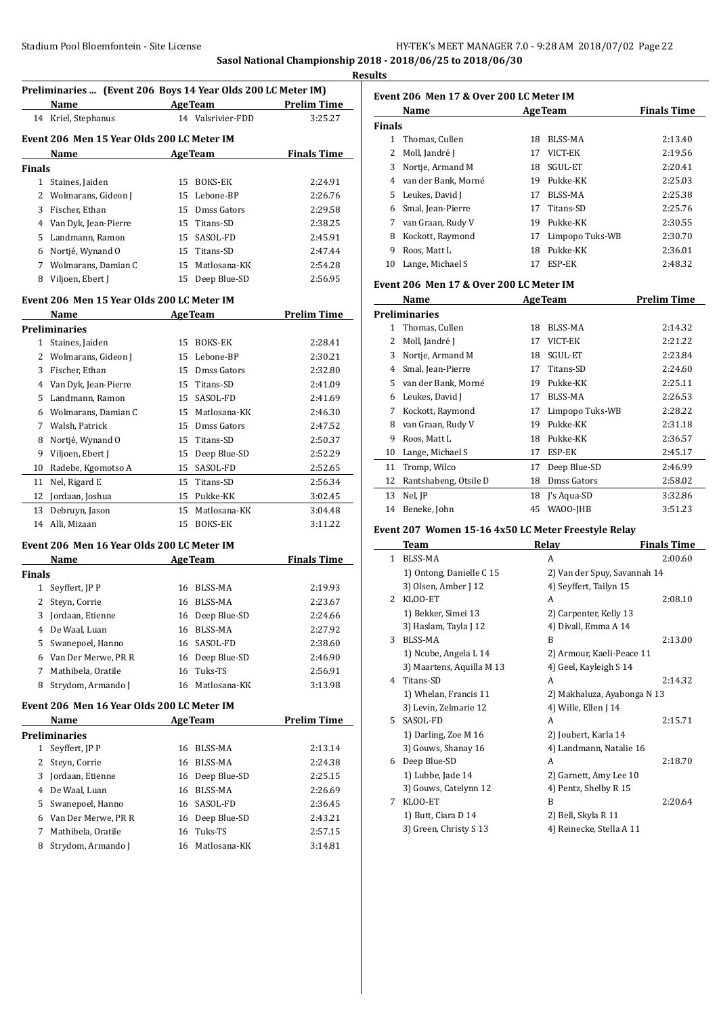# **Sasol National Championship 2018 - 2018/06/25 to 2018/06/30**

#### **Results**

| Preliminaries  (Event 206 Boys 14 Year Olds 200 LC Meter IM) |                                            |    |                   |                             |  |
|--------------------------------------------------------------|--------------------------------------------|----|-------------------|-----------------------------|--|
|                                                              | Name                                       |    | <b>AgeTeam</b>    | <b>Prelim Time</b>          |  |
|                                                              | 14 Kriel, Stephanus                        |    | 14 Valsrivier-FDD | 3:25.27                     |  |
|                                                              | Event 206 Men 15 Year Olds 200 LC Meter IM |    |                   |                             |  |
|                                                              | Name                                       |    | <b>AgeTeam</b>    | <b>Finals Time</b>          |  |
| Finals                                                       |                                            |    |                   |                             |  |
| 1.                                                           | Staines, Jaiden                            | 15 | <b>BOKS-EK</b>    | 2:24.91                     |  |
| 2                                                            | Wolmarans, Gideon J                        | 15 | Lebone-BP         | 2:26.76                     |  |
| 3                                                            | Fischer. Ethan                             |    | 15 Dmss Gators    | 2:29.58                     |  |
| 4                                                            | Van Dyk, Jean-Pierre                       |    | 15 Titans-SD      | 2:38.25                     |  |
| 5.                                                           | Landmann, Ramon                            |    | 15 SASOL-FD       | 2:45.91                     |  |
| 6                                                            | Nortié, Wynand O                           |    | 15 Titans-SD      | 2:47.44                     |  |
|                                                              | -  - - - -                                 |    |                   | $\sim$ $\sim$ $\sim$ $\sim$ |  |

 Wolmarans, Damian C 15 Matlosana-KK 2:54.28 8 Viljoen, Ebert J 15 Deep Blue-SD 2:56.95

# **Event 206 Men 15 Year Olds 200 LC Meter IM**

|    | Name                 | <b>AgeTeam</b> |                | <b>Prelim Time</b> |
|----|----------------------|----------------|----------------|--------------------|
|    | <b>Preliminaries</b> |                |                |                    |
| 1  | Staines, Jaiden      | 15             | <b>BOKS-EK</b> | 2:28.41            |
| 2  | Wolmarans, Gideon J  | 15             | Lebone-BP      | 2:30.21            |
| 3  | Fischer, Ethan       | 15             | Dmss Gators    | 2:32.80            |
| 4  | Van Dyk, Jean-Pierre | 15             | Titans-SD      | 2:41.09            |
| 5  | Landmann, Ramon      | 15             | SASOL-FD       | 2:41.69            |
| 6  | Wolmarans, Damian C  | 15             | Matlosana-KK   | 2:46.30            |
| 7  | Walsh, Patrick       | 15             | Dmss Gators    | 2:47.52            |
| 8  | Nortjé, Wynand O     | 15             | Titans-SD      | 2:50.37            |
| 9  | Viljoen, Ebert J     | 15             | Deep Blue-SD   | 2:52.29            |
| 10 | Radebe, Kgomotso A   | 15             | SASOL-FD       | 2:52.65            |
| 11 | Nel, Rigard E        | 15             | Titans-SD      | 2:56.34            |
| 12 | Jordaan, Joshua      | 15             | Pukke-KK       | 3:02.45            |
| 13 | Debruyn, Jason       | 15             | Matlosana-KK   | 3:04.48            |
| 14 | Alli, Mizaan         | 15             | <b>BOKS-EK</b> | 3:11.22            |

#### **Event 206 Men 16 Year Olds 200 LC Meter IM**

|               | Name                | <b>AgeTeam</b> |                 | <b>Finals Time</b> |
|---------------|---------------------|----------------|-----------------|--------------------|
| <b>Finals</b> |                     |                |                 |                    |
|               | Seyffert, JP P      | 16             | BLSS-MA         | 2:19.93            |
|               | Steyn, Corrie       | 16             | BLSS-MA         | 2:23.67            |
|               | 3 Jordaan, Etienne  |                | 16 Deep Blue-SD | 2:24.66            |
| 4             | De Waal, Luan       |                | 16 BLSS-MA      | 2:27.92            |
|               | 5 Swanepoel, Hanno  |                | 16 SASOL-FD     | 2:38.60            |
| 6             | Van Der Merwe, PR R |                | 16 Deep Blue-SD | 2:46.90            |
|               | Mathibela, Oratile  | 16             | Tuks-TS         | 2:56.91            |
| 8             | Strydom, Armando I  |                | 16 Matlosana-KK | 3:13.98            |

# **Event 206 Men 16 Year Olds 200 LC Meter IM**

|    | Name                | <b>AgeTeam</b> |                 | <b>Prelim Time</b> |
|----|---------------------|----------------|-----------------|--------------------|
|    | Preliminaries       |                |                 |                    |
|    | Seyffert, JP P      | 16.            | BLSS-MA         | 2:13.14            |
|    | Steyn, Corrie       | 16             | BLSS-MA         | 2:24.38            |
| 3  | Jordaan, Etienne    |                | 16 Deep Blue-SD | 2:25.15            |
| 4  | De Waal, Luan       | 16             | BLSS-MA         | 2:26.69            |
| 5. | Swanepoel, Hanno    |                | 16 SASOL-FD     | 2:36.45            |
| 6  | Van Der Merwe, PR R |                | 16 Deep Blue-SD | 2:43.21            |
| 7  | Mathibela, Oratile  |                | 16 Tuks-TS      | 2:57.15            |
| 8  | Strydom, Armando I  |                | 16 Matlosana-KK | 3:14.81            |
|    |                     |                |                 |                    |

| Event 206 Men 17 & Over 200 LC Meter IM |                     |    |                 |                    |  |
|-----------------------------------------|---------------------|----|-----------------|--------------------|--|
|                                         | Name                |    | <b>AgeTeam</b>  | <b>Finals Time</b> |  |
| <b>Finals</b>                           |                     |    |                 |                    |  |
| 1                                       | Thomas, Cullen      | 18 | BLSS-MA         | 2:13.40            |  |
| 2                                       | Moll, Jandré J      | 17 | VICT-EK         | 2:19.56            |  |
| 3                                       | Nortie, Armand M    | 18 | SGUL-ET         | 2:20.41            |  |
| 4                                       | van der Bank, Morné | 19 | Pukke-KK        | 2:25.03            |  |
|                                         | 5 Leukes, David J   | 17 | BLSS-MA         | 2:25.38            |  |
| 6                                       | Smal, Jean-Pierre   | 17 | Titans-SD       | 2:25.76            |  |
| 7                                       | van Graan, Rudy V   | 19 | Pukke-KK        | 2:30.55            |  |
| 8                                       | Kockott, Raymond    | 17 | Limpopo Tuks-WB | 2:30.70            |  |
| 9                                       | Roos, Matt L        | 18 | Pukke-KK        | 2:36.01            |  |
| 10                                      | Lange, Michael S    | 17 | ESP-EK          | 2:48.32            |  |

#### **Event 206 Men 17 & Over 200 LC Meter IM**

|    | Name                  | <b>AgeTeam</b> |                 | <b>Prelim Time</b> |
|----|-----------------------|----------------|-----------------|--------------------|
|    | <b>Preliminaries</b>  |                |                 |                    |
| 1  | Thomas, Cullen        | 18             | BLSS-MA         | 2:14.32            |
| 2  | Moll, Jandré J        | 17             | VICT-EK         | 2:21.22            |
| 3  | Nortje, Armand M      | 18             | SGUL-ET         | 2:23.84            |
| 4  | Smal, Jean-Pierre     | 17             | Titans-SD       | 2:24.60            |
| 5  | van der Bank, Morné   | 19             | Pukke-KK        | 2:25.11            |
| 6  | Leukes, David J       | 17             | <b>BLSS-MA</b>  | 2:26.53            |
| 7  | Kockott, Raymond      | 17             | Limpopo Tuks-WB | 2:28.22            |
| 8  | van Graan, Rudy V     | 19             | Pukke-KK        | 2:31.18            |
| 9  | Roos, Matt L          | 18             | Pukke-KK        | 2:36.57            |
| 10 | Lange, Michael S      | 17             | ESP-EK          | 2:45.17            |
| 11 | Tromp, Wilco          | 17             | Deep Blue-SD    | 2:46.99            |
| 12 | Rantshabeng, Otsile D | 18             | Dmss Gators     | 2:58.02            |
| 13 | Nel, JP               | 18             | J's Aqua-SD     | 3:32.86            |
| 14 | Beneke, John          | 45             | WAOO-JHB        | 3:51.23            |

# **Event 207 Women 15-16 4x50 LC Meter Freestyle Relay**

|               | Team                      | Relay                        | <b>Finals Time</b> |
|---------------|---------------------------|------------------------------|--------------------|
| 1.            | <b>BLSS-MA</b>            | A                            | 2:00.60            |
|               | 1) Ontong, Danielle C 15  | 2) Van der Spuy, Savannah 14 |                    |
|               | 3) Olsen, Amber J 12      | 4) Seyffert, Tailyn 15       |                    |
| $\mathcal{L}$ | KLOO-ET                   | A                            | 2:08.10            |
|               | 1) Bekker, Simei 13       | 2) Carpenter, Kelly 13       |                    |
|               | 3) Haslam, Tayla J 12     | 4) Divall, Emma A 14         |                    |
| 3             | BLSS-MA                   | B                            | 2:13.00            |
|               | 1) Ncube, Angela L 14     | 2) Armour, Kaeli-Peace 11    |                    |
|               | 3) Maartens, Aquilla M 13 | 4) Geel, Kayleigh S 14       |                    |
| 4             | Titans-SD                 | A                            | 2:14.32            |
|               | 1) Whelan, Francis 11     | 2) Makhaluza, Ayabonga N 13  |                    |
|               | 3) Levin, Zelmarie 12     | 4) Wille, Ellen J 14         |                    |
| 5.            | SASOL-FD                  | A                            | 2:15.71            |
|               | 1) Darling, Zoe M 16      | 2) Joubert, Karla 14         |                    |
|               | 3) Gouws, Shanay 16       | 4) Landmann, Natalie 16      |                    |
| 6             | Deep Blue-SD              | A                            | 2:18.70            |
|               | 1) Lubbe, Jade 14         | 2) Garnett, Amy Lee 10       |                    |
|               | 3) Gouws, Catelynn 12     | 4) Pentz, Shelby R 15        |                    |
| 7             | KLOO-ET                   | B                            | 2:20.64            |
|               | 1) Butt, Ciara D 14       | 2) Bell, Skyla R 11          |                    |
|               | 3) Green, Christy S 13    | 4) Reinecke, Stella A 11     |                    |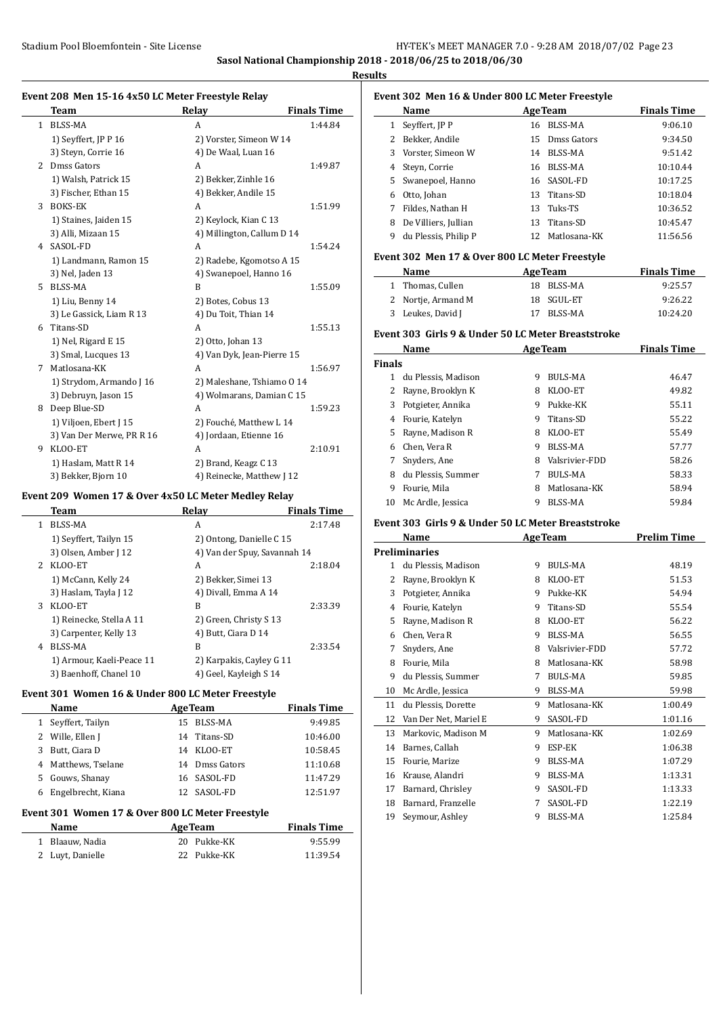**Sasol National Championship 2018 - 2018/06/25 to 2018/06/30**

**Results**

 $\overline{a}$ 

 $\overline{a}$ 

#### **Event 208 Men 15-16 4x50 LC Meter Freestyle Relay**

|              | <b>Team</b>               | Relay                      | <b>Finals Time</b> |
|--------------|---------------------------|----------------------------|--------------------|
| $\mathbf{1}$ | <b>BLSS-MA</b>            | A                          | 1:44.84            |
|              | 1) Seyffert, JP P 16      | 2) Vorster, Simeon W 14    |                    |
|              | 3) Steyn, Corrie 16       | 4) De Waal, Luan 16        |                    |
| 2            | Dmss Gators               | A                          | 1:49.87            |
|              | 1) Walsh, Patrick 15      | 2) Bekker, Zinhle 16       |                    |
|              | 3) Fischer, Ethan 15      | 4) Bekker, Andile 15       |                    |
| 3            | <b>BOKS-EK</b>            | A                          | 1:51.99            |
|              | 1) Staines, Jaiden 15     | 2) Keylock, Kian C 13      |                    |
|              | 3) Alli, Mizaan 15        | 4) Millington, Callum D 14 |                    |
| 4            | SASOL-FD                  | A                          | 1:54.24            |
|              | 1) Landmann, Ramon 15     | 2) Radebe, Kgomotso A 15   |                    |
|              | 3) Nel, Jaden 13          | 4) Swanepoel, Hanno 16     |                    |
| 5.           | <b>BLSS-MA</b>            | B                          | 1:55.09            |
|              | 1) Liu, Benny 14          | 2) Botes, Cobus 13         |                    |
|              | 3) Le Gassick, Liam R 13  | 4) Du Toit, Thian 14       |                    |
| 6            | Titans-SD                 | A                          | 1:55.13            |
|              | 1) Nel, Rigard E 15       | 2) Otto, Johan 13          |                    |
|              | 3) Smal, Lucques 13       | 4) Van Dyk, Jean-Pierre 15 |                    |
| 7            | Matlosana-KK              | A                          | 1:56.97            |
|              | 1) Strydom, Armando J 16  | 2) Maleshane, Tshiamo O 14 |                    |
|              | 3) Debruyn, Jason 15      | 4) Wolmarans, Damian C 15  |                    |
| 8            | Deep Blue-SD              | A                          | 1:59.23            |
|              | 1) Viljoen, Ebert J 15    | 2) Fouché, Matthew L 14    |                    |
|              | 3) Van Der Merwe, PR R 16 | 4) Jordaan, Etienne 16     |                    |
| 9            | KLOO-ET                   | A                          | 2:10.91            |
|              | 1) Haslam, Matt R 14      | 2) Brand, Keagz C 13       |                    |
|              | 3) Bekker, Bjorn 10       | 4) Reinecke, Matthew J 12  |                    |

#### **Event 209 Women 17 & Over 4x50 LC Meter Medley Relay**

|             | Team                      | Relay                        | <b>Finals Time</b> |
|-------------|---------------------------|------------------------------|--------------------|
| 1           | <b>BLSS-MA</b>            | A                            | 2:17.48            |
|             | 1) Seyffert, Tailyn 15    | 2) Ontong, Danielle C 15     |                    |
|             | 3) Olsen, Amber J 12      | 4) Van der Spuy, Savannah 14 |                    |
| $2^{\circ}$ | KLOO-ET                   | A                            | 2:18.04            |
|             | 1) McCann, Kelly 24       | 2) Bekker, Simei 13          |                    |
|             | 3) Haslam, Tayla J 12     | 4) Divall, Emma A 14         |                    |
| 3           | KLOO-ET                   | B                            | 2:33.39            |
|             | 1) Reinecke, Stella A 11  | 2) Green, Christy S 13       |                    |
|             | 3) Carpenter, Kelly 13    | 4) Butt, Ciara D 14          |                    |
| 4           | BLSS-MA                   | B                            | 2:33.54            |
|             | 1) Armour, Kaeli-Peace 11 | 2) Karpakis, Cayley G 11     |                    |
|             | 3) Baenhoff, Chanel 10    | 4) Geel, Kayleigh S 14       |                    |

#### **Event 301 Women 16 & Under 800 LC Meter Freestyle**

|   | Name                | <b>AgeTeam</b> | <b>Finals Time</b> |
|---|---------------------|----------------|--------------------|
|   | 1 Seyffert, Tailyn  | 15 BLSS-MA     | 9:49.85            |
|   | 2 Wille, Ellen J    | 14 Titans-SD   | 10:46.00           |
| 3 | Butt, Ciara D       | 14 KLOO-ET     | 10:58.45           |
|   | 4 Matthews, Tselane | 14 Dmss Gators | 11:10.68           |
|   | 5 Gouws, Shanay     | 16 SASOL-FD    | 11:47.29           |
| 6 | Engelbrecht, Kiana  | 12 SASOL-FD    | 12:51.97           |

#### **Event 301 Women 17 & Over 800 LC Meter Freestyle**

| <b>Name</b>      | <b>AgeTeam</b> | <b>Finals Time</b> |
|------------------|----------------|--------------------|
| 1 Blaauw. Nadia  | 20 Pukke-KK    | 9:55.99            |
| 2 Luyt, Danielle | 22 Pukke-KK    | 11:39.54           |

| Event 302 Men 16 & Under 800 LC Meter Freestyle |                      |    |                |                    |
|-------------------------------------------------|----------------------|----|----------------|--------------------|
|                                                 | Name                 |    | <b>AgeTeam</b> | <b>Finals Time</b> |
| 1                                               | Seyffert, JP P       | 16 | BLSS-MA        | 9:06.10            |
| 2                                               | Bekker, Andile       |    | 15 Dmss Gators | 9:34.50            |
| 3                                               | Vorster, Simeon W    | 14 | BLSS-MA        | 9:51.42            |
| 4                                               | Steyn, Corrie        | 16 | BLSS-MA        | 10:10.44           |
|                                                 | 5 Swanepoel, Hanno   |    | 16 SASOL-FD    | 10:17.25           |
| 6                                               | Otto, Johan          | 13 | Titans-SD      | 10:18.04           |
|                                                 | Fildes, Nathan H     | 13 | Tuks-TS        | 10:36.52           |
| 8                                               | De Villiers, Jullian | 13 | Titans-SD      | 10:45.47           |
| 9                                               | du Plessis, Philip P | 12 | Matlosana-KK   | 11:56.56           |

#### **Event 302 Men 17 & Over 800 LC Meter Freestyle**

| Name               | <b>AgeTeam</b> | <b>Finals Time</b> |
|--------------------|----------------|--------------------|
| 1 Thomas, Cullen   | 18 BLSS-MA     | 9:25.57            |
| 2 Nortie, Armand M | 18 SGUL-ET     | 9:26.22            |
| 3 Leukes, David J  | 17 BLSS-MA     | 10:24.20           |

#### **Event 303 Girls 9 & Under 50 LC Meter Breaststroke**

|               | Name                | <b>AgeTeam</b> | <b>Finals Time</b> |       |
|---------------|---------------------|----------------|--------------------|-------|
| <b>Finals</b> |                     |                |                    |       |
| 1.            | du Plessis. Madison | 9              | BULS-MA            | 46.47 |
|               | Rayne, Brooklyn K   | 8              | KLOO-ET            | 49.82 |
| 3             | Potgieter, Annika   | 9              | Pukke-KK           | 55.11 |
| 4             | Fourie, Katelyn     | 9              | Titans-SD          | 55.22 |
| 5.            | Rayne, Madison R    | 8              | KLOO-ET            | 55.49 |
| 6             | Chen, Vera R        | 9              | BLSS-MA            | 57.77 |
|               | Snyders, Ane        | 8              | Valsrivier-FDD     | 58.26 |
| 8             | du Plessis, Summer  | 7              | <b>BULS-MA</b>     | 58.33 |
| 9             | Fourie, Mila        | 8              | Matlosana-KK       | 58.94 |
| 10            | Mc Ardle, Jessica   | 9              | BLSS-MA            | 59.84 |

#### **Event 303 Girls 9 & Under 50 LC Meter Breaststroke**

|    | Name                  |   | <b>AgeTeam</b> | <b>Prelim Time</b> |
|----|-----------------------|---|----------------|--------------------|
|    | Preliminaries         |   |                |                    |
| 1  | du Plessis, Madison   | 9 | <b>BULS-MA</b> | 48.19              |
| 2  | Rayne, Brooklyn K     | 8 | KLOO-ET        | 51.53              |
| 3  | Potgieter, Annika     | 9 | Pukke-KK       | 54.94              |
| 4  | Fourie, Katelyn       | 9 | Titans-SD      | 55.54              |
| 5  | Rayne, Madison R      | 8 | KLOO-ET        | 56.22              |
| 6  | Chen, Vera R          | 9 | BLSS-MA        | 56.55              |
| 7  | Snyders, Ane          | 8 | Valsrivier-FDD | 57.72              |
| 8  | Fourie, Mila          | 8 | Matlosana-KK   | 58.98              |
| 9  | du Plessis, Summer    | 7 | <b>BULS-MA</b> | 59.85              |
| 10 | Mc Ardle, Jessica     | 9 | <b>BLSS-MA</b> | 59.98              |
| 11 | du Plessis, Dorette   | 9 | Matlosana-KK   | 1:00.49            |
| 12 | Van Der Net, Mariel E | 9 | SASOL-FD       | 1:01.16            |
| 13 | Markovic, Madison M   | 9 | Matlosana-KK   | 1:02.69            |
| 14 | Barnes, Callah        | 9 | ESP-EK         | 1:06.38            |
| 15 | Fourie, Marize        | 9 | <b>BLSS-MA</b> | 1:07.29            |
| 16 | Krause, Alandri       | 9 | BLSS-MA        | 1:13.31            |
| 17 | Barnard, Chrisley     | 9 | SASOL-FD       | 1:13.33            |
| 18 | Barnard, Franzelle    | 7 | SASOL-FD       | 1:22.19            |
| 19 | Seymour, Ashley       | 9 | <b>BLSS-MA</b> | 1:25.84            |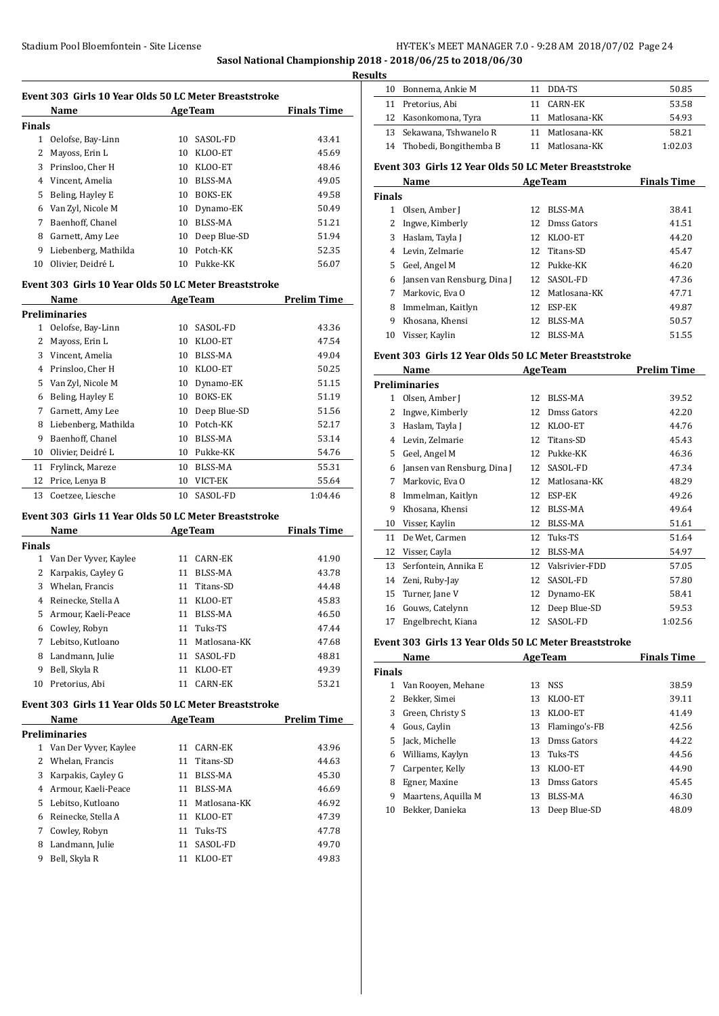**Sasol National Championship 2018 - 2018/06/25 to 2018/06/30**

**Results**

| Event 303 Girls 10 Year Olds 50 LC Meter Breaststroke |                      |                    |                |       |  |  |
|-------------------------------------------------------|----------------------|--------------------|----------------|-------|--|--|
|                                                       | Name                 | <b>Finals Time</b> |                |       |  |  |
| Finals                                                |                      |                    |                |       |  |  |
| 1                                                     | Oelofse, Bay-Linn    | 10                 | SASOL-FD       | 43.41 |  |  |
| 2                                                     | Mayoss, Erin L       | 10                 | KLOO-ET        | 45.69 |  |  |
| 3                                                     | Prinsloo, Cher H     | 10                 | KLOO-ET        | 48.46 |  |  |
| 4                                                     | Vincent, Amelia      | 10                 | BLSS-MA        | 49.05 |  |  |
| 5                                                     | Beling, Hayley E     | 10                 | <b>BOKS-EK</b> | 49.58 |  |  |
| 6                                                     | Van Zyl, Nicole M    | 10                 | Dynamo-EK      | 50.49 |  |  |
| 7                                                     | Baenhoff, Chanel     | 10                 | BLSS-MA        | 51.21 |  |  |
| 8                                                     | Garnett, Amy Lee     | 10                 | Deep Blue-SD   | 51.94 |  |  |
| 9                                                     | Liebenberg, Mathilda | 10                 | Potch-KK       | 52.35 |  |  |
| 10                                                    | Olivier, Deidré L    | 10                 | Pukke-KK       | 56.07 |  |  |

#### **Event 303 Girls 10 Year Olds 50 LC Meter Breaststroke**

|    | Name                 |    | <b>AgeTeam</b> | <b>Prelim Time</b> |
|----|----------------------|----|----------------|--------------------|
|    | <b>Preliminaries</b> |    |                |                    |
| 1  | Oelofse, Bay-Linn    | 10 | SASOL-FD       | 43.36              |
| 2  | Mayoss, Erin L       | 10 | KLOO-ET        | 47.54              |
| 3  | Vincent, Amelia      | 10 | BLSS-MA        | 49.04              |
| 4  | Prinsloo, Cher H     | 10 | KLOO-ET        | 50.25              |
| 5  | Van Zyl, Nicole M    | 10 | Dynamo-EK      | 51.15              |
| 6  | Beling, Hayley E     | 10 | <b>BOKS-EK</b> | 51.19              |
| 7  | Garnett, Amy Lee     | 10 | Deep Blue-SD   | 51.56              |
| 8  | Liebenberg, Mathilda | 10 | Potch-KK       | 52.17              |
| 9  | Baenhoff, Chanel     | 10 | <b>BLSS-MA</b> | 53.14              |
| 10 | Olivier, Deidré L    | 10 | Pukke-KK       | 54.76              |
| 11 | Frylinck, Mareze     | 10 | BLSS-MA        | 55.31              |
| 12 | Price, Lenya B       | 10 | VICT-EK        | 55.64              |
| 13 | Coetzee, Liesche     | 10 | SASOL-FD       | 1:04.46            |

## **Event 303 Girls 11 Year Olds 50 LC Meter Breaststroke**

|               | Name                  | <b>AgeTeam</b>     | <b>Finals Time</b> |
|---------------|-----------------------|--------------------|--------------------|
| <b>Finals</b> |                       |                    |                    |
| 1             | Van Der Vyver, Kaylee | CARN-EK<br>11      | 41.90              |
| 2             | Karpakis, Cayley G    | BLSS-MA<br>11      | 43.78              |
| 3             | Whelan, Francis       | Titans-SD<br>11    | 44.48              |
| 4             | Reinecke, Stella A    | KLOO-ET<br>11      | 45.83              |
| 5.            | Armour, Kaeli-Peace   | BLSS-MA<br>11      | 46.50              |
| 6             | Cowley, Robyn         | Tuks-TS<br>11      | 47.44              |
|               | Lebitso, Kutloano     | Matlosana-KK<br>11 | 47.68              |
| 8             | Landmann, Julie       | SASOL-FD<br>11     | 48.81              |
| 9             | Bell, Skyla R         | KLOO-ET<br>11      | 49.39              |
| 10            | Pretorius. Abi        | CARN-EK<br>11      | 53.21              |

#### **Event 303 Girls 11 Year Olds 50 LC Meter Breaststroke**

|    | Name                  | <b>AgeTeam</b> |              | <b>Prelim Time</b> |
|----|-----------------------|----------------|--------------|--------------------|
|    | <b>Preliminaries</b>  |                |              |                    |
| 1  | Van Der Vyver, Kaylee | 11             | CARN-EK      | 43.96              |
|    | 2 Whelan, Francis     | 11             | Titans-SD    | 44.63              |
| 3  | Karpakis, Cayley G    | 11             | BLSS-MA      | 45.30              |
| 4  | Armour. Kaeli-Peace   | 11             | BLSS-MA      | 46.69              |
| 5. | Lebitso, Kutloano     | 11             | Matlosana-KK | 46.92              |
| 6  | Reinecke, Stella A    | 11             | KLOO-ET      | 47.39              |
| 7  | Cowley, Robyn         | 11             | Tuks-TS      | 47.78              |
| 8  | Landmann, Julie       | 11             | SASOL-FD     | 49.70              |
| 9  | Bell, Skyla R         | 11             | KLOO-ET      | 49.83              |

| 1 L.S |                           |                 |         |
|-------|---------------------------|-----------------|---------|
| 10    | Bonnema, Ankie M          | DDA-TS          | 50.85   |
|       | 11 Pretorius, Abi         | 11 CARN-EK      | 53.58   |
|       | 12 Kasonkomona, Tyra      | 11 Matlosana-KK | 54.93   |
|       | 13 Sekawana, Tshwanelo R  | 11 Matlosana-KK | 58.21   |
|       | 14 Thobedi, Bongithemba B | 11 Matlosana-KK | 1:02.03 |
|       |                           |                 |         |

# **Event 303 Girls 12 Year Olds 50 LC Meter Breaststroke**

| Name          |                             |     | <b>AgeTeam</b> | <b>Finals Time</b> |
|---------------|-----------------------------|-----|----------------|--------------------|
| <b>Finals</b> |                             |     |                |                    |
| 1             | Olsen, Amber J              | 12  | BLSS-MA        | 38.41              |
|               | Ingwe, Kimberly             |     | 12 Dmss Gators | 41.51              |
| 3             | Haslam, Tayla J             | 12  | KLOO-ET        | 44.20              |
| 4             | Levin, Zelmarie             | 12  | Titans-SD      | 45.47              |
| 5.            | Geel, Angel M               |     | 12 Pukke-KK    | 46.20              |
| 6             | Jansen van Rensburg, Dina J |     | 12 SASOL-FD    | 47.36              |
|               | Markovic, Eva O             | 12. | Matlosana-KK   | 47.71              |
| 8             | Immelman, Kaitlyn           | 12  | ESP-EK         | 49.87              |
| 9             | Khosana, Khensi             | 12  | BLSS-MA        | 50.57              |
| 10            | Visser, Kaylin              | 12  | <b>BLSS-MA</b> | 51.55              |

#### **Event 303 Girls 12 Year Olds 50 LC Meter Breaststroke**

|    | Name                        |    | <b>AgeTeam</b> | <b>Prelim Time</b> |
|----|-----------------------------|----|----------------|--------------------|
|    | <b>Preliminaries</b>        |    |                |                    |
| 1  | Olsen, Amber J              | 12 | BLSS-MA        | 39.52              |
| 2  | Ingwe, Kimberly             | 12 | Dmss Gators    | 42.20              |
| 3  | Haslam, Tayla J             | 12 | KLOO-ET        | 44.76              |
| 4  | Levin, Zelmarie             | 12 | Titans-SD      | 45.43              |
| 5  | Geel, Angel M               | 12 | Pukke-KK       | 46.36              |
| 6  | Jansen van Rensburg, Dina J | 12 | SASOL-FD       | 47.34              |
| 7  | Markovic, Eva O             | 12 | Matlosana-KK   | 48.29              |
| 8  | Immelman, Kaitlyn           | 12 | ESP-EK         | 49.26              |
| 9  | Khosana, Khensi             | 12 | BLSS-MA        | 49.64              |
| 10 | Visser, Kaylin              | 12 | BLSS-MA        | 51.61              |
| 11 | De Wet, Carmen              | 12 | Tuks-TS        | 51.64              |
| 12 | Visser, Cayla               | 12 | BLSS-MA        | 54.97              |
| 13 | Serfontein, Annika E        | 12 | Valsrivier-FDD | 57.05              |
| 14 | Zeni, Ruby-Jay              | 12 | SASOL-FD       | 57.80              |
| 15 | Turner, Jane V              | 12 | Dynamo-EK      | 58.41              |
| 16 | Gouws, Catelynn             | 12 | Deep Blue-SD   | 59.53              |
| 17 | Engelbrecht, Kiana          | 12 | SASOL-FD       | 1:02.56            |

#### **Event 303 Girls 13 Year Olds 50 LC Meter Breaststroke**

|               | Name                | <b>AgeTeam</b> |               | <b>Finals Time</b> |
|---------------|---------------------|----------------|---------------|--------------------|
| <b>Finals</b> |                     |                |               |                    |
|               | Van Rooven, Mehane  | 13             | NSS           | 38.59              |
|               | Bekker, Simei       | 13             | KLOO-ET       | 39.11              |
| 3             | Green, Christy S    | 13             | KLOO-ET       | 41.49              |
| 4             | Gous, Caylin        | 13             | Flamingo's-FB | 42.56              |
| 5.            | Jack, Michelle      | 13             | Dmss Gators   | 44.22              |
| 6             | Williams, Kaylyn    | 13             | Tuks-TS       | 44.56              |
|               | Carpenter, Kelly    | 13             | KLOO-ET       | 44.90              |
| 8             | Egner, Maxine       | 13             | Dmss Gators   | 45.45              |
| 9             | Maartens, Aquilla M | 13             | BLSS-MA       | 46.30              |
| 10            | Bekker, Danieka     | 13             | Deep Blue-SD  | 48.09              |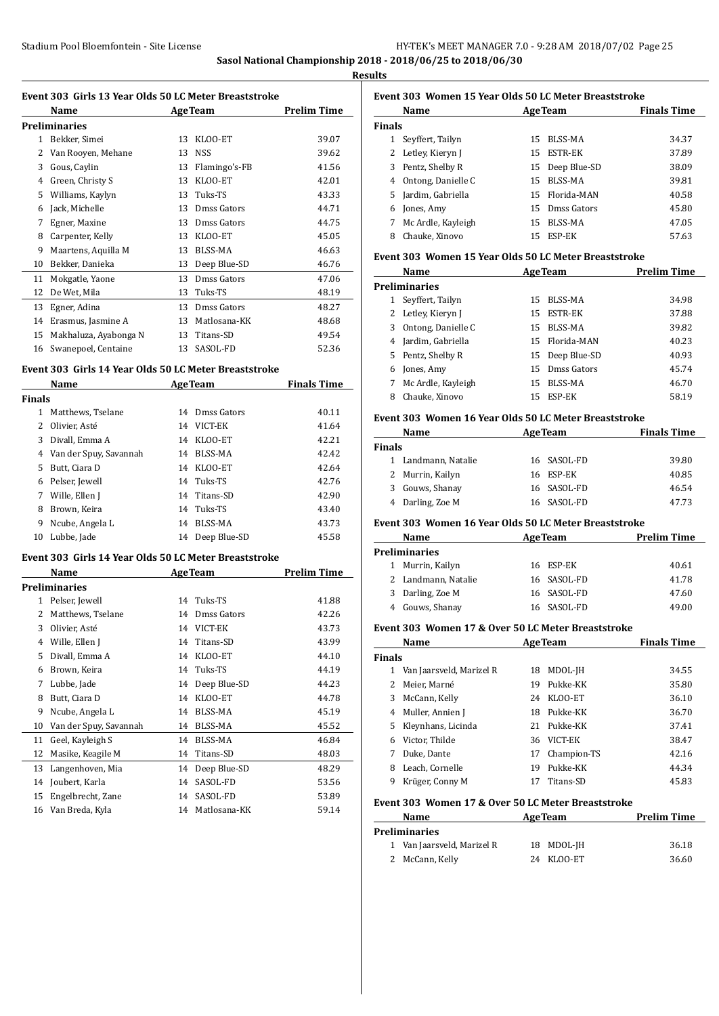**Sasol National Championship 2018 - 2018/06/25 to 2018/06/30**

**Results**

#### **Event 303 Girls 13 Year Olds 50 LC Meter Breaststroke**

|    | Name                  |    | <b>AgeTeam</b> | <b>Prelim Time</b> |
|----|-----------------------|----|----------------|--------------------|
|    | Preliminaries         |    |                |                    |
| 1  | Bekker, Simei         | 13 | KLOO-ET        | 39.07              |
| 2  | Van Rooyen, Mehane    | 13 | <b>NSS</b>     | 39.62              |
| 3  | Gous, Caylin          | 13 | Flamingo's-FB  | 41.56              |
| 4  | Green, Christy S      | 13 | KLOO-ET        | 42.01              |
| 5  | Williams, Kaylyn      | 13 | Tuks-TS        | 43.33              |
| 6  | Jack, Michelle        | 13 | Dmss Gators    | 44.71              |
| 7  | Egner, Maxine         | 13 | Dmss Gators    | 44.75              |
| 8  | Carpenter, Kelly      | 13 | KLOO-ET        | 45.05              |
| 9  | Maartens, Aquilla M   | 13 | <b>BLSS-MA</b> | 46.63              |
| 10 | Bekker, Danieka       | 13 | Deep Blue-SD   | 46.76              |
| 11 | Mokgatle, Yaone       | 13 | Dmss Gators    | 47.06              |
| 12 | De Wet, Mila          | 13 | Tuks-TS        | 48.19              |
| 13 | Egner, Adina          | 13 | Dmss Gators    | 48.27              |
| 14 | Erasmus, Jasmine A    | 13 | Matlosana-KK   | 48.68              |
| 15 | Makhaluza, Ayabonga N | 13 | Titans-SD      | 49.54              |
| 16 | Swanepoel, Centaine   | 13 | SASOL-FD       | 52.36              |

#### **Event 303 Girls 14 Year Olds 50 LC Meter Breaststroke**

| Name          |                        |    | <b>AgeTeam</b>  | <b>Finals Time</b> |
|---------------|------------------------|----|-----------------|--------------------|
| <b>Finals</b> |                        |    |                 |                    |
| 1             | Matthews, Tselane      |    | 14 Dmss Gators  | 40.11              |
| 2             | Olivier, Asté          | 14 | VICT-EK         | 41.64              |
| 3             | Divall, Emma A         |    | 14 KLOO-ET      | 42.21              |
| 4             | Van der Spuy, Savannah | 14 | BLSS-MA         | 42.42              |
| 5.            | Butt, Ciara D          |    | 14 KLOO-ET      | 42.64              |
|               | 6 Pelser, Jewell       |    | 14 Tuks-TS      | 42.76              |
| 7             | Wille, Ellen J         |    | 14 Titans-SD    | 42.90              |
| 8             | Brown, Keira           |    | 14 Tuks-TS      | 43.40              |
| 9             | Ncube, Angela L        | 14 | BLSS-MA         | 43.73              |
| 10            | Lubbe, Jade            |    | 14 Deep Blue-SD | 45.58              |

#### **Event 303 Girls 14 Year Olds 50 LC Meter Breaststroke**

|    | Name                   | <b>AgeTeam</b> |                | Prelim Time |
|----|------------------------|----------------|----------------|-------------|
|    | Preliminaries          |                |                |             |
| 1  | Pelser, Jewell         | 14             | Tuks-TS        | 41.88       |
| 2  | Matthews, Tselane      | 14             | Dmss Gators    | 42.26       |
| 3  | Olivier, Asté          | 14             | VICT-EK        | 43.73       |
| 4  | Wille, Ellen J         | 14             | Titans-SD      | 43.99       |
| 5  | Divall, Emma A         | 14             | KLOO-ET        | 44.10       |
| 6  | Brown, Keira           | 14             | Tuks-TS        | 44.19       |
| 7  | Lubbe, Jade            | 14             | Deep Blue-SD   | 44.23       |
| 8  | Butt, Ciara D          | 14             | KLOO-ET        | 44.78       |
| 9  | Ncube, Angela L        | 14             | BLSS-MA        | 45.19       |
| 10 | Van der Spuy, Savannah | 14             | <b>BLSS-MA</b> | 45.52       |
| 11 | Geel, Kayleigh S       | 14             | <b>BLSS-MA</b> | 46.84       |
| 12 | Masike, Keagile M      | 14             | Titans-SD      | 48.03       |
| 13 | Langenhoven, Mia       | 14             | Deep Blue-SD   | 48.29       |
| 14 | Joubert, Karla         | 14             | SASOL-FD       | 53.56       |
| 15 | Engelbrecht, Zane      | 14             | SASOL-FD       | 53.89       |
| 16 | Van Breda, Kyla        | 14             | Matlosana-KK   | 59.14       |

# **Event 303 Women 15 Year Olds 50 LC Meter Breaststroke**

|               | Name               |     | <b>AgeTeam</b> | <b>Finals Time</b> |
|---------------|--------------------|-----|----------------|--------------------|
| <b>Finals</b> |                    |     |                |                    |
|               | Seyffert, Tailyn   | 15. | BLSS-MA        | 34.37              |
|               | 2 Letley, Kieryn J | 15  | ESTR-EK        | 37.89              |
| 3             | Pentz, Shelby R    | 15  | Deep Blue-SD   | 38.09              |
| 4             | Ontong, Danielle C | 15  | <b>BLSS-MA</b> | 39.81              |
| 5.            | Jardim, Gabriella  |     | 15 Florida-MAN | 40.58              |
| 6             | Jones, Amy         | 15  | Dmss Gators    | 45.80              |
| 7             | Mc Ardle, Kayleigh | 15  | BLSS-MA        | 47.05              |
| 8             | Chauke, Xinovo     | 15  | ESP-EK         | 57.63              |

#### **Event 303 Women 15 Year Olds 50 LC Meter Breaststroke**

|    | Name                 |    | <b>AgeTeam</b> | <b>Prelim Time</b> |
|----|----------------------|----|----------------|--------------------|
|    | <b>Preliminaries</b> |    |                |                    |
|    | Seyffert, Tailyn     | 15 | BLSS-MA        | 34.98              |
|    | 2 Letley, Kieryn J   | 15 | ESTR-EK        | 37.88              |
| 3  | Ontong, Danielle C   | 15 | BLSS-MA        | 39.82              |
| 4  | Jardim, Gabriella    |    | 15 Florida-MAN | 40.23              |
| 5. | Pentz, Shelby R      | 15 | Deep Blue-SD   | 40.93              |
| 6  | Jones, Amy           | 15 | Dmss Gators    | 45.74              |
|    | Mc Ardle, Kayleigh   | 15 | BLSS-MA        | 46.70              |
| 8  | Chauke, Xinovo       | 15 | ESP-EK         | 58.19              |

#### **Event 303 Women 16 Year Olds 50 LC Meter Breaststroke**

| Name                | <b>AgeTeam</b> | <b>Finals Time</b> |
|---------------------|----------------|--------------------|
| Finals              |                |                    |
| 1 Landmann, Natalie | 16 SASOL-FD    | 39.80              |
| 2 Murrin, Kailyn    | 16 ESP-EK      | 40.85              |
| 3 Gouws, Shanay     | 16 SASOL-FD    | 46.54              |
| 4 Darling, Zoe M    | 16 SASOL-FD    | 47.73              |

#### **Event 303 Women 16 Year Olds 50 LC Meter Breaststroke**

| Name                 | <b>AgeTeam</b> | <b>Prelim Time</b> |
|----------------------|----------------|--------------------|
| <b>Preliminaries</b> |                |                    |
| 1 Murrin, Kailyn     | 16 ESP-EK      | 40.61              |
| 2 Landmann, Natalie  | 16 SASOL-FD    | 41.78              |
| 3 Darling, Zoe M     | 16 SASOL-FD    | 47.60              |
| 4 Gouws, Shanay      | 16 SASOL-FD    | 49.00              |

#### **Event 303 Women 17 & Over 50 LC Meter Breaststroke**

|               | Name                     |     | <b>AgeTeam</b> | <b>Finals Time</b> |
|---------------|--------------------------|-----|----------------|--------------------|
| <b>Finals</b> |                          |     |                |                    |
|               | Van Jaarsveld, Marizel R | 18  | MDOL-JH        | 34.55              |
|               | Meier. Marné             | 19  | Pukke-KK       | 35.80              |
| 3.            | McCann, Kelly            | 24  | KLOO-ET        | 36.10              |
| 4             | Muller, Annien J         | 18. | Pukke-KK       | 36.70              |
| 5.            | Kleynhans, Licinda       | 21  | Pukke-KK       | 37.41              |
| 6             | Victor. Thilde           | 36  | VICT-EK        | 38.47              |
|               | Duke, Dante              | 17  | Champion-TS    | 42.16              |
| 8             | Leach, Cornelle          | 19  | Pukke-KK       | 44.34              |
| 9             | Krüger, Conny M          | 17  | Titans-SD      | 45.83              |

#### **Event 303 Women 17 & Over 50 LC Meter Breaststroke**

| Name                       | <b>AgeTeam</b> | <b>Prelim Time</b> |
|----------------------------|----------------|--------------------|
| <b>Preliminaries</b>       |                |                    |
| 1 Van Jaarsveld, Marizel R | 18 MDOL-IH     | 36.18              |
| 2 McCann, Kelly            | 24 KLOO-ET     | 36.60              |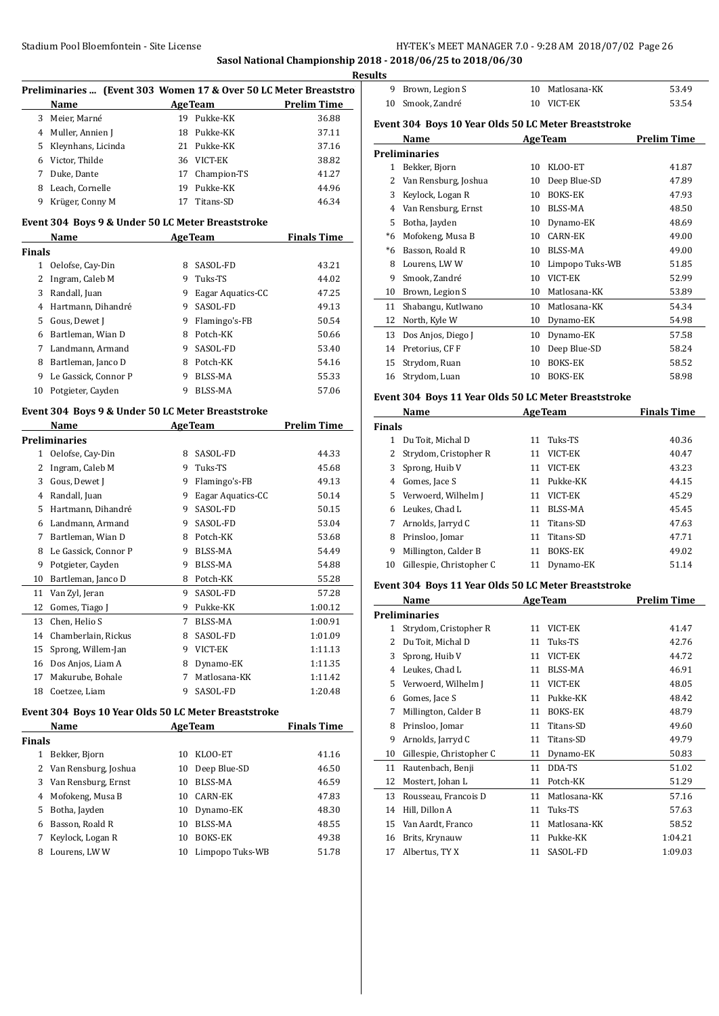**Sasol National Championship 2018 - 2018/06/25 to 2018/06/30**

|               | Preliminaries  (Event 303 Women 17 & Over 50 LC Meter Breaststro |   |                     |                    |
|---------------|------------------------------------------------------------------|---|---------------------|--------------------|
|               | Name                                                             |   | Age Team            | <b>Prelim Time</b> |
|               | 3 Meier, Marné                                                   |   | 19 Pukke-KK         | 36.88              |
|               | 4 Muller, Annien J                                               |   | 18 Pukke-KK         | 37.11              |
|               | 5 Kleynhans, Licinda                                             |   | 21 Pukke-KK         | 37.16              |
|               | 6 Victor, Thilde                                                 |   | 36 VICT-EK          | 38.82              |
|               | 7 Duke, Dante                                                    |   | 17 Champion-TS      | 41.27              |
|               | 8 Leach, Cornelle                                                |   | 19 Pukke-KK         | 44.96              |
|               | 9 Krüger, Conny M                                                |   | 17 Titans-SD        | 46.34              |
|               | Event 304 Boys 9 & Under 50 LC Meter Breaststroke                |   |                     |                    |
| <b>Finals</b> | Name                                                             |   | <b>AgeTeam</b>      | <b>Finals Time</b> |
|               | 1 Oelofse, Cay-Din                                               |   | 8 SASOL-FD          | 43.21              |
|               | 2 Ingram, Caleb M                                                |   | 9 Tuks-TS           | 44.02              |
|               | 3 Randall, Juan                                                  |   | 9 Eagar Aquatics-CC | 47.25              |
|               | 4 Hartmann, Dihandré                                             |   | 9 SASOL-FD          | 49.13              |
|               | 5 Gous, Dewet J                                                  |   | 9 Flamingo's-FB     | 50.54              |
|               | 6 Bartleman, Wian D                                              |   | 8 Potch-KK          | 50.66              |
|               | 7 Landmann, Armand                                               |   | 9 SASOL-FD          | 53.40              |
|               | 8 Bartleman, Janco D                                             |   | 8 Potch-KK          | 54.16              |
|               | 9 Le Gassick, Connor P                                           |   | 9 BLSS-MA           | 55.33              |
|               | 10 Potgieter, Cayden                                             |   | 9 BLSS-MA           | 57.06              |
|               | Event 304 Boys 9 & Under 50 LC Meter Breaststroke                |   |                     |                    |
|               | Name                                                             |   | AgeTeam             | <b>Prelim Time</b> |
|               | <b>Preliminaries</b>                                             |   |                     |                    |
|               | 1 Oelofse, Cay-Din                                               |   | 8 SASOL-FD          | 44.33              |
|               | 2 Ingram, Caleb M                                                |   | 9 Tuks-TS           | 45.68              |
|               | 3 Gous, Dewet J                                                  |   | 9 Flamingo's-FB     | 49.13              |
|               | 4 Randall, Juan                                                  |   | 9 Eagar Aquatics-CC | 50.14              |
|               | 5 Hartmann, Dihandré                                             |   | 9 SASOL-FD          | 50.15              |
|               | 6 Landmann, Armand                                               |   | 9 SASOL-FD          | 53.04              |
|               | 7 Bartleman, Wian D                                              |   | 8 Potch-KK          | 53.68              |
| 8             | Le Gassick, Connor P                                             |   | 9 BLSS-MA           | 54.49              |
| 9             | Potgieter, Cayden                                                |   | 9 BLSS-MA           | 54.88              |
| 10            | Bartleman, Janco D                                               |   | 8 Potch-KK          | 55.28              |
| 11            | Van Zyl, Jeran                                                   |   | 9 SASOL-FD          | 57.28              |
|               | 12 Gomes, Tiago J                                                |   | 9 Pukke-KK          | 1:00.12            |
| 13            | Chen, Helio S                                                    |   | 7 BLSS-MA           | 1:00.91            |
| 14            | Chamberlain, Rickus                                              | 8 | SASOL-FD            | 1:01.09            |
| 15            | Sprong, Willem-Jan                                               |   | 9 VICT-EK           | 1:11.13            |
| 16            | Dos Anjos, Liam A                                                |   | 8 Dynamo-EK         | 1:11.35            |
| 17            | Makurube, Bohale                                                 | 7 | Matlosana-KK        | 1:11.42            |
|               | 18 Coetzee, Liam                                                 |   | 9 SASOL-FD          | 1:20.48            |
|               | Event 304 Boys 10 Year Olds 50 LC Meter Breaststroke             |   |                     |                    |
|               | Name                                                             |   | <b>AgeTeam</b>      | <b>Finals Time</b> |
| <b>Finals</b> |                                                                  |   |                     |                    |
|               | 1 Bekker, Bjorn                                                  |   | 10 KLOO-ET          | 41.16              |
|               | 2 Van Rensburg, Joshua                                           |   | 10 Deep Blue-SD     | 46.50              |
|               | 3 Van Rensburg, Ernst                                            |   | 10 BLSS-MA          | 46.59              |
|               | 4 Mofokeng, Musa B                                               |   | 10 CARN-EK          | 47.83              |
|               | 5 Botha, Jayden                                                  |   | 10 Dynamo-EK        | 48.30              |

 Basson, Roald R 10 BLSS-MA 48.55 7 Keylock, Logan R 10 BOKS-EK 49.38 Lourens, LW W 10 Limpopo Tuks-WB 51.78

| Results      |                                                      |    |                 |                    |
|--------------|------------------------------------------------------|----|-----------------|--------------------|
| 9            | Brown, Legion S                                      | 10 | Matlosana-KK    | 53.49              |
| 10           | Smook. Zandré                                        | 10 | VICT-EK         | 53.54              |
|              | Event 304 Boys 10 Year Olds 50 LC Meter Breaststroke |    |                 |                    |
|              | Name                                                 |    | <b>AgeTeam</b>  | <b>Prelim Time</b> |
|              | <b>Preliminaries</b>                                 |    |                 |                    |
| $\mathbf{1}$ | Bekker, Bjorn                                        | 10 | KLOO-ET         | 41.87              |
| 2            | Van Rensburg, Joshua                                 | 10 | Deep Blue-SD    | 47.89              |
| 3            | Keylock, Logan R                                     | 10 | <b>BOKS-EK</b>  | 47.93              |
| 4            | Van Rensburg, Ernst                                  | 10 | <b>BLSS-MA</b>  | 48.50              |
| 5            | Botha, Jayden                                        | 10 | Dynamo-EK       | 48.69              |
| $*6$         | Mofokeng, Musa B                                     | 10 | <b>CARN-EK</b>  | 49.00              |
| $*6$         | Basson, Roald R                                      | 10 | BLSS-MA         | 49.00              |
| 8            | Lourens, LWW                                         | 10 | Limpopo Tuks-WB | 51.85              |
| 9            | Smook, Zandré                                        | 10 | VICT-EK         | 52.99              |
| 10           | Brown, Legion S                                      | 10 | Matlosana-KK    | 53.89              |
| 11           | Shabangu, Kutlwano                                   | 10 | Matlosana-KK    | 54.34              |
| 12           | North, Kyle W                                        | 10 | Dynamo-EK       | 54.98              |
| 13           | Dos Anjos, Diego J                                   | 10 | Dynamo-EK       | 57.58              |
| 14           | Pretorius, CF F                                      | 10 | Deep Blue-SD    | 58.24              |
| 15           | Strydom, Ruan                                        | 10 | <b>BOKS-EK</b>  | 58.52              |
| 16           | Strydom, Luan                                        | 10 | <b>BOKS-EK</b>  | 58.98              |

# **Event 304 Boys 11 Year Olds 50 LC Meter Breaststroke**

|               | Name                     |    | <b>AgeTeam</b> | <b>Finals Time</b> |
|---------------|--------------------------|----|----------------|--------------------|
| <b>Finals</b> |                          |    |                |                    |
|               | Du Toit, Michal D        | 11 | Tuks-TS        | 40.36              |
| 2             | Strydom, Cristopher R    | 11 | VICT-EK        | 40.47              |
| 3             | Sprong, Huib V           | 11 | VICT-EK        | 43.23              |
| 4             | Gomes, Jace S            | 11 | Pukke-KK       | 44.15              |
| 5.            | Verwoerd, Wilhelm J      | 11 | VICT-EK        | 45.29              |
| 6             | Leukes, Chad L           | 11 | BLSS-MA        | 45.45              |
| 7             | Arnolds, Jarryd C        | 11 | Titans-SD      | 47.63              |
| 8             | Prinsloo, Jomar          | 11 | Titans-SD      | 47.71              |
| 9             | Millington, Calder B     | 11 | <b>BOKS-EK</b> | 49.02              |
| 10            | Gillespie, Christopher C | 11 | Dynamo-EK      | 51.14              |

#### **Event 304 Boys 11 Year Olds 50 LC Meter Breaststroke**

|    | Name                     |    | <b>AgeTeam</b> | <b>Prelim Time</b> |
|----|--------------------------|----|----------------|--------------------|
|    | Preliminaries            |    |                |                    |
| 1  | Strydom, Cristopher R    | 11 | VICT-EK        | 41.47              |
| 2  | Du Toit, Michal D        | 11 | Tuks-TS        | 42.76              |
| 3  | Sprong, Huib V           | 11 | VICT-EK        | 44.72              |
| 4  | Leukes, Chad L           | 11 | BLSS-MA        | 46.91              |
| 5  | Verwoerd, Wilhelm J      | 11 | VICT-EK        | 48.05              |
| 6  | Gomes, Jace S            | 11 | Pukke-KK       | 48.42              |
| 7  | Millington, Calder B     | 11 | <b>BOKS-EK</b> | 48.79              |
| 8  | Prinsloo, Jomar          | 11 | Titans-SD      | 49.60              |
| 9  | Arnolds, Jarryd C        | 11 | Titans-SD      | 49.79              |
| 10 | Gillespie, Christopher C | 11 | Dynamo-EK      | 50.83              |
| 11 | Rautenbach, Benji        | 11 | DDA-TS         | 51.02              |
| 12 | Mostert, Johan L         | 11 | Potch-KK       | 51.29              |
| 13 | Rousseau, Francois D     | 11 | Matlosana-KK   | 57.16              |
| 14 | Hill, Dillon A           | 11 | Tuks-TS        | 57.63              |
| 15 | Van Aardt, Franco        | 11 | Matlosana-KK   | 58.52              |
| 16 | Brits, Krynauw           | 11 | Pukke-KK       | 1:04.21            |
| 17 | Albertus, TY X           | 11 | SASOL-FD       | 1:09.03            |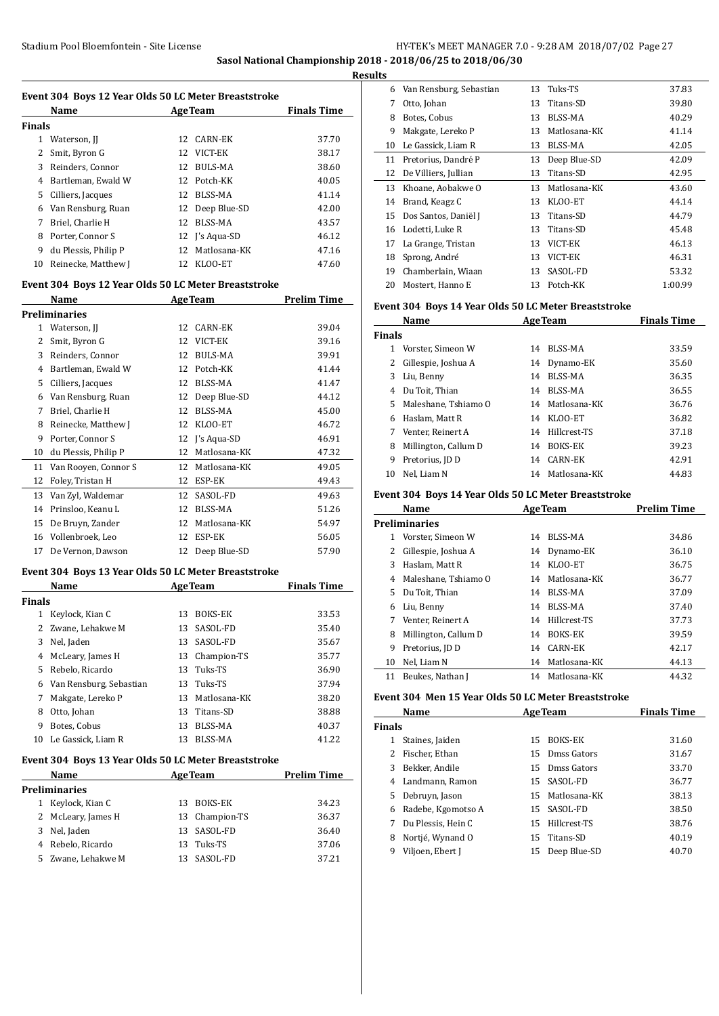# Stadium Pool Bloemfontein - Site License **HY-TEK's MEET MANAGER 7.0 - 9:28 AM 2018/07/02** Page 27 **Sasol National Championship 2018 - 2018/06/25 to 2018/06/30**

**Results**

 $\overline{a}$ 

|               | Event 304 Boys 12 Year Olds 50 LC Meter Breaststroke |    |                             |                    |
|---------------|------------------------------------------------------|----|-----------------------------|--------------------|
|               | Name                                                 |    | <b>Example 2.1 Age Team</b> | <b>Finals Time</b> |
| Finals        |                                                      |    |                             |                    |
|               | 1 Waterson, JJ                                       |    | 12 CARN-EK                  | 37.70              |
| 2             | Smit, Byron G                                        |    | 12 VICT-EK                  | 38.17              |
|               | 3 Reinders, Connor                                   |    | 12 BULS-MA                  | 38.60              |
|               | 4 Bartleman, Ewald W                                 |    | 12 Potch-KK                 | 40.05              |
|               | 5 Cilliers, Jacques                                  |    | 12 BLSS-MA                  | 41.14              |
|               | 6 Van Rensburg, Ruan                                 |    | 12 Deep Blue-SD             | 42.00              |
|               | 7 Briel, Charlie H                                   |    | 12 BLSS-MA                  | 43.57              |
|               | 8 Porter, Connor S                                   |    | 12 J's Aqua-SD              | 46.12              |
|               | 9 du Plessis, Philip P                               |    | 12 Matlosana-KK             | 47.16              |
|               | 10 Reinecke, Matthew J                               |    | 12 KLOO-ET                  | 47.60              |
|               |                                                      |    |                             |                    |
|               | Event 304 Boys 12 Year Olds 50 LC Meter Breaststroke |    |                             |                    |
|               | Name                                                 |    | <b>AgeTeam</b>              | <b>Prelim Time</b> |
|               | <b>Preliminaries</b>                                 |    | 12 CARN-EK                  | 39.04              |
|               | 1 Waterson, JJ                                       |    | 12 VICT-EK                  | 39.16              |
|               | 2 Smit, Byron G                                      |    |                             |                    |
|               | 3 Reinders, Connor                                   |    | 12 BULS-MA                  | 39.91              |
|               | 4 Bartleman, Ewald W                                 |    | 12 Potch-KK                 | 41.44              |
|               | 5 Cilliers, Jacques                                  |    | 12 BLSS-MA                  | 41.47              |
|               | 6 Van Rensburg, Ruan                                 |    | 12 Deep Blue-SD             | 44.12              |
| 7             | Briel, Charlie H                                     |    | 12 BLSS-MA                  | 45.00              |
| 8             | Reinecke, Matthew J                                  |    | 12 KLOO-ET                  | 46.72              |
| 9             | Porter, Connor S                                     |    | 12 J's Aqua-SD              | 46.91              |
|               | 10 du Plessis, Philip P                              |    | 12 Matlosana-KK             | 47.32              |
|               | 11 Van Rooyen, Connor S                              |    | 12 Matlosana-KK             | 49.05              |
|               | 12 Foley, Tristan H                                  |    | 12 ESP-EK                   | 49.43              |
|               | 13 Van Zyl, Waldemar                                 |    | 12 SASOL-FD                 | 49.63              |
|               | 14 Prinsloo, Keanu L                                 |    | 12 BLSS-MA                  | 51.26              |
|               | 15 De Bruyn, Zander                                  |    | 12 Matlosana-KK             | 54.97              |
|               | 16 Vollenbroek, Leo                                  |    | 12 ESP-EK                   | 56.05              |
|               |                                                      |    |                             |                    |
| 17            | De Vernon, Dawson                                    |    | 12 Deep Blue-SD             | 57.90              |
|               |                                                      |    |                             |                    |
|               | Event 304 Boys 13 Year Olds 50 LC Meter Breaststroke |    |                             |                    |
|               | Name                                                 |    | <b>AgeTeam</b>              | <b>Finals Time</b> |
|               |                                                      |    | 13 BOKS-EK                  | 33.53              |
|               | 1 Keylock, Kian C                                    |    |                             |                    |
|               | 2 Zwane, Lehakwe M                                   |    | 13 SASOL-FD                 | 35.40              |
| 3             | Nel, Jaden                                           |    | 13 SASOL-FD                 | 35.67              |
| 4             | McLeary, James H                                     | 13 | Champion-TS                 | 35.77              |
| 5             | Rebelo, Ricardo                                      | 13 | Tuks-TS                     | 36.90              |
| 6             | Van Rensburg, Sebastian                              | 13 | Tuks-TS                     | 37.94              |
| 7             | Makgate, Lereko P                                    | 13 | Matlosana-KK                | 38.20              |
|               | 8 Otto, Johan                                        | 13 | Titans-SD                   | 38.88              |
| 9             | Botes, Cobus                                         | 13 | BLSS-MA                     | 40.37              |
|               | 10 Le Gassick, Liam R                                |    | 13 BLSS-MA                  | 41.22              |
|               | Event 304 Boys 13 Year Olds 50 LC Meter Breaststroke |    |                             |                    |
|               | Name                                                 |    | <b>AgeTeam</b>              | <b>Prelim Time</b> |
|               | <b>Preliminaries</b>                                 |    |                             |                    |
|               | 1 Keylock, Kian C                                    | 13 | BOKS-EK                     | 34.23              |
|               | 2 McLeary, James H                                   | 13 | Champion-TS                 | 36.37              |
| 3             | Nel, Jaden                                           | 13 | SASOL-FD                    | 36.40              |
| <b>Finals</b> | 4 Rebelo, Ricardo                                    | 13 | Tuks-TS                     | 37.06              |

| ιts |                         |    |                |         |
|-----|-------------------------|----|----------------|---------|
| 6   | Van Rensburg, Sebastian | 13 | Tuks-TS        | 37.83   |
| 7   | Otto, Johan             | 13 | Titans-SD      | 39.80   |
| 8   | Botes, Cobus            | 13 | <b>BLSS-MA</b> | 40.29   |
| 9   | Makgate, Lereko P       | 13 | Matlosana-KK   | 41.14   |
| 10  | Le Gassick, Liam R      | 13 | BLSS-MA        | 42.05   |
| 11  | Pretorius, Dandré P     | 13 | Deep Blue-SD   | 42.09   |
| 12  | De Villiers, Jullian    | 13 | Titans-SD      | 42.95   |
| 13  | Khoane, Aobakwe O       | 13 | Matlosana-KK   | 43.60   |
| 14  | Brand, Keagz C          | 13 | KLOO-ET        | 44.14   |
| 15  | Dos Santos, Daniël J    | 13 | Titans-SD      | 44.79   |
| 16  | Lodetti, Luke R         | 13 | Titans-SD      | 45.48   |
| 17  | La Grange, Tristan      | 13 | VICT-EK        | 46.13   |
| 18  | Sprong, André           | 13 | VICT-EK        | 46.31   |
| 19  | Chamberlain, Wiaan      | 13 | SASOL-FD       | 53.32   |
| 20  | Mostert, Hanno E        | 13 | Potch-KK       | 1:00.99 |

# **Event 304 Boys 14 Year Olds 50 LC Meter Breaststroke**

|               | Name                 | <b>AgeTeam</b> |                | <b>Finals Time</b> |
|---------------|----------------------|----------------|----------------|--------------------|
| <b>Finals</b> |                      |                |                |                    |
| 1             | Vorster, Simeon W    | 14             | BLSS-MA        | 33.59              |
| 2             | Gillespie, Joshua A  | 14             | Dynamo-EK      | 35.60              |
| 3             | Liu, Benny           | 14             | BLSS-MA        | 36.35              |
| 4             | Du Toit, Thian       | 14             | BLSS-MA        | 36.55              |
| 5.            | Maleshane, Tshiamo O | 14             | Matlosana-KK   | 36.76              |
| 6             | Haslam, Matt R       | 14             | KLOO-ET        | 36.82              |
|               | Venter, Reinert A    | 14             | Hillcrest-TS   | 37.18              |
| 8             | Millington, Callum D | 14             | <b>BOKS-EK</b> | 39.23              |
| 9             | Pretorius, JD D      | 14             | CARN-EK        | 42.91              |
| 10            | Nel, Liam N          | 14             | Matlosana-KK   | 44.83              |

#### **Event 304 Boys 14 Year Olds 50 LC Meter Breaststroke**

|    | Name                 | <b>AgeTeam</b> |                | <b>Prelim Time</b> |
|----|----------------------|----------------|----------------|--------------------|
|    | <b>Preliminaries</b> |                |                |                    |
| 1  | Vorster, Simeon W    | 14             | BLSS-MA        | 34.86              |
| 2  | Gillespie, Joshua A  | 14             | Dynamo-EK      | 36.10              |
| 3  | Haslam, Matt R       | 14             | KLOO-ET        | 36.75              |
| 4  | Maleshane, Tshiamo O | 14             | Matlosana-KK   | 36.77              |
| 5. | Du Toit, Thian       | 14             | BLSS-MA        | 37.09              |
| 6  | Liu, Benny           | 14             | BLSS-MA        | 37.40              |
| 7  | Venter, Reinert A    | 14             | Hillcrest-TS   | 37.73              |
| 8  | Millington, Callum D | 14             | <b>BOKS-EK</b> | 39.59              |
| 9  | Pretorius, JD D      | 14             | CARN-EK        | 42.17              |
| 10 | Nel, Liam N          | 14             | Matlosana-KK   | 44.13              |
| 11 | Beukes, Nathan J     | 14             | Matlosana-KK   | 44.32              |

## **Event 304 Men 15 Year Olds 50 LC Meter Breaststroke**

|               | Name<br><b>AgeTeam</b> |    | <b>Finals Time</b> |       |
|---------------|------------------------|----|--------------------|-------|
| <b>Finals</b> |                        |    |                    |       |
| 1             | Staines, Jaiden        | 15 | <b>BOKS-EK</b>     | 31.60 |
|               | Fischer. Ethan         | 15 | Dmss Gators        | 31.67 |
| 3             | Bekker, Andile         |    | 15 Dmss Gators     | 33.70 |
| 4             | Landmann, Ramon        |    | 15 SASOL-FD        | 36.77 |
| 5.            | Debruyn, Jason         |    | 15 Matlosana-KK    | 38.13 |
| 6             | Radebe, Kgomotso A     |    | 15 SASOL-FD        | 38.50 |
|               | Du Plessis. Hein C     | 15 | Hillcrest-TS       | 38.76 |
| 8             | Nortié, Wynand O       | 15 | Titans-SD          | 40.19 |
| 9             | Viljoen, Ebert J       | 15 | Deep Blue-SD       | 40.70 |
|               |                        |    |                    |       |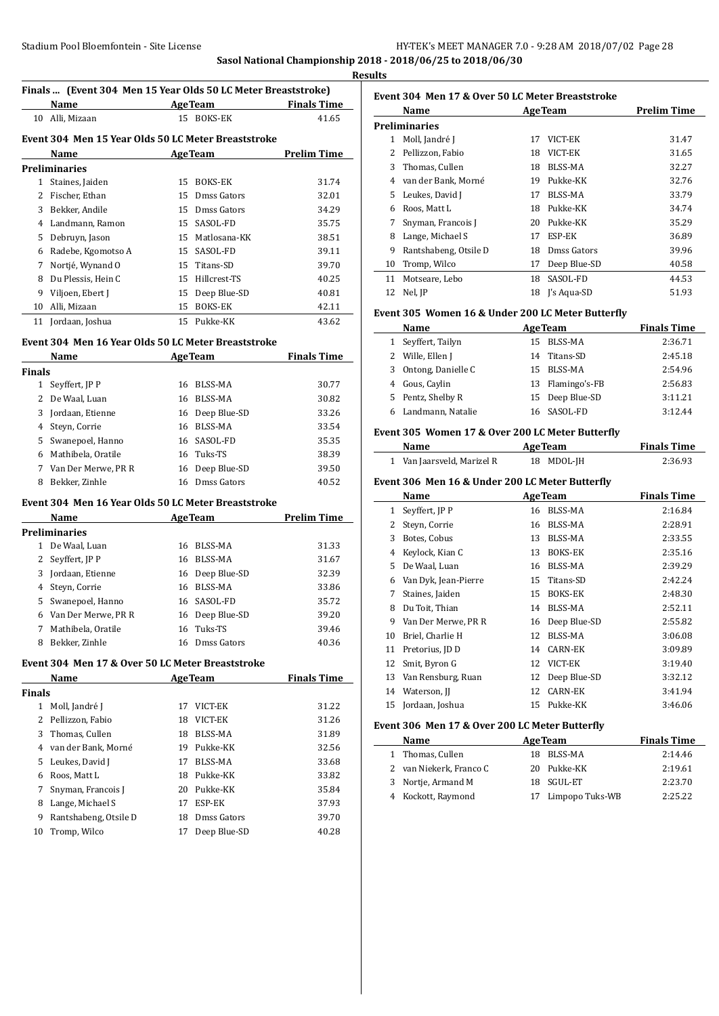#### **Sasol National Championship 2018 - 2018/06/25 to 2018/06/30 Results**

 $\overline{\phantom{0}}$ 

 $\overline{a}$ 

# **Finals ... (Event 304 Men 15 Year Olds 50 LC Meter Breaststroke)**

|    | Name                                                |    | <b>AgeTeam</b> | <b>Finals Time</b> |
|----|-----------------------------------------------------|----|----------------|--------------------|
| 10 | Alli, Mizaan                                        | 15 | BOKS-EK        | 41.65              |
|    | Event 304 Men 15 Year Olds 50 LC Meter Breaststroke |    |                |                    |
|    | Name                                                |    | <b>AgeTeam</b> | Prelim Time        |
|    | Preliminaries                                       |    |                |                    |
| 1  | Staines, Jaiden                                     | 15 | <b>BOKS-EK</b> | 31.74              |
| 2  | Fischer, Ethan                                      | 15 | Dmss Gators    | 32.01              |
| 3  | Bekker, Andile                                      | 15 | Dmss Gators    | 34.29              |
| 4  | Landmann, Ramon                                     | 15 | SASOL-FD       | 35.75              |
| 5  | Debruyn, Jason                                      | 15 | Matlosana-KK   | 38.51              |
| 6  | Radebe, Kgomotso A                                  | 15 | SASOL-FD       | 39.11              |
| 7  | Nortié, Wynand O                                    | 15 | Titans-SD      | 39.70              |
| 8  | Du Plessis, Hein C                                  | 15 | Hillcrest-TS   | 40.25              |
| 9  | Viljoen, Ebert J                                    | 15 | Deep Blue-SD   | 40.81              |
| 10 | Alli, Mizaan                                        | 15 | <b>BOKS-EK</b> | 42.11              |
| 11 | Jordaan, Joshua                                     |    | 15 Pukke-KK    | 43.62              |

#### **Event 304 Men 16 Year Olds 50 LC Meter Breaststroke**

|               | Name                |    | <b>AgeTeam</b>  | <b>Finals Time</b> |
|---------------|---------------------|----|-----------------|--------------------|
| <b>Finals</b> |                     |    |                 |                    |
| 1             | Seyffert, JP P      | 16 | BLSS-MA         | 30.77              |
| 2             | De Waal, Luan       | 16 | <b>BLSS-MA</b>  | 30.82              |
| 3             | Jordaan, Etienne    |    | 16 Deep Blue-SD | 33.26              |
| 4             | Steyn, Corrie       | 16 | BLSS-MA         | 33.54              |
| 5.            | Swanepoel, Hanno    |    | 16 SASOL-FD     | 35.35              |
| 6             | Mathibela, Oratile  |    | 16 Tuks-TS      | 38.39              |
| 7             | Van Der Merwe, PR R |    | 16 Deep Blue-SD | 39.50              |
| 8             | Bekker, Zinhle      | 16 | Dmss Gators     | 40.52              |
|               |                     |    |                 |                    |

# **Event 304 Men 16 Year Olds 50 LC Meter Breaststroke**

|               | Name                |    | <b>AgeTeam</b>  | Prelim Time |  |  |
|---------------|---------------------|----|-----------------|-------------|--|--|
| Preliminaries |                     |    |                 |             |  |  |
|               | De Waal, Luan       | 16 | BLSS-MA         | 31.33       |  |  |
|               | Seyffert, JP P      | 16 | BLSS-MA         | 31.67       |  |  |
| 3             | Jordaan, Etienne    |    | 16 Deep Blue-SD | 32.39       |  |  |
| 4             | Steyn, Corrie       | 16 | BLSS-MA         | 33.86       |  |  |
| 5.            | Swanepoel, Hanno    |    | 16 SASOL-FD     | 35.72       |  |  |
| 6             | Van Der Merwe, PR R |    | 16 Deep Blue-SD | 39.20       |  |  |
| 7             | Mathibela, Oratile  |    | 16 Tuks-TS      | 39.46       |  |  |
| 8             | Bekker, Zinhle      | 16 | Dmss Gators     | 40.36       |  |  |

#### **Event 304 Men 17 & Over 50 LC Meter Breaststroke**

|               | Name                  | AgeTeam |              | <b>Finals Time</b> |
|---------------|-----------------------|---------|--------------|--------------------|
| <b>Finals</b> |                       |         |              |                    |
| 1             | Moll, Jandré J        | 17      | VICT-EK      | 31.22              |
| 2             | Pellizzon, Fabio      | 18      | VICT-EK      | 31.26              |
| 3             | Thomas, Cullen        | 18      | BLSS-MA      | 31.89              |
| 4             | van der Bank, Morné   | 19      | Pukke-KK     | 32.56              |
| 5.            | Leukes, David J       | 17      | BLSS-MA      | 33.68              |
| 6             | Roos, Matt L          | 18      | Pukke-KK     | 33.82              |
| 7             | Snyman, Francois J    | 20      | Pukke-KK     | 35.84              |
| 8             | Lange, Michael S      | 17      | ESP-EK       | 37.93              |
| 9             | Rantshabeng, Otsile D | 18      | Dmss Gators  | 39.70              |
| 10            | Tromp, Wilco          | 17      | Deep Blue-SD | 40.28              |
|               |                       |         |              |                    |

| Event 304 Men 17 & Over 50 LC Meter Breaststroke |                       |    |                |                    |  |
|--------------------------------------------------|-----------------------|----|----------------|--------------------|--|
|                                                  | Name                  |    | <b>AgeTeam</b> | <b>Prelim Time</b> |  |
|                                                  | Preliminaries         |    |                |                    |  |
| 1                                                | Moll, Jandré J        | 17 | VICT-EK        | 31.47              |  |
| 2                                                | Pellizzon, Fabio      | 18 | VICT-EK        | 31.65              |  |
| 3                                                | Thomas, Cullen        | 18 | BLSS-MA        | 32.27              |  |
| 4                                                | van der Bank, Morné   | 19 | Pukke-KK       | 32.76              |  |
| 5.                                               | Leukes, David J       | 17 | BLSS-MA        | 33.79              |  |
| 6                                                | Roos, Matt L          | 18 | Pukke-KK       | 34.74              |  |
| 7                                                | Snyman, Francois J    | 20 | Pukke-KK       | 35.29              |  |
| 8                                                | Lange, Michael S      | 17 | ESP-EK         | 36.89              |  |
| 9                                                | Rantshabeng, Otsile D | 18 | Dmss Gators    | 39.96              |  |
| 10                                               | Tromp, Wilco          | 17 | Deep Blue-SD   | 40.58              |  |
| 11                                               | Motseare, Lebo        | 18 | SASOL-FD       | 44.53              |  |
| 12                                               | Nel, JP               |    | 18 I's Agua-SD | 51.93              |  |

#### **Event 305 Women 16 & Under 200 LC Meter Butterfly**

|    | Name               |     | <b>AgeTeam</b>   | <b>Finals Time</b> |
|----|--------------------|-----|------------------|--------------------|
|    | Seyffert, Tailyn   | 15. | BLSS-MA          | 2:36.71            |
|    | 2 Wille, Ellen J   | 14  | Titans-SD        | 2:45.18            |
| 3  | Ontong, Danielle C |     | 15 BLSS-MA       | 2:54.96            |
| 4  | Gous, Caylin       |     | 13 Flamingo's-FB | 2:56.83            |
| 5. | Pentz, Shelby R    |     | 15 Deep Blue-SD  | 3:11.21            |
|    | Landmann, Natalie  |     | 16 SASOL-FD      | 3:12.44            |

#### **Event 305 Women 17 & Over 200 LC Meter Butterfly**

| Name                       | <b>AgeTeam</b> | <b>Finals Time</b> |  |
|----------------------------|----------------|--------------------|--|
| 1 Van Jaarsveld, Marizel R | 18 MDOL-IH     | 2:36.93            |  |

## **Event 306 Men 16 & Under 200 LC Meter Butterfly**

|    | Name                 |    | <b>AgeTeam</b> | <b>Finals Time</b> |
|----|----------------------|----|----------------|--------------------|
| 1  | Seyffert, JP P       | 16 | BLSS-MA        | 2:16.84            |
| 2  | Steyn, Corrie        | 16 | BLSS-MA        | 2:28.91            |
| 3  | Botes, Cobus         | 13 | BLSS-MA        | 2:33.55            |
| 4  | Keylock, Kian C      | 13 | <b>BOKS-EK</b> | 2:35.16            |
| 5  | De Waal, Luan        | 16 | BLSS-MA        | 2:39.29            |
| 6  | Van Dyk, Jean-Pierre | 15 | Titans-SD      | 2:42.24            |
| 7  | Staines, Jaiden      | 15 | <b>BOKS-EK</b> | 2:48.30            |
| 8  | Du Toit, Thian       | 14 | BLSS-MA        | 2:52.11            |
| 9  | Van Der Merwe, PR R  | 16 | Deep Blue-SD   | 2:55.82            |
| 10 | Briel, Charlie H     | 12 | BLSS-MA        | 3:06.08            |
| 11 | Pretorius, JD D      | 14 | <b>CARN-EK</b> | 3:09.89            |
| 12 | Smit, Byron G        | 12 | VICT-EK        | 3:19.40            |
| 13 | Van Rensburg, Ruan   | 12 | Deep Blue-SD   | 3:32.12            |
| 14 | Waterson, II         | 12 | <b>CARN-EK</b> | 3:41.94            |
|    | 15 Jordaan, Joshua   | 15 | Pukke-KK       | 3:46.06            |

#### **Event 306 Men 17 & Over 200 LC Meter Butterfly**

|   | Name                    | <b>AgeTeam</b>     | <b>Finals Time</b> |
|---|-------------------------|--------------------|--------------------|
|   | 1 Thomas, Cullen        | 18 BLSS-MA         | 2:14.46            |
|   | 2 van Niekerk, Franco C | 20 Pukke-KK        | 2:19.61            |
| 3 | Nortje, Armand M        | 18 SGUL-ET         | 2:23.70            |
|   | 4 Kockott, Raymond      | 17 Limpopo Tuks-WB | 2:25.22            |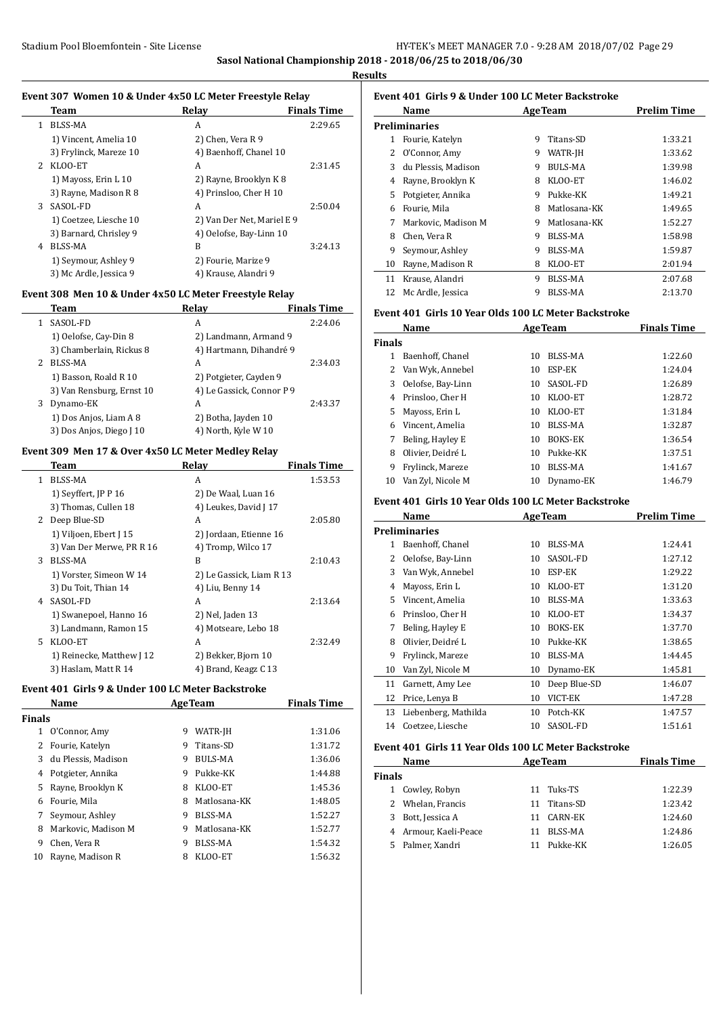**Sasol National Championship 2018 - 2018/06/25 to 2018/06/30**

**Results**

L.

#### **Event 307 Women 10 & Under 4x50 LC Meter Freestyle Relay**

|             | Team                   | Relav                      | <b>Finals Time</b> |
|-------------|------------------------|----------------------------|--------------------|
|             |                        |                            |                    |
| 1.          | BLSS-MA                | A                          | 2:29.65            |
|             | 1) Vincent, Amelia 10  | 2) Chen, Vera R 9          |                    |
|             | 3) Frylinck, Mareze 10 | 4) Baenhoff, Chanel 10     |                    |
| $2^{\circ}$ | KLOO-ET                | A                          | 2:31.45            |
|             | 1) Mayoss, Erin L 10   | 2) Rayne, Brooklyn K 8     |                    |
|             | 3) Rayne, Madison R 8  | 4) Prinsloo, Cher H 10     |                    |
| 3           | SASOL-FD               | A                          | 2:50.04            |
|             | 1) Coetzee, Liesche 10 | 2) Van Der Net, Mariel E 9 |                    |
|             | 3) Barnard, Chrisley 9 | 4) Oelofse, Bay-Linn 10    |                    |
| 4           | BLSS-MA                | B                          | 3:24.13            |
|             | 1) Seymour, Ashley 9   | 2) Fourie, Marize 9        |                    |
|             | 3) Mc Ardle, Jessica 9 | 4) Krause, Alandri 9       |                    |

#### **Event 308 Men 10 & Under 4x50 LC Meter Freestyle Relay**

|   | Team                      | Relav                     | <b>Finals Time</b> |
|---|---------------------------|---------------------------|--------------------|
| 1 | SASOL-FD                  | A                         | 2:24.06            |
|   | 1) Oelofse, Cay-Din 8     | 2) Landmann, Armand 9     |                    |
|   | 3) Chamberlain, Rickus 8  | 4) Hartmann, Dihandré 9   |                    |
| 2 | BLSS-MA                   | A                         | 2:34.03            |
|   | 1) Basson, Roald R 10     | 2) Potgieter, Cayden 9    |                    |
|   | 3) Van Rensburg, Ernst 10 | 4) Le Gassick, Connor P 9 |                    |
| 3 | Dynamo-EK                 | A                         | 2:43.37            |
|   | 1) Dos Anjos, Liam A 8    | 2) Botha, Jayden 10       |                    |
|   | 3) Dos Anjos, Diego J 10  | 4) North, Kyle W 10       |                    |

#### **Event 309 Men 17 & Over 4x50 LC Meter Medley Relay**

|    | Team                      | Relay                    | <b>Finals Time</b> |
|----|---------------------------|--------------------------|--------------------|
| 1  | <b>BLSS-MA</b>            | A                        | 1:53.53            |
|    | 1) Seyffert, JP P 16      | 2) De Waal, Luan 16      |                    |
|    | 3) Thomas, Cullen 18      | 4) Leukes, David J 17    |                    |
| 2  | Deep Blue-SD              | A                        | 2:05.80            |
|    | 1) Viljoen, Ebert J 15    | 2) Jordaan, Etienne 16   |                    |
|    | 3) Van Der Merwe, PR R 16 | 4) Tromp, Wilco 17       |                    |
| 3  | BLSS-MA                   | B                        | 2:10.43            |
|    | 1) Vorster, Simeon W 14   | 2) Le Gassick, Liam R 13 |                    |
|    | 3) Du Toit, Thian 14      | 4) Liu, Benny 14         |                    |
| 4  | SASOL-FD                  | A                        | 2:13.64            |
|    | 1) Swanepoel, Hanno 16    | 2) Nel, Jaden 13         |                    |
|    | 3) Landmann, Ramon 15     | 4) Motseare, Lebo 18     |                    |
| 5. | KLOO-ET                   | A                        | 2:32.49            |
|    | 1) Reinecke, Matthew J 12 | 2) Bekker, Bjorn 10      |                    |
|    | 3) Haslam, Matt R 14      | 4) Brand, Keagz C 13     |                    |

#### **Event 401 Girls 9 & Under 100 LC Meter Backstroke**

| Name          |                     |   | <b>AgeTeam</b> | <b>Finals Time</b> |
|---------------|---------------------|---|----------------|--------------------|
| <b>Finals</b> |                     |   |                |                    |
| 1             | O'Connor, Amy       | 9 | WATR-JH        | 1:31.06            |
|               | Fourie, Katelyn     | 9 | Titans-SD      | 1:31.72            |
| 3             | du Plessis, Madison | 9 | BULS-MA        | 1:36.06            |
| 4             | Potgieter, Annika   | 9 | Pukke-KK       | 1:44.88            |
| 5             | Rayne, Brooklyn K   | 8 | KLOO-ET        | 1:45.36            |
| 6             | Fourie. Mila        | 8 | Matlosana-KK   | 1:48.05            |
|               | Seymour, Ashley     | 9 | BLSS-MA        | 1:52.27            |
| 8             | Markovic, Madison M | 9 | Matlosana-KK   | 1:52.77            |
| 9             | Chen, Vera R        | 9 | BLSS-MA        | 1:54.32            |
| 10            | Rayne, Madison R    | 8 | KLOO-ET        | 1:56.32            |
|               |                     |   |                |                    |

# **Event 401 Girls 9 & Under 100 LC Meter Backstroke**

|    | Name                |   | <b>AgeTeam</b> | <b>Prelim Time</b> |
|----|---------------------|---|----------------|--------------------|
|    | Preliminaries       |   |                |                    |
| 1  | Fourie, Katelyn     | 9 | Titans-SD      | 1:33.21            |
| 2  | O'Connor, Amy       | 9 | WATR-JH        | 1:33.62            |
| 3  | du Plessis, Madison | 9 | BULS-MA        | 1:39.98            |
| 4  | Rayne, Brooklyn K   | 8 | KLOO-ET        | 1:46.02            |
| 5  | Potgieter, Annika   | 9 | Pukke-KK       | 1:49.21            |
| 6  | Fourie, Mila        | 8 | Matlosana-KK   | 1:49.65            |
| 7  | Markovic, Madison M | 9 | Matlosana-KK   | 1:52.27            |
| 8  | Chen, Vera R        | 9 | BLSS-MA        | 1:58.98            |
| 9  | Seymour, Ashlev     | 9 | BLSS-MA        | 1:59.87            |
| 10 | Rayne, Madison R    | 8 | KLOO-ET        | 2:01.94            |
| 11 | Krause, Alandri     | 9 | <b>BLSS-MA</b> | 2:07.68            |
| 12 | Mc Ardle, Jessica   | 9 | BLSS-MA        | 2:13.70            |

#### **Event 401 Girls 10 Year Olds 100 LC Meter Backstroke**

| Name          |                   |    | <b>AgeTeam</b> | <b>Finals Time</b> |  |
|---------------|-------------------|----|----------------|--------------------|--|
| <b>Finals</b> |                   |    |                |                    |  |
| 1             | Baenhoff, Chanel  | 10 | BLSS-MA        | 1:22.60            |  |
| $\mathbf{Z}$  | Van Wyk, Annebel  | 10 | ESP-EK         | 1:24.04            |  |
| 3             | Oelofse, Bay-Linn | 10 | SASOL-FD       | 1:26.89            |  |
| 4             | Prinsloo, Cher H  | 10 | KLOO-ET        | 1:28.72            |  |
| 5.            | Mayoss, Erin L    | 10 | KLOO-ET        | 1:31.84            |  |
| 6             | Vincent, Amelia   | 10 | BLSS-MA        | 1:32.87            |  |
|               | Beling, Hayley E  | 10 | <b>BOKS-EK</b> | 1:36.54            |  |
| 8             | Olivier. Deidré L | 10 | Pukke-KK       | 1:37.51            |  |
| 9             | Frylinck, Mareze  | 10 | BLSS-MA        | 1:41.67            |  |
| 10            | Van Zvl, Nicole M | 10 | Dynamo-EK      | 1:46.79            |  |

#### **Event 401 Girls 10 Year Olds 100 LC Meter Backstroke**

|    | Name                 | <b>AgeTeam</b> |                | <b>Prelim Time</b> |
|----|----------------------|----------------|----------------|--------------------|
|    | Preliminaries        |                |                |                    |
| 1  | Baenhoff, Chanel     | 10             | BLSS-MA        | 1:24.41            |
| 2  | Oelofse, Bay-Linn    | 10             | SASOL-FD       | 1:27.12            |
| 3  | Van Wyk, Annebel     | 10             | ESP-EK         | 1:29.22            |
| 4  | Mayoss, Erin L       | 10             | KLOO-ET        | 1:31.20            |
| 5  | Vincent, Amelia      | 10             | BLSS-MA        | 1:33.63            |
| 6  | Prinsloo, Cher H     | 10             | KLOO-ET        | 1:34.37            |
| 7  | Beling, Hayley E     | 10             | <b>BOKS-EK</b> | 1:37.70            |
| 8  | Olivier, Deidré L    | 10             | Pukke-KK       | 1:38.65            |
| 9  | Frylinck, Mareze     | 10             | BLSS-MA        | 1:44.45            |
| 10 | Van Zyl, Nicole M    | 10             | Dynamo-EK      | 1:45.81            |
| 11 | Garnett, Amy Lee     | 10             | Deep Blue-SD   | 1:46.07            |
| 12 | Price, Lenya B       | 10             | VICT-EK        | 1:47.28            |
| 13 | Liebenberg, Mathilda | 10             | Potch-KK       | 1:47.57            |
| 14 | Coetzee, Liesche     | 10             | SASOL-FD       | 1:51.61            |

#### **Event 401 Girls 11 Year Olds 100 LC Meter Backstroke**

| Name                  | <b>AgeTeam</b>  | <b>Finals Time</b> |
|-----------------------|-----------------|--------------------|
| <b>Finals</b>         |                 |                    |
| 1 Cowley, Robyn       | 11 Tuks-TS      | 1:22.39            |
| 2 Whelan, Francis     | Titans-SD<br>11 | 1:23.42            |
| Bott, Jessica A<br>3  | 11 CARN-EK      | 1:24.60            |
| 4 Armour, Kaeli-Peace | BLSS-MA         | 1:24.86            |
| 5 Palmer, Xandri      | Pukke-KK        | 1:26.05            |
|                       |                 |                    |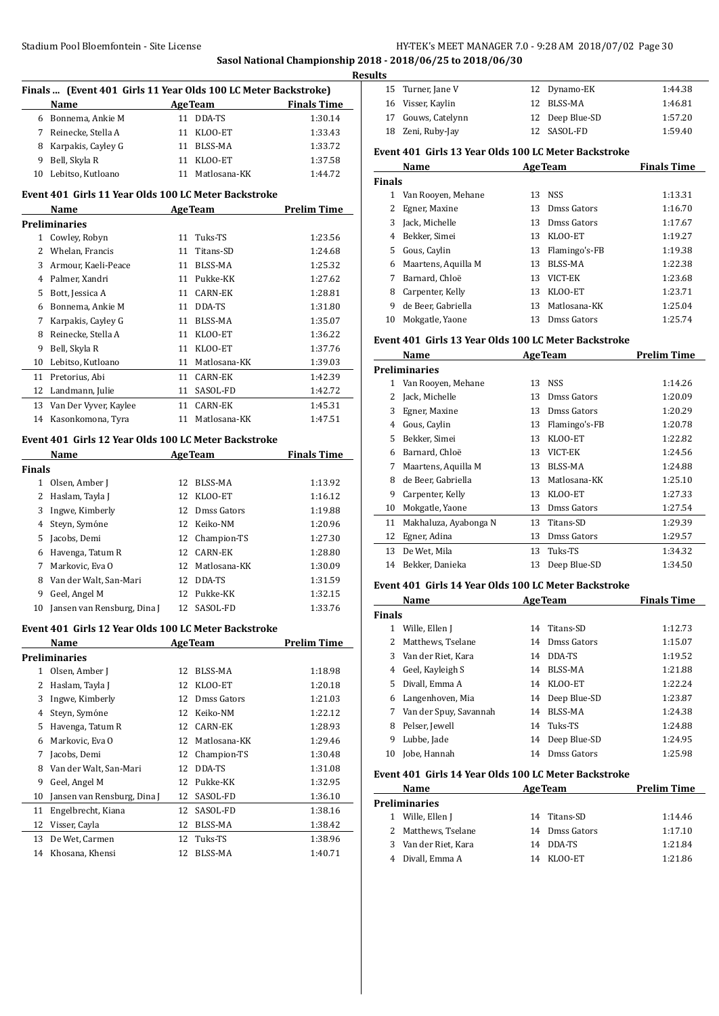**Sasol National Championship 2018 - 2018/06/25 to 2018/06/30**

 $\overline{a}$ 

 $\overline{a}$ 

| Finals  (Event 401 Girls 11 Year Olds 100 LC Meter Backstroke) |                                                      |    |                 |                    |
|----------------------------------------------------------------|------------------------------------------------------|----|-----------------|--------------------|
|                                                                | Name                                                 |    | AgeTeam         | <b>Finals Time</b> |
| 6                                                              | Bonnema, Ankie M                                     |    | 11 DDA-TS       | 1:30.14            |
|                                                                | 7 Reinecke, Stella A                                 |    | 11 KLOO-ET      | 1:33.43            |
|                                                                | 8 Karpakis, Cayley G                                 |    | 11 BLSS-MA      | 1:33.72            |
| 9                                                              | Bell, Skyla R                                        |    | 11 KLOO-ET      | 1:37.58            |
| 10                                                             | Lebitso, Kutloano                                    |    | 11 Matlosana-KK | 1:44.72            |
|                                                                | Event 401 Girls 11 Year Olds 100 LC Meter Backstroke |    |                 |                    |
|                                                                | Name                                                 |    | <b>AgeTeam</b>  | <b>Prelim Time</b> |
|                                                                | <b>Preliminaries</b>                                 |    |                 |                    |
|                                                                | 1 Cowley, Robyn                                      |    | 11 Tuks-TS      | 1:23.56            |
|                                                                | 2 Whelan, Francis                                    | 11 | Titans-SD       | 1:24.68            |
| 3                                                              | Armour, Kaeli-Peace                                  |    | 11 BLSS-MA      | 1:25.32            |
|                                                                | 4 Palmer, Xandri                                     |    | 11 Pukke-KK     | 1:27.62            |
| 5                                                              | Bott, Jessica A                                      |    | 11 CARN-EK      | 1:28.81            |
| 6                                                              | Bonnema, Ankie M                                     |    | 11 DDA-TS       | 1:31.80            |
| 7                                                              | Karpakis, Cayley G                                   |    | 11 BLSS-MA      | 1:35.07            |
| 8                                                              | Reinecke, Stella A                                   |    | 11 KLOO-ET      | 1:36.22            |
| 9                                                              | Bell, Skyla R                                        |    | 11 KLOO-ET      | 1:37.76            |
| 10                                                             | Lebitso, Kutloano                                    |    | 11 Matlosana-KK | 1:39.03            |
| 11                                                             | Pretorius, Abi                                       |    | 11 CARN-EK      | 1:42.39            |
| 12                                                             | Landmann, Julie                                      |    | 11 SASOL-FD     | 1:42.72            |
| 13                                                             | Van Der Vyver, Kaylee                                |    | 11 CARN-EK      | 1:45.31            |
| 14                                                             | Kasonkomona, Tyra                                    |    | 11 Matlosana-KK | 1:47.51            |
|                                                                |                                                      |    |                 |                    |
|                                                                | Event 401 Girls 12 Year Olds 100 LC Meter Backstroke |    |                 |                    |
|                                                                | Name                                                 |    | <b>AgeTeam</b>  | <b>Finals Time</b> |
| <b>Finals</b>                                                  |                                                      |    |                 |                    |
|                                                                | 1 Olsen, Amber J                                     |    | 12 BLSS-MA      | 1:13.92            |
|                                                                | 2 Haslam, Tayla J                                    |    | 12 KLOO-ET      | 1:16.12            |
| 3                                                              | Ingwe, Kimberly                                      |    | 12 Dmss Gators  | 1:19.88            |
| $\overline{4}$                                                 | Steyn, Symóne                                        |    | 12 Keiko-NM     | 1:20.96            |
| 5                                                              | Jacobs, Demi                                         |    | 12 Champion-TS  | 1:27.30            |
| 6                                                              | Havenga, Tatum R                                     |    | 12 CARN-EK      | 1:28.80            |
| 7                                                              | Markovic, Eva O                                      |    | 12 Matlosana-KK | 1:30.09            |
| 8                                                              | Van der Walt, San-Mari                               |    | 12 DDA-TS       | 1:31.59            |
| 9                                                              | Geel, Angel M                                        |    | 12 Pukke-KK     | 1:32.15            |
| 10                                                             | Jansen van Rensburg, Dina J                          |    | 12 SASOL-FD     | 1:33.76            |
|                                                                | Event 401 Girls 12 Year Olds 100 LC Meter Backstroke |    |                 |                    |
|                                                                | Name                                                 |    | <b>AgeTeam</b>  | <b>Prelim Time</b> |
|                                                                | <b>Preliminaries</b>                                 |    |                 |                    |
| $\mathbf{1}$                                                   | Olsen, Amber J                                       | 12 | BLSS-MA         | 1:18.98            |
| 2                                                              | Haslam, Tayla J                                      | 12 | KLOO-ET         | 1:20.18            |
| 3                                                              | Ingwe, Kimberly                                      | 12 | Dmss Gators     | 1:21.03            |
| 4                                                              | Steyn, Symóne                                        | 12 | Keiko-NM        | 1:22.12            |
| 5                                                              | Havenga, Tatum R                                     | 12 | <b>CARN-EK</b>  | 1:28.93            |
| 6                                                              | Markovic, Eva O                                      | 12 | Matlosana-KK    | 1:29.46            |
| 7                                                              | Jacobs, Demi                                         | 12 | Champion-TS     | 1:30.48            |
| 8                                                              | Van der Walt, San-Mari                               | 12 | DDA-TS          | 1:31.08            |
| 9                                                              | Geel, Angel M                                        | 12 | Pukke-KK        | 1:32.95            |
| 10                                                             | Jansen van Rensburg, Dina J                          | 12 | SASOL-FD        | 1:36.10            |
| 11                                                             | Engelbrecht, Kiana                                   | 12 | SASOL-FD        | 1:38.16            |
| 12                                                             | Visser, Cayla                                        | 12 | BLSS-MA         | 1:38.42            |
| 13                                                             | De Wet, Carmen                                       | 12 | Tuks-TS         | 1:38.96            |
| 14                                                             | Khosana, Khensi                                      | 12 | BLSS-MA         | 1:40.71            |

| <b>Results</b> |                    |  |                 |         |  |  |
|----------------|--------------------|--|-----------------|---------|--|--|
|                | 15 Turner, Jane V  |  | 12 Dynamo-EK    | 1:44.38 |  |  |
|                | 16 Visser, Kaylin  |  | 12 BLSS-MA      | 1:46.81 |  |  |
|                | 17 Gouws, Catelynn |  | 12 Deep Blue-SD | 1:57.20 |  |  |
|                | 18 Zeni, Ruby-Jay  |  | 12 SASOL-FD     | 1:59.40 |  |  |

#### **Event 401 Girls 13 Year Olds 100 LC Meter Backstroke**

| Name          |                     | <b>AgeTeam</b> |                  | <b>Finals Time</b> |  |
|---------------|---------------------|----------------|------------------|--------------------|--|
| <b>Finals</b> |                     |                |                  |                    |  |
| 1             | Van Rooyen, Mehane  | 13             | NSS.             | 1:13.31            |  |
|               | Egner, Maxine       | 13             | Dmss Gators      | 1:16.70            |  |
| 3             | Jack, Michelle      | 13             | Dmss Gators      | 1:17.67            |  |
| 4             | Bekker, Simei       | 13             | KLOO-ET          | 1:19.27            |  |
| 5.            | Gous, Caylin        |                | 13 Flamingo's-FB | 1:19.38            |  |
| 6             | Maartens, Aquilla M | 13             | BLSS-MA          | 1:22.38            |  |
|               | Barnard, Chloë      | 13             | VICT-EK          | 1:23.68            |  |
| 8             | Carpenter, Kelly    | 13             | KLOO-ET          | 1:23.71            |  |
| 9             | de Beer, Gabriella  | 13             | Matlosana-KK     | 1:25.04            |  |
| 10            | Mokgatle, Yaone     | 13             | Dmss Gators      | 1:25.74            |  |

#### **Event 401 Girls 13 Year Olds 100 LC Meter Backstroke**

|               | Name                  | <b>AgeTeam</b> |               | <b>Prelim Time</b> |  |
|---------------|-----------------------|----------------|---------------|--------------------|--|
| Preliminaries |                       |                |               |                    |  |
| 1             | Van Rooyen, Mehane    |                | 13 NSS        | 1:14.26            |  |
| 2             | Jack, Michelle        | 13             | Dmss Gators   | 1:20.09            |  |
| 3             | Egner, Maxine         | 13             | Dmss Gators   | 1:20.29            |  |
| 4             | Gous, Caylin          | 13             | Flamingo's-FB | 1:20.78            |  |
| 5             | Bekker, Simei         | 13             | KLOO-ET       | 1:22.82            |  |
| 6             | Barnard, Chloë        | 13             | VICT-EK       | 1:24.56            |  |
| 7             | Maartens, Aquilla M   | 13             | BLSS-MA       | 1:24.88            |  |
| 8             | de Beer, Gabriella    | 13             | Matlosana-KK  | 1:25.10            |  |
| 9             | Carpenter, Kelly      | 13             | KLOO-ET       | 1:27.33            |  |
| 10            | Mokgatle, Yaone       | 13             | Dmss Gators   | 1:27.54            |  |
| 11            | Makhaluza, Ayabonga N | 13             | Titans-SD     | 1:29.39            |  |
| 12            | Egner, Adina          | 13             | Dmss Gators   | 1:29.57            |  |
| 13            | De Wet, Mila          | 13             | Tuks-TS       | 1:34.32            |  |
| 14            | Bekker, Danieka       | 13             | Deep Blue-SD  | 1:34.50            |  |

#### **Event 401 Girls 14 Year Olds 100 LC Meter Backstroke**

|               | Name                   | <b>AgeTeam</b> |                 | <b>Finals Time</b> |
|---------------|------------------------|----------------|-----------------|--------------------|
| <b>Finals</b> |                        |                |                 |                    |
| 1             | Wille, Ellen J         |                | 14 Titans-SD    | 1:12.73            |
| 2             | Matthews, Tselane      | 14             | Dmss Gators     | 1:15.07            |
|               | 3 Van der Riet, Kara   | 14             | DDA-TS          | 1:19.52            |
| 4             | Geel, Kayleigh S       | 14             | BLSS-MA         | 1:21.88            |
| 5.            | Divall, Emma A         | 14             | KLOO-ET         | 1:22.24            |
| 6             | Langenhoven, Mia       |                | 14 Deep Blue-SD | 1:23.87            |
| 7             | Van der Spuy, Savannah | 14             | BLSS-MA         | 1:24.38            |
| 8             | Pelser, Jewell         | 14             | Tuks-TS         | 1:24.88            |
| 9             | Lubbe, Jade            | 14             | Deep Blue-SD    | 1:24.95            |
| 10            | Jobe, Hannah           | 14             | Dmss Gators     | 1:25.98            |

#### **Event 401 Girls 14 Year Olds 100 LC Meter Backstroke**

|               | Name<br><b>AgeTeam</b> |                | <b>Prelim Time</b> |
|---------------|------------------------|----------------|--------------------|
| Preliminaries |                        |                |                    |
|               | 1 Wille, Ellen J       | 14 Titans-SD   | 1:14.46            |
|               | 2 Matthews, Tselane    | 14 Dmss Gators | 1:17.10            |
|               | 3 Van der Riet, Kara   | DDA-TS<br>14   | 1:21.84            |
|               | Divall, Emma A         | KLOO-ET<br>14  | 1:21.86            |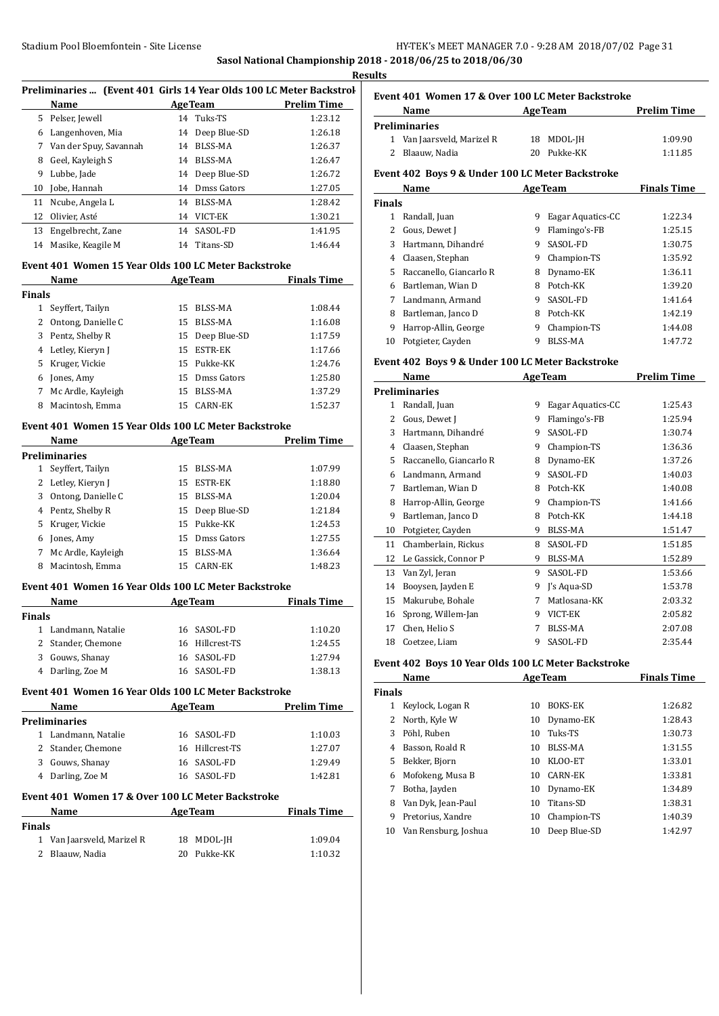# **Sasol National Championship 2018 - 2018/06/25 to 2018/06/30**

| <b>Results</b> |  |
|----------------|--|
|                |  |

J.

| Preliminaries  (Event 401 Girls 14 Year Olds 100 LC Meter Backstrol |    |              |                              |  |
|---------------------------------------------------------------------|----|--------------|------------------------------|--|
| <b>Name</b>                                                         |    |              | <b>Prelim Time</b>           |  |
| 5 Pelser, Jewell                                                    |    |              | 1:23.12                      |  |
| Langenhoven, Mia                                                    | 14 | Deep Blue-SD | 1:26.18                      |  |
| Van der Spuy, Savannah                                              | 14 | BLSS-MA      | 1:26.37                      |  |
| Geel, Kayleigh S                                                    | 14 | BLSS-MA      | 1:26.47                      |  |
| Lubbe, Jade                                                         | 14 | Deep Blue-SD | 1:26.72                      |  |
| Jobe, Hannah                                                        | 14 | Dmss Gators  | 1:27.05                      |  |
| Ncube, Angela L                                                     | 14 | BLSS-MA      | 1:28.42                      |  |
| Olivier, Asté                                                       | 14 | VICT-EK      | 1:30.21                      |  |
| Engelbrecht, Zane                                                   | 14 | SASOL-FD     | 1:41.95                      |  |
| Masike, Keagile M                                                   | 14 | Titans-SD    | 1:46.44                      |  |
|                                                                     |    |              | <b>AgeTeam</b><br>14 Tuks-TS |  |

#### **Event 401 Women 15 Year Olds 100 LC Meter Backstroke**

| Name               | <b>AgeTeam</b> |                | <b>Finals Time</b> |
|--------------------|----------------|----------------|--------------------|
| <b>Finals</b>      |                |                |                    |
| Seyffert, Tailyn   | 15             | BLSS-MA        | 1:08.44            |
| Ontong, Danielle C | 15.            | BLSS-MA        | 1:16.08            |
| Pentz, Shelby R    | 15             | Deep Blue-SD   | 1:17.59            |
| 4 Letley, Kieryn J | 15             | <b>ESTR-EK</b> | 1:17.66            |
| 5 Kruger, Vickie   |                |                | 1:24.76            |
| Jones, Amy         | 15             | Dmss Gators    | 1:25.80            |
| Mc Ardle, Kayleigh | 15             | BLSS-MA        | 1:37.29            |
| Macintosh, Emma    | 15             | CARN-EK        | 1:52.37            |
|                    |                |                | 15 Pukke-KK        |

# **Event 401 Women 15 Year Olds 100 LC Meter Backstroke**

|    | Name                 | <b>AgeTeam</b> |                 | <b>Prelim Time</b> |
|----|----------------------|----------------|-----------------|--------------------|
|    | <b>Preliminaries</b> |                |                 |                    |
|    | Seyffert, Tailyn     | 15             | BLSS-MA         | 1:07.99            |
| 2  | Letley, Kieryn J     | 15             | <b>ESTR-EK</b>  | 1:18.80            |
| 3  | Ontong, Danielle C   | 15             | BLSS-MA         | 1:20.04            |
|    | 4 Pentz, Shelby R    |                | 15 Deep Blue-SD | 1:21.84            |
| 5. | Kruger, Vickie       |                | 15 Pukke-KK     | 1:24.53            |
| 6  | Jones, Amy           | 15             | Dmss Gators     | 1:27.55            |
| 7  | Mc Ardle, Kayleigh   | 15             | BLSS-MA         | 1:36.64            |
| 8  | Macintosh, Emma      | 15             | CARN-EK         | 1:48.23            |

## **Event 401 Women 16 Year Olds 100 LC Meter Backstroke**

| <b>Name</b>         | <b>AgeTeam</b>  | <b>Finals Time</b> |  |
|---------------------|-----------------|--------------------|--|
| Finals              |                 |                    |  |
| 1 Landmann, Natalie | 16 SASOL-FD     | 1:10.20            |  |
| 2 Stander, Chemone  | 16 Hillcrest-TS | 1:24.55            |  |
| 3 Gouws, Shanay     | 16 SASOL-FD     | 1:27.94            |  |
| 4 Darling, Zoe M    | 16 SASOL-FD     | 1:38.13            |  |

## **Event 401 Women 16 Year Olds 100 LC Meter Backstroke**

| Name |                                                   | <b>AgeTeam</b>  | <b>Prelim Time</b> |
|------|---------------------------------------------------|-----------------|--------------------|
|      | Preliminaries                                     |                 |                    |
| 1    | Landmann, Natalie                                 | 16 SASOL-FD     | 1:10.03            |
|      | 2 Stander, Chemone                                | 16 Hillcrest-TS | 1:27.07            |
| 3    | Gouws, Shanay                                     | 16 SASOL-FD     | 1:29.49            |
|      | 4 Darling, Zoe M                                  | 16 SASOL-FD     | 1:42.81            |
|      | Event 401 Women 17 & Over 100 LC Meter Backstroke |                 |                    |

#### **Event 401 Women 17 & Over 100 LC Meter Backstroke**

| <b>Name</b>                | <b>AgeTeam</b> | <b>Finals Time</b> |
|----------------------------|----------------|--------------------|
| <b>Finals</b>              |                |                    |
| 1 Van Jaarsveld, Marizel R | 18 MDOL-IH     | 1:09.04            |
| 2 Blaauw, Nadia            | 20 Pukke-KK    | 1:10.32            |

# **Event 401 Women 17 & Over 100 LC Meter Backstroke**

| Name                       | <b>AgeTeam</b> | <b>Prelim Time</b> |
|----------------------------|----------------|--------------------|
| Preliminaries              |                |                    |
| 1 Van Jaarsveld, Marizel R | 18 MDOL-JH     | 1:09.90            |
| 2 Blaauw, Nadia            | 20 Pukke-KK    | 1:11.85            |
|                            |                |                    |

# **Event 402 Boys 9 & Under 100 LC Meter Backstroke**

| Name          |                         |   | <b>AgeTeam</b>    | <b>Finals Time</b> |
|---------------|-------------------------|---|-------------------|--------------------|
| <b>Finals</b> |                         |   |                   |                    |
| 1             | Randall, Juan           | 9 | Eagar Aquatics-CC | 1:22.34            |
|               | Gous, Dewet J           | 9 | Flamingo's-FB     | 1:25.15            |
| 3             | Hartmann, Dihandré      | 9 | SASOL-FD          | 1:30.75            |
| 4             | Claasen, Stephan        | 9 | Champion-TS       | 1:35.92            |
| 5.            | Raccanello, Giancarlo R | 8 | Dynamo-EK         | 1:36.11            |
| 6             | Bartleman, Wian D       | 8 | Potch-KK          | 1:39.20            |
|               | Landmann, Armand        | 9 | SASOL-FD          | 1:41.64            |
| 8             | Bartleman, Janco D      | 8 | Potch-KK          | 1:42.19            |
| 9             | Harrop-Allin, George    | 9 | Champion-TS       | 1:44.08            |
| 10            | Potgieter, Cayden       | 9 | <b>BLSS-MA</b>    | 1:47.72            |

# **Event 402 Boys 9 & Under 100 LC Meter Backstroke**

|    | Name                    |   | <b>AgeTeam</b>    | Prelim Time |
|----|-------------------------|---|-------------------|-------------|
|    | Preliminaries           |   |                   |             |
| 1  | Randall, Juan           | 9 | Eagar Aquatics-CC | 1:25.43     |
| 2  | Gous, Dewet J           | 9 | Flamingo's-FB     | 1:25.94     |
| 3  | Hartmann, Dihandré      | 9 | SASOL-FD          | 1:30.74     |
| 4  | Claasen, Stephan        | 9 | Champion-TS       | 1:36.36     |
| 5  | Raccanello, Giancarlo R | 8 | Dynamo-EK         | 1:37.26     |
| 6  | Landmann, Armand        | 9 | SASOL-FD          | 1:40.03     |
| 7  | Bartleman, Wian D       | 8 | Potch-KK          | 1:40.08     |
| 8  | Harrop-Allin, George    | 9 | Champion-TS       | 1:41.66     |
| 9  | Bartleman, Janco D      | 8 | Potch-KK          | 1:44.18     |
| 10 | Potgieter, Cayden       | 9 | BLSS-MA           | 1:51.47     |
| 11 | Chamberlain, Rickus     | 8 | SASOL-FD          | 1:51.85     |
| 12 | Le Gassick, Connor P    | 9 | BLSS-MA           | 1:52.89     |
| 13 | Van Zyl, Jeran          | 9 | SASOL-FD          | 1:53.66     |
| 14 | Booysen, Jayden E       | 9 | J's Aqua-SD       | 1:53.78     |
| 15 | Makurube, Bohale        | 7 | Matlosana-KK      | 2:03.32     |
| 16 | Sprong, Willem-Jan      | 9 | VICT-EK           | 2:05.82     |
| 17 | Chen, Helio S           | 7 | BLSS-MA           | 2:07.08     |
| 18 | Coetzee, Liam           | 9 | SASOL-FD          | 2:35.44     |

## **Event 402 Boys 10 Year Olds 100 LC Meter Backstroke**

| Name                 |    |                | <b>Finals Time</b> |
|----------------------|----|----------------|--------------------|
| <b>Finals</b>        |    |                |                    |
| Keylock, Logan R     | 10 | <b>BOKS-EK</b> | 1:26.82            |
| North, Kyle W        | 10 | Dynamo-EK      | 1:28.43            |
| Pöhl, Ruben          | 10 | Tuks-TS        | 1:30.73            |
| Basson, Roald R      | 10 | BLSS-MA        | 1:31.55            |
| Bekker, Bjorn        | 10 | KLOO-ET        | 1:33.01            |
| Mofokeng, Musa B     | 10 | CARN-EK        | 1:33.81            |
| Botha, Jayden        | 10 | Dynamo-EK      | 1:34.89            |
| Van Dyk, Jean-Paul   | 10 | Titans-SD      | 1:38.31            |
| Pretorius, Xandre    | 10 | Champion-TS    | 1:40.39            |
| Van Rensburg, Joshua | 10 | Deep Blue-SD   | 1:42.97            |
|                      |    |                | <b>AgeTeam</b>     |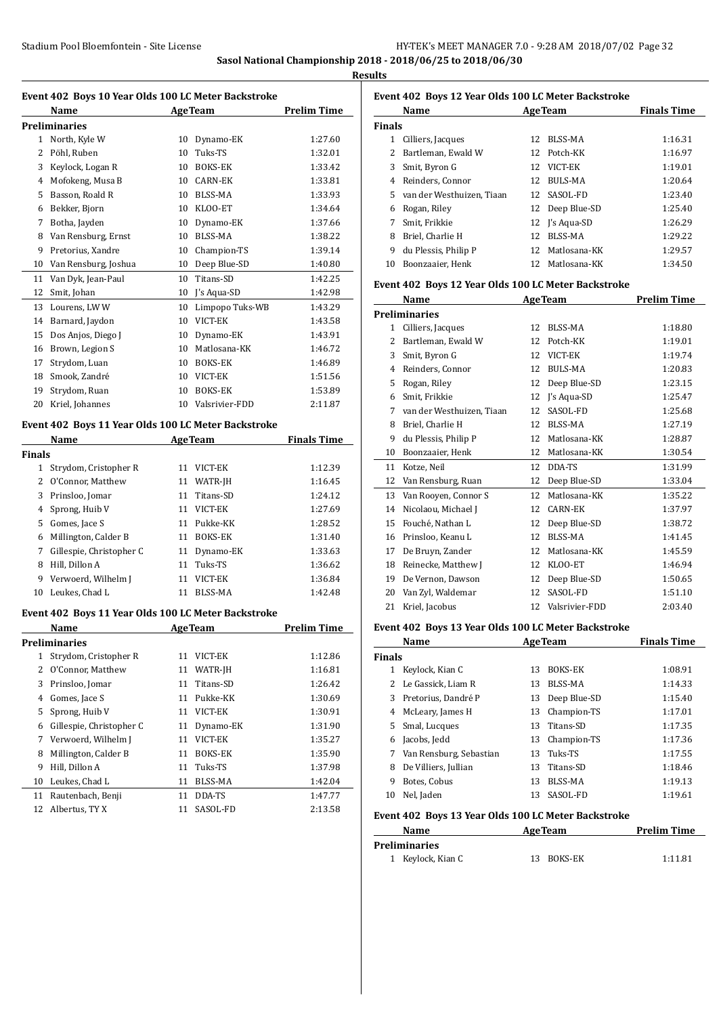**Sasol National Championship 2018 - 2018/06/25 to 2018/06/30**

**Results**

|               | Event 402 Boys 10 Year Olds 100 LC Meter Backstroke<br>Name | <b>AgeTeam</b> |                                 | <b>Prelim Time</b> |
|---------------|-------------------------------------------------------------|----------------|---------------------------------|--------------------|
|               | <b>Preliminaries</b>                                        |                |                                 |                    |
|               | 1 North, Kyle W                                             |                | 10 Dynamo-EK                    | 1:27.60            |
|               | 2 Pöhl, Ruben                                               |                | 10 Tuks-TS                      | 1:32.01            |
|               | 3 Keylock, Logan R                                          |                | 10 BOKS-EK                      | 1:33.42            |
|               | 4 Mofokeng, Musa B                                          |                | 10 CARN-EK                      | 1:33.81            |
|               | 5 Basson, Roald R                                           |                | 10 BLSS-MA                      | 1:33.93            |
|               | 6 Bekker, Bjorn                                             |                | 10 KLOO-ET                      | 1:34.64            |
|               | 7 Botha, Jayden                                             |                | 10 Dynamo-EK                    | 1:37.66            |
|               | 8 Van Rensburg, Ernst                                       |                | 10 BLSS-MA                      | 1:38.22            |
|               | 9 Pretorius, Xandre                                         |                | 10 Champion-TS                  | 1:39.14            |
|               | 10 Van Rensburg, Joshua                                     |                | 10 Deep Blue-SD                 | 1:40.80            |
| 11            | Van Dyk, Jean-Paul                                          | 10             | Titans-SD                       | 1:42.25            |
| 12            | Smit, Johan                                                 |                | 10 J's Aqua-SD                  | 1:42.98            |
| 13            | Lourens, LW W                                               |                | 10 Limpopo Tuks-WB              | 1:43.29            |
|               | 14 Barnard, Jaydon                                          |                | 10 VICT-EK                      | 1:43.58            |
| 15            | Dos Anjos, Diego J                                          |                |                                 | 1:43.91            |
|               |                                                             |                | 10 Dynamo-EK<br>10 Matlosana-KK | 1:46.72            |
|               | 16 Brown, Legion S<br>Strydom, Luan                         |                |                                 |                    |
| 17            | Smook, Zandré                                               |                | 10 BOKS-EK                      | 1:46.89            |
| 18            |                                                             |                | 10 VICT-EK<br>10 BOKS-EK        | 1:51.56            |
| 19            | Strydom, Ruan                                               |                |                                 | 1:53.89            |
| 20            | Kriel, Johannes                                             |                | 10 Valsrivier-FDD               | 2:11.87            |
|               | Event 402 Boys 11 Year Olds 100 LC Meter Backstroke         |                |                                 |                    |
|               | Name                                                        |                | <b>AgeTeam</b>                  | <b>Finals Time</b> |
| <b>Finals</b> |                                                             |                |                                 |                    |
|               | 1 Strydom, Cristopher R                                     | 11             | VICT-EK                         | 1:12.39            |
|               | 2 O'Connor, Matthew                                         |                | 11 WATR-JH                      | 1:16.45            |
|               | 3 Prinsloo, Jomar                                           | 11             | Titans-SD                       | 1:24.12            |
| 4             | Sprong, Huib V                                              |                | 11 VICT-EK                      | 1:27.69            |
|               | 5 Gomes, Jace S                                             |                | 11 Pukke-KK                     | 1:28.52            |
|               | 6 Millington, Calder B                                      |                | 11 BOKS-EK                      | 1:31.40            |
| 7             | Gillespie, Christopher C                                    |                | 11 Dynamo-EK                    | 1:33.63            |
| 8             | Hill, Dillon A                                              |                | 11 Tuks-TS                      | 1:36.62            |
| 9             | Verwoerd, Wilhelm J                                         |                | 11 VICT-EK                      | 1:36.84            |
|               | 10 Leukes, Chad L                                           |                | 11 BLSS-MA                      | 1:42.48            |
|               | Event 402 Boys 11 Year Olds 100 LC Meter Backstroke         |                |                                 |                    |
|               | Name                                                        |                | <b>AgeTeam</b>                  | <b>Prelim Time</b> |
|               | <b>Preliminaries</b>                                        |                |                                 |                    |
| 1             | Strydom, Cristopher R                                       | 11             | VICT-EK                         | 1:12.86            |
| 2             | O'Connor, Matthew                                           | 11             | WATR-JH                         | 1:16.81            |
| 3             | Prinsloo, Jomar                                             | 11             | Titans-SD                       | 1:26.42            |
| 4             | Gomes, Jace S                                               | 11             | Pukke-KK                        | 1:30.69            |
| 5             | Sprong, Huib V                                              | 11             | VICT-EK                         | 1:30.91            |
| 6             | Gillespie, Christopher C                                    | 11             | Dynamo-EK                       | 1:31.90            |
| 7             | Verwoerd, Wilhelm J                                         | 11             | VICT-EK                         | 1:35.27            |
| 8             | Millington, Calder B                                        | 11             | BOKS-EK                         | 1:35.90            |
| 9             | Hill, Dillon A                                              | 11             | Tuks-TS                         | 1:37.98            |
| 10            | Leukes, Chad L                                              | 11             | BLSS-MA                         | 1:42.04            |
|               | Rautenbach, Benji                                           | 11             | DDA-TS                          | 1:47.77            |
| 11            |                                                             |                |                                 |                    |

# **Event 402 Boys 12 Year Olds 100 LC Meter Backstroke**

| Name          |                             |    | <b>AgeTeam</b>  | <b>Finals Time</b> |
|---------------|-----------------------------|----|-----------------|--------------------|
| <b>Finals</b> |                             |    |                 |                    |
| 1             | Cilliers, Jacques           | 12 | BLSS-MA         | 1:16.31            |
| 2             | Bartleman, Ewald W          | 12 | Potch-KK        | 1:16.97            |
| 3             | Smit, Byron G               | 12 | VICT-EK         | 1:19.01            |
| 4             | Reinders, Connor            | 12 | <b>BULS-MA</b>  | 1:20.64            |
|               | 5 van der Westhuizen, Tiaan | 12 | SASOL-FD        | 1:23.40            |
| 6             | Rogan, Riley                |    | 12 Deep Blue-SD | 1:25.40            |
|               | Smit, Frikkie               |    | 12 I's Agua-SD  | 1:26.29            |
| 8             | Briel. Charlie H            | 12 | BLSS-MA         | 1:29.22            |
| 9             | du Plessis, Philip P        | 12 | Matlosana-KK    | 1:29.57            |
| 10            | Boonzaaier. Henk            | 12 | Matlosana-KK    | 1:34.50            |

#### **Event 402 Boys 12 Year Olds 100 LC Meter Backstroke**

|              | Name                      | <b>AgeTeam</b> |                | <b>Prelim Time</b> |
|--------------|---------------------------|----------------|----------------|--------------------|
|              | Preliminaries             |                |                |                    |
| $\mathbf{1}$ | Cilliers, Jacques         | 12             | <b>BLSS-MA</b> | 1:18.80            |
| 2            | Bartleman, Ewald W        | 12             | Potch-KK       | 1:19.01            |
| 3            | Smit, Byron G             | 12             | VICT-EK        | 1:19.74            |
| 4            | Reinders, Connor          | 12             | <b>BULS-MA</b> | 1:20.83            |
| 5            | Rogan, Riley              | 12             | Deep Blue-SD   | 1:23.15            |
| 6            | Smit, Frikkie             | 12             | J's Aqua-SD    | 1:25.47            |
| 7            | van der Westhuizen, Tiaan | 12             | SASOL-FD       | 1:25.68            |
| 8            | Briel, Charlie H          | 12             | <b>BLSS-MA</b> | 1:27.19            |
| 9            | du Plessis, Philip P      | 12             | Matlosana-KK   | 1:28.87            |
| 10           | Boonzaaier, Henk          | 12             | Matlosana-KK   | 1:30.54            |
| 11           | Kotze, Neil               | 12             | DDA-TS         | 1:31.99            |
| 12           | Van Rensburg, Ruan        | 12             | Deep Blue-SD   | 1:33.04            |
| 13           | Van Rooyen, Connor S      | 12             | Matlosana-KK   | 1:35.22            |
| 14           | Nicolaou, Michael J       | 12             | <b>CARN-EK</b> | 1:37.97            |
| 15           | Fouché, Nathan L          | 12             | Deep Blue-SD   | 1:38.72            |
| 16           | Prinsloo, Keanu L         | 12             | BLSS-MA        | 1:41.45            |
| 17           | De Bruyn, Zander          | 12             | Matlosana-KK   | 1:45.59            |
| 18           | Reinecke, Matthew J       | 12             | KLOO-ET        | 1:46.94            |
| 19           | De Vernon, Dawson         | 12             | Deep Blue-SD   | 1:50.65            |
| 20           | Van Zyl, Waldemar         | 12             | SASOL-FD       | 1:51.10            |
| 21           | Kriel, Jacobus            | 12             | Valsrivier-FDD | 2:03.40            |

#### **Event 402 Boys 13 Year Olds 100 LC Meter Backstroke**

|               | Name<br><b>AgeTeam</b>  |    | <b>Finals Time</b> |         |
|---------------|-------------------------|----|--------------------|---------|
| <b>Finals</b> |                         |    |                    |         |
|               | Keylock, Kian C         | 13 | <b>BOKS-EK</b>     | 1:08.91 |
|               | Le Gassick, Liam R      | 13 | BLSS-MA            | 1:14.33 |
| 3             | Pretorius, Dandré P     | 13 | Deep Blue-SD       | 1:15.40 |
| 4             | McLeary, James H        | 13 | Champion-TS        | 1:17.01 |
| 5.            | Smal, Lucques           | 13 | Titans-SD          | 1:17.35 |
| 6             | Jacobs, Jedd            | 13 | Champion-TS        | 1:17.36 |
|               | Van Rensburg, Sebastian | 13 | Tuks-TS            | 1:17.55 |
| 8             | De Villiers, Jullian    | 13 | Titans-SD          | 1:18.46 |
| 9             | Botes, Cobus            | 13 | BLSS-MA            | 1:19.13 |
| 10            | Nel, Jaden              | 13 | SASOL-FD           | 1:19.61 |

#### **Event 402 Boys 13 Year Olds 100 LC Meter Backstroke**

| Name              | <b>AgeTeam</b> | <b>Prelim Time</b> |  |  |
|-------------------|----------------|--------------------|--|--|
| Preliminaries     |                |                    |  |  |
| 1 Keylock, Kian C | 13 BOKS-EK     | 1:11.81            |  |  |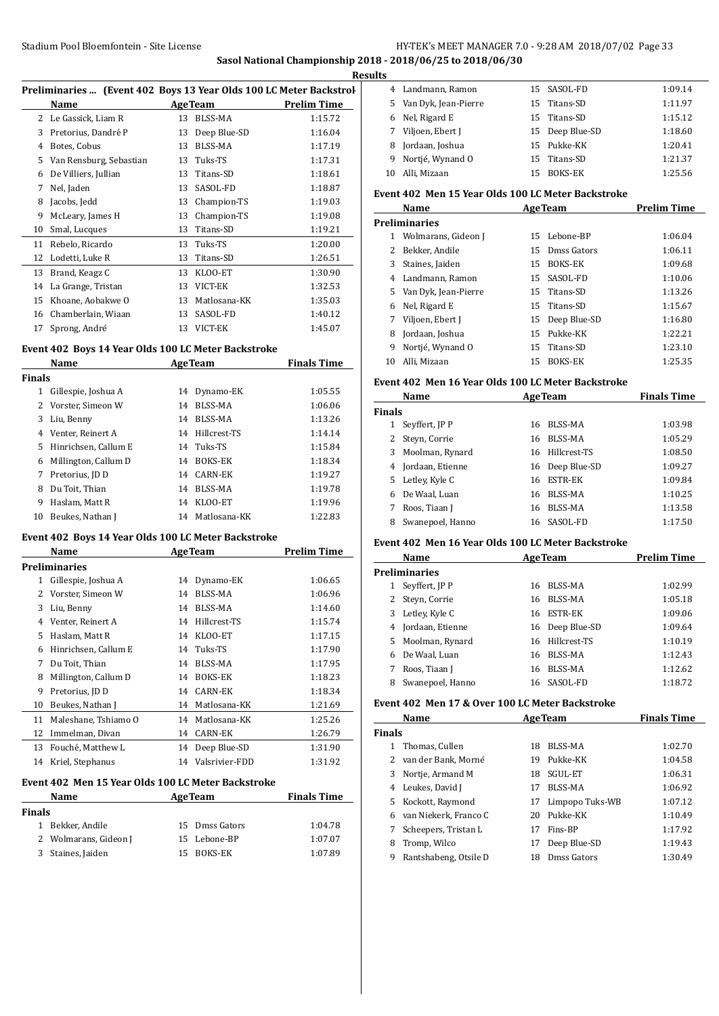# **Sasol National Championship 2018 - 2018/06/25 to 2018/06/30**

|                |                                                                    |    |                | Res                |
|----------------|--------------------------------------------------------------------|----|----------------|--------------------|
|                | Preliminaries  (Event 402 Boys 13 Year Olds 100 LC Meter Backstrol |    |                |                    |
|                | Name                                                               |    | <b>AgeTeam</b> | <b>Prelim Time</b> |
| 2              | Le Gassick, Liam R                                                 | 13 | <b>BLSS-MA</b> | 1:15.72            |
| 3              | Pretorius, Dandré P                                                | 13 | Deep Blue-SD   | 1:16.04            |
| $\overline{4}$ | Botes, Cobus                                                       | 13 | <b>BLSS-MA</b> | 1:17.19            |
| 5              | Van Rensburg, Sebastian                                            | 13 | Tuks-TS        | 1:17.31            |
| 6              | De Villiers, Jullian                                               | 13 | Titans-SD      | 1:18.61            |
| 7              | Nel, Jaden                                                         | 13 | SASOL-FD       | 1:18.87            |
| 8              | Jacobs, Jedd                                                       | 13 | Champion-TS    | 1:19.03            |
| 9              | McLeary, James H                                                   | 13 | Champion-TS    | 1:19.08            |
| 10             | Smal, Lucques                                                      | 13 | Titans-SD      | 1:19.21            |
| 11             | Rebelo, Ricardo                                                    | 13 | Tuks-TS        | 1:20.00            |
| 12             | Lodetti, Luke R                                                    | 13 | Titans-SD      | 1:26.51            |
| 13             | Brand, Keagz C                                                     | 13 | KLOO-ET        | 1:30.90            |
| 14             | La Grange, Tristan                                                 | 13 | VICT-EK        | 1:32.53            |
| 15             | Khoane, Aobakwe O                                                  | 13 | Matlosana-KK   | 1:35.03            |
| 16             | Chamberlain, Wiaan                                                 | 13 | SASOL-FD       | 1:40.12            |
| 17             | Sprong, André                                                      | 13 | VICT-EK        | 1:45.07            |
|                |                                                                    |    |                |                    |

#### **Event 402 Boys 14 Year Olds 100 LC Meter Backstroke**

|    | Name                 |    | <b>AgeTeam</b>  | <b>Finals Time</b> |  |  |  |  |
|----|----------------------|----|-----------------|--------------------|--|--|--|--|
|    | <b>Finals</b>        |    |                 |                    |  |  |  |  |
| 1  | Gillespie, Joshua A  | 14 | Dynamo-EK       | 1:05.55            |  |  |  |  |
| 2  | Vorster, Simeon W    | 14 | BLSS-MA         | 1:06.06            |  |  |  |  |
| 3  | Liu, Benny           | 14 | BLSS-MA         | 1:13.26            |  |  |  |  |
| 4  | Venter, Reinert A    |    | 14 Hillcrest-TS | 1:14.14            |  |  |  |  |
| 5  | Hinrichsen, Callum E | 14 | Tuks-TS         | 1:15.84            |  |  |  |  |
| 6  | Millington, Callum D | 14 | <b>BOKS-EK</b>  | 1:18.34            |  |  |  |  |
| 7  | Pretorius, JD D      | 14 | CARN-EK         | 1:19.27            |  |  |  |  |
| 8  | Du Toit, Thian       | 14 | BLSS-MA         | 1:19.78            |  |  |  |  |
| 9  | Haslam, Matt R       | 14 | KLOO-ET         | 1:19.96            |  |  |  |  |
| 10 | Beukes, Nathan J     | 14 | Matlosana-KK    | 1:22.83            |  |  |  |  |

#### **Event 402 Boys 14 Year Olds 100 LC Meter Backstroke**

|    | Name                                               |    | <b>AgeTeam</b> | <b>Prelim Time</b> |  |  |  |
|----|----------------------------------------------------|----|----------------|--------------------|--|--|--|
|    | Preliminaries                                      |    |                |                    |  |  |  |
| 1  | Gillespie, Joshua A                                | 14 | Dynamo-EK      | 1:06.65            |  |  |  |
| 2  | Vorster, Simeon W                                  | 14 | BLSS-MA        | 1:06.96            |  |  |  |
| 3  | Liu, Benny                                         | 14 | <b>BLSS-MA</b> | 1:14.60            |  |  |  |
| 4  | Venter, Reinert A                                  | 14 | Hillcrest-TS   | 1:15.74            |  |  |  |
| 5  | Haslam, Matt R                                     | 14 | KLOO-ET        | 1:17.15            |  |  |  |
| 6  | Hinrichsen, Callum E                               | 14 | Tuks-TS        | 1:17.90            |  |  |  |
| 7  | Du Toit, Thian                                     | 14 | BLSS-MA        | 1:17.95            |  |  |  |
| 8  | Millington, Callum D                               | 14 | BOKS-EK        | 1:18.23            |  |  |  |
| 9  | Pretorius, JD D                                    | 14 | <b>CARN-EK</b> | 1:18.34            |  |  |  |
| 10 | Beukes, Nathan J                                   | 14 | Matlosana-KK   | 1:21.69            |  |  |  |
| 11 | Maleshane, Tshiamo O                               | 14 | Matlosana-KK   | 1:25.26            |  |  |  |
| 12 | Immelman, Divan                                    | 14 | <b>CARN-EK</b> | 1:26.79            |  |  |  |
| 13 | Fouché, Matthew L                                  | 14 | Deep Blue-SD   | 1:31.90            |  |  |  |
| 14 | Kriel, Stephanus                                   | 14 | Valsrivier-FDD | 1:31.92            |  |  |  |
|    | Event 402 Men 15 Year Olds 100 LC Meter Backstroke |    |                |                    |  |  |  |

# **Name Age Team Finals Time Finals** Bekker, Andile 15 Dmss Gators 1:04.78 2 Wolmarans, Gideon J 15 Lebone-BP 1:07.07 Staines, Jaiden 15 BOKS-EK 1:07.89

| Results |                      |    |                 |         |
|---------|----------------------|----|-----------------|---------|
|         | 4 Landmann, Ramon    |    | 15 SASOL-FD     | 1:09.14 |
| 5.      | Van Dyk, Jean-Pierre |    | 15 Titans-SD    | 1:11.97 |
| 6       | Nel, Rigard E        |    | 15 Titans-SD    | 1:15.12 |
| 7       | Viljoen, Ebert J     |    | 15 Deep Blue-SD | 1:18.60 |
| 8       | Jordaan, Joshua      |    | 15 Pukke-KK     | 1:20.41 |
| 9       | Nortjé, Wynand O     |    | 15 Titans-SD    | 1:21.37 |
| 10      | Alli, Mizaan         | 15 | <b>BOKS-EK</b>  | 1:25.56 |

## **Event 402 Men 15 Year Olds 100 LC Meter Backstroke**

| Name |                        |     | <b>AgeTeam</b>  | <b>Prelim Time</b> |  |  |  |  |
|------|------------------------|-----|-----------------|--------------------|--|--|--|--|
|      | <b>Preliminaries</b>   |     |                 |                    |  |  |  |  |
| 1    | Wolmarans, Gideon J    | 15. | Lebone-BP       | 1:06.04            |  |  |  |  |
|      | Bekker, Andile         |     | 15 Dmss Gators  | 1:06.11            |  |  |  |  |
| 3    | Staines, Jaiden        | 15  | <b>BOKS-EK</b>  | 1:09.68            |  |  |  |  |
| 4    | Landmann, Ramon        |     | 15 SASOL-FD     | 1:10.06            |  |  |  |  |
|      | 5 Van Dyk, Jean-Pierre |     | 15 Titans-SD    | 1:13.26            |  |  |  |  |
| 6    | Nel, Rigard E          |     | 15 Titans-SD    | 1:15.67            |  |  |  |  |
|      | Viljoen, Ebert I       |     | 15 Deep Blue-SD | 1:16.80            |  |  |  |  |
| 8    | Jordaan, Joshua        | 15  | Pukke-KK        | 1:22.21            |  |  |  |  |
| 9    | Nortié, Wynand O       | 15  | Titans-SD       | 1:23.10            |  |  |  |  |
| 10   | Alli. Mizaan           | 15  | <b>BOKS-EK</b>  | 1:25.35            |  |  |  |  |

## **Event 402 Men 16 Year Olds 100 LC Meter Backstroke**

|               | Name<br><b>AgeTeam</b> |    |                 | <b>Finals Time</b> |
|---------------|------------------------|----|-----------------|--------------------|
| <b>Finals</b> |                        |    |                 |                    |
|               | Seyffert, JP P         | 16 | BLSS-MA         | 1:03.98            |
|               | Steyn, Corrie          | 16 | BLSS-MA         | 1:05.29            |
| 3             | Moolman, Rynard        | 16 | Hillcrest-TS    | 1:08.50            |
| 4             | Jordaan, Etienne       |    | 16 Deep Blue-SD | 1:09.27            |
| 5.            | Letley, Kyle C         | 16 | <b>ESTR-EK</b>  | 1:09.84            |
| 6             | De Waal, Luan          | 16 | BLSS-MA         | 1:10.25            |
|               | Roos, Tiaan J          | 16 | <b>BLSS-MA</b>  | 1:13.58            |
| 8             | Swanepoel, Hanno       |    | 16 SASOL-FD     | 1:17.50            |

## **Event 402 Men 16 Year Olds 100 LC Meter Backstroke**

| TIVII TO TUMI VIMD TOO DUTTULEI DUUISDII ONU |                      |    |                 |                    |  |
|----------------------------------------------|----------------------|----|-----------------|--------------------|--|
|                                              | Name                 |    | <b>AgeTeam</b>  | <b>Prelim Time</b> |  |
|                                              | <b>Preliminaries</b> |    |                 |                    |  |
| 1                                            | Seyffert, JP P       | 16 | BLSS-MA         | 1:02.99            |  |
|                                              | 2 Stevn, Corrie      | 16 | BLSS-MA         | 1:05.18            |  |
| 3                                            | Letley, Kyle C       | 16 | ESTR-EK         | 1:09.06            |  |
| 4                                            | Jordaan, Etienne     |    | 16 Deep Blue-SD | 1:09.64            |  |
| 5.                                           | Moolman, Rynard      |    | 16 Hillcrest-TS | 1:10.19            |  |
| 6                                            | De Waal, Luan        | 16 | BLSS-MA         | 1:12.43            |  |
|                                              | Roos, Tiaan J        | 16 | BLSS-MA         | 1:12.62            |  |
| 8                                            | Swanepoel, Hanno     |    | 16 SASOL-FD     | 1:18.72            |  |
|                                              |                      |    |                 |                    |  |

#### **Event 402 Men 17 & Over 100 LC Meter Backstroke**

|               | Name                  | <b>AgeTeam</b> |                 |         |
|---------------|-----------------------|----------------|-----------------|---------|
| <b>Finals</b> |                       |                |                 |         |
|               | Thomas, Cullen        | 18             | BLSS-MA         | 1:02.70 |
|               | 2 van der Bank, Morné | 19.            | Pukke-KK        | 1:04.58 |
| 3             | Nortje, Armand M      | 18             | SGUL-ET         | 1:06.31 |
| 4             | Leukes, David J       | 17             | BLSS-MA         | 1:06.92 |
| 5.            | Kockott, Raymond      | 17             | Limpopo Tuks-WB | 1:07.12 |
|               | van Niekerk, Franco C | 20             | Pukke-KK        | 1:10.49 |
| 7             | Scheepers, Tristan L  | 17             | Fins-BP         | 1:17.92 |
| 8             | Tromp, Wilco          | 17             | Deep Blue-SD    | 1:19.43 |
| 9             | Rantshabeng, Otsile D | 18             | Dmss Gators     | 1:30.49 |
|               |                       |                |                 |         |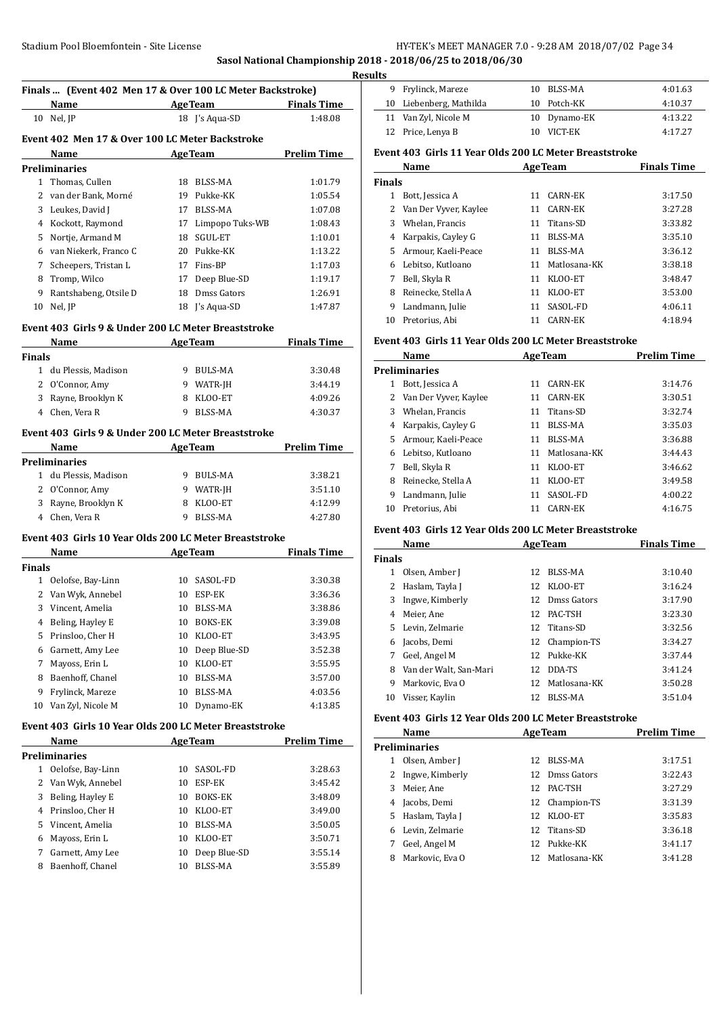# **Sasol National Championship 2018 - 2018/06/25 to 2018/06/30**

|              | Finals  (Event 402 Men 17 & Over 100 LC Meter Backstroke)                                                                                                                                                                      |                |                     |                    |
|--------------|--------------------------------------------------------------------------------------------------------------------------------------------------------------------------------------------------------------------------------|----------------|---------------------|--------------------|
|              | Name                                                                                                                                                                                                                           |                | AgeTeam Finals Time |                    |
|              | 10 Nel, JP                                                                                                                                                                                                                     |                | 18 J's Aqua-SD      | 1:48.08            |
|              | Event 402 Men 17 & Over 100 LC Meter Backstroke                                                                                                                                                                                |                |                     |                    |
|              | Name<br><b>AgeTeam</b>                                                                                                                                                                                                         |                |                     | <b>Prelim Time</b> |
|              | Preliminaries                                                                                                                                                                                                                  |                |                     |                    |
|              | 1 Thomas, Cullen                                                                                                                                                                                                               |                | 18 BLSS-MA          | 1:01.79            |
| 2            | van der Bank, Morné                                                                                                                                                                                                            |                | 19 Pukke-KK         | 1:05.54            |
| 3            | Leukes, David J                                                                                                                                                                                                                |                | 17 BLSS-MA          | 1:07.08            |
|              | 4 Kockott, Raymond                                                                                                                                                                                                             | 17             | Limpopo Tuks-WB     | 1:08.43            |
| 5            | Nortje, Armand M                                                                                                                                                                                                               | 18             | <b>SGUL-ET</b>      | 1:10.01            |
| 6            | van Niekerk, Franco C                                                                                                                                                                                                          |                | 20 Pukke-KK         | 1:13.22            |
| 7            | Scheepers, Tristan L                                                                                                                                                                                                           |                | 17 Fins-BP          | 1:17.03            |
| 8            | Tromp, Wilco                                                                                                                                                                                                                   |                | 17 Deep Blue-SD     | 1:19.17            |
| 9            | Rantshabeng, Otsile D                                                                                                                                                                                                          |                | 18 Dmss Gators      | 1:26.91            |
| 10           | Nel, JP                                                                                                                                                                                                                        |                | 18 J's Aqua-SD      | 1:47.87            |
|              | Event 403 Girls 9 & Under 200 LC Meter Breaststroke                                                                                                                                                                            |                |                     |                    |
|              | Name and the state of the state of the state of the state of the state of the state of the state of the state of the state of the state of the state of the state of the state of the state of the state of the state of the s | <b>AgeTeam</b> |                     | <b>Finals Time</b> |
| Finals       |                                                                                                                                                                                                                                |                |                     |                    |
|              | 1 du Plessis, Madison                                                                                                                                                                                                          |                | 9 BULS-MA           | 3:30.48            |
|              | 2 O'Connor, Amy                                                                                                                                                                                                                |                | 9 WATR-JH           | 3:44.19            |
| 3            | Rayne, Brooklyn K                                                                                                                                                                                                              |                | 8 KLOO-ET           | 4:09.26            |
|              | 4 Chen, Vera R                                                                                                                                                                                                                 | 9              | <b>BLSS-MA</b>      | 4:30.37            |
|              |                                                                                                                                                                                                                                |                |                     |                    |
|              | Event 403 Girls 9 & Under 200 LC Meter Breaststroke                                                                                                                                                                            |                |                     |                    |
|              | Name                                                                                                                                                                                                                           |                | AgeTeam             | <b>Prelim Time</b> |
|              | <b>Preliminaries</b>                                                                                                                                                                                                           |                |                     |                    |
|              | 1 du Plessis, Madison                                                                                                                                                                                                          |                | 9 BULS-MA           | 3:38.21            |
|              | 2 O'Connor, Amy                                                                                                                                                                                                                |                | 9 WATR-JH           | 3:51.10            |
|              | 3 Rayne, Brooklyn K                                                                                                                                                                                                            |                | 8 KLOO-ET           | 4:12.99            |
|              | 4 Chen, Vera R                                                                                                                                                                                                                 | 9              | <b>BLSS-MA</b>      | 4:27.80            |
|              | Event 403  Girls 10 Year Olds 200 LC Meter Breaststroke                                                                                                                                                                        |                |                     |                    |
|              | Name                                                                                                                                                                                                                           |                | <b>AgeTeam</b>      | <b>Finals Time</b> |
| Finals       |                                                                                                                                                                                                                                |                |                     |                    |
|              | 1 Oelofse, Bay-Linn                                                                                                                                                                                                            |                | 10 SASOL-FD         | 3:30.38            |
|              | 2 Van Wyk, Annebel                                                                                                                                                                                                             |                | 10 ESP-EK           | 3:36.36            |
| 3            | Vincent, Amelia                                                                                                                                                                                                                |                | 10 BLSS-MA          | 3:38.86            |
|              | 4 Beling, Hayley E                                                                                                                                                                                                             |                | 10 BOKS-EK          | 3:39.08            |
| 5            | Prinsloo, Cher H                                                                                                                                                                                                               | 10             | KLOO-ET             | 3:43.95            |
| 6            | Garnett, Amy Lee                                                                                                                                                                                                               | 10             | Deep Blue-SD        | 3:52.38            |
| 7            | Mayoss, Erin L                                                                                                                                                                                                                 | 10             | KLOO-ET             | 3:55.95            |
| 8            | Baenhoff, Chanel                                                                                                                                                                                                               | 10             | BLSS-MA             | 3:57.00            |
| 9            | Frylinck, Mareze                                                                                                                                                                                                               | 10             | BLSS-MA             | 4:03.56            |
| 10           | Van Zyl, Nicole M                                                                                                                                                                                                              | 10             | Dynamo-EK           | 4:13.85            |
|              | Event 403 Girls 10 Year Olds 200 LC Meter Breaststroke                                                                                                                                                                         |                |                     |                    |
|              | Name                                                                                                                                                                                                                           |                | <b>AgeTeam</b>      | <b>Prelim Time</b> |
|              | <b>Preliminaries</b>                                                                                                                                                                                                           |                |                     |                    |
| $\mathbf{1}$ | Oelofse, Bay-Linn                                                                                                                                                                                                              | 10             | SASOL-FD            | 3:28.63            |
| 2            | Van Wyk, Annebel                                                                                                                                                                                                               | 10             | ESP-EK              | 3:45.42            |
| 3            | Beling, Hayley E                                                                                                                                                                                                               | 10             | BOKS-EK             | 3:48.09            |
| 4            | Prinsloo, Cher H                                                                                                                                                                                                               | 10             | KLOO-ET             | 3:49.00            |
| 5            | Vincent, Amelia                                                                                                                                                                                                                | 10             | BLSS-MA             | 3:50.05            |
| 6            | Mayoss, Erin L                                                                                                                                                                                                                 | 10             | KLOO-ET             | 3:50.71            |
| 7            | Garnett, Amy Lee                                                                                                                                                                                                               | 10             | Deep Blue-SD        | 3:55.14            |
| 8            | Baenhoff, Chanel                                                                                                                                                                                                               | 10             | BLSS-MA             | 3:55.89            |
|              |                                                                                                                                                                                                                                |                |                     |                    |

|  | <b>Results</b> |                         |     |              |         |
|--|----------------|-------------------------|-----|--------------|---------|
|  |                | 9 Frylinck, Mareze      |     | 10 BLSS-MA   | 4:01.63 |
|  |                | 10 Liebenberg, Mathilda |     | 10 Potch-KK  | 4:10.37 |
|  |                | 11 Van Zyl, Nicole M    |     | 10 Dynamo-EK | 4:13.22 |
|  |                | 12 Price, Lenya B       | 10. | VICT-EK      | 4:17.27 |
|  |                |                         |     |              |         |

## **Event 403 Girls 11 Year Olds 200 LC Meter Breaststroke**

|               | Name                  | <b>AgeTeam</b> |                | <b>Finals Time</b> |
|---------------|-----------------------|----------------|----------------|--------------------|
| <b>Finals</b> |                       |                |                |                    |
| 1             | Bott, Jessica A       | 11             | CARN-EK        | 3:17.50            |
| 2             | Van Der Vyver, Kaylee | 11             | CARN-EK        | 3:27.28            |
| 3             | Whelan, Francis       | 11             | Titans-SD      | 3:33.82            |
| 4             | Karpakis, Cayley G    | 11             | BLSS-MA        | 3:35.10            |
| 5.            | Armour, Kaeli-Peace   | 11             | BLSS-MA        | 3:36.12            |
| 6             | Lebitso. Kutloano     | 11             | Matlosana-KK   | 3:38.18            |
|               | Bell, Skyla R         | 11             | KLOO-ET        | 3:48.47            |
| 8             | Reinecke, Stella A    | 11             | KLOO-ET        | 3:53.00            |
| 9             | Landmann, Julie       | 11             | SASOL-FD       | 4:06.11            |
| 10            | Pretorius, Abi        |                | <b>CARN-EK</b> | 4:18.94            |

# **Event 403 Girls 11 Year Olds 200 LC Meter Breaststroke**

|    | Name                  | <b>AgeTeam</b> |              | <b>Prelim Time</b> |
|----|-----------------------|----------------|--------------|--------------------|
|    | <b>Preliminaries</b>  |                |              |                    |
|    | Bott, Jessica A       | 11             | CARN-EK      | 3:14.76            |
|    | Van Der Vyver, Kaylee | 11             | CARN-EK      | 3:30.51            |
| 3  | Whelan, Francis       | 11             | Titans-SD    | 3:32.74            |
| 4  | Karpakis, Cayley G    | 11             | BLSS-MA      | 3:35.03            |
| 5. | Armour, Kaeli-Peace   | 11             | BLSS-MA      | 3:36.88            |
| 6  | Lebitso, Kutloano     | 11             | Matlosana-KK | 3:44.43            |
|    | Bell, Skyla R         | 11             | KLOO-ET      | 3:46.62            |
| 8  | Reinecke, Stella A    | 11             | KLOO-ET      | 3:49.58            |
| 9  | Landmann, Julie       | 11             | SASOL-FD     | 4:00.22            |
| 10 | Pretorius, Abi        |                | CARN-EK      | 4:16.75            |

# **Event 403 Girls 12 Year Olds 200 LC Meter Breaststroke**

| Name<br><b>AgeTeam</b> |                        |     | <b>Finals Time</b> |         |
|------------------------|------------------------|-----|--------------------|---------|
| <b>Finals</b>          |                        |     |                    |         |
| 1                      | Olsen, Amber J         | 12  | BLSS-MA            | 3:10.40 |
| 2                      | Haslam, Tayla J        |     | 12 KLOO-ET         | 3:16.24 |
| 3                      | Ingwe, Kimberly        |     | 12 Dmss Gators     | 3:17.90 |
| 4                      | Meier, Ane             |     | 12 PAC-TSH         | 3:23.30 |
|                        | 5 Levin, Zelmarie      |     | 12 Titans-SD       | 3:32.56 |
| 6.                     | Jacobs, Demi           |     | 12 Champion-TS     | 3:34.27 |
| 7                      | Geel, Angel M          |     | 12 Pukke-KK        | 3:37.44 |
| 8                      | Van der Walt, San-Mari |     | 12 DDA-TS          | 3:41.24 |
| 9                      | Markovic, Eva O        |     | 12 Matlosana-KK    | 3:50.28 |
| 10                     | Visser, Kaylin         | 12. | BLSS-MA            | 3:51.04 |

# **Event 403 Girls 12 Year Olds 200 LC Meter Breaststroke**

|    | Name<br><b>AgeTeam</b> |                 | <b>Prelim Time</b> |         |
|----|------------------------|-----------------|--------------------|---------|
|    | <b>Preliminaries</b>   |                 |                    |         |
|    | Olsen, Amber J         | 12.             | BLSS-MA            | 3:17.51 |
|    | Ingwe, Kimberly        | 12.             | Dmss Gators        | 3:22.43 |
| 3  | Meier, Ane             | 12.             | PAC-TSH            | 3:27.29 |
| 4  | Jacobs, Demi           |                 | 12 Champion-TS     | 3:31.39 |
| 5. | Haslam, Tayla J        | 12              | KLOO-ET            | 3:35.83 |
| 6. | Levin, Zelmarie        | 12.             | Titans-SD          | 3:36.18 |
|    | Geel, Angel M          | 12 <sub>1</sub> | Pukke-KK           | 3:41.17 |
| 8  | Markovic, Eva O        | 12.             | Matlosana-KK       | 3:41.28 |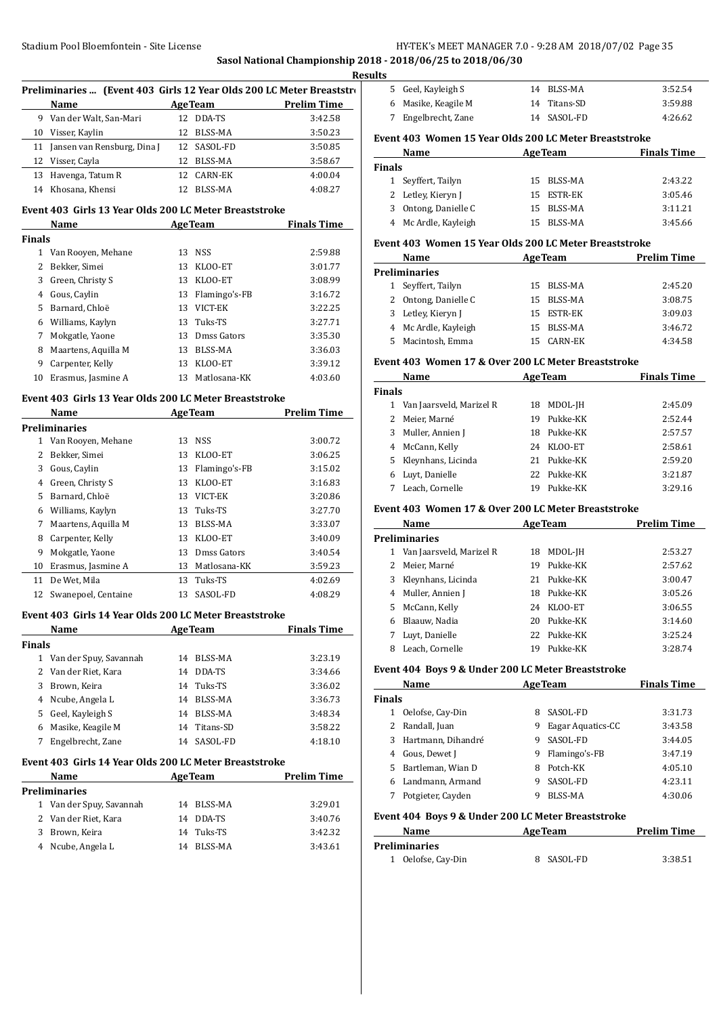**Sasol National Championship 2018 - 2018/06/25 to 2018/06/30**

|        | Preliminaries  (Event 403 Girls 12 Year Olds 200 LC Meter Breaststro                                                                                                                                                                         |    |                              |                                                 |
|--------|----------------------------------------------------------------------------------------------------------------------------------------------------------------------------------------------------------------------------------------------|----|------------------------------|-------------------------------------------------|
|        | Name                                                                                                                                                                                                                                         |    |                              | <b>Example 2018</b> Age Team <b>Prelim Time</b> |
|        | 9 Van der Walt, San-Mari                                                                                                                                                                                                                     |    | 12 DDA-TS                    | 3:42.58                                         |
|        | 10 Visser, Kaylin                                                                                                                                                                                                                            |    | 12 BLSS-MA                   | 3:50.23                                         |
|        | 11 Jansen van Rensburg, Dina J                                                                                                                                                                                                               |    | 12 SASOL-FD                  | 3:50.85                                         |
|        | 12 Visser, Cayla                                                                                                                                                                                                                             |    | 12 BLSS-MA                   | 3:58.67                                         |
|        | 13 Havenga, Tatum R                                                                                                                                                                                                                          |    | 12 CARN-EK                   | 4:00.04                                         |
|        | 14 Khosana, Khensi                                                                                                                                                                                                                           |    | 12 BLSS-MA                   | 4:08.27                                         |
|        | Event 403 Girls 13 Year Olds 200 LC Meter Breaststroke                                                                                                                                                                                       |    |                              |                                                 |
| Finals | Name                                                                                                                                                                                                                                         |    | <b>Example 2018 Age Team</b> | <b>Finals Time</b>                              |
|        | 1 Van Rooyen, Mehane                                                                                                                                                                                                                         |    | 13 NSS                       | 2:59.88                                         |
|        | 2 Bekker, Simei                                                                                                                                                                                                                              |    | 13 KLOO-ET                   | 3:01.77                                         |
|        | 3 Green, Christy S                                                                                                                                                                                                                           |    | 13 KLOO-ET                   | 3:08.99                                         |
|        | 4 Gous, Caylin                                                                                                                                                                                                                               |    | 13 Flamingo's-FB             | 3:16.72                                         |
|        | 5 Barnard, Chloë                                                                                                                                                                                                                             |    | 13 VICT-EK                   | 3:22.25                                         |
|        | 6 Williams, Kaylyn                                                                                                                                                                                                                           |    | 13 Tuks-TS                   | 3:27.71                                         |
|        | 7 Mokgatle, Yaone                                                                                                                                                                                                                            |    | 13 Dmss Gators               | 3:35.30                                         |
|        | 8 Maartens, Aquilla M                                                                                                                                                                                                                        |    | 13 BLSS-MA                   | 3:36.03                                         |
|        | 9 Carpenter, Kelly                                                                                                                                                                                                                           |    | 13 KLOO-ET                   | 3:39.12                                         |
|        | 10 Erasmus, Jasmine A                                                                                                                                                                                                                        |    | 13 Matlosana-KK              | 4:03.60                                         |
|        | Event 403 Girls 13 Year Olds 200 LC Meter Breaststroke                                                                                                                                                                                       |    |                              |                                                 |
|        | <b>Example 2018</b> Age Team<br>Name                                                                                                                                                                                                         |    |                              | <b>Prelim Time</b>                              |
|        | Preliminaries                                                                                                                                                                                                                                |    |                              |                                                 |
|        | 1 Van Rooyen, Mehane                                                                                                                                                                                                                         |    | 13 NSS                       | 3:00.72                                         |
|        | 2 Bekker, Simei                                                                                                                                                                                                                              |    | 13 KLOO-ET                   | 3:06.25                                         |
|        | 3 Gous, Caylin                                                                                                                                                                                                                               |    | 13 Flamingo's-FB             | 3:15.02                                         |
|        | 4 Green, Christy S                                                                                                                                                                                                                           |    | 13 KLOO-ET                   | 3:16.83                                         |
|        | 5 Barnard, Chloë                                                                                                                                                                                                                             |    | 13 VICT-EK                   | 3:20.86                                         |
|        | 6 Williams, Kaylyn                                                                                                                                                                                                                           |    | 13 Tuks-TS                   | 3:27.70                                         |
|        | 7 Maartens, Aquilla M                                                                                                                                                                                                                        |    | 13 BLSS-MA                   | 3:33.07                                         |
|        | 8 Carpenter, Kelly                                                                                                                                                                                                                           |    | 13 KLOO-ET                   | 3:40.09                                         |
|        | 9 Mokgatle, Yaone                                                                                                                                                                                                                            |    | 13 Dmss Gators               | 3:40.54                                         |
|        | 10 Erasmus, Jasmine A                                                                                                                                                                                                                        |    | 13 Matlosana-KK              | 3:59.23                                         |
|        | 11 De Wet, Mila                                                                                                                                                                                                                              |    | 13 Tuks-TS                   | 4:02.69                                         |
|        | 12 Swanepoel, Centaine                                                                                                                                                                                                                       |    | 13 SASOL-FD                  | 4:08.29                                         |
|        | Event 403 Girls 14 Year Olds 200 LC Meter Breaststroke                                                                                                                                                                                       |    |                              |                                                 |
|        | Name<br><u> 1999 - Jan Barbara Barat III a Barbara Barbara Barbara Barbara Barbara Barbara Barbara Barbara Barbara Barbara Barbara Barbara Barbara Barbara Barbara Barbara Barbara Barbara Barbara Barbara Barbara Barbara Barbara Barba</u> |    | <b>AgeTeam</b>               | <b>Finals Time</b>                              |
| Finals |                                                                                                                                                                                                                                              |    |                              |                                                 |
|        | 1 Van der Spuy, Savannah                                                                                                                                                                                                                     |    | 14 BLSS-MA                   | 3:23.19                                         |
|        | 2 Van der Riet, Kara                                                                                                                                                                                                                         |    | 14 DDA-TS                    | 3:34.66                                         |
| 3      | Brown, Keira                                                                                                                                                                                                                                 |    | 14 Tuks-TS                   | 3:36.02                                         |
|        | 4 Ncube, Angela L                                                                                                                                                                                                                            |    | 14 BLSS-MA                   | 3:36.73                                         |
|        | 5 Geel, Kayleigh S                                                                                                                                                                                                                           |    | 14 BLSS-MA                   | 3:48.34                                         |
|        | 6 Masike, Keagile M                                                                                                                                                                                                                          |    | 14 Titans-SD                 | 3:58.22                                         |
| 7      | Engelbrecht, Zane                                                                                                                                                                                                                            |    | 14 SASOL-FD                  | 4:18.10                                         |
|        | Event 403 Girls 14 Year Olds 200 LC Meter Breaststroke                                                                                                                                                                                       |    |                              |                                                 |
|        | Name                                                                                                                                                                                                                                         |    | <b>AgeTeam</b>               | <b>Prelim Time</b>                              |
|        | Preliminaries                                                                                                                                                                                                                                |    |                              |                                                 |
|        | 1 Van der Spuy, Savannah                                                                                                                                                                                                                     | 14 | BLSS-MA                      | 3:29.01                                         |
|        |                                                                                                                                                                                                                                              |    |                              |                                                 |
|        | 2 Van der Riet, Kara                                                                                                                                                                                                                         |    | 14 DDA-TS                    | 3:40.76                                         |
| 3      | Brown, Keira                                                                                                                                                                                                                                 | 14 | Tuks-TS                      | 3:42.32                                         |
| 4      | Ncube, Angela L                                                                                                                                                                                                                              |    | 14 BLSS-MA                   | 3:43.61                                         |

| 5 Geel, Kayleigh S  | 14 BLSS-MA   | 3:52.54 |
|---------------------|--------------|---------|
| 6 Masike, Keagile M | 14 Titans-SD | 3:59.88 |
| 7 Engelbrecht, Zane | 14 SASOL-FD  | 4:26.62 |

# **Event 403 Women 15 Year Olds 200 LC Meter Breaststroke**

|        | Name                 |     | <b>AgeTeam</b> | <b>Finals Time</b> |
|--------|----------------------|-----|----------------|--------------------|
| Finals |                      |     |                |                    |
|        | 1 Seyffert, Tailyn   |     | 15 BLSS-MA     | 2:43.22            |
|        | 2 Letley, Kieryn J   |     | 15 ESTR-EK     | 3:05.46            |
| 3.     | Ontong, Danielle C   |     | 15 BLSS-MA     | 3:11.21            |
|        | 4 Mc Ardle, Kayleigh | 15. | BLSS-MA        | 3:45.66            |

## **Event 403 Women 15 Year Olds 200 LC Meter Breaststroke**

| Name                 | <b>AgeTeam</b> |  | <b>Prelim Time</b>                                              |
|----------------------|----------------|--|-----------------------------------------------------------------|
| Preliminaries        |                |  |                                                                 |
| Seyffert, Tailyn     |                |  | 2:45.20                                                         |
| Ontong, Danielle C   |                |  | 3:08.75                                                         |
| 3 Letley, Kieryn J   |                |  | 3:09.03                                                         |
| 4 Mc Ardle, Kayleigh |                |  | 3:46.72                                                         |
| Macintosh, Emma      | 15.            |  | 4:34.58                                                         |
|                      |                |  | 15 BLSS-MA<br>15 BLSS-MA<br>15 ESTR-EK<br>15 BLSS-MA<br>CARN-EK |

#### **Event 403 Women 17 & Over 200 LC Meter Breaststroke**

|               | Name                     | <b>AgeTeam</b> | <b>Finals Time</b> |
|---------------|--------------------------|----------------|--------------------|
| <b>Finals</b> |                          |                |                    |
| 1             | Van Jaarsveld, Marizel R | MDOL-JH<br>18  | 2:45.09            |
| 2.            | Meier, Marné             | Pukke-KK<br>19 | 2:52.44            |
| 3             | Muller, Annien J         | Pukke-KK<br>18 | 2:57.57            |
| 4             | McCann, Kelly            | KLOO-ET<br>24  | 2:58.61            |
|               | 5 Kleynhans, Licinda     | 21 Pukke-KK    | 2:59.20            |
|               | 6 Luyt, Danielle         | 22 Pukke-KK    | 3:21.87            |
|               | Leach, Cornelle          | Pukke-KK<br>19 | 3:29.16            |

#### **Event 403 Women 17 & Over 200 LC Meter Breaststroke**

|    | Name                     | <b>AgeTeam</b> | <b>Prelim Time</b> |
|----|--------------------------|----------------|--------------------|
|    | <b>Preliminaries</b>     |                |                    |
| 1  | Van Jaarsveld, Marizel R | MDOL-JH<br>18  | 2:53.27            |
| 2  | Meier, Marné             | Pukke-KK<br>19 | 2:57.62            |
| 3  | Kleynhans, Licinda       | 21 Pukke-KK    | 3:00.47            |
|    | 4 Muller, Annien J       | Pukke-KK<br>18 | 3:05.26            |
| 5. | McCann, Kelly            | KLOO-ET<br>24  | 3:06.55            |
| 6  | Blaauw, Nadia            | Pukke-KK<br>20 | 3:14.60            |
|    | Luvt, Danielle           | 22 Pukke-KK    | 3:25.24            |
| 8  | Leach, Cornelle          | Pukke-KK<br>19 | 3:28.74            |

#### **Event 404 Boys 9 & Under 200 LC Meter Breaststroke**

|               | Name               | <b>AgeTeam</b> | <b>Finals Time</b> |         |
|---------------|--------------------|----------------|--------------------|---------|
| <b>Finals</b> |                    |                |                    |         |
| 1             | Oelofse, Cay-Din   | 8              | SASOL-FD           | 3:31.73 |
|               | Randall, Juan      | 9              | Eagar Aquatics-CC  | 3:43.58 |
| 3.            | Hartmann, Dihandré | 9              | SASOL-FD           | 3:44.05 |
| 4             | Gous, Dewet J      | 9              | Flamingo's-FB      | 3:47.19 |
| 5.            | Bartleman, Wian D  | 8              | Potch-KK           | 4:05.10 |
| 6             | Landmann, Armand   |                | SASOL-FD           | 4:23.11 |
|               | Potgieter, Cayden  |                | <b>BLSS-MA</b>     | 4:30.06 |

#### **Event 404 Boys 9 & Under 200 LC Meter Breaststroke**

| Name               | <b>AgeTeam</b> | <b>Prelim Time</b> |
|--------------------|----------------|--------------------|
| Preliminaries      |                |                    |
| 1 Oelofse, Cay-Din | 8 SASOL-FD     | 3:38.51            |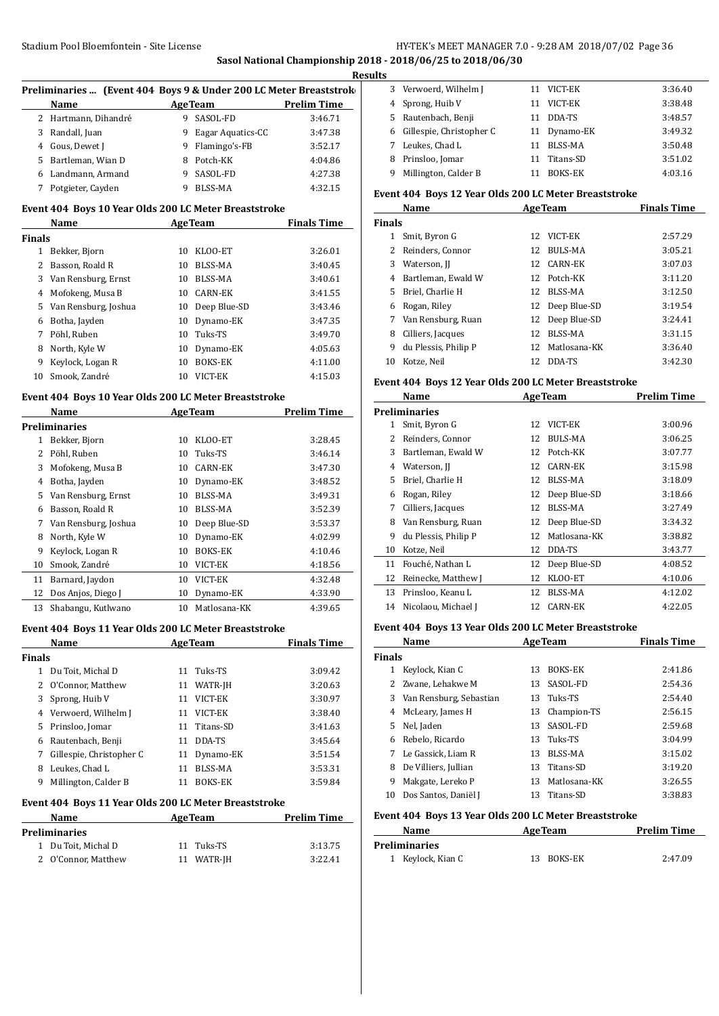#### **Sasol National Championship 2018 - 2018/06/25 to 2018/06/30 Results**

|                | Preliminaries  (Event 404 Boys 9 & Under 200 LC Meter Breaststrok |                |                   |                    |
|----------------|-------------------------------------------------------------------|----------------|-------------------|--------------------|
|                | Name                                                              |                | <b>AgeTeam</b>    | <b>Prelim Time</b> |
|                | 2 Hartmann, Dihandré                                              |                | 9 SASOL-FD        | 3:46.71            |
| 3              | Randall, Juan                                                     | 9              | Eagar Aquatics-CC | 3:47.38            |
|                | 4 Gous, Dewet J                                                   | 9              | Flamingo's-FB     | 3:52.17            |
| 5              | Bartleman, Wian D                                                 | 8              | Potch-KK          | 4:04.86            |
|                | 6 Landmann, Armand                                                | 9              | SASOL-FD          | 4:27.38            |
| 7              | Potgieter, Cayden                                                 | 9              | <b>BLSS-MA</b>    | 4:32.15            |
|                | Event 404 Boys 10 Year Olds 200 LC Meter Breaststroke             |                |                   |                    |
|                | Name                                                              |                | <b>AgeTeam</b>    | <b>Finals Time</b> |
| <b>Finals</b>  |                                                                   |                |                   |                    |
| $1 \quad$      | Bekker, Bjorn                                                     | 10             | KLOO-ET           | 3:26.01            |
| $\overline{2}$ | Basson, Roald R                                                   | 10             | <b>BLSS-MA</b>    | 3:40.45            |
| 3              | Van Rensburg, Ernst                                               | 10             | BLSS-MA           | 3:40.61            |
| 4              | Mofokeng, Musa B                                                  | 10             | <b>CARN-EK</b>    | 3:41.55            |
| 5              | Van Rensburg, Joshua                                              | 10             | Deep Blue-SD      | 3:43.46            |
| 6              | Botha, Jayden                                                     | 10             | Dynamo-EK         | 3:47.35            |
| 7              | Pöhl, Ruben                                                       | 10             | Tuks-TS           | 3:49.70            |
| 8              | North, Kyle W                                                     | 10             | Dynamo-EK         | 4:05.63            |
| 9              | Keylock, Logan R                                                  | 10             | <b>BOKS-EK</b>    | 4:11.00            |
| 10             | Smook, Zandré                                                     |                | 10 VICT-EK        | 4:15.03            |
|                | Event 404 Boys 10 Year Olds 200 LC Meter Breaststroke             |                |                   |                    |
|                | Name                                                              | <b>AgeTeam</b> |                   | <b>Prelim Time</b> |
|                | <b>Preliminaries</b>                                              |                |                   |                    |
|                | 1 Bekker, Bjorn                                                   | 10             | KLOO-ET           | 3:28.45            |
| $\overline{2}$ | Pöhl, Ruben                                                       | 10             | Tuks-TS           | 3:46.14            |
| 3              | Mofokeng, Musa B                                                  | 10             | <b>CARN-EK</b>    | 3:47.30            |
|                | 4 Botha, Jayden                                                   | 10             | Dynamo-EK         | 3:48.52            |
| 5              | Van Rensburg, Ernst                                               | 10             | <b>BLSS-MA</b>    | 3:49.31            |
| 6              | Basson, Roald R                                                   | 10             | <b>BLSS-MA</b>    | 3:52.39            |
| 7              | Van Rensburg, Joshua                                              | 10             | Deep Blue-SD      | 3:53.37            |
| 8              | North, Kyle W                                                     | 10             | Dynamo-EK         | 4:02.99            |
| 9              | Keylock, Logan R                                                  | 10             | BOKS-EK           | 4:10.46            |
| 10             | Smook, Zandré                                                     | 10             | VICT-EK           | 4:18.56            |
| 11             | Barnard, Jaydon                                                   | 10             | VICT-EK           | 4:32.48            |
| 12             | Dos Anjos, Diego J                                                | 10             | Dynamo-EK         | 4:33.90            |
| 13             | Shabangu, Kutlwano                                                | 10             | Matlosana-KK      | 4:39.65            |

#### **Event 404 Boys 11 Year Olds 200 LC Meter Breaststroke**

|        | Name                     |    | <b>AgeTeam</b> | <b>Finals Time</b> |
|--------|--------------------------|----|----------------|--------------------|
| Finals |                          |    |                |                    |
| 1      | Du Toit, Michal D        |    | 11 Tuks-TS     | 3:09.42            |
|        | 2 O'Connor, Matthew      | 11 | WATR-JH        | 3:20.63            |
| 3      | Sprong, Huib V           | 11 | VICT-EK        | 3:30.97            |
| 4      | Verwoerd, Wilhelm J      | 11 | VICT-EK        | 3:38.40            |
| 5.     | Prinsloo, Jomar          |    | 11 Titans-SD   | 3:41.63            |
| 6      | Rautenbach, Benji        | 11 | DDA-TS         | 3:45.64            |
| 7      | Gillespie, Christopher C | 11 | Dynamo-EK      | 3:51.54            |
| 8      | Leukes, Chad L           | 11 | BLSS-MA        | 3:53.31            |
| 9      | Millington, Calder B     | 11 | <b>BOKS-EK</b> | 3:59.84            |
|        |                          |    |                |                    |

#### **Event 404 Boys 11 Year Olds 200 LC Meter Breaststroke Name Age Team Prelim Time**

| <b>Preliminaries</b> |            |         |  |  |  |  |
|----------------------|------------|---------|--|--|--|--|
| 1 Du Toit, Michal D  | 11 Tuks-TS | 3:13.75 |  |  |  |  |
| 2 O'Connor, Matthew  | 11 WATR-JH | 3:22.41 |  |  |  |  |

| 3  | Verwoerd, Wilhelm J      |    | 11 VICT-EK     | 3:36.40 |
|----|--------------------------|----|----------------|---------|
|    | 4 Sprong, Huib V         |    | 11 VICT-EK     | 3:38.48 |
| 5. | Rautenbach, Benji        | 11 | DDA-TS         | 3:48.57 |
| 6  | Gillespie, Christopher C |    | 11 Dynamo-EK   | 3:49.32 |
|    | Leukes, Chad L           | 11 | <b>BLSS-MA</b> | 3:50.48 |
| 8  | Prinsloo, Jomar          |    | 11 Titans-SD   | 3:51.02 |
| 9  | Millington, Calder B     |    | <b>BOKS-EK</b> | 4:03.16 |

#### **Event 404 Boys 12 Year Olds 200 LC Meter Breaststroke**

|               | Name                 | <b>AgeTeam</b> |                 | <b>Finals Time</b> |
|---------------|----------------------|----------------|-----------------|--------------------|
| <b>Finals</b> |                      |                |                 |                    |
|               | Smit, Byron G        |                | 12 VICT-EK      | 2:57.29            |
|               | Reinders, Connor     | 12.            | BULS-MA         | 3:05.21            |
| 3             | Waterson, II         |                | 12 CARN-EK      | 3:07.03            |
| 4             | Bartleman, Ewald W   |                | 12 Potch-KK     | 3:11.20            |
| 5.            | Briel, Charlie H     | 12             | BLSS-MA         | 3:12.50            |
| 6             | Rogan, Riley         |                | 12 Deep Blue-SD | 3:19.54            |
|               | Van Rensburg, Ruan   |                | 12 Deep Blue-SD | 3:24.41            |
| 8             | Cilliers, Jacques    | 12             | BLSS-MA         | 3:31.15            |
| 9             | du Plessis, Philip P | 12.            | Matlosana-KK    | 3:36.40            |
| 10            | Kotze, Neil          | 12.            | DDA-TS          | 3:42.30            |

#### **Event 404 Boys 12 Year Olds 200 LC Meter Breaststroke**

|    | Name                 | <b>AgeTeam</b> |                | <b>Prelim Time</b> |
|----|----------------------|----------------|----------------|--------------------|
|    | <b>Preliminaries</b> |                |                |                    |
| 1  | Smit, Byron G        | 12             | VICT-EK        | 3:00.96            |
| 2  | Reinders, Connor     | 12             | <b>BULS-MA</b> | 3:06.25            |
| 3  | Bartleman, Ewald W   | 12             | Potch-KK       | 3:07.77            |
| 4  | Waterson, JJ         | 12             | CARN-EK        | 3:15.98            |
| 5. | Briel, Charlie H     | 12             | BLSS-MA        | 3:18.09            |
| 6  | Rogan, Riley         | 12             | Deep Blue-SD   | 3:18.66            |
| 7  | Cilliers, Jacques    | 12             | BLSS-MA        | 3:27.49            |
| 8  | Van Rensburg, Ruan   | 12             | Deep Blue-SD   | 3:34.32            |
| 9  | du Plessis, Philip P | 12             | Matlosana-KK   | 3:38.82            |
| 10 | Kotze, Neil          | 12             | DDA-TS         | 3:43.77            |
| 11 | Fouché, Nathan L     | 12             | Deep Blue-SD   | 4:08.52            |
| 12 | Reinecke, Matthew J  | 12             | KLOO-ET        | 4:10.06            |
| 13 | Prinsloo, Keanu L    | 12             | BLSS-MA        | 4:12.02            |
| 14 | Nicolaou, Michael J  | 12             | <b>CARN-EK</b> | 4:22.05            |

#### **Event 404 Boys 13 Year Olds 200 LC Meter Breaststroke**

|               | Name                    |    | <b>AgeTeam</b> | <b>Finals Time</b> |
|---------------|-------------------------|----|----------------|--------------------|
| <b>Finals</b> |                         |    |                |                    |
|               | Keylock, Kian C         | 13 | <b>BOKS-EK</b> | 2:41.86            |
|               | Zwane, Lehakwe M        | 13 | SASOL-FD       | 2:54.36            |
| 3             | Van Rensburg, Sebastian | 13 | Tuks-TS        | 2:54.40            |
| 4             | McLeary, James H        | 13 | Champion-TS    | 2:56.15            |
| 5.            | Nel, Jaden              | 13 | SASOL-FD       | 2:59.68            |
| 6             | Rebelo, Ricardo         | 13 | Tuks-TS        | 3:04.99            |
|               | Le Gassick. Liam R      | 13 | BLSS-MA        | 3:15.02            |
| 8             | De Villiers, Jullian    | 13 | Titans-SD      | 3:19.20            |
| 9             | Makgate, Lereko P       | 13 | Matlosana-KK   | 3:26.55            |
| 10            | Dos Santos, Daniël J    | 13 | Titans-SD      | 3:38.83            |

## **Event 404 Boys 13 Year Olds 200 LC Meter Breaststroke**

 $\overline{a}$ 

| Name              | <b>AgeTeam</b> | <b>Prelim Time</b> |
|-------------------|----------------|--------------------|
| Preliminaries     |                |                    |
| 1 Keylock, Kian C | 13 BOKS-EK     | 2:47.09            |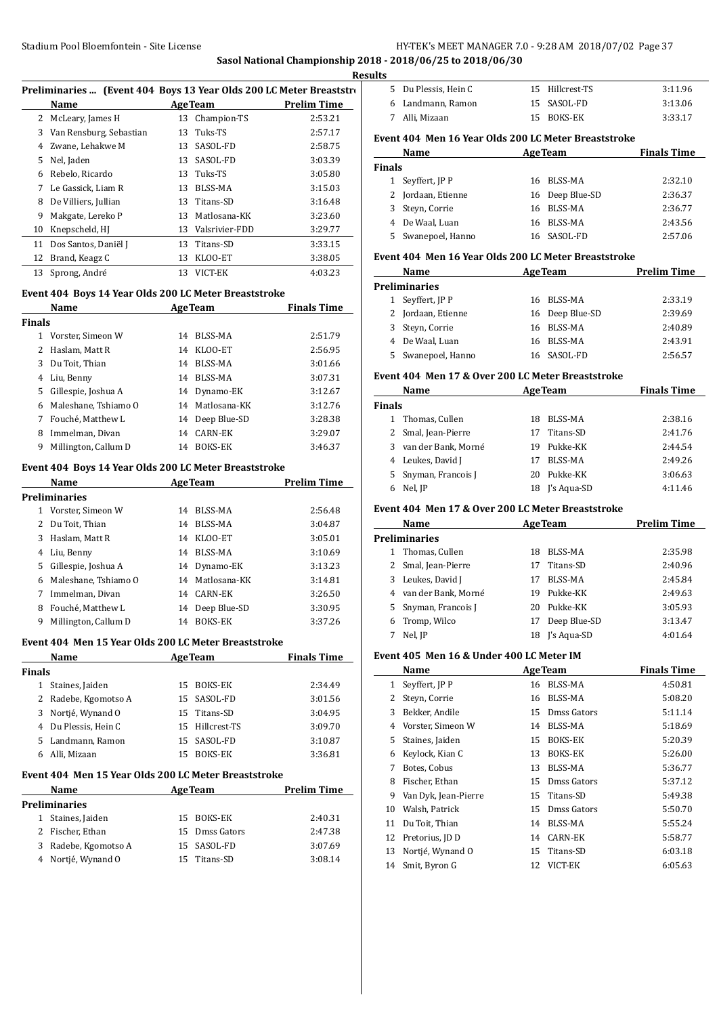**Sasol National Championship 2018 - 2018/06/25 to 2018/06/30 Results**

| Preliminaries  (Event 404 Boys 13 Year Olds 200 LC Meter Breaststro |                         |    |                |                    |  |
|---------------------------------------------------------------------|-------------------------|----|----------------|--------------------|--|
|                                                                     | Name                    |    | <b>AgeTeam</b> | <b>Prelim Time</b> |  |
|                                                                     | 2 McLeary, James H      | 13 | Champion-TS    | 2:53.21            |  |
| 3                                                                   | Van Rensburg, Sebastian | 13 | Tuks-TS        | 2:57.17            |  |
| 4                                                                   | Zwane. Lehakwe M        | 13 | SASOL-FD       | 2:58.75            |  |
| 5.                                                                  | Nel, Jaden              | 13 | SASOL-FD       | 3:03.39            |  |
| 6                                                                   | Rebelo, Ricardo         | 13 | Tuks-TS        | 3:05.80            |  |
| 7                                                                   | Le Gassick. Liam R      | 13 | BLSS-MA        | 3:15.03            |  |
| 8                                                                   | De Villiers, Jullian    |    | 13 Titans-SD   | 3:16.48            |  |
| 9                                                                   | Makgate, Lereko P       | 13 | Matlosana-KK   | 3:23.60            |  |
| 10                                                                  | Knepscheld, HJ          | 13 | Valsrivier-FDD | 3:29.77            |  |
| 11                                                                  | Dos Santos, Daniël J    | 13 | Titans-SD      | 3:33.15            |  |
| 12                                                                  | Brand, Keagz C          | 13 | KLOO-ET        | 3:38.05            |  |
| 13                                                                  | Sprong, André           | 13 | VICT-EK        | 4:03.23            |  |

#### **Event 404 Boys 14 Year Olds 200 LC Meter Breaststroke**

| Name          |                      |    | <b>AgeTeam</b>  | <b>Finals Time</b> |  |
|---------------|----------------------|----|-----------------|--------------------|--|
| <b>Finals</b> |                      |    |                 |                    |  |
|               | Vorster, Simeon W    | 14 | BLSS-MA         | 2:51.79            |  |
| 2             | Haslam, Matt R       | 14 | KLOO-ET         | 2:56.95            |  |
| 3             | Du Toit, Thian       | 14 | BLSS-MA         | 3:01.66            |  |
| 4             | Liu, Benny           | 14 | BLSS-MA         | 3:07.31            |  |
| 5             | Gillespie, Joshua A  |    | 14 Dynamo-EK    | 3:12.67            |  |
| 6             | Maleshane, Tshiamo O |    | 14 Matlosana-KK | 3:12.76            |  |
| 7             | Fouché, Matthew L    |    | 14 Deep Blue-SD | 3:28.38            |  |
| 8             | Immelman, Divan      | 14 | CARN-EK         | 3:29.07            |  |
| 9             | Millington, Callum D | 14 | <b>BOKS-EK</b>  | 3:46.37            |  |

#### **Event 404 Boys 14 Year Olds 200 LC Meter Breaststroke**

|                      | Name<br><b>AgeTeam</b> |    |                 | <b>Prelim Time</b> |
|----------------------|------------------------|----|-----------------|--------------------|
| <b>Preliminaries</b> |                        |    |                 |                    |
| 1                    | Vorster, Simeon W      | 14 | <b>BLSS-MA</b>  | 2:56.48            |
| $\mathbf{2}$         | Du Toit, Thian         | 14 | BLSS-MA         | 3:04.87            |
| 3                    | Haslam, Matt R         | 14 | KLOO-ET         | 3:05.01            |
| 4                    | Liu, Benny             | 14 | BLSS-MA         | 3:10.69            |
|                      | 5 Gillespie, Joshua A  |    | 14 Dynamo-EK    | 3:13.23            |
| 6                    | Maleshane, Tshiamo O   |    | 14 Matlosana-KK | 3:14.81            |
| 7                    | Immelman, Divan        | 14 | CARN-EK         | 3:26.50            |
| 8                    | Fouché, Matthew L      | 14 | Deep Blue-SD    | 3:30.95            |
| 9                    | Millington, Callum D   | 14 | <b>BOKS-EK</b>  | 3:37.26            |

#### **Event 404 Men 15 Year Olds 200 LC Meter Breaststroke**

|               | Name                 | <b>AgeTeam</b> |                 | <b>Finals Time</b> |
|---------------|----------------------|----------------|-----------------|--------------------|
| <b>Finals</b> |                      |                |                 |                    |
| 1             | Staines, Jaiden      | 15.            | BOKS-EK         | 2:34.49            |
|               | 2 Radebe, Kgomotso A |                | 15 SASOL-FD     | 3:01.56            |
|               | 3 Nortié, Wynand O   |                | 15 Titans-SD    | 3:04.95            |
|               | 4 Du Plessis, Hein C |                | 15 Hillcrest-TS | 3:09.70            |
|               | 5 Landmann, Ramon    |                | 15 SASOL-FD     | 3:10.87            |
|               | Alli, Mizaan         | 15             | BOKS-EK         | 3:36.81            |
|               |                      |                |                 |                    |

#### **Event 404 Men 15 Year Olds 200 LC Meter Breaststroke**

| 2:40.31 |
|---------|
| 2:47.38 |
| 3:07.69 |
| 3:08.14 |
|         |

| 5 Du Plessis, Hein C | 15 Hillcrest-TS | 3:11.96 |
|----------------------|-----------------|---------|
| 6 Landmann, Ramon    | 15 SASOL-FD     | 3:13.06 |
| 7 - Alli, Mizaan     | 15 BOKS-EK      | 3:33.17 |

# **Event 404 Men 16 Year Olds 200 LC Meter Breaststroke**

|               | Name               | <b>AgeTeam</b> |                 | <b>Finals Time</b> |
|---------------|--------------------|----------------|-----------------|--------------------|
| <b>Finals</b> |                    |                |                 |                    |
|               | 1 Seyffert, JP P   |                | 16 BLSS-MA      | 2:32.10            |
|               | 2 Jordaan, Etienne |                | 16 Deep Blue-SD | 2:36.37            |
|               | 3 Steyn, Corrie    |                | 16 BLSS-MA      | 2:36.77            |
|               | 4 De Waal, Luan    |                | 16 BLSS-MA      | 2:43.56            |
|               | 5 Swanepoel, Hanno | 16.            | SASOL-FD        | 2:57.06            |

#### **Event 404 Men 16 Year Olds 200 LC Meter Breaststroke**

| Name                 | <b>AgeTeam</b> |                 | <b>Prelim Time</b> |
|----------------------|----------------|-----------------|--------------------|
| <b>Preliminaries</b> |                |                 |                    |
| 1 Seyffert, JP P     |                | 16 BLSS-MA      | 2:33.19            |
| 2 Jordaan, Etienne   |                | 16 Deep Blue-SD | 2:39.69            |
| 3 Steyn, Corrie      |                | 16 BLSS-MA      | 2:40.89            |
| 4 De Waal, Luan      |                | 16 BLSS-MA      | 2:43.91            |
| 5 Swanepoel, Hanno   |                | 16 SASOL-FD     | 2:56.57            |

#### **Event 404 Men 17 & Over 200 LC Meter Breaststroke**

|               | Name                  | <b>AgeTeam</b> |             | <b>Finals Time</b> |  |
|---------------|-----------------------|----------------|-------------|--------------------|--|
| <b>Finals</b> |                       |                |             |                    |  |
| 1             | Thomas, Cullen        | 18             | BLSS-MA     | 2:38.16            |  |
|               | 2 Smal, Jean-Pierre   | 17             | Titans-SD   | 2:41.76            |  |
|               | 3 van der Bank, Morné | 19             | Pukke-KK    | 2:44.54            |  |
|               | 4 Leukes, David J     | 17             | BLSS-MA     | 2:49.26            |  |
|               | 5 Snyman, Francois J  | 20             | Pukke-KK    | 3:06.63            |  |
| 6             | Nel, JP               | 18             | I's Aqua-SD | 4:11.46            |  |

# **Event 404 Men 17 & Over 200 LC Meter Breaststroke**

|   | <b>AgeTeam</b><br>Name |    |              | <b>Prelim Time</b> |
|---|------------------------|----|--------------|--------------------|
|   | <b>Preliminaries</b>   |    |              |                    |
| 1 | Thomas, Cullen         | 18 | BLSS-MA      | 2:35.98            |
|   | 2 Smal, Jean-Pierre    | 17 | Titans-SD    | 2:40.96            |
| 3 | Leukes, David J        | 17 | BLSS-MA      | 2:45.84            |
| 4 | van der Bank, Morné    | 19 | Pukke-KK     | 2:49.63            |
|   | 5 Snyman, Francois J   | 20 | Pukke-KK     | 3:05.93            |
|   | 6 Tromp, Wilco         | 17 | Deep Blue-SD | 3:13.47            |
|   | Nel, JP                | 18 | J's Aqua-SD  | 4:01.64            |

#### **Event 405 Men 16 & Under 400 LC Meter IM**

|    | Name                 |    | <b>AgeTeam</b> | <b>Finals Time</b> |
|----|----------------------|----|----------------|--------------------|
| 1  | Seyffert, JP P       | 16 | BLSS-MA        | 4:50.81            |
| 2  | Steyn, Corrie        | 16 | BLSS-MA        | 5:08.20            |
| 3  | Bekker, Andile       | 15 | Dmss Gators    | 5:11.14            |
| 4  | Vorster, Simeon W    | 14 | BLSS-MA        | 5:18.69            |
| 5  | Staines, Jaiden      | 15 | <b>BOKS-EK</b> | 5:20.39            |
| 6  | Keylock, Kian C      | 13 | <b>BOKS-EK</b> | 5:26.00            |
| 7  | Botes, Cobus         | 13 | BLSS-MA        | 5:36.77            |
| 8  | Fischer, Ethan       | 15 | Dmss Gators    | 5:37.12            |
| 9  | Van Dyk, Jean-Pierre | 15 | Titans-SD      | 5:49.38            |
| 10 | Walsh, Patrick       | 15 | Dmss Gators    | 5:50.70            |
| 11 | Du Toit, Thian       | 14 | BLSS-MA        | 5:55.24            |
| 12 | Pretorius, JD D      | 14 | <b>CARN-EK</b> | 5:58.77            |
| 13 | Nortié, Wynand O     | 15 | Titans-SD      | 6:03.18            |
| 14 | Smit, Byron G        | 12 | VICT-EK        | 6:05.63            |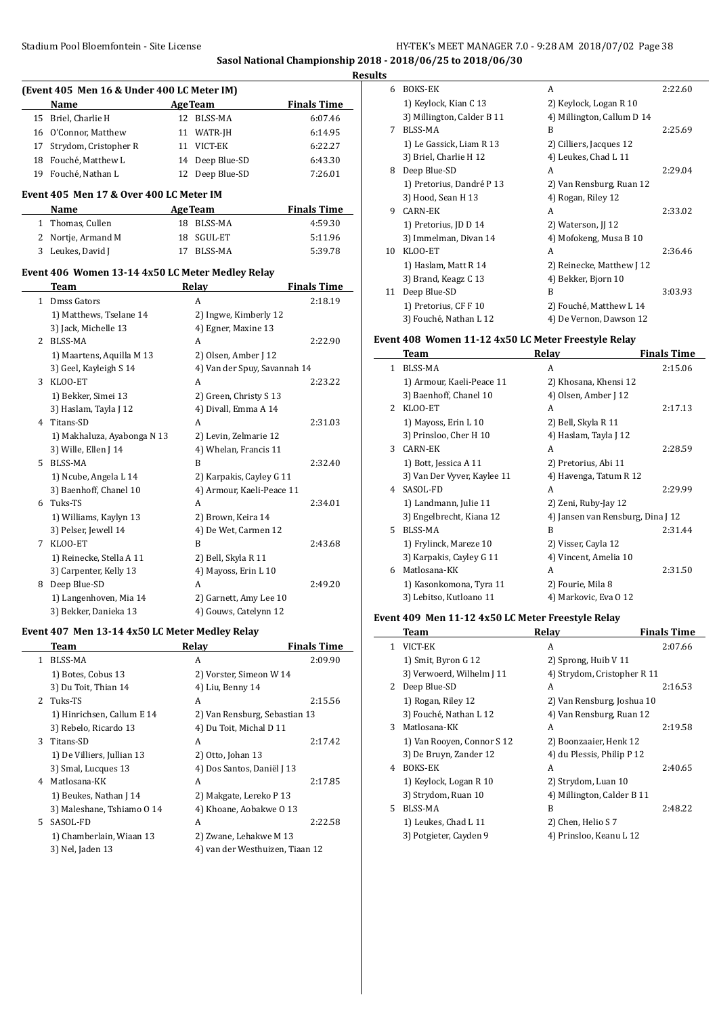## Stadium Pool Bloemfontein - Site License **HY-TEK's MEET MANAGER 7.0 - 9:28 AM 2018/07/02** Page 38 **Sasol National Championship 2018 - 2018/06/25 to 2018/06/30**

**Results**

 $\sim$ 

|              | (Event 405 Men 16 & Under 400 LC Meter IM)       |    |                               |                    |
|--------------|--------------------------------------------------|----|-------------------------------|--------------------|
|              | Name                                             |    | <b>AgeTeam</b>                | <b>Finals Time</b> |
|              | 15 Briel, Charlie H                              |    | 12 BLSS-MA                    | 6:07.46            |
| 16           | O'Connor, Matthew                                |    | 11 WATR-JH                    | 6:14.95            |
| 17           | Strydom, Cristopher R                            |    | 11 VICT-EK                    | 6:22.27            |
| 18           | Fouché, Matthew L                                |    | 14 Deep Blue-SD               | 6:43.30            |
|              | 19 Fouché, Nathan L                              | 12 | Deep Blue-SD                  | 7:26.01            |
|              |                                                  |    |                               |                    |
|              | Event 405  Men 17 & Over 400 LC Meter IM         |    |                               |                    |
|              | Name                                             |    | <b>AgeTeam</b>                | <b>Finals Time</b> |
|              | 1 Thomas, Cullen                                 |    | 18 BLSS-MA                    | 4:59.30            |
| 2            | Nortje, Armand M                                 | 18 | SGUL-ET                       | 5:11.96            |
| 3            | Leukes, David J                                  | 17 | BLSS-MA                       | 5:39.78            |
|              | Event 406 Women 13-14 4x50 LC Meter Medley Relay |    |                               |                    |
|              | <b>Team</b>                                      |    | <b>Relay</b>                  | <b>Finals Time</b> |
|              | 1 Dmss Gators                                    |    | A                             | 2:18.19            |
|              | 1) Matthews, Tselane 14                          |    | 2) Ingwe, Kimberly 12         |                    |
|              | 3) Jack, Michelle 13                             |    | 4) Egner, Maxine 13           |                    |
|              | 2 BLSS-MA                                        |    | A                             | 2:22.90            |
|              | 1) Maartens, Aquilla M 13                        |    | 2) Olsen, Amber J 12          |                    |
|              | 3) Geel, Kayleigh S 14                           |    | 4) Van der Spuy, Savannah 14  |                    |
|              | 3 KLOO-ET                                        |    | A                             | 2:23.22            |
|              | 1) Bekker, Simei 13                              |    | 2) Green, Christy S 13        |                    |
|              | 3) Haslam, Tayla J 12                            |    | 4) Divall, Emma A 14          |                    |
|              | 4 Titans-SD                                      |    | A                             | 2:31.03            |
|              | 1) Makhaluza, Ayabonga N 13                      |    | 2) Levin, Zelmarie 12         |                    |
|              | 3) Wille, Ellen J 14                             |    | 4) Whelan, Francis 11         |                    |
|              | 5 BLSS-MA                                        |    | B                             | 2:32.40            |
|              | 1) Ncube, Angela L 14                            |    | 2) Karpakis, Cayley G 11      |                    |
|              | 3) Baenhoff, Chanel 10                           |    | 4) Armour, Kaeli-Peace 11     |                    |
|              | 6 Tuks-TS                                        |    | A                             | 2:34.01            |
|              | 1) Williams, Kaylyn 13                           |    | 2) Brown, Keira 14            |                    |
|              | 3) Pelser, Jewell 14                             |    | 4) De Wet, Carmen 12          |                    |
|              | 7 KLOO-ET                                        |    | B                             | 2:43.68            |
|              | 1) Reinecke, Stella A 11                         |    | 2) Bell, Skyla R 11           |                    |
|              | 3) Carpenter, Kelly 13                           |    | 4) Mayoss, Erin L 10          |                    |
| 8            | Deep Blue-SD                                     |    | A                             | 2:49.20            |
|              | 1) Langenhoven, Mia 14                           |    | 2) Garnett, Amy Lee 10        |                    |
|              | 3) Bekker, Danieka 13                            |    | 4) Gouws, Catelynn 12         |                    |
|              |                                                  |    |                               |                    |
|              | Event 407 Men 13-14 4x50 LC Meter Medley Relay   |    |                               |                    |
|              | <b>Team</b>                                      |    | <b>Relay</b>                  | <b>Finals Time</b> |
| $\mathbf{1}$ | BLSS-MA                                          |    | A                             | 2:09.90            |
|              | 1) Botes, Cobus 13                               |    | 2) Vorster, Simeon W 14       |                    |
|              | 3) Du Toit, Thian 14                             |    | 4) Liu, Benny 14              |                    |
| 2            | Tuks-TS                                          |    | A                             | 2:15.56            |
|              | 1) Hinrichsen, Callum E 14                       |    | 2) Van Rensburg, Sebastian 13 |                    |
|              | 3) Rebelo, Ricardo 13                            |    | 4) Du Toit, Michal D 11       |                    |

3 Titans-SD A 2:17.42

1) De Villiers, Jullian 13 2) Otto, Johan 13 3) Smal, Lucques 13 4) Dos Santos, Daniël J 13 4 Matlosana-KK A 2:17.85 1) Beukes, Nathan J 14 2) Makgate, Lereko P 13 3) Maleshane, Tshiamo O 14 4) Khoane, Aobakwe O 13 5 SASOL-FD A 2:22.58 1) Chamberlain, Wiaan 13 2) Zwane, Lehakwe M 13 3) Nel, Jaden 13 12 4) van der Westhuizen, Tiaan 12

| 6  | <b>BOKS-EK</b>             | A                          | 2:22.60 |
|----|----------------------------|----------------------------|---------|
|    | 1) Keylock, Kian C 13      | 2) Keylock, Logan R 10     |         |
|    | 3) Millington, Calder B 11 | 4) Millington, Callum D 14 |         |
| 7  | BLSS-MA                    | R                          | 2:25.69 |
|    | 1) Le Gassick, Liam R 13   | 2) Cilliers, Jacques 12    |         |
|    | 3) Briel, Charlie H 12     | 4) Leukes, Chad L 11       |         |
| 8  | Deep Blue-SD               | A                          | 2:29.04 |
|    | 1) Pretorius, Dandré P 13  | 2) Van Rensburg, Ruan 12   |         |
|    | 3) Hood, Sean H 13         | 4) Rogan, Riley 12         |         |
| 9  | CARN-EK                    | A                          | 2:33.02 |
|    | 1) Pretorius, JD D 14      | 2) Waterson, JJ 12         |         |
|    | 3) Immelman, Divan 14      | 4) Mofokeng, Musa B 10     |         |
| 10 | KLOO-ET                    | A                          | 2:36.46 |
|    | 1) Haslam, Matt R 14       | 2) Reinecke, Matthew J 12  |         |
|    | 3) Brand, Keagz C 13       | 4) Bekker, Bjorn 10        |         |
| 11 | Deep Blue-SD               | R                          | 3:03.93 |
|    | 1) Pretorius, CF F 10      | 2) Fouché, Matthew L 14    |         |
|    | 3) Fouché, Nathan L 12     | 4) De Vernon, Dawson 12    |         |

#### **Event 408 Women 11-12 4x50 LC Meter Freestyle Relay**

|               | Team                        | Relay                             | <b>Finals Time</b> |
|---------------|-----------------------------|-----------------------------------|--------------------|
| 1             | <b>BLSS-MA</b>              | A                                 | 2:15.06            |
|               | 1) Armour, Kaeli-Peace 11   | 2) Khosana, Khensi 12             |                    |
|               | 3) Baenhoff, Chanel 10      | 4) Olsen, Amber J 12              |                    |
| $\mathcal{L}$ | KLOO-ET                     | A                                 | 2:17.13            |
|               | 1) Mayoss, Erin L 10        | 2) Bell, Skyla R 11               |                    |
|               | 3) Prinsloo, Cher H 10      | 4) Haslam, Tayla J 12             |                    |
| 3             | <b>CARN-EK</b>              | A                                 | 2:28.59            |
|               | 1) Bott, Jessica A 11       | 2) Pretorius, Abi 11              |                    |
|               | 3) Van Der Vyver, Kaylee 11 | 4) Havenga, Tatum R 12            |                    |
| 4             | SASOL-FD                    | A                                 | 2:29.99            |
|               | 1) Landmann, Julie 11       | 2) Zeni, Ruby-Jay 12              |                    |
|               | 3) Engelbrecht, Kiana 12    | 4) Jansen van Rensburg, Dina J 12 |                    |
| 5.            | <b>BLSS-MA</b>              | B                                 | 2:31.44            |
|               | 1) Frylinck, Mareze 10      | 2) Visser, Cayla 12               |                    |
|               | 3) Karpakis, Cayley G 11    | 4) Vincent, Amelia 10             |                    |
| 6             | Matlosana-KK                | A                                 | 2:31.50            |
|               | 1) Kasonkomona, Tyra 11     | 2) Fourie, Mila 8                 |                    |
|               | 3) Lebitso, Kutloano 11     | 4) Markovic, Eva 0 12             |                    |

#### **Event 409 Men 11-12 4x50 LC Meter Freestyle Relay**

|    | Team                       | Relay                       | <b>Finals Time</b> |
|----|----------------------------|-----------------------------|--------------------|
| 1. | VICT-EK                    | A                           | 2:07.66            |
|    | 1) Smit, Byron G 12        | 2) Sprong, Huib V 11        |                    |
|    | 3) Verwoerd, Wilhelm J 11  | 4) Strydom, Cristopher R 11 |                    |
|    | 2 Deep Blue-SD             | A                           | 2:16.53            |
|    | 1) Rogan, Riley 12         | 2) Van Rensburg, Joshua 10  |                    |
|    | 3) Fouché, Nathan L 12     | 4) Van Rensburg, Ruan 12    |                    |
| 3  | Matlosana-KK               | A                           | 2:19.58            |
|    | 1) Van Rooven, Connor S 12 | 2) Boonzaaier, Henk 12      |                    |
|    | 3) De Bruyn, Zander 12     | 4) du Plessis, Philip P 12  |                    |
| 4  | <b>BOKS-EK</b>             | A                           | 2:40.65            |
|    | 1) Keylock, Logan R 10     | 2) Strydom, Luan 10         |                    |
|    | 3) Strydom, Ruan 10        | 4) Millington, Calder B 11  |                    |
| 5. | BLSS-MA                    | R                           | 2:48.22            |
|    | 1) Leukes, Chad L 11       | 2) Chen, Helio S 7          |                    |
|    | 3) Potgieter, Cayden 9     | 4) Prinsloo, Keanu L 12     |                    |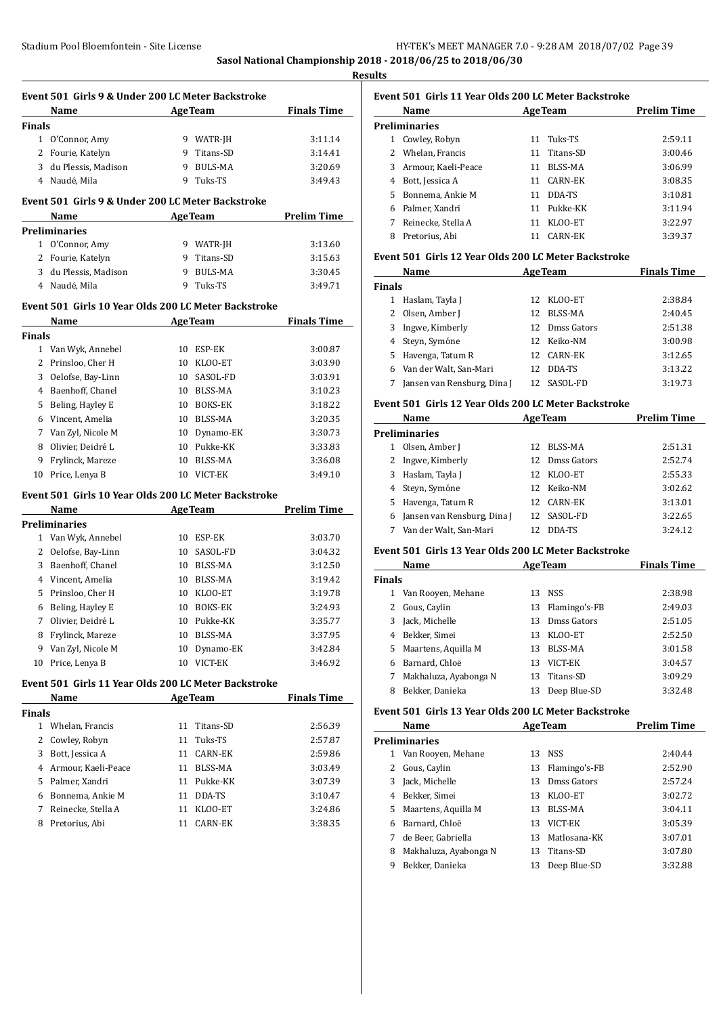**Sasol National Championship 2018 - 2018/06/25 to 2018/06/30**

|               | Event 501 Girls 9 & Under 200 LC Meter Backstroke<br>Name | <b>AgeTeam</b> | <b>Finals Time</b> |
|---------------|-----------------------------------------------------------|----------------|--------------------|
| <b>Finals</b> |                                                           |                |                    |
|               | 1 O'Connor, Amy                                           | 9 WATR-JH      | 3:11.14            |
|               | 2 Fourie, Katelyn                                         | 9 Titans-SD    | 3:14.41            |
|               | 3 du Plessis, Madison                                     | 9 BULS-MA      | 3:20.69            |
|               | 4 Naudé, Mila                                             | 9 Tuks-TS      | 3:49.43            |
|               | Event 501 Girls 9 & Under 200 LC Meter Backstroke         |                |                    |
|               | Name<br><u> 1980 - Johann Barbara, martxa</u>             | <b>AgeTeam</b> | <b>Prelim Time</b> |
|               | <b>Preliminaries</b>                                      |                |                    |
|               | 1 O'Connor, Amy                                           | 9 WATR-JH      | 3:13.60            |
|               | 2 Fourie, Katelyn                                         | 9 Titans-SD    | 3:15.63            |
|               | 3 du Plessis, Madison                                     | 9 BULS-MA      | 3:30.45            |
|               | 4 Naudé, Mila                                             | 9 Tuks-TS      | 3:49.71            |
|               | Event 501 Girls 10 Year Olds 200 LC Meter Backstroke      |                |                    |
|               | Name                                                      | <b>AgeTeam</b> | <b>Finals Time</b> |
| Finals        |                                                           |                |                    |
|               | 1 Van Wyk, Annebel                                        | 10 ESP-EK      | 3:00.87            |
|               | 2 Prinsloo, Cher H                                        | 10 KLOO-ET     | 3:03.90            |
| 3             | Oelofse, Bay-Linn                                         | 10 SASOL-FD    | 3:03.91            |
|               | 4 Baenhoff, Chanel                                        | 10 BLSS-MA     | 3:10.23            |
|               | 5 Beling, Hayley E                                        | 10 BOKS-EK     | 3:18.22            |
|               | 6 Vincent, Amelia                                         | 10 BLSS-MA     | 3:20.35            |
|               | 7 Van Zyl, Nicole M                                       | 10 Dynamo-EK   | 3:30.73            |
| 8             | Olivier, Deidré L                                         | 10 Pukke-KK    | 3:33.83            |
| 9             | Frylinck, Mareze                                          | 10 BLSS-MA     | 3:36.08            |
|               | 10 Price, Lenya B                                         | 10 VICT-EK     | 3:49.10            |
|               | Event 501 Girls 10 Year Olds 200 LC Meter Backstroke      |                |                    |
|               | Name                                                      | <b>AgeTeam</b> | <b>Prelim Time</b> |
|               | <b>Preliminaries</b>                                      |                |                    |
|               | 1 Van Wyk Annobol 10 FCD-FK                               |                | 2.02.70            |

| 1  | Van Wyk, Annebel    | 10 | ESP-EK         | 3:03.70 |
|----|---------------------|----|----------------|---------|
|    | 2 Oelofse, Bay-Linn | 10 | SASOL-FD       | 3:04.32 |
| 3  | Baenhoff, Chanel    | 10 | BLSS-MA        | 3:12.50 |
| 4  | Vincent, Amelia     | 10 | BLSS-MA        | 3:19.42 |
| 5. | Prinsloo, Cher H    | 10 | KLOO-ET        | 3:19.78 |
| 6  | Beling, Hayley E    | 10 | <b>BOKS-EK</b> | 3:24.93 |
| 7  | Olivier, Deidré L   | 10 | Pukke-KK       | 3:35.77 |
| 8  | Frylinck, Mareze    | 10 | BLSS-MA        | 3:37.95 |
| 9  | Van Zyl, Nicole M   | 10 | Dynamo-EK      | 3:42.84 |
| 10 | Price, Lenya B      | 10 | VICT-EK        | 3:46.92 |

#### **Event 501 Girls 11 Year Olds 200 LC Meter Backstroke**

| Name                  | <b>AgeTeam</b> | <b>Finals Time</b> |  |
|-----------------------|----------------|--------------------|--|
| <b>Finals</b>         |                |                    |  |
| Whelan, Francis<br>1  | 11 Titans-SD   | 2:56.39            |  |
| 2 Cowley, Robyn       | Tuks-TS<br>11  | 2:57.87            |  |
| Bott, Jessica A<br>3  | CARN-EK<br>11  | 2:59.86            |  |
| 4 Armour, Kaeli-Peace | BLSS-MA<br>11  | 3:03.49            |  |
| 5 Palmer, Xandri      | Pukke-KK<br>11 | 3:07.39            |  |
| Bonnema, Ankie M<br>6 | DDA-TS<br>11   | 3:10.47            |  |
| Reinecke, Stella A    | KLOO-ET<br>11  | 3:24.86            |  |
| Pretorius, Abi<br>8   | CARN-EK        | 3:38.35            |  |
|                       |                |                    |  |

#### **Event 501 Girls 11 Year Olds 200 LC Meter Backstroke**

|    | Name                |    | <b>AgeTeam</b> | <b>Prelim Time</b> |
|----|---------------------|----|----------------|--------------------|
|    | Preliminaries       |    |                |                    |
| 1  | Cowley, Robyn       |    | 11 Tuks-TS     | 2:59.11            |
|    | 2 Whelan, Francis   | 11 | Titans-SD      | 3:00.46            |
| 3  | Armour, Kaeli-Peace | 11 | BLSS-MA        | 3:06.99            |
| 4  | Bott, Jessica A     | 11 | CARN-EK        | 3:08.35            |
| 5. | Bonnema, Ankie M    | 11 | DDA-TS         | 3:10.81            |
| 6  | Palmer, Xandri      | 11 | Pukke-KK       | 3:11.94            |
|    | Reinecke, Stella A  | 11 | KLOO-ET        | 3:22.97            |
| 8  | Pretorius, Abi      |    | CARN-EK        | 3:39.37            |

#### **Event 501 Girls 12 Year Olds 200 LC Meter Backstroke**

|               | Name                        | <b>AgeTeam</b> |                | <b>Finals Time</b> |
|---------------|-----------------------------|----------------|----------------|--------------------|
| <b>Finals</b> |                             |                |                |                    |
| 1             | Haslam, Tayla J             | 12             | KLOO-ET        | 2:38.84            |
|               | Olsen, Amber J              | 12             | BLSS-MA        | 2:40.45            |
|               | 3 Ingwe, Kimberly           |                | 12 Dmss Gators | 2:51.38            |
|               | 4 Steyn, Symóne             |                | 12 Keiko-NM    | 3:00.98            |
| 5             | Havenga, Tatum R            | 12.            | CARN-EK        | 3:12.65            |
|               | 6 Van der Walt, San-Mari    | 12             | DDA-TS         | 3:13.22            |
|               | Jansen van Rensburg, Dina J | 12.            | SASOL-FD       | 3:19.73            |

#### **Event 501 Girls 12 Year Olds 200 LC Meter Backstroke**

|   | Name<br><b>AgeTeam</b>      |     |             | <b>Prelim Time</b> |  |
|---|-----------------------------|-----|-------------|--------------------|--|
|   | <b>Preliminaries</b>        |     |             |                    |  |
| 1 | Olsen, Amber J              | 12. | BLSS-MA     | 2:51.31            |  |
|   | 2 Ingwe, Kimberly           | 12  | Dmss Gators | 2:52.74            |  |
|   | 3 Haslam, Tayla J           | 12. | KLOO-ET     | 2:55.33            |  |
|   | 4 Steyn, Symóne             |     | 12 Keiko-NM | 3:02.62            |  |
|   | 5 Havenga, Tatum R          |     | 12 CARN-EK  | 3:13.01            |  |
| 6 | Jansen van Rensburg, Dina J |     | 12 SASOL-FD | 3:22.65            |  |
|   | 7 Van der Walt, San-Mari    |     | DDA-TS      | 3:24.12            |  |

#### **Event 501 Girls 13 Year Olds 200 LC Meter Backstroke**

|               | Name                  | <b>AgeTeam</b> |               | <b>Finals Time</b> |
|---------------|-----------------------|----------------|---------------|--------------------|
| <b>Finals</b> |                       |                |               |                    |
|               | Van Rooyen, Mehane    | 13             | NSS           | 2:38.98            |
| 2.            | Gous, Caylin          | 13             | Flamingo's-FB | 2:49.03            |
| 3             | Jack, Michelle        | 13             | Dmss Gators   | 2:51.05            |
| 4             | Bekker, Simei         | 13             | KLOO-ET       | 2:52.50            |
| 5.            | Maartens, Aquilla M   | 13             | BLSS-MA       | 3:01.58            |
| 6             | Barnard, Chloë        | 13             | VICT-EK       | 3:04.57            |
| 7             | Makhaluza, Ayabonga N | 13.            | Titans-SD     | 3:09.29            |
| 8             | Bekker, Danieka       | 13             | Deep Blue-SD  | 3:32.48            |

#### **Event 501 Girls 13 Year Olds 200 LC Meter Backstroke**

|   | Name                  |    | <b>AgeTeam</b> | <b>Prelim Time</b> |
|---|-----------------------|----|----------------|--------------------|
|   | Preliminaries         |    |                |                    |
| 1 | Van Rooven, Mehane    | 13 | <b>NSS</b>     | 2:40.44            |
|   | Gous, Caylin          | 13 | Flamingo's-FB  | 2:52.90            |
| 3 | Jack, Michelle        | 13 | Dmss Gators    | 2:57.24            |
| 4 | Bekker, Simei         | 13 | KLOO-ET        | 3:02.72            |
| 5 | Maartens, Aquilla M   | 13 | BLSS-MA        | 3:04.11            |
| 6 | Barnard, Chloë        | 13 | VICT-EK        | 3:05.39            |
| 7 | de Beer. Gabriella    | 13 | Matlosana-KK   | 3:07.01            |
| 8 | Makhaluza, Ayabonga N | 13 | Titans-SD      | 3:07.80            |
| 9 | Bekker, Danieka       | 13 | Deep Blue-SD   | 3:32.88            |
|   |                       |    |                |                    |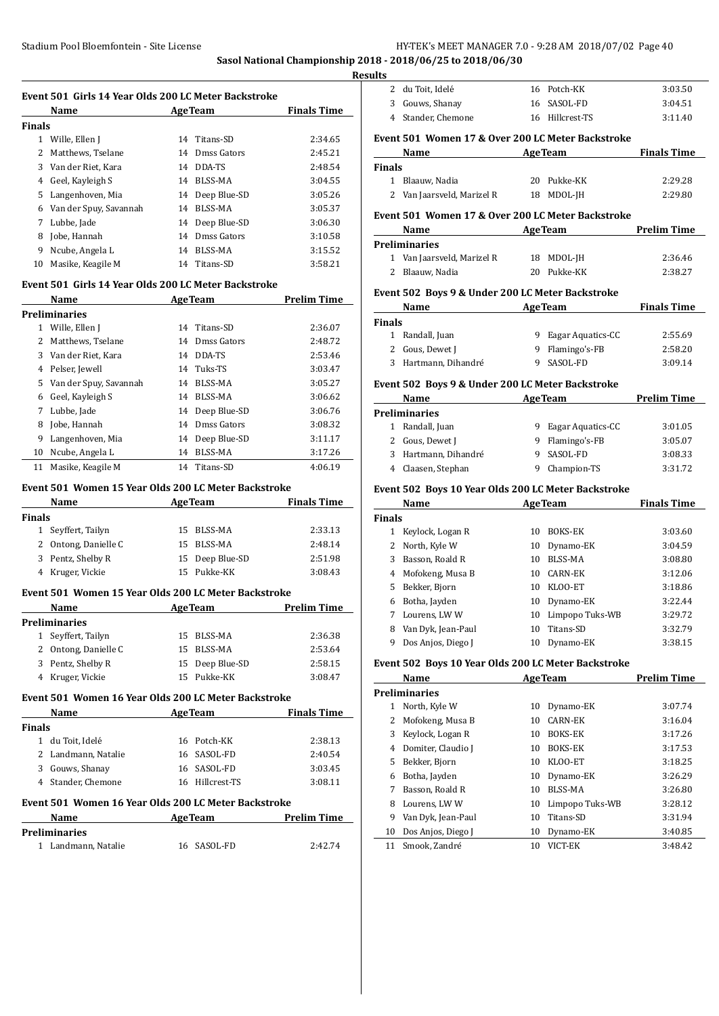**Sasol National Championship 2018 - 2018/06/25 to 2018/06/30**

**Results**

|               | Event 501 Girls 14 Year Olds 200 LC Meter Backstroke |                              |                    |
|---------------|------------------------------------------------------|------------------------------|--------------------|
|               | <b>AgeTeam</b><br><b>Name</b>                        |                              | <b>Finals Time</b> |
| Finals        |                                                      |                              |                    |
|               | 1 Wille, Ellen J                                     | 14 Titans-SD                 | 2:34.65            |
|               | 2 Matthews, Tselane                                  | 14 Dmss Gators               | 2:45.21            |
|               | 3 Van der Riet, Kara                                 | 14 DDA-TS                    | 2:48.54            |
|               | 4 Geel, Kayleigh S                                   | 14 BLSS-MA                   | 3:04.55            |
|               | 5 Langenhoven, Mia                                   | 14 Deep Blue-SD              | 3:05.26            |
|               | 6 Van der Spuy, Savannah                             | 14 BLSS-MA                   | 3:05.37            |
|               | 7 Lubbe, Jade                                        | 14 Deep Blue-SD              | 3:06.30            |
|               | 8 Jobe, Hannah                                       | 14 Dmss Gators<br>14 BLSS-MA | 3:10.58            |
|               | 9 Ncube, Angela L                                    |                              | 3:15.52            |
|               | 10 Masike, Keagile M                                 | 14 Titans-SD                 | 3:58.21            |
|               | Event 501 Girls 14 Year Olds 200 LC Meter Backstroke |                              |                    |
|               | Name<br><u> 1990 - Jan Barat III, martin a</u>       | <b>AgeTeam</b>               | <b>Prelim Time</b> |
|               | <b>Preliminaries</b>                                 |                              |                    |
|               | 1 Wille, Ellen J                                     | 14 Titans-SD                 | 2:36.07            |
|               | 2 Matthews, Tselane                                  | 14 Dmss Gators               | 2:48.72            |
|               | 3 Van der Riet, Kara                                 | 14 DDA-TS                    | 2:53.46            |
|               | 4 Pelser, Jewell                                     | 14 Tuks-TS                   | 3:03.47            |
|               | 5 Van der Spuy, Savannah                             | 14 BLSS-MA                   | 3:05.27            |
|               | 6 Geel, Kayleigh S                                   | 14 BLSS-MA                   | 3:06.62            |
|               | 7 Lubbe, Jade                                        | 14 Deep Blue-SD              | 3:06.76            |
|               | 8 Jobe, Hannah                                       | 14 Dmss Gators               | 3:08.32            |
|               | 9 Langenhoven, Mia                                   | 14 Deep Blue-SD              | 3:11.17            |
|               | 10 Ncube, Angela L                                   | 14 BLSS-MA                   | 3:17.26            |
|               | 11 Masike, Keagile M                                 | 14 Titans-SD                 | 4:06.19            |
|               | Event 501 Women 15 Year Olds 200 LC Meter Backstroke |                              |                    |
|               | Name<br>and the contract of the contract of          | AgeTeam                      | <b>Finals Time</b> |
| Finals        |                                                      |                              |                    |
|               | 1 Seyffert, Tailyn                                   | 15 BLSS-MA                   | 2:33.13            |
|               | 2 Ontong, Danielle C                                 | 15 BLSS-MA                   | 2:48.14            |
|               | 3 Pentz, Shelby R                                    | 15 Deep Blue-SD              | 2:51.98            |
|               | 4 Kruger, Vickie                                     | 15 Pukke-KK                  | 3:08.43            |
|               | Event 501 Women 15 Year Olds 200 LC Meter Backstroke |                              |                    |
|               | Name                                                 | <b>AgeTeam</b>               | <b>Prelim Time</b> |
|               | Preliminaries                                        |                              |                    |
| 1             | Seyffert, Tailyn                                     | 15 BLSS-MA                   | 2:36.38            |
|               | 2 Ontong, Danielle C                                 | 15 BLSS-MA                   | 2:53.64            |
|               | 3 Pentz, Shelby R                                    | 15 Deep Blue-SD              | 2:58.15            |
|               | 4 Kruger, Vickie                                     | 15 Pukke-KK                  | 3:08.47            |
|               | Event 501 Women 16 Year Olds 200 LC Meter Backstroke |                              |                    |
|               | Name                                                 | <b>AgeTeam</b>               | <b>Finals Time</b> |
| <b>Finals</b> |                                                      |                              |                    |
|               | 1 du Toit, Idelé                                     | 16 Potch-KK                  | 2:38.13            |
|               | 2 Landmann, Natalie                                  | 16 SASOL-FD                  | 2:40.54            |
|               | 3 Gouws, Shanay                                      | 16 SASOL-FD                  | 3:03.45            |
|               | 4 Stander, Chemone                                   | 16 Hillcrest-TS              | 3:08.11            |
|               | Event 501 Women 16 Year Olds 200 LC Meter Backstroke |                              |                    |
|               | Name                                                 | <b>AgeTeam</b>               | <b>Prelim Time</b> |
|               | Preliminaries                                        |                              |                    |
|               |                                                      |                              |                    |
|               | 1 Landmann, Natalie                                  | 16 SASOL-FD                  | 2:42.74            |
|               |                                                      |                              |                    |

|                    | 2 du Toit, Idelé                                                                                                                                                                                                              |          | 16 Potch-KK                            | 3:03.50                       |
|--------------------|-------------------------------------------------------------------------------------------------------------------------------------------------------------------------------------------------------------------------------|----------|----------------------------------------|-------------------------------|
|                    | 3 Gouws, Shanay                                                                                                                                                                                                               |          | 16 SASOL-FD                            | 3:04.51                       |
|                    | 4 Stander, Chemone                                                                                                                                                                                                            |          | 16 Hillcrest-TS                        | 3:11.40                       |
|                    | Event 501 Women 17 & Over 200 LC Meter Backstroke                                                                                                                                                                             |          |                                        |                               |
|                    | Name                                                                                                                                                                                                                          |          | <b>AgeTeam</b>                         | <b>Finals Time</b>            |
| <b>Finals</b>      |                                                                                                                                                                                                                               |          | 20 Pukke-KK                            |                               |
|                    | 1 Blaauw, Nadia<br>2 Van Jaarsveld, Marizel R                                                                                                                                                                                 |          | 18 MDOL-JH                             | 2:29.28<br>2:29.80            |
|                    |                                                                                                                                                                                                                               |          |                                        |                               |
|                    | Event 501 Women 17 & Over 200 LC Meter Backstroke                                                                                                                                                                             |          |                                        |                               |
|                    | Name<br><b>Preliminaries</b>                                                                                                                                                                                                  |          | <u>AgeTeam</u>                         | <b>Prelim Time</b>            |
|                    | 1 Van Jaarsveld, Marizel R                                                                                                                                                                                                    |          | 18 MDOL-JH                             | 2:36.46                       |
|                    | 2 Blaauw, Nadia                                                                                                                                                                                                               |          | 20 Pukke-KK                            | 2:38.27                       |
|                    |                                                                                                                                                                                                                               |          |                                        |                               |
|                    | Event 502 Boys 9 & Under 200 LC Meter Backstroke                                                                                                                                                                              |          |                                        |                               |
|                    | Name and the same state of the state of the state of the state of the state of the state of the state of the state of the state of the state of the state of the state of the state of the state of the state of the state of |          | <b>AgeTeam</b>                         | <b>Finals Time</b>            |
| Finals             | 1 Randall, Juan                                                                                                                                                                                                               |          |                                        |                               |
|                    | 2 Gous, Dewet J                                                                                                                                                                                                               |          | 9 Eagar Aquatics-CC<br>9 Flamingo's-FB | 2:55.69<br>2:58.20            |
|                    | 3 Hartmann, Dihandré                                                                                                                                                                                                          |          | 9 SASOL-FD                             | 3:09.14                       |
|                    |                                                                                                                                                                                                                               |          |                                        |                               |
|                    | Event 502 Boys 9 & Under 200 LC Meter Backstroke                                                                                                                                                                              |          |                                        |                               |
|                    | Name                                                                                                                                                                                                                          |          | <b>AgeTeam</b>                         | <b>Prelim Time</b>            |
|                    | <b>Preliminaries</b>                                                                                                                                                                                                          |          |                                        |                               |
|                    | 1 Randall, Juan<br>2 Gous, Dewet J                                                                                                                                                                                            |          | 9 Eagar Aquatics-CC                    | 3:01.05                       |
|                    |                                                                                                                                                                                                                               |          | 9 Flamingo's-FB                        | 3:05.07                       |
|                    |                                                                                                                                                                                                                               |          |                                        |                               |
|                    | 3 Hartmann, Dihandré                                                                                                                                                                                                          |          | 9 SASOL-FD                             | 3:08.33                       |
|                    | 4 Claasen, Stephan                                                                                                                                                                                                            |          | 9 Champion-TS                          | 3:31.72                       |
|                    | Event 502 Boys 10 Year Olds 200 LC Meter Backstroke                                                                                                                                                                           |          |                                        |                               |
|                    | Name AgeTeam                                                                                                                                                                                                                  |          |                                        |                               |
|                    |                                                                                                                                                                                                                               |          |                                        |                               |
|                    | 1 Keylock, Logan R<br>2 North, Kyle W                                                                                                                                                                                         |          | 10 BOKS-EK<br>10 Dynamo-EK             | 3:03.60<br>3:04.59            |
|                    | 3 Basson, Roald R                                                                                                                                                                                                             |          | 10 BLSS-MA                             | 3:08.80                       |
|                    | 4 Mofokeng, Musa B                                                                                                                                                                                                            |          | 10 CARN-EK                             | 3:12.06                       |
| 5                  | Bekker, Bjorn                                                                                                                                                                                                                 |          | 10 KLOO-ET                             | 3:18.86                       |
| 6                  | Botha, Jayden                                                                                                                                                                                                                 | 10       | Dynamo-EK                              | 3:22.44                       |
| <b>Finals</b><br>7 | Lourens, LWW                                                                                                                                                                                                                  | 10       | Limpopo Tuks-WB                        | <b>Finals Time</b><br>3:29.72 |
| 8                  | Van Dyk, Jean-Paul                                                                                                                                                                                                            | 10       | Titans-SD                              | 3:32.79                       |
| 9                  | Dos Anjos, Diego J                                                                                                                                                                                                            | 10       | Dynamo-EK                              | 3:38.15                       |
|                    | Event 502 Boys 10 Year Olds 200 LC Meter Backstroke                                                                                                                                                                           |          |                                        |                               |
|                    | Name                                                                                                                                                                                                                          |          | <b>AgeTeam</b>                         |                               |
|                    | <b>Preliminaries</b>                                                                                                                                                                                                          |          |                                        |                               |
| $\mathbf{1}$       | North, Kyle W                                                                                                                                                                                                                 | 10       | Dynamo-EK                              | 3:07.74                       |
| 2                  | Mofokeng, Musa B                                                                                                                                                                                                              | 10       | <b>CARN-EK</b>                         | 3:16.04                       |
| 3                  | Keylock, Logan R                                                                                                                                                                                                              | 10       | BOKS-EK                                | 3:17.26                       |
| 4                  | Domiter, Claudio J                                                                                                                                                                                                            | 10       | BOKS-EK                                | 3:17.53                       |
| 5                  | Bekker, Bjorn                                                                                                                                                                                                                 | 10       | KLOO-ET                                | 3:18.25                       |
| 6                  | Botha, Jayden                                                                                                                                                                                                                 | 10       | Dynamo-EK                              | 3:26.29                       |
| 7                  | Basson, Roald R                                                                                                                                                                                                               | 10       | BLSS-MA                                | 3:26.80                       |
| 8                  | Lourens, LWW                                                                                                                                                                                                                  | 10       | Limpopo Tuks-WB                        | <b>Prelim Time</b><br>3:28.12 |
| 9<br>10            | Van Dyk, Jean-Paul<br>Dos Anjos, Diego J                                                                                                                                                                                      | 10<br>10 | Titans-SD<br>Dynamo-EK                 | 3:31.94<br>3:40.85            |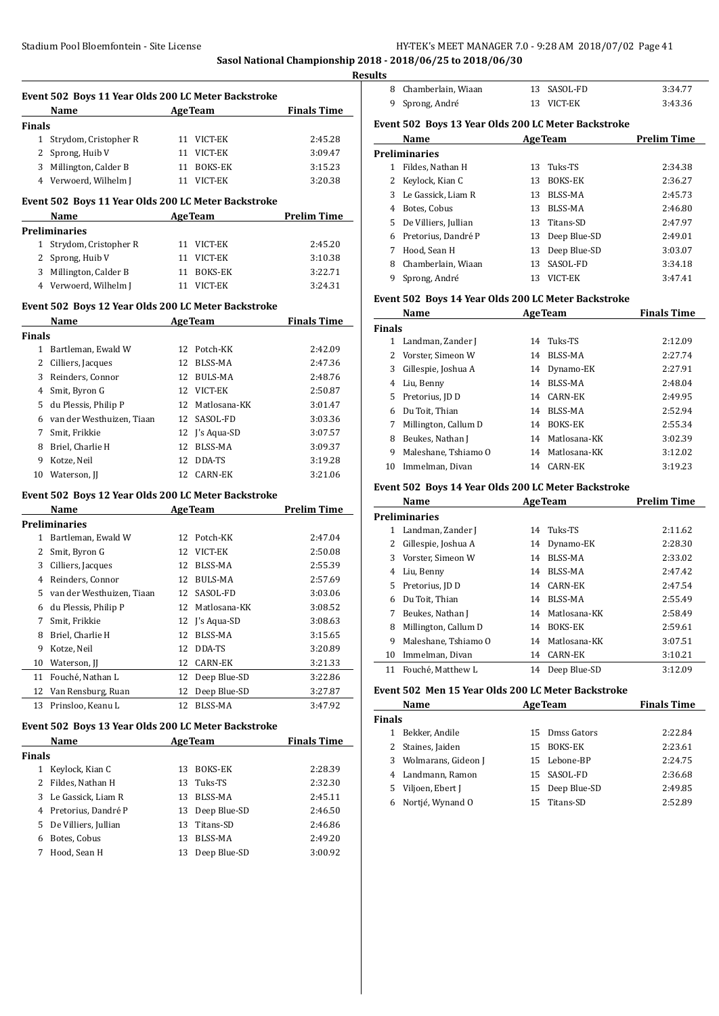**Sasol National Championship 2018 - 2018/06/25 to 2018/06/30**

|               | Event 502 Boys 11 Year Olds 200 LC Meter Backstroke<br>Name AgeTeam |                |                                                | <b>Finals Time</b> |
|---------------|---------------------------------------------------------------------|----------------|------------------------------------------------|--------------------|
| <b>Finals</b> |                                                                     |                |                                                |                    |
|               | 1 Strydom, Cristopher R                                             |                | 11 VICT-EK                                     | 2:45.28            |
|               | 2 Sprong, Huib V                                                    |                | 11 VICT-EK                                     | 3:09.47            |
|               | 3 Millington, Calder B                                              |                | 11 BOKS-EK                                     | 3:15.23            |
|               | 4 Verwoerd, Wilhelm J                                               |                | 11 VICT-EK                                     | 3:20.38            |
|               | Event 502 Boys 11 Year Olds 200 LC Meter Backstroke                 |                |                                                |                    |
|               | Name AgeTeam Prelim Time                                            |                |                                                |                    |
|               | <b>Preliminaries</b>                                                |                |                                                |                    |
|               | 1 Strydom, Cristopher R                                             |                | 11 VICT-EK                                     | 2:45.20            |
|               | 2 Sprong, Huib V                                                    |                | 11 VICT-EK                                     | 3:10.38            |
|               | 3 Millington, Calder B                                              |                | 11 BOKS-EK                                     | 3:22.71            |
|               | 4 Verwoerd, Wilhelm J                                               |                | 11 VICT-EK                                     | 3:24.31            |
|               | Event 502 Boys 12 Year Olds 200 LC Meter Backstroke                 |                |                                                |                    |
|               | Name AgeTeam Finals Time                                            |                |                                                |                    |
| <b>Finals</b> |                                                                     |                |                                                |                    |
|               | 1 Bartleman, Ewald W                                                |                | 12 Potch-KK                                    | 2:42.09            |
|               | 2 Cilliers, Jacques                                                 |                | 12 BLSS-MA                                     | 2:47.36            |
|               | 3 Reinders, Connor                                                  |                | 12 BULS-MA                                     | 2:48.76            |
|               | 4 Smit, Byron G                                                     |                | 12 VICT-EK                                     | 2:50.87            |
|               | 5 du Plessis, Philip P                                              |                | 12 Matlosana-KK                                | 3:01.47            |
|               | 6 van der Westhuizen, Tiaan                                         |                | 12 SASOL-FD                                    | 3:03.36            |
|               | 7 Smit, Frikkie                                                     |                | 12 J's Aqua-SD                                 | 3:07.57            |
|               | 8 Briel, Charlie H                                                  |                | 12 BLSS-MA                                     | 3:09.37            |
|               | 9 Kotze, Neil                                                       |                | 12 DDA-TS                                      | 3:19.28            |
| 10            | Waterson, JJ                                                        |                | 12 CARN-EK                                     | 3:21.06            |
|               |                                                                     |                |                                                |                    |
|               | Event 502 Boys 12 Year Olds 200 LC Meter Backstroke                 |                |                                                |                    |
|               | Name<br><b>Preliminaries</b>                                        |                | <b>Example 2018</b> AgeTeam <b>Prelim Time</b> |                    |
|               | 1 Bartleman, Ewald W                                                |                | 12 Potch-KK                                    | 2:47.04            |
|               | 2 Smit, Byron G                                                     |                | 12 VICT-EK                                     | 2:50.08            |
|               | 3 Cilliers, Jacques                                                 |                | 12 BLSS-MA                                     | 2:55.39            |
|               | 4 Reinders, Connor                                                  |                | 12 BULS-MA                                     | 2:57.69            |
|               | 5 van der Westhuizen, Tiaan                                         |                | 12 SASOL-FD                                    | 3:03.06            |
|               | 6 du Plessis, Philip P                                              |                | 12 Matlosana-KK                                | 3:08.52            |
| 7             | Smit, Frikkie                                                       |                | 12 J's Aqua-SD                                 | 3:08.63            |
| 8             | Briel, Charlie H                                                    | 12             | <b>BLSS-MA</b>                                 |                    |
| 9             | Kotze, Neil                                                         | 12             | DDA-TS                                         | 3:15.65            |
| 10            | Waterson, JJ                                                        | 12             | <b>CARN-EK</b>                                 | 3:20.89            |
|               | Fouché, Nathan L                                                    |                | 12 Deep Blue-SD                                | 3:21.33<br>3:22.86 |
|               | Van Rensburg, Ruan                                                  | 12             | Deep Blue-SD                                   |                    |
| 11            |                                                                     |                |                                                | 3:27.87            |
| 12            |                                                                     |                |                                                |                    |
| 13            | Prinsloo, Keanu L                                                   | 12             | <b>BLSS-MA</b>                                 | 3:47.92            |
|               | Event 502 Boys 13 Year Olds 200 LC Meter Backstroke<br>Name         | <b>AgeTeam</b> |                                                | <b>Finals Time</b> |

|      | машс                   |    | лес геаш        | гшаю пше |
|------|------------------------|----|-----------------|----------|
| nals |                        |    |                 |          |
|      | Keylock, Kian C        | 13 | <b>BOKS-EK</b>  | 2:28.39  |
| 2    | Fildes, Nathan H       |    | 13 Tuks-TS      | 2:32.30  |
| 3    | Le Gassick, Liam R     | 13 | BLSS-MA         | 2:45.11  |
| 4    | Pretorius, Dandré P    |    | 13 Deep Blue-SD | 2:46.50  |
|      | 5 De Villiers, Jullian |    | 13 Titans-SD    | 2:46.86  |
| 6    | Botes, Cobus           | 13 | BLSS-MA         | 2:49.20  |
|      | Hood, Sean H           | 13 | Deep Blue-SD    | 3:00.92  |
|      |                        |    |                 |          |

| 8  | Chamberlain, Wiaan                                  | 13 | SASOL-FD       | 3:34.77            |
|----|-----------------------------------------------------|----|----------------|--------------------|
| 9  | Sprong, André                                       | 13 | VICT-EK        | 3:43.36            |
|    | Event 502 Boys 13 Year Olds 200 LC Meter Backstroke |    |                |                    |
|    | Name                                                |    | <b>AgeTeam</b> | <b>Prelim Time</b> |
|    | <b>Preliminaries</b>                                |    |                |                    |
| 1. | Fildes, Nathan H                                    | 13 | Tuks-TS        | 2:34.38            |
| 2  | Keylock, Kian C                                     | 13 | <b>BOKS-EK</b> | 2:36.27            |
| 3  | Le Gassick, Liam R                                  | 13 | BLSS-MA        | 2:45.73            |
| 4  | Botes, Cobus                                        | 13 | BLSS-MA        | 2:46.80            |
| 5. | De Villiers, Jullian                                | 13 | Titans-SD      | 2:47.97            |
| 6  | Pretorius, Dandré P                                 | 13 | Deep Blue-SD   | 2:49.01            |
| 7  | Hood, Sean H                                        | 13 | Deep Blue-SD   | 3:03.07            |
| 8  | Chamberlain, Wiaan                                  | 13 | SASOL-FD       | 3:34.18            |
| 9  | Sprong, André                                       | 13 | VICT-EK        | 3:47.41            |

#### **Event 502 Boys 14 Year Olds 200 LC Meter Backstroke**

| Name          |                      |    | <b>AgeTeam</b>  | <b>Finals Time</b> |  |
|---------------|----------------------|----|-----------------|--------------------|--|
| <b>Finals</b> |                      |    |                 |                    |  |
| 1             | Landman, Zander J    | 14 | Tuks-TS         | 2:12.09            |  |
|               | 2 Vorster, Simeon W  | 14 | BLSS-MA         | 2:27.74            |  |
| 3             | Gillespie, Joshua A  |    | 14 Dynamo-EK    | 2:27.91            |  |
| 4             | Liu, Benny           | 14 | BLSS-MA         | 2:48.04            |  |
| 5.            | Pretorius, JD D      | 14 | CARN-EK         | 2:49.95            |  |
| 6             | Du Toit, Thian       | 14 | BLSS-MA         | 2:52.94            |  |
| 7             | Millington, Callum D | 14 | <b>BOKS-EK</b>  | 2:55.34            |  |
| 8             | Beukes, Nathan J     |    | 14 Matlosana-KK | 3:02.39            |  |
| 9             | Maleshane, Tshiamo O | 14 | Matlosana-KK    | 3:12.02            |  |
| 10            | Immelman. Divan      | 14 | CARN-EK         | 3:19.23            |  |

#### **Event 502 Boys 14 Year Olds 200 LC Meter Backstroke**

|    | Name                 | <b>AgeTeam</b> |                 | <b>Prelim Time</b> |
|----|----------------------|----------------|-----------------|--------------------|
|    | <b>Preliminaries</b> |                |                 |                    |
| 1  | Landman, Zander J    | 14             | Tuks-TS         | 2:11.62            |
| 2  | Gillespie, Joshua A  | 14             | Dynamo-EK       | 2:28.30            |
| 3  | Vorster, Simeon W    | 14             | BLSS-MA         | 2:33.02            |
| 4  | Liu, Benny           | 14             | BLSS-MA         | 2:47.42            |
| 5. | Pretorius, JD D      |                | 14 CARN-EK      | 2:47.54            |
| 6  | Du Toit, Thian       | 14             | BLSS-MA         | 2:55.49            |
| 7  | Beukes, Nathan J     | 14             | Matlosana-KK    | 2:58.49            |
| 8  | Millington, Callum D | 14             | <b>BOKS-EK</b>  | 2:59.61            |
| 9  | Maleshane, Tshiamo O | 14             | Matlosana-KK    | 3:07.51            |
| 10 | Immelman, Divan      | 14             | <b>CARN-EK</b>  | 3:10.21            |
| 11 | Fouché, Matthew L    |                | 14 Deep Blue-SD | 3:12.09            |

#### **Event 502 Men 15 Year Olds 200 LC Meter Backstroke**

|               | Name                |     | <b>AgeTeam</b>  | <b>Finals Time</b> |
|---------------|---------------------|-----|-----------------|--------------------|
| <b>Finals</b> |                     |     |                 |                    |
|               | Bekker, Andile      |     | 15 Dmss Gators  | 2:22.84            |
|               | 2 Staines, Jaiden   | 15. | BOKS-EK         | 2:23.61            |
| 3             | Wolmarans, Gideon J |     | 15 Lebone-BP    | 2:24.75            |
|               | 4 Landmann, Ramon   |     | 15 SASOL-FD     | 2:36.68            |
| 5.            | Viljoen, Ebert J    |     | 15 Deep Blue-SD | 2:49.85            |
|               | Nortié, Wynand O    | 15  | Titans-SD       | 2:52.89            |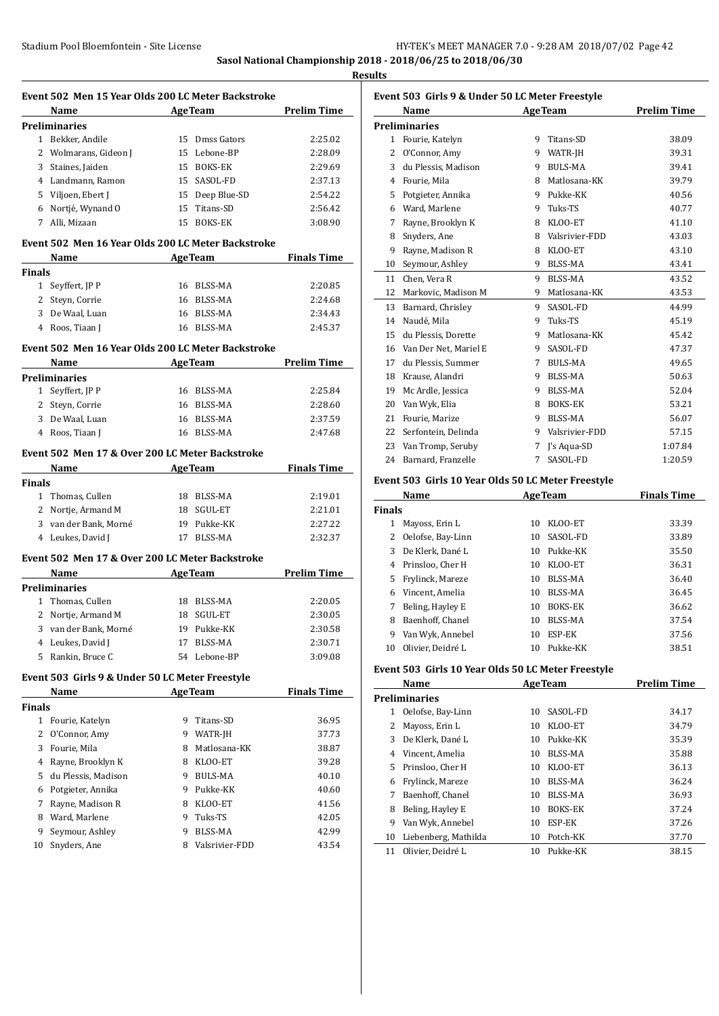**Sasol National Championship 2018 - 2018/06/25 to 2018/06/30**

|              | Name AgeTeam                                                                   |    |                          | <b>Prelim Time</b> |
|--------------|--------------------------------------------------------------------------------|----|--------------------------|--------------------|
|              | Preliminaries                                                                  |    |                          |                    |
|              | 1 Bekker, Andile                                                               |    | 15 Dmss Gators           | 2:25.02            |
|              | 2 Wolmarans, Gideon J 15 Lebone-BP                                             |    |                          | 2:28.09            |
|              | 3 Staines, Jaiden                                                              |    | 15 BOKS-EK               | 2:29.69            |
|              | 4 Landmann, Ramon                                                              |    | 15 SASOL-FD              | 2:37.13            |
|              | 5 Viljoen, Ebert J                                                             |    | 15 Deep Blue-SD          | 2:54.22            |
|              | 6 Nortjé, Wynand O 15 Titans-SD                                                |    |                          | 2:56.42            |
|              | 7 Alli, Mizaan                                                                 |    | 15 BOKS-EK               | 3:08.90            |
|              | Event 502 Men 16 Year Olds 200 LC Meter Backstroke                             |    |                          |                    |
|              | Name AgeTeam Finals Time                                                       |    |                          |                    |
| Finals       |                                                                                |    |                          |                    |
|              | 1 Seyffert, JP P                                                               |    | 16 BLSS-MA               | 2:20.85            |
|              | 2 Steyn, Corrie                                                                |    | 16 BLSS-MA               | 2:24.68            |
|              | 3 De Waal, Luan<br>4 Roos, Tiaan J                                             |    | 16 BLSS-MA<br>16 BLSS-MA | 2:34.43<br>2:45.37 |
|              |                                                                                |    |                          |                    |
|              | Event 502 Men 16 Year Olds 200 LC Meter Backstroke<br>Name AgeTeam Prelim Time |    |                          |                    |
|              | <b>Preliminaries</b>                                                           |    |                          |                    |
|              | 1 Seyffert, JP P                                                               |    | 16 BLSS-MA               | 2:25.84            |
|              | 2 Steyn, Corrie                                                                |    | 16 BLSS-MA               | 2:28.60            |
|              | 3 De Waal, Luan                                                                |    | 16 BLSS-MA               | 2:37.59            |
|              | 4 Roos, Tiaan J                                                                |    | 16 BLSS-MA               | 2:47.68            |
|              | Event 502 Men 17 & Over 200 LC Meter Backstroke                                |    |                          |                    |
|              | Name AgeTeam Finals Time                                                       |    |                          |                    |
| Finals       |                                                                                |    |                          |                    |
|              | 1 Thomas, Cullen                                                               |    | 18 BLSS-MA               | 2:19.01            |
|              | 2 Nortje, Armand M                                                             |    | 18 SGUL-ET               | 2:21.01            |
|              | 3 van der Bank, Morné                                                          |    | 19 Pukke-KK              | 2:27.22            |
|              | 4 Leukes, David J                                                              |    | 17 BLSS-MA               | 2:32.37            |
|              | Event 502 Men 17 & Over 200 LC Meter Backstroke                                |    |                          |                    |
|              | <b>Name</b> AgeTeam Prelim Time                                                |    |                          |                    |
|              | Preliminaries                                                                  |    |                          |                    |
|              | 1 Thomas, Cullen                                                               |    | 18 BLSS-MA               | 2:20.05            |
| 2            | Nortje, Armand M                                                               |    | 18 SGUL-ET               | 2:30.05            |
|              | 3 van der Bank, Morné                                                          |    | 19 Pukke-KK              | 2:30.58            |
|              | 4 Leukes, David J                                                              | 17 | BLSS-MA                  | 2:30.71            |
|              | 5 Rankin, Bruce C                                                              |    | 54 Lebone-BP             | 3:09.08            |
|              | Event 503 Girls 9 & Under 50 LC Meter Freestyle                                |    |                          |                    |
|              | Name                                                                           |    | <b>AgeTeam</b>           | <b>Finals Time</b> |
| Finals       | 1 Fourie, Katelyn                                                              |    | 9 Titans-SD              | 36.95              |
| $\mathbf{2}$ | O'Connor, Amy                                                                  |    | 9 WATR-JH                | 37.73              |
|              | 3 Fourie, Mila                                                                 |    | 8 Matlosana-KK           | 38.87              |
|              |                                                                                |    |                          |                    |
|              | 4 Rayne, Brooklyn K                                                            |    | 8 KLOO-ET                | 39.28              |
|              | 5 du Plessis, Madison                                                          |    | 9 BULS-MA                | 40.10              |
|              |                                                                                |    | 9 Pukke-KK               | 40.60              |
| 6            | Potgieter, Annika                                                              |    |                          |                    |
| 7            | Rayne, Madison R                                                               |    | 8 KLOO-ET                | 41.56              |
| 8            | Ward, Marlene                                                                  |    | 9 Tuks-TS                | 42.05              |
| 9            | Seymour, Ashley                                                                |    | 9 BLSS-MA                | 42.99              |

|                | Event 503 Girls 9 & Under 50 LC Meter Freestyle |                    |                |         |
|----------------|-------------------------------------------------|--------------------|----------------|---------|
|                | Name                                            | <b>Prelim Time</b> |                |         |
|                | <b>Preliminaries</b>                            |                    |                |         |
| $\mathbf{1}$   | Fourie, Katelyn                                 | 9                  | Titans-SD      | 38.09   |
| 2              | O'Connor, Amy                                   | 9                  | WATR-JH        | 39.31   |
| 3              | du Plessis, Madison                             | 9                  | <b>BULS-MA</b> | 39.41   |
| $\overline{4}$ | Fourie, Mila                                    | 8                  | Matlosana-KK   | 39.79   |
| 5              | Potgieter, Annika                               | 9                  | Pukke-KK       | 40.56   |
| 6              | Ward, Marlene                                   | 9                  | Tuks-TS        | 40.77   |
| 7              | Rayne, Brooklyn K                               | 8                  | KLOO-ET        | 41.10   |
| 8              | Snyders, Ane                                    | 8                  | Valsrivier-FDD | 43.03   |
| 9              | Rayne, Madison R                                | 8                  | KLOO-ET        | 43.10   |
| 10             | Seymour, Ashley                                 | 9                  | BLSS-MA        | 43.41   |
| 11             | Chen, Vera R                                    | 9                  | BLSS-MA        | 43.52   |
| 12             | Markovic, Madison M                             | 9                  | Matlosana-KK   | 43.53   |
| 13             | Barnard, Chrisley                               | 9                  | SASOL-FD       | 44.99   |
| 14             | Naudé, Mila                                     | 9                  | Tuks-TS        | 45.19   |
| 15             | du Plessis, Dorette                             | 9                  | Matlosana-KK   | 45.42   |
| 16             | Van Der Net, Mariel E                           | 9                  | SASOL-FD       | 47.37   |
| 17             | du Plessis, Summer                              | 7                  | <b>BULS-MA</b> | 49.65   |
| 18             | Krause, Alandri                                 | 9                  | BLSS-MA        | 50.63   |
| 19             | Mc Ardle, Jessica                               | 9                  | BLSS-MA        | 52.04   |
| 20             | Van Wyk, Elia                                   | 8                  | <b>BOKS-EK</b> | 53.21   |
| 21             | Fourie, Marize                                  | 9                  | BLSS-MA        | 56.07   |
| 22             | Serfontein, Delinda                             | 9                  | Valsrivier-FDD | 57.15   |
| 23             | Van Tromp, Seruby                               | 7                  | I's Aqua-SD    | 1:07.84 |
| 24             | Barnard, Franzelle                              | 7                  | SASOL-FD       | 1:20.59 |

#### **Event 503 Girls 10 Year Olds 50 LC Meter Freestyle**

|        | <b>AgeTeam</b><br>Name |    |                | <b>Finals Time</b> |
|--------|------------------------|----|----------------|--------------------|
| ∛inals |                        |    |                |                    |
| 1      | Mayoss, Erin L         | 10 | KLOO-ET        | 33.39              |
| 2      | Oelofse, Bay-Linn      | 10 | SASOL-FD       | 33.89              |
| 3      | De Klerk, Dané L       | 10 | Pukke-KK       | 35.50              |
| 4      | Prinsloo, Cher H       | 10 | KLOO-ET        | 36.31              |
| 5.     | Frylinck, Mareze       | 10 | <b>BLSS-MA</b> | 36.40              |
| 6      | Vincent, Amelia        | 10 | BLSS-MA        | 36.45              |
| 7      | Beling, Hayley E       | 10 | <b>BOKS-EK</b> | 36.62              |
| 8      | Baenhoff, Chanel       | 10 | BLSS-MA        | 37.54              |
| 9      | Van Wyk, Annebel       | 10 | ESP-EK         | 37.56              |
| 10     | Olivier, Deidré L      | 10 | Pukke-KK       | 38.51              |

# **Event 503 Girls 10 Year Olds 50 LC Meter Freestyle**

|    | Name                 |    | <b>AgeTeam</b> | <b>Prelim Time</b> |
|----|----------------------|----|----------------|--------------------|
|    | Preliminaries        |    |                |                    |
| 1  | Oelofse, Bay-Linn    | 10 | SASOL-FD       | 34.17              |
| 2  | Mayoss, Erin L       | 10 | KLOO-ET        | 34.79              |
| 3  | De Klerk, Dané L     | 10 | Pukke-KK       | 35.39              |
| 4  | Vincent, Amelia      | 10 | BLSS-MA        | 35.88              |
| 5. | Prinsloo, Cher H     | 10 | KLOO-ET        | 36.13              |
| 6  | Frylinck, Mareze     | 10 | BLSS-MA        | 36.24              |
| 7  | Baenhoff, Chanel     | 10 | BLSS-MA        | 36.93              |
| 8  | Beling, Hayley E     | 10 | <b>BOKS-EK</b> | 37.24              |
| 9  | Van Wyk, Annebel     | 10 | ESP-EK         | 37.26              |
| 10 | Liebenberg, Mathilda | 10 | Potch-KK       | 37.70              |
| 11 | Olivier. Deidré L    | 10 | Pukke-KK       | 38.15              |
|    |                      |    |                |                    |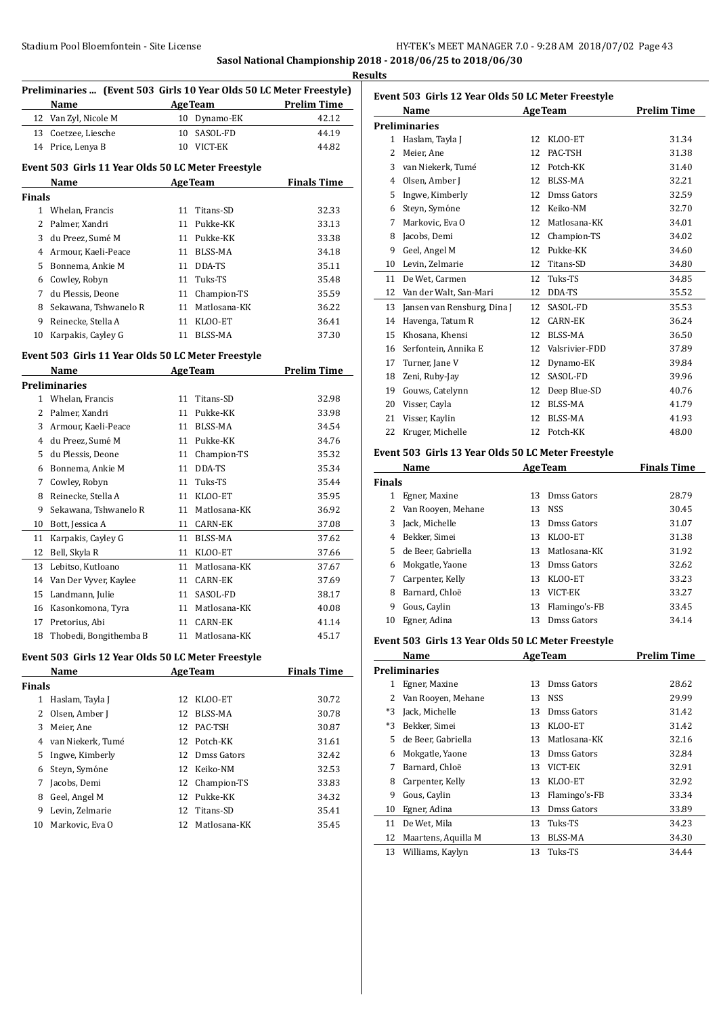**Sasol National Championship 2018 - 2018/06/25 to 2018/06/30**

|               | Preliminaries  (Event 503 Girls 10 Year Olds 50 LC Meter Freestyle)<br>Name |    |                             | <b>Example 2018</b> AgeTeam <b>Prelim Time</b>  |
|---------------|-----------------------------------------------------------------------------|----|-----------------------------|-------------------------------------------------|
|               | 12 Van Zyl, Nicole M                                                        |    | 10 Dynamo-EK                | 42.12                                           |
|               | 13 Coetzee, Liesche                                                         |    | 10 SASOL-FD                 | 44.19                                           |
|               | 14 Price, Lenya B                                                           |    | 10 VICT-EK                  | 44.82                                           |
|               | Event 503 Girls 11 Year Olds 50 LC Meter Freestyle                          |    |                             |                                                 |
|               | Name                                                                        |    | <b>Example 2.1 Age Team</b> | <b>Finals Time</b>                              |
| <b>Finals</b> |                                                                             |    |                             |                                                 |
|               | 1 Whelan, Francis                                                           |    | 11 Titans-SD                | 32.33                                           |
|               | 2 Palmer, Xandri                                                            |    | 11 Pukke-KK                 | 33.13                                           |
|               | 3 du Preez, Sumé M                                                          |    | 11 Pukke-KK                 | 33.38                                           |
|               | 4 Armour, Kaeli-Peace                                                       |    | 11 BLSS-MA                  | 34.18                                           |
|               | 5 Bonnema, Ankie M                                                          |    | 11 DDA-TS                   | 35.11                                           |
|               | 6 Cowley, Robyn                                                             |    | 11 Tuks-TS                  | 35.48                                           |
| 7             | du Plessis, Deone                                                           |    | 11 Champion-TS              | 35.59                                           |
| 8             | Sekawana, Tshwanelo R                                                       |    | 11 Matlosana-KK             | 36.22                                           |
|               | 9 Reinecke, Stella A                                                        |    | 11 KLOO-ET                  | 36.41                                           |
|               | 10 Karpakis, Cayley G                                                       |    | 11 BLSS-MA                  | 37.30                                           |
|               | Event 503 Girls 11 Year Olds 50 LC Meter Freestyle                          |    |                             |                                                 |
|               | Name                                                                        |    |                             | <b>Example 2018</b> Age Team <b>Prelim Time</b> |
|               | Preliminaries                                                               |    |                             |                                                 |
|               | 1 Whelan, Francis                                                           |    | 11 Titans-SD                | 32.98                                           |
|               | 2 Palmer, Xandri                                                            |    | 11 Pukke-KK                 | 33.98                                           |
|               | 3 Armour, Kaeli-Peace                                                       |    | 11 BLSS-MA                  | 34.54                                           |
|               | 4 du Preez, Sumé M                                                          |    | 11 Pukke-KK                 | 34.76                                           |
|               | 5 du Plessis, Deone                                                         |    | 11 Champion-TS              | 35.32                                           |
|               | 6 Bonnema, Ankie M                                                          |    | 11 DDA-TS                   | 35.34                                           |
|               | 7 Cowley, Robyn                                                             |    | 11 Tuks-TS                  | 35.44                                           |
| 8             | Reinecke, Stella A                                                          |    | 11 KLOO-ET                  | 35.95                                           |
| 9.            | Sekawana, Tshwanelo R                                                       |    | 11 Matlosana-KK             | 36.92                                           |
|               | 10 Bott, Jessica A                                                          |    | 11 CARN-EK                  | 37.08                                           |
|               | 11 Karpakis, Cayley G                                                       |    | 11 BLSS-MA                  | 37.62                                           |
|               | 12 Bell, Skyla R                                                            |    | 11 KLOO-ET                  | 37.66                                           |
|               | 13 Lebitso, Kutloano                                                        |    | 11 Matlosana-KK             | 37.67                                           |
|               | 14 Van Der Vyver, Kaylee                                                    |    | 11 CARN-EK                  | 37.69                                           |
|               | 15 Landmann, Julie                                                          |    | 11 SASOL-FD                 | 38.17                                           |
|               | 16 Kasonkomona, Tyra                                                        |    | 11 Matlosana-KK             | 40.08                                           |
| 17            | Pretorius, Abi                                                              | 11 | <b>CARN-EK</b>              | 41.14                                           |
| 18            | Thobedi, Bongithemba B                                                      | 11 | Matlosana-KK                | 45.17                                           |
|               | Event 503 Girls 12 Year Olds 50 LC Meter Freestyle                          |    |                             |                                                 |
|               | Name                                                                        |    | <b>AgeTeam</b>              | <b>Finals Time</b>                              |
| Finals        |                                                                             |    |                             |                                                 |
| $\mathbf{1}$  | Haslam, Tayla J                                                             | 12 | KLOO-ET                     | 30.72                                           |
| 2             | Olsen, Amber J                                                              | 12 | BLSS-MA                     | 30.78                                           |
| 3             | Meier, Ane                                                                  | 12 | PAC-TSH                     | 30.87                                           |
|               | 4 van Niekerk, Tumé                                                         | 12 | Potch-KK                    | 31.61                                           |
| 5             | Ingwe, Kimberly                                                             |    | 12 Dmss Gators              | 32.42                                           |
| 6             | Steyn, Symóne                                                               |    | 12 Keiko-NM                 | 32.53                                           |
| 7             | Jacobs, Demi                                                                | 12 | Champion-TS                 | 33.83                                           |
| 8             | Geel, Angel M                                                               | 12 | Pukke-KK                    | 34.32                                           |
| 9             | Levin, Zelmarie                                                             | 12 | Titans-SD                   | 35.41                                           |
| 10            | Markovic, Eva O                                                             | 12 | Matlosana-KK                | 35.45                                           |
|               |                                                                             |    |                             |                                                 |

| Event 503 Girls 12 Year Olds 50 LC Meter Freestyle |                                                    |    |                   |                    |  |
|----------------------------------------------------|----------------------------------------------------|----|-------------------|--------------------|--|
|                                                    | Name                                               |    | <b>AgeTeam</b>    | <b>Prelim Time</b> |  |
|                                                    | <b>Preliminaries</b>                               |    |                   |                    |  |
|                                                    | 1 Haslam, Tayla J                                  | 12 | KLOO-ET           | 31.34              |  |
| 2                                                  | Meier, Ane                                         | 12 | PAC-TSH           | 31.38              |  |
|                                                    | 3 van Niekerk, Tumé                                |    | 12 Potch-KK       | 31.40              |  |
|                                                    | 4 Olsen, Amber J                                   |    | 12 BLSS-MA        | 32.21              |  |
| 5                                                  | Ingwe, Kimberly                                    |    | 12 Dmss Gators    | 32.59              |  |
|                                                    | 6 Steyn, Symóne                                    |    | 12 Keiko-NM       | 32.70              |  |
|                                                    | 7 Markovic, Eva O                                  |    | 12 Matlosana-KK   | 34.01              |  |
|                                                    | 8 Jacobs, Demi                                     |    | 12 Champion-TS    | 34.02              |  |
|                                                    | 9 Geel, Angel M                                    |    | 12 Pukke-KK       | 34.60              |  |
|                                                    | 10 Levin, Zelmarie                                 |    | 12 Titans-SD      | 34.80              |  |
| 11                                                 | De Wet, Carmen                                     | 12 | Tuks-TS           | 34.85              |  |
|                                                    | 12 Van der Walt, San-Mari                          | 12 | DDA-TS            | 35.52              |  |
|                                                    | 13 Jansen van Rensburg, Dina J                     | 12 | SASOL-FD          | 35.53              |  |
|                                                    | 14 Havenga, Tatum R                                | 12 | <b>CARN-EK</b>    | 36.24              |  |
|                                                    | 15 Khosana, Khensi                                 | 12 | <b>BLSS-MA</b>    | 36.50              |  |
|                                                    | 16 Serfontein, Annika E                            |    | 12 Valsrivier-FDD | 37.89              |  |
|                                                    | 17 Turner, Jane V                                  | 12 | Dynamo-EK         | 39.84              |  |
|                                                    | 18 Zeni, Ruby-Jay                                  | 12 | SASOL-FD          | 39.96              |  |
|                                                    | 19 Gouws, Catelynn                                 |    | 12 Deep Blue-SD   | 40.76              |  |
|                                                    | 20 Visser, Cayla                                   | 12 | BLSS-MA           | 41.79              |  |
|                                                    | 21 Visser, Kaylin                                  | 12 | BLSS-MA           | 41.93              |  |
|                                                    | 22 Kruger, Michelle                                |    | 12 Potch-KK       | 48.00              |  |
|                                                    | Event 503 Girls 13 Year Olds 50 LC Meter Freestyle |    |                   |                    |  |
|                                                    | Name                                               |    | <b>AgeTeam</b>    | <b>Finals Time</b> |  |
| <b>Finals</b>                                      |                                                    |    |                   |                    |  |
|                                                    | 1 Egner, Maxine                                    | 13 | Dmss Gators       | 28.79              |  |
|                                                    | 2 Van Rooyen, Mehane                               |    | 13 NSS            | 30.45              |  |
| 3                                                  | Jack, Michelle                                     |    | 13 Dmss Gators    | 31.07              |  |
|                                                    | 4 Bekker, Simei                                    |    | 13 KLOO-ET        | 31.38              |  |
| 5.                                                 | de Beer, Gabriella                                 |    | 13 Matlosana-KK   | 31.92              |  |
| 6                                                  | Mokgatle, Yaone                                    |    | 13 Dmss Gators    | 32.62              |  |
| 7                                                  | Carpenter, Kelly                                   | 13 | KLOO-ET           | 33.23              |  |
| 8                                                  | Barnard, Chloë                                     | 13 | VICT-EK           | 33.27              |  |

# **Event 503 Girls 13 Year Olds 50 LC Meter Freestyle**

|      | Name                 | <b>AgeTeam</b> |               | <b>Prelim Time</b> |
|------|----------------------|----------------|---------------|--------------------|
|      | <b>Preliminaries</b> |                |               |                    |
| 1    | Egner, Maxine        | 13             | Dmss Gators   | 28.62              |
| 2    | Van Rooyen, Mehane   | 13             | <b>NSS</b>    | 29.99              |
| *3   | Jack, Michelle       | 13             | Dmss Gators   | 31.42              |
| $*3$ | Bekker, Simei        | 13             | KLOO-ET       | 31.42              |
| 5    | de Beer, Gabriella   | 13             | Matlosana-KK  | 32.16              |
| 6    | Mokgatle, Yaone      | 13             | Dmss Gators   | 32.84              |
| 7    | Barnard, Chloë       | 13             | VICT-EK       | 32.91              |
| 8    | Carpenter, Kelly     | 13             | KLOO-ET       | 32.92              |
| 9    | Gous, Caylin         | 13             | Flamingo's-FB | 33.34              |
| 10   | Egner, Adina         | 13             | Dmss Gators   | 33.89              |
| 11   | De Wet, Mila         | 13             | Tuks-TS       | 34.23              |
| 12   | Maartens, Aquilla M  | 13             | BLSS-MA       | 34.30              |
| 13   | Williams, Kaylyn     | 13             | Tuks-TS       | 34.44              |

 Gous, Caylin 13 Flamingo's-FB 33.45 Egner, Adina 13 Dmss Gators 34.14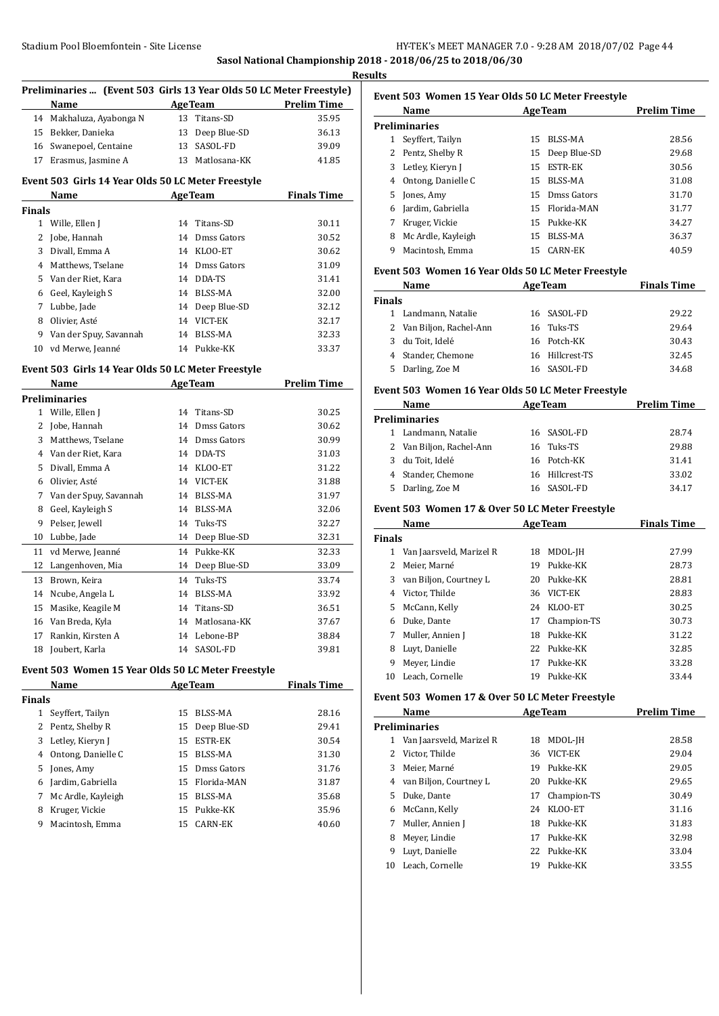## Stadium Pool Bloemfontein - Site License **HY-TEK's MEET MANAGER 7.0 - 9:28 AM 2018/07/02** Page 44 **Sasol National Championship 2018 - 2018/06/25 to 2018/06/30**

**Results**

| Preliminaries  (Event 503 Girls 13 Year Olds 50 LC Meter Freestyle) |                        |    |                |                    |  |
|---------------------------------------------------------------------|------------------------|----|----------------|--------------------|--|
|                                                                     | Name                   |    | <b>AgeTeam</b> | <b>Prelim Time</b> |  |
| 14                                                                  | Makhaluza, Ayabonga N  | 13 | Titans-SD      | 35.95              |  |
| 15                                                                  | Bekker, Danieka        | 13 | Deep Blue-SD   | 36.13              |  |
| 16                                                                  | Swanepoel, Centaine    | 13 | SASOL-FD       | 39.09              |  |
| 17                                                                  | Erasmus, Jasmine A     | 13 | Matlosana-KK   | 41.85              |  |
| Event 503 Girls 14 Year Olds 50 LC Meter Freestyle                  |                        |    |                |                    |  |
|                                                                     | Name                   |    | <b>AgeTeam</b> | <b>Finals Time</b> |  |
| <b>Finals</b>                                                       |                        |    |                |                    |  |
| 1                                                                   | Wille, Ellen J         | 14 | Titans-SD      | 30.11              |  |
| 2                                                                   | Jobe, Hannah           | 14 | Dmss Gators    | 30.52              |  |
| 3                                                                   | Divall, Emma A         | 14 | KLOO-ET        | 30.62              |  |
| 4                                                                   | Matthews, Tselane      | 14 | Dmss Gators    | 31.09              |  |
| 5                                                                   | Van der Riet, Kara     | 14 | DDA-TS         | 31.41              |  |
| 6                                                                   | Geel, Kayleigh S       | 14 | <b>BLSS-MA</b> | 32.00              |  |
| 7                                                                   | Lubbe, Jade            | 14 | Deep Blue-SD   | 32.12              |  |
| 8                                                                   | Olivier, Asté          | 14 | VICT-EK        | 32.17              |  |
| 9                                                                   | Van der Spuy, Savannah | 14 | <b>BLSS-MA</b> | 32.33              |  |
| 10                                                                  | vd Merwe, Jeanné       |    | 14 Pukke-KK    | 33.37              |  |

#### **Event 503 Girls 14 Year Olds 50 LC Meter Freestyle**

|    | Name                   |    | <b>AgeTeam</b> | <b>Prelim Time</b> |
|----|------------------------|----|----------------|--------------------|
|    | <b>Preliminaries</b>   |    |                |                    |
| 1  | Wille, Ellen J         | 14 | Titans-SD      | 30.25              |
| 2  | Jobe, Hannah           | 14 | Dmss Gators    | 30.62              |
| 3  | Matthews, Tselane      | 14 | Dmss Gators    | 30.99              |
| 4  | Van der Riet, Kara     | 14 | DDA-TS         | 31.03              |
| 5  | Divall, Emma A         | 14 | KLOO-ET        | 31.22              |
| 6  | Olivier, Asté          | 14 | VICT-EK        | 31.88              |
| 7  | Van der Spuy, Savannah | 14 | <b>BLSS-MA</b> | 31.97              |
| 8  | Geel, Kayleigh S       | 14 | <b>BLSS-MA</b> | 32.06              |
| 9  | Pelser, Jewell         | 14 | Tuks-TS        | 32.27              |
| 10 | Lubbe, Jade            | 14 | Deep Blue-SD   | 32.31              |
| 11 | vd Merwe, Jeanné       | 14 | Pukke-KK       | 32.33              |
| 12 | Langenhoven, Mia       | 14 | Deep Blue-SD   | 33.09              |
| 13 | Brown, Keira           | 14 | Tuks-TS        | 33.74              |
| 14 | Ncube, Angela L        | 14 | BLSS-MA        | 33.92              |
| 15 | Masike, Keagile M      | 14 | Titans-SD      | 36.51              |
| 16 | Van Breda, Kyla        | 14 | Matlosana-KK   | 37.67              |
| 17 | Rankin, Kirsten A      | 14 | Lebone-BP      | 38.84              |
| 18 | Joubert, Karla         | 14 | SASOL-FD       | 39.81              |
|    |                        |    |                |                    |

#### **Event 503 Women 15 Year Olds 50 LC Meter Freestyle**

|               | Name               | <b>AgeTeam</b> |                 | <b>Finals Time</b> |
|---------------|--------------------|----------------|-----------------|--------------------|
| <b>Finals</b> |                    |                |                 |                    |
| 1             | Seyffert, Tailyn   | 15             | BLSS-MA         | 28.16              |
|               | 2 Pentz, Shelby R  |                | 15 Deep Blue-SD | 29.41              |
|               | 3 Letley, Kieryn J | 15             | <b>ESTR-EK</b>  | 30.54              |
| 4             | Ontong, Danielle C | 15             | BLSS-MA         | 31.30              |
|               | 5 Jones, Amy       |                | 15 Dmss Gators  | 31.76              |
| 6             | Jardim, Gabriella  |                | 15 Florida-MAN  | 31.87              |
| 7             | Mc Ardle, Kayleigh | 15             | BLSS-MA         | 35.68              |
| 8             | Kruger, Vickie     |                | 15 Pukke-KK     | 35.96              |
| 9             | Macintosh, Emma    | 15             | CARN-EK         | 40.60              |

| Event 503 Women 15 Year Olds 50 LC Meter Freestyle |                    |     |                |                    |  |  |
|----------------------------------------------------|--------------------|-----|----------------|--------------------|--|--|
|                                                    | Name               |     | <b>AgeTeam</b> | <b>Prelim Time</b> |  |  |
|                                                    | Preliminaries      |     |                |                    |  |  |
| 1                                                  | Seyffert, Tailyn   | 15. | BLSS-MA        | 28.56              |  |  |
| 2                                                  | Pentz, Shelby R    | 15  | Deep Blue-SD   | 29.68              |  |  |
| 3                                                  | Letley, Kieryn J   | 15  | <b>ESTR-EK</b> | 30.56              |  |  |
| 4                                                  | Ontong, Danielle C | 15  | BLSS-MA        | 31.08              |  |  |
| 5                                                  | Jones, Amy         | 15  | Dmss Gators    | 31.70              |  |  |
| 6                                                  | Jardim, Gabriella  | 15  | Florida-MAN    | 31.77              |  |  |
| 7                                                  | Kruger, Vickie     | 15  | Pukke-KK       | 34.27              |  |  |
| 8                                                  | Mc Ardle, Kayleigh | 15  | BLSS-MA        | 36.37              |  |  |
| 9                                                  | Macintosh, Emma    | 15  | CARN-EK        | 40.59              |  |  |

#### **Event 503 Women 16 Year Olds 50 LC Meter Freestyle**

| Name                     | <b>AgeTeam</b>  | <b>Finals Time</b> |
|--------------------------|-----------------|--------------------|
| <b>Finals</b>            |                 |                    |
| 1 Landmann, Natalie      | 16 SASOL-FD     | 29.22              |
| 2 Van Biljon, Rachel-Ann | 16 Tuks-TS      | 29.64              |
| du Toit, Idelé<br>3      | 16 Potch-KK     | 30.43              |
| 4 Stander, Chemone       | 16 Hillcrest-TS | 32.45              |
| 5 Darling, Zoe M         | SASOL-FD<br>16. | 34.68              |

#### **Event 503 Women 16 Year Olds 50 LC Meter Freestyle**

|    | Name<br><b>AgeTeam</b>   |  |                 | <b>Prelim Time</b> |
|----|--------------------------|--|-----------------|--------------------|
|    | <b>Preliminaries</b>     |  |                 |                    |
|    | 1 Landmann, Natalie      |  | 16 SASOL-FD     | 28.74              |
|    | 2 Van Biljon, Rachel-Ann |  | 16 Tuks-TS      | 29.88              |
|    | 3 du Toit, Idelé         |  | 16 Potch-KK     | 31.41              |
|    | 4 Stander, Chemone       |  | 16 Hillcrest-TS | 33.02              |
| 5. | Darling, Zoe M           |  | 16 SASOL-FD     | 34.17              |

## **Event 503 Women 17 & Over 50 LC Meter Freestyle**

|               | Name                     | <b>AgeTeam</b> |             | <b>Finals Time</b> |
|---------------|--------------------------|----------------|-------------|--------------------|
| <b>Finals</b> |                          |                |             |                    |
| 1             | Van Jaarsveld, Marizel R | 18             | MDOL-JH     | 27.99              |
| 2             | Meier, Marné             | 19             | Pukke-KK    | 28.73              |
| 3             | van Biljon, Courtney L   | 20             | Pukke-KK    | 28.81              |
| 4             | Victor, Thilde           | 36             | VICT-EK     | 28.83              |
| 5.            | McCann, Kelly            | 24             | KLOO-ET     | 30.25              |
| 6             | Duke, Dante              | 17             | Champion-TS | 30.73              |
| 7             | Muller, Annien J         | 18             | Pukke-KK    | 31.22              |
| 8             | Luvt, Danielle           | 22             | Pukke-KK    | 32.85              |
| 9             | Meyer, Lindie            | 17             | Pukke-KK    | 33.28              |
| 10            | Leach, Cornelle          | 19             | Pukke-KK    | 33.44              |

## **Event 503 Women 17 & Over 50 LC Meter Freestyle**

| Name                          | <b>AgeTeam</b> |             | <b>Prelim Time</b>      |
|-------------------------------|----------------|-------------|-------------------------|
| <b>Preliminaries</b>          |                |             |                         |
| Van Jaarsveld, Marizel R<br>1 | 18             | MDOL-JH     | 28.58                   |
| Victor. Thilde                | 36             | VICT-EK     | 29.04                   |
| Meier, Marné                  | 19             | Pukke-KK    | 29.05                   |
| van Biljon, Courtney L        | 20             |             | 29.65                   |
| Duke, Dante                   | 17             | Champion-TS | 30.49                   |
| McCann, Kelly                 | 24             | KLOO-ET     | 31.16                   |
| Muller, Annien J              | 18             | Pukke-KK    | 31.83                   |
| Meyer, Lindie                 | 17             | Pukke-KK    | 32.98                   |
| Luvt, Danielle                |                |             | 33.04                   |
| Leach, Cornelle               | 19             | Pukke-KK    | 33.55                   |
|                               |                |             | Pukke-KK<br>22 Pukke-KK |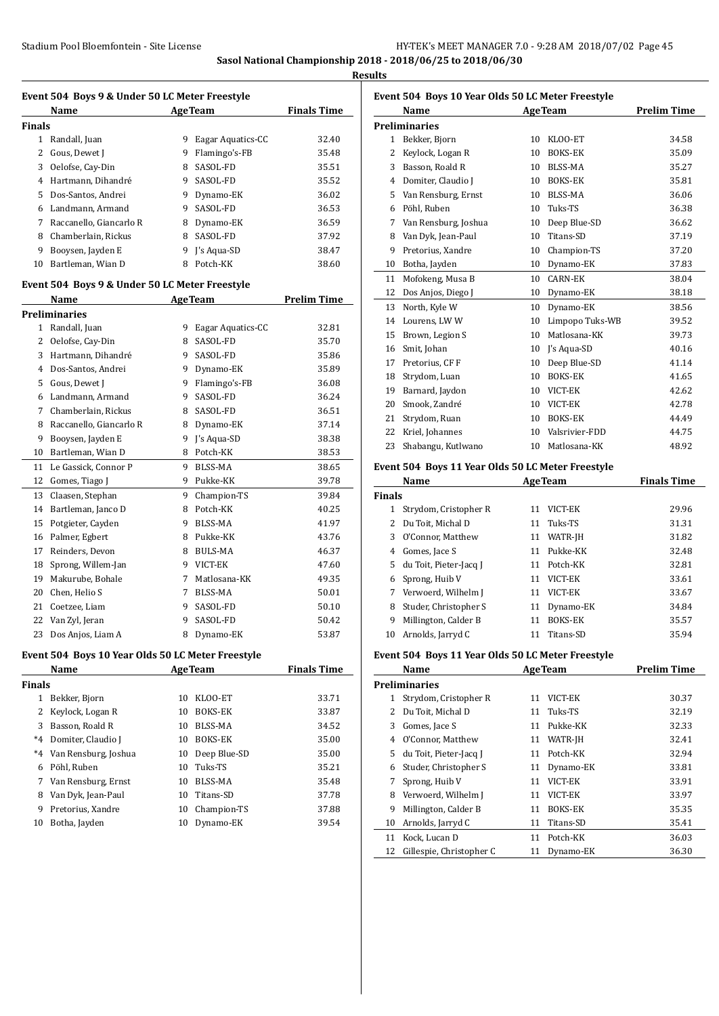**Sasol National Championship 2018 - 2018/06/25 to 2018/06/30**

**Results**

| Event 504 Boys 9 & Under 50 LC Meter Freestyle |                                                   |    |                     |                    |  |
|------------------------------------------------|---------------------------------------------------|----|---------------------|--------------------|--|
|                                                | Name                                              |    | <b>AgeTeam</b>      | <b>Finals Time</b> |  |
| <b>Finals</b>                                  |                                                   |    |                     |                    |  |
|                                                | 1 Randall, Juan                                   |    | 9 Eagar Aquatics-CC | 32.40              |  |
|                                                | 2 Gous, Dewet J                                   |    | 9 Flamingo's-FB     | 35.48              |  |
|                                                | 3 Oelofse, Cay-Din                                | 8  | SASOL-FD            | 35.51              |  |
|                                                | 4 Hartmann, Dihandré                              | 9  | SASOL-FD            | 35.52              |  |
|                                                | 5 Dos-Santos, Andrei                              |    | 9 Dynamo-EK         | 36.02              |  |
|                                                | 6 Landmann, Armand                                | 9  | SASOL-FD            | 36.53              |  |
| 7                                              | Raccanello, Giancarlo R                           | 8  | Dynamo-EK           | 36.59              |  |
| 8                                              | Chamberlain, Rickus                               | 8  | SASOL-FD            | 37.92              |  |
| 9                                              | Booysen, Jayden E                                 |    | 9 J's Aqua-SD       | 38.47              |  |
| 10                                             | Bartleman, Wian D                                 |    | 8 Potch-KK          | 38.60              |  |
|                                                |                                                   |    |                     |                    |  |
|                                                | Event 504 Boys 9 & Under 50 LC Meter Freestyle    |    |                     |                    |  |
|                                                | Name                                              |    | <b>AgeTeam</b>      | <b>Prelim Time</b> |  |
|                                                | <b>Preliminaries</b>                              |    |                     |                    |  |
|                                                | 1 Randall, Juan                                   |    | 9 Eagar Aquatics-CC | 32.81              |  |
|                                                | 2 Oelofse, Cay-Din                                | 8  | SASOL-FD            | 35.70              |  |
|                                                | 3 Hartmann, Dihandré                              | 9  | SASOL-FD            | 35.86              |  |
|                                                | 4 Dos-Santos, Andrei                              |    | 9 Dynamo-EK         | 35.89              |  |
|                                                | 5 Gous, Dewet J                                   | 9  | Flamingo's-FB       | 36.08              |  |
|                                                | 6 Landmann, Armand                                | 9  | SASOL-FD            | 36.24              |  |
| 7                                              | Chamberlain, Rickus                               | 8  | SASOL-FD            | 36.51              |  |
| 8                                              | Raccanello, Giancarlo R                           | 8  | Dynamo-EK           | 37.14              |  |
| 9                                              | Booysen, Jayden E                                 | 9  | J's Aqua-SD         | 38.38              |  |
|                                                | 10 Bartleman, Wian D                              |    | 8 Potch-KK          | 38.53              |  |
|                                                | 11 Le Gassick, Connor P                           | 9  | <b>BLSS-MA</b>      | 38.65              |  |
|                                                | 12 Gomes, Tiago J                                 |    | 9 Pukke-KK          | 39.78              |  |
| 13                                             | Claasen, Stephan                                  | 9  | Champion-TS         | 39.84              |  |
| 14                                             | Bartleman, Janco D                                | 8  | Potch-KK            | 40.25              |  |
| 15                                             | Potgieter, Cayden                                 |    | 9 BLSS-MA           | 41.97              |  |
| 16                                             | Palmer, Egbert                                    |    | 8 Pukke-KK          | 43.76              |  |
|                                                | 17 Reinders, Devon                                | 8  | <b>BULS-MA</b>      | 46.37              |  |
| 18                                             | Sprong, Willem-Jan                                |    | 9 VICT-EK           | 47.60              |  |
| 19                                             | Makurube, Bohale                                  | 7  | Matlosana-KK        | 49.35              |  |
| 20                                             | Chen, Helio S                                     | 7  | <b>BLSS-MA</b>      | 50.01              |  |
| 21                                             | Coetzee, Liam                                     | 9  | SASOL-FD            | 50.10              |  |
|                                                | 22 Van Zyl, Jeran                                 | 9  | SASOL-FD            | 50.42              |  |
| 23                                             | Dos Anjos, Liam A                                 | 8  | Dynamo-EK           | 53.87              |  |
|                                                | Event 504 Boys 10 Year Olds 50 LC Meter Freestyle |    |                     |                    |  |
|                                                | Name                                              |    | <b>AgeTeam</b>      | <b>Finals Time</b> |  |
| <b>Finals</b>                                  |                                                   |    |                     |                    |  |
| 1                                              | Bekker, Bjorn                                     | 10 | KLOO-ET             | 33.71              |  |
| 2                                              | Keylock, Logan R                                  | 10 | BOKS-EK             | 33.87              |  |
| 3                                              | Basson, Roald R                                   | 10 | BLSS-MA             | 34.52              |  |
| $*4$                                           | Domiter, Claudio J                                | 10 | <b>BOKS-EK</b>      | 35.00              |  |
| $^*4$                                          | Van Rensburg, Joshua                              | 10 | Deep Blue-SD        | 35.00              |  |
| 6                                              | Pöhl, Ruben                                       | 10 | Tuks-TS             | 35.21              |  |
| 7                                              | Van Rensburg, Ernst                               | 10 | BLSS-MA             | 35.48              |  |
| 8                                              | Van Dyk, Jean-Paul                                | 10 | Titans-SD           | 37.78              |  |
| 9                                              | Pretorius, Xandre                                 | 10 | Champion-TS         | 37.88              |  |
| 10                                             | Botha, Jayden                                     | 10 | Dynamo-EK           | 39.54              |  |
|                                                |                                                   |    |                     |                    |  |

| Event 504 Boys 10 Year Olds 50 LC Meter Freestyle |                                                   |    |                   |                    |  |
|---------------------------------------------------|---------------------------------------------------|----|-------------------|--------------------|--|
|                                                   | Name                                              |    | <b>AgeTeam</b>    | Prelim Time        |  |
|                                                   | <b>Preliminaries</b>                              |    |                   |                    |  |
|                                                   | 1 Bekker, Bjorn                                   |    | 10 KLOO-ET        | 34.58              |  |
| 2                                                 | Keylock, Logan R                                  | 10 | <b>BOKS-EK</b>    | 35.09              |  |
| 3                                                 | Basson, Roald R                                   |    | 10 BLSS-MA        | 35.27              |  |
| 4                                                 | Domiter, Claudio J                                |    | 10 BOKS-EK        | 35.81              |  |
| 5                                                 | Van Rensburg, Ernst                               |    | 10 BLSS-MA        | 36.06              |  |
|                                                   | 6 Pöhl, Ruben                                     |    | 10 Tuks-TS        | 36.38              |  |
| 7                                                 | Van Rensburg, Joshua                              |    | 10 Deep Blue-SD   | 36.62              |  |
| 8                                                 | Van Dyk, Jean-Paul                                |    | 10 Titans-SD      | 37.19              |  |
| 9                                                 | Pretorius, Xandre                                 |    | 10 Champion-TS    | 37.20              |  |
| 10                                                | Botha, Jayden                                     |    | 10 Dynamo-EK      | 37.83              |  |
| 11                                                | Mofokeng, Musa B                                  |    | 10 CARN-EK        | 38.04              |  |
| 12                                                | Dos Anjos, Diego J                                |    | 10 Dynamo-EK      | 38.18              |  |
| 13                                                | North, Kyle W                                     |    | 10 Dynamo-EK      | 38.56              |  |
| 14                                                | Lourens, LW W                                     | 10 | Limpopo Tuks-WB   | 39.52              |  |
| 15                                                | Brown, Legion S                                   | 10 | Matlosana-KK      | 39.73              |  |
| 16                                                | Smit, Johan                                       |    | 10 J's Aqua-SD    | 40.16              |  |
| 17                                                | Pretorius, CF F                                   |    | 10 Deep Blue-SD   | 41.14              |  |
| 18                                                | Strydom, Luan                                     |    | 10 BOKS-EK        | 41.65              |  |
| 19                                                | Barnard, Jaydon                                   |    | 10 VICT-EK        | 42.62              |  |
| 20                                                | Smook, Zandré                                     |    | 10 VICT-EK        | 42.78              |  |
| 21                                                | Strydom, Ruan                                     |    | 10 BOKS-EK        | 44.49              |  |
| 22                                                | Kriel, Johannes                                   |    | 10 Valsrivier-FDD | 44.75              |  |
| 23                                                | Shabangu, Kutlwano                                |    | 10 Matlosana-KK   | 48.92              |  |
|                                                   | Event 504 Boys 11 Year Olds 50 LC Meter Freestyle |    |                   |                    |  |
|                                                   | Name                                              |    | <b>AgeTeam</b>    | <b>Finals Time</b> |  |
| <b>Finals</b>                                     |                                                   |    |                   |                    |  |
| $\mathbf{1}$                                      | Strydom, Cristopher R                             |    | 11 VICT-EK        | 29.96              |  |
|                                                   | 2 Du Toit, Michal D                               | 11 | Tuks-TS           | 31.31              |  |
| 3                                                 | O'Connor, Matthew                                 |    | 11 WATR-JH        | 31.82              |  |
| 4                                                 | Gomes, Jace S                                     |    | 11 Pukke-KK       | 32.48              |  |
| 5                                                 | du Toit, Pieter-Jacq J                            |    | 11 Potch-KK       | 32.81              |  |
| 6                                                 | Sprong, Huib V                                    |    | 11 VICT-EK        | 33.61              |  |
| 7                                                 | Verwoerd, Wilhelm J                               |    | 11 VICT-EK        | 33.67              |  |
| 8                                                 | Studer, Christopher S                             | 11 | Dynamo-EK         | 34.84              |  |
| 9                                                 | Millington, Calder B                              |    | 11 BOKS-EK        | 35.57              |  |
|                                                   |                                                   |    |                   |                    |  |
| 10                                                | Arnolds, Jarryd C                                 | 11 | Titans-SD         | 35.94              |  |
|                                                   | Event 504 Boys 11 Year Olds 50 LC Meter Freestyle |    |                   |                    |  |
|                                                   | Name                                              |    | <b>AgeTeam</b>    | <b>Prelim Time</b> |  |
|                                                   | <b>Preliminaries</b>                              |    |                   |                    |  |
| 1                                                 | Strydom, Cristopher R                             | 11 | VICT-EK           | 30.37              |  |
| 2                                                 | Du Toit, Michal D                                 | 11 | Tuks-TS           | 32.19              |  |
| 3                                                 | Gomes, Jace S                                     | 11 | Pukke-KK          | 32.33              |  |
| 4                                                 | O'Connor, Matthew                                 | 11 | WATR-JH           | 32.41              |  |
| 5                                                 | du Toit, Pieter-Jacq J                            | 11 | Potch-KK          | 32.94              |  |
| 6                                                 | Studer, Christopher S                             | 11 | Dynamo-EK         | 33.81              |  |
| 7                                                 | Sprong, Huib V                                    | 11 | VICT-EK           | 33.91              |  |
| 8                                                 | Verwoerd, Wilhelm J                               | 11 | VICT-EK           | 33.97              |  |
| 9                                                 | Millington, Calder B                              | 11 | BOKS-EK           | 35.35              |  |
| 10                                                | Arnolds, Jarryd C                                 | 11 | Titans-SD         | 35.41              |  |
| 11                                                | Kock, Lucan D                                     | 11 | Potch-KK          | 36.03              |  |
| 12                                                | Gillespie, Christopher C                          | 11 | Dynamo-EK         | 36.30              |  |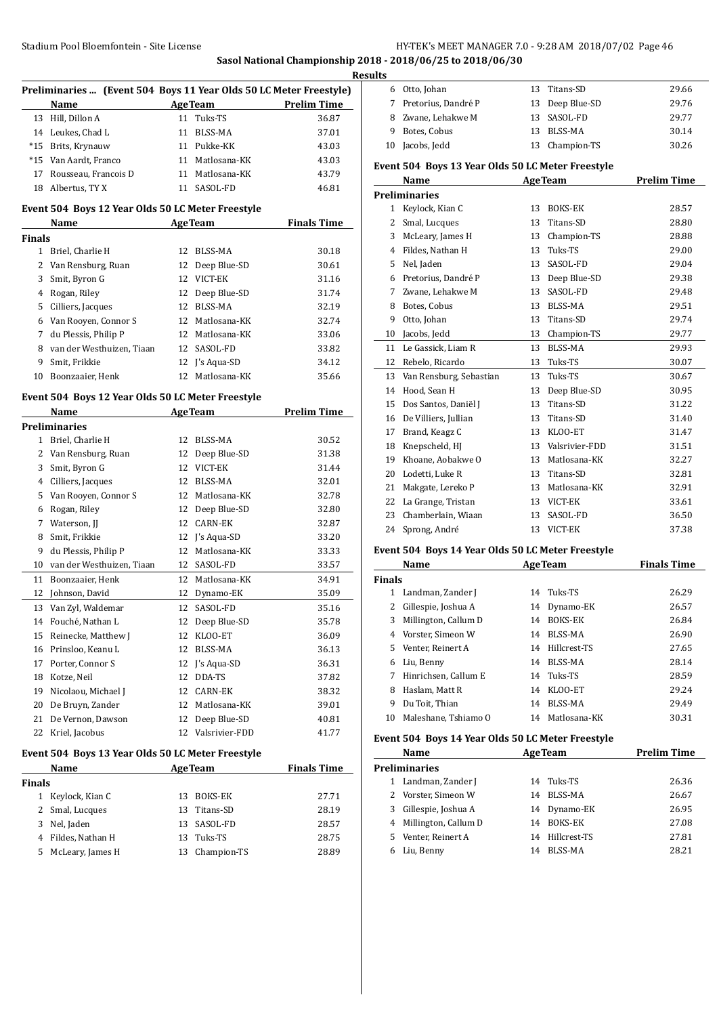**Sasol National Championship 2018 - 2018/06/25 to 2018/06/30**

|                                              | Preliminaries  (Event 504 Boys 11 Year Olds 50 LC Meter Freestyle) |    |                             |                    |  |
|----------------------------------------------|--------------------------------------------------------------------|----|-----------------------------|--------------------|--|
|                                              | Name                                                               |    | <b>AgeTeam</b>              | <b>Prelim Time</b> |  |
| 13                                           | Hill, Dillon A                                                     |    | 11 Tuks-TS                  | 36.87              |  |
| 14                                           | Leukes, Chad L                                                     |    | 11 BLSS-MA                  | 37.01              |  |
| $*15$                                        | Brits, Krynauw                                                     |    | 11 Pukke-KK                 | 43.03              |  |
| $*15$                                        | Van Aardt, Franco                                                  |    | 11 Matlosana-KK             | 43.03              |  |
| 17                                           | Rousseau, Francois D                                               |    | 11 Matlosana-KK             | 43.79              |  |
| 18                                           | Albertus, TY X                                                     |    | 11 SASOL-FD                 | 46.81              |  |
|                                              | Event 504 Boys 12 Year Olds 50 LC Meter Freestyle                  |    |                             |                    |  |
|                                              | Name                                                               |    | <b>Example 2.5 Age Team</b> | <b>Finals Time</b> |  |
| Finals                                       |                                                                    |    |                             |                    |  |
|                                              | 1 Briel, Charlie H                                                 | 12 | BLSS-MA                     | 30.18              |  |
| 2                                            | Van Rensburg, Ruan                                                 |    | 12 Deep Blue-SD             | 30.61              |  |
| 3                                            | Smit, Byron G                                                      |    | 12 VICT-EK                  | 31.16              |  |
| 4                                            | Rogan, Riley                                                       |    | 12 Deep Blue-SD             | 31.74              |  |
| 5                                            | Cilliers, Jacques                                                  |    | 12 BLSS-MA                  | 32.19              |  |
| 6                                            | Van Rooyen, Connor S                                               |    | 12 Matlosana-KK             | 32.74              |  |
| 7                                            | du Plessis, Philip P                                               |    | 12 Matlosana-KK             | 33.06              |  |
| 8                                            | van der Westhuizen, Tiaan                                          |    | 12 SASOL-FD                 | 33.82              |  |
| 9                                            | Smit, Frikkie                                                      |    | 12 J's Aqua-SD              | 34.12              |  |
| 10                                           | Boonzaaier, Henk                                                   | 12 | Matlosana-KK                | 35.66              |  |
|                                              | Event 504 Boys 12 Year Olds 50 LC Meter Freestyle                  |    |                             |                    |  |
| <b>AgeTeam</b><br><b>Prelim Time</b><br>Name |                                                                    |    |                             |                    |  |
|                                              | Preliminaries                                                      |    |                             |                    |  |
|                                              | 1 Briel, Charlie H                                                 |    | 12 BLSS-MA                  | 30.52              |  |
| 2                                            | Van Rensburg, Ruan                                                 |    | 12 Deep Blue-SD             | 31.38              |  |
| 3                                            | Smit, Byron G                                                      | 12 | VICT-EK                     | 31.44              |  |
| 4                                            | Cilliers, Jacques                                                  |    | 12 BLSS-MA                  | 32.01              |  |
| 5                                            | Van Rooyen, Connor S                                               |    | 12 Matlosana-KK             | 32.78              |  |
| 6                                            | Rogan, Riley                                                       |    | 12 Deep Blue-SD             | 32.80              |  |
| 7                                            | Waterson, JJ                                                       |    | 12 CARN-EK                  | 32.87              |  |
| 8                                            | Smit, Frikkie                                                      |    | 12 J's Aqua-SD              | 33.20              |  |
| 9                                            | du Plessis, Philip P                                               |    | 12 Matlosana-KK             | 33.33              |  |
| 10                                           | van der Westhuizen, Tiaan                                          |    | 12 SASOL-FD                 | 33.57              |  |
| 11                                           | Boonzaaier, Henk                                                   |    | 12 Matlosana-KK             | 34.91              |  |
| 12                                           | Johnson, David                                                     |    | 12 Dynamo-EK                | 35.09              |  |
| 13                                           | Van Zyl, Waldemar                                                  |    | 12 SASOL-FD                 | 35.16              |  |
| 14                                           | Fouché, Nathan L                                                   | 12 | Deep Blue-SD                | 35.78              |  |
| 15                                           | Reinecke, Matthew J                                                | 12 | KLOO-ET                     | 36.09              |  |
| 16                                           | Prinsloo, Keanu L                                                  | 12 | <b>BLSS-MA</b>              | 36.13              |  |
| 17                                           | Porter, Connor S                                                   | 12 | J's Aqua-SD                 | 36.31              |  |
| 18                                           | Kotze, Neil                                                        | 12 | DDA-TS                      | 37.82              |  |
| 19                                           | Nicolaou, Michael J                                                |    | 12 CARN-EK                  | 38.32              |  |
| 20                                           | De Bruyn, Zander                                                   | 12 | Matlosana-KK                | 39.01              |  |
| 21                                           | De Vernon, Dawson                                                  | 12 | Deep Blue-SD                | 40.81              |  |
| 22                                           | Kriel, Jacobus                                                     | 12 | Valsrivier-FDD              | 41.77              |  |
|                                              | Event 504 Boys 13 Year Olds 50 LC Meter Freestyle                  |    |                             |                    |  |
|                                              | Name                                                               |    | <b>AgeTeam</b>              | <b>Finals Time</b> |  |
| Finals                                       |                                                                    |    |                             |                    |  |
| 1                                            | Keylock, Kian C                                                    | 13 | BOKS-EK                     | 27.71              |  |
| 2                                            | Smal, Lucques                                                      | 13 | Titans-SD                   | 28.19              |  |
| 3                                            | Nel, Jaden                                                         | 13 | SASOL-FD                    | 28.57              |  |
| 4                                            | Fildes, Nathan H                                                   | 13 | Tuks-TS                     | 28.75              |  |
| 5                                            | McLeary, James H                                                   | 13 | Champion-TS                 | 28.89              |  |
|                                              |                                                                    |    |                             |                    |  |

|   | <b>Results</b> |                                                   |    |                   |                    |  |  |
|---|----------------|---------------------------------------------------|----|-------------------|--------------------|--|--|
| ) |                | 6 Otto, Johan                                     | 13 | Titans-SD         | 29.66              |  |  |
|   |                | 7 Pretorius, Dandré P                             | 13 | Deep Blue-SD      | 29.76              |  |  |
|   |                | 8 Zwane, Lehakwe M                                |    | 13 SASOL-FD       | 29.77              |  |  |
|   |                | 9 Botes, Cobus                                    |    | 13 BLSS-MA        | 30.14              |  |  |
|   |                | 10 Jacobs, Jedd                                   | 13 | Champion-TS       | 30.26              |  |  |
|   |                | Event 504 Boys 13 Year Olds 50 LC Meter Freestyle |    |                   |                    |  |  |
|   |                | <b>Name</b>                                       |    | <b>AgeTeam</b>    | <b>Prelim Time</b> |  |  |
|   |                | <b>Preliminaries</b>                              |    |                   |                    |  |  |
|   |                | 1 Keylock, Kian C                                 | 13 | <b>BOKS-EK</b>    | 28.57              |  |  |
|   |                | 2 Smal, Lucques                                   | 13 | Titans-SD         | 28.80              |  |  |
|   |                | 3 McLeary, James H                                |    | 13 Champion-TS    | 28.88              |  |  |
|   |                | 4 Fildes, Nathan H                                |    | 13 Tuks-TS        | 29.00              |  |  |
|   |                | 5 Nel, Jaden                                      |    | 13 SASOL-FD       | 29.04              |  |  |
|   |                | 6 Pretorius, Dandré P                             |    | 13 Deep Blue-SD   | 29.38              |  |  |
|   |                | 7 Zwane, Lehakwe M                                | 13 | SASOL-FD          | 29.48              |  |  |
|   |                | 8 Botes, Cobus                                    | 13 | <b>BLSS-MA</b>    | 29.51              |  |  |
|   |                | 9 Otto, Johan                                     |    | 13 Titans-SD      | 29.74              |  |  |
|   |                | 10 Jacobs, Jedd                                   |    | 13 Champion-TS    | 29.77              |  |  |
|   |                | 11 Le Gassick. Liam R                             |    | 13 BLSS-MA        | 29.93              |  |  |
|   |                | 12 Rebelo, Ricardo                                | 13 | Tuks-TS           | 30.07              |  |  |
|   |                | 13 Van Rensburg, Sebastian                        |    | 13 Tuks-TS        | 30.67              |  |  |
|   |                | 14 Hood, Sean H                                   |    | 13 Deep Blue-SD   | 30.95              |  |  |
|   |                | 15 Dos Santos, Daniël J                           |    | 13 Titans-SD      | 31.22              |  |  |
|   |                | 16 De Villiers, Jullian                           | 13 | Titans-SD         | 31.40              |  |  |
|   | 17             | Brand, Keagz C                                    | 13 | KLOO-ET           | 31.47              |  |  |
|   |                | 18 Knepscheld, HJ                                 |    | 13 Valsrivier-FDD | 31.51              |  |  |
|   |                | 19 Khoane, Aobakwe O                              |    | 13 Matlosana-KK   | 32.27              |  |  |
|   |                | 20 Lodetti, Luke R                                |    | 13 Titans-SD      | 32.81              |  |  |
|   |                | 21 Makgate, Lereko P                              |    | 13 Matlosana-KK   | 32.91              |  |  |
|   |                | 22 La Grange, Tristan                             |    | 13 VICT-EK        | 33.61              |  |  |
|   | 23             | Chamberlain, Wiaan                                | 13 | SASOL-FD          | 36.50              |  |  |
|   |                | 24 Sprong, André                                  |    | 13 VICT-EK        | 37.38              |  |  |
|   |                |                                                   |    |                   |                    |  |  |

# **Event 504 Boys 14 Year Olds 50 LC Meter Freestyle**

|               | Name                 |    | <b>AgeTeam</b> | <b>Finals Time</b> |  |  |
|---------------|----------------------|----|----------------|--------------------|--|--|
| <b>Finals</b> |                      |    |                |                    |  |  |
| 1             | Landman, Zander J    | 14 | Tuks-TS        | 26.29              |  |  |
| 2             | Gillespie, Joshua A  |    | 14 Dynamo-EK   | 26.57              |  |  |
| 3             | Millington, Callum D | 14 | <b>BOKS-EK</b> | 26.84              |  |  |
| 4             | Vorster, Simeon W    | 14 | BLSS-MA        | 26.90              |  |  |
| 5.            | Venter, Reinert A    | 14 | Hillcrest-TS   | 27.65              |  |  |
| 6             | Liu, Benny           | 14 | BLSS-MA        | 28.14              |  |  |
| 7             | Hinrichsen, Callum E |    | 14 Tuks-TS     | 28.59              |  |  |
| 8             | Haslam, Matt R       | 14 | KLOO-ET        | 29.24              |  |  |
| 9             | Du Toit, Thian       | 14 | BLSS-MA        | 29.49              |  |  |
| 10            | Maleshane, Tshiamo O | 14 | Matlosana-KK   | 30.31              |  |  |

# **Event 504 Boys 14 Year Olds 50 LC Meter Freestyle**

|    | <b>Name</b>            |    | <b>AgeTeam</b> | <b>Prelim Time</b> |  |  |
|----|------------------------|----|----------------|--------------------|--|--|
|    | <b>Preliminaries</b>   |    |                |                    |  |  |
| 1. | Landman, Zander J      |    | 14 Tuks-TS     | 26.36              |  |  |
|    | 2 Vorster, Simeon W    | 14 | BLSS-MA        | 26.67              |  |  |
| 3  | Gillespie, Joshua A    |    | 14 Dynamo-EK   | 26.95              |  |  |
|    | 4 Millington, Callum D | 14 | <b>BOKS-EK</b> | 27.08              |  |  |
|    | 5 Venter, Reinert A    | 14 | Hillcrest-TS   | 27.81              |  |  |
|    | Liu, Benny             | 14 | BLSS-MA        | 28.21              |  |  |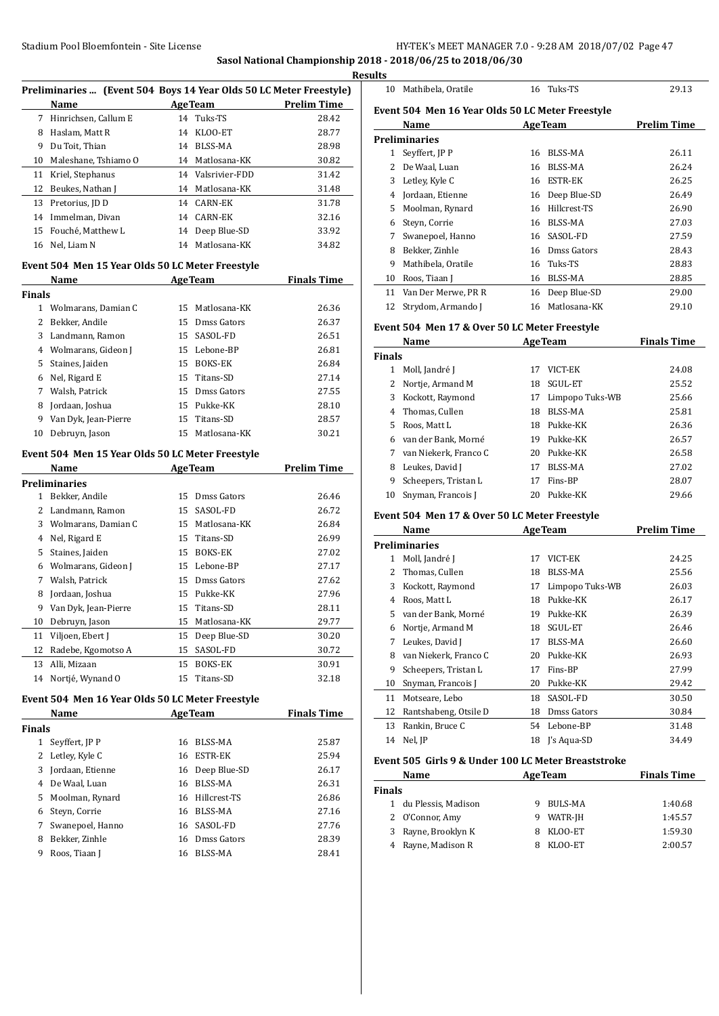**Sasol National Championship 2018 - 2018/06/25 to 2018/06/30**

|              | Preliminaries  (Event 504 Boys 14 Year Olds 50 LC Meter Freestyle)<br>Name |    | <b>AgeTeam</b>               | <b>Prelim Time</b> |
|--------------|----------------------------------------------------------------------------|----|------------------------------|--------------------|
| 7            | Hinrichsen, Callum E                                                       | 14 | Tuks-TS                      | 28.42              |
| 8            | Haslam, Matt R                                                             | 14 | KLOO-ET                      | 28.77              |
| 9            | Du Toit, Thian                                                             |    | 14 BLSS-MA                   | 28.98              |
| 10           | Maleshane, Tshiamo O                                                       |    | 14 Matlosana-KK              | 30.82              |
| 11           | Kriel, Stephanus                                                           |    | 14 Valsrivier-FDD            | 31.42              |
| 12           | Beukes, Nathan J                                                           |    | 14 Matlosana-KK              | 31.48              |
| 13           | Pretorius, JD D                                                            |    | 14 CARN-EK                   | 31.78              |
| 14           | Immelman, Divan                                                            |    | 14 CARN-EK                   | 32.16              |
| 15           | Fouché, Matthew L                                                          |    | 14 Deep Blue-SD              | 33.92              |
| 16           | Nel, Liam N                                                                | 14 | Matlosana-KK                 | 34.82              |
|              | Event 504 Men 15 Year Olds 50 LC Meter Freestyle                           |    |                              |                    |
|              | Name                                                                       |    | <b>AgeTeam</b>               | <b>Finals Time</b> |
| Finals       |                                                                            |    |                              |                    |
|              | 1 Wolmarans, Damian C                                                      |    | 15 Matlosana-KK              | 26.36              |
| 2            | Bekker, Andile                                                             |    | 15 Dmss Gators               | 26.37              |
| 3            | Landmann, Ramon                                                            |    | 15 SASOL-FD                  | 26.51              |
| 4            | Wolmarans, Gideon J                                                        |    | 15 Lebone-BP                 | 26.81              |
| 5            | Staines, Jaiden                                                            |    | 15 BOKS-EK                   | 26.84              |
| 6            | Nel, Rigard E                                                              |    | 15 Titans-SD                 | 27.14              |
| 7            | Walsh, Patrick                                                             |    | 15 Dmss Gators               | 27.55              |
| 8            | Jordaan, Joshua                                                            |    | 15 Pukke-KK                  | 28.10              |
| 9            | Van Dyk, Jean-Pierre                                                       |    | 15 Titans-SD                 | 28.57              |
| 10           | Debruyn, Jason                                                             | 15 | Matlosana-KK                 | 30.21              |
|              |                                                                            |    |                              |                    |
|              | Event 504 Men 15 Year Olds 50 LC Meter Freestyle<br>Name                   |    | <b>AgeTeam</b>               | <b>Prelim Time</b> |
|              | Preliminaries                                                              |    |                              |                    |
| $\mathbf{1}$ | Bekker, Andile                                                             |    | 15 Dmss Gators               | 26.46              |
| 2            | Landmann, Ramon                                                            | 15 | SASOL-FD                     | 26.72              |
| 3            | Wolmarans, Damian C                                                        |    | 15 Matlosana-KK              | 26.84              |
| 4            | Nel, Rigard E                                                              |    | 15 Titans-SD                 | 26.99              |
| 5            | Staines, Jaiden                                                            |    | 15 BOKS-EK                   | 27.02              |
| 6            | Wolmarans, Gideon J                                                        |    | 15 Lebone-BP                 | 27.17              |
| 7            | Walsh, Patrick                                                             |    | 15 Dmss Gators               | 27.62              |
| 8            | Jordaan, Joshua                                                            |    | 15 Pukke-KK                  | 27.96              |
|              |                                                                            |    | 15 Titans-SD                 | 28.11              |
| 10           | 9 Van Dyk, Jean-Pierre                                                     | 15 |                              |                    |
|              | Debruyn, Jason                                                             | 15 | Matlosana-KK<br>Deep Blue-SD | 29.77              |
| 11<br>12     | Viljoen, Ebert J<br>Radebe, Kgomotso A                                     | 15 | SASOL-FD                     | 30.20              |
| 13           | Alli, Mizaan                                                               | 15 | BOKS-EK                      | 30.72<br>30.91     |
| 14           | Nortjé, Wynand O                                                           | 15 | Titans-SD                    | 32.18              |
|              | Event 504 Men 16 Year Olds 50 LC Meter Freestyle                           |    |                              |                    |
|              | Name                                                                       |    | <b>AgeTeam</b>               | <b>Finals Time</b> |
| Finals       |                                                                            |    |                              |                    |
| 1            | Seyffert, JP P                                                             | 16 | BLSS-MA                      | 25.87              |
| 2            | Letley, Kyle C                                                             | 16 | <b>ESTR-EK</b>               | 25.94              |
| 3            | Jordaan, Etienne                                                           | 16 | Deep Blue-SD                 |                    |
|              |                                                                            |    |                              | 26.17              |
| 4            | De Waal, Luan                                                              | 16 | BLSS-MA                      | 26.31              |
| 5            | Moolman, Rynard                                                            | 16 | Hillcrest-TS                 | 26.86              |
| 6            | Steyn, Corrie                                                              | 16 | BLSS-MA                      | 27.16              |
| 7            | Swanepoel, Hanno                                                           | 16 | SASOL-FD                     | 27.76              |
| 8            | Bekker, Zinhle                                                             | 16 | Dmss Gators                  | 28.39              |
| 9            | Roos, Tiaan J                                                              | 16 | BLSS-MA                      | 28.41              |

|   | <b>Results</b> |                                                  |    |                 |                    |  |  |
|---|----------------|--------------------------------------------------|----|-----------------|--------------------|--|--|
| ) | 10             | Mathibela, Oratile                               |    | 16 Tuks-TS      | 29.13              |  |  |
|   |                | Event 504 Men 16 Year Olds 50 LC Meter Freestyle |    |                 |                    |  |  |
|   |                | Name                                             |    | <b>AgeTeam</b>  | <b>Prelim Time</b> |  |  |
|   |                | <b>Preliminaries</b>                             |    |                 |                    |  |  |
|   |                | 1 Seyffert, JP P                                 | 16 | BLSS-MA         | 26.11              |  |  |
|   | 2              | De Waal, Luan                                    | 16 | BLSS-MA         | 26.24              |  |  |
|   | 3              | Letley, Kyle C                                   | 16 | <b>ESTR-EK</b>  | 26.25              |  |  |
|   | 4              | Jordaan, Etienne                                 |    | 16 Deep Blue-SD | 26.49              |  |  |
|   | 5.             | Moolman, Rynard                                  | 16 | Hillcrest-TS    | 26.90              |  |  |
|   | 6              | Steyn, Corrie                                    | 16 | BLSS-MA         | 27.03              |  |  |
|   | 7              | Swanepoel, Hanno                                 |    | 16 SASOL-FD     | 27.59              |  |  |
|   | 8              | Bekker, Zinhle                                   |    | 16 Dmss Gators  | 28.43              |  |  |
|   | 9              | Mathibela, Oratile                               |    | 16 Tuks-TS      | 28.83              |  |  |
|   | 10             | Roos, Tiaan J                                    | 16 | BLSS-MA         | 28.85              |  |  |
|   | 11             | Van Der Merwe, PR R                              | 16 | Deep Blue-SD    | 29.00              |  |  |
|   | 12             | Strydom, Armando J                               | 16 | Matlosana-KK    | 29.10              |  |  |

#### **Event 504 Men 17 & Over 50 LC Meter Freestyle**

|               | Name<br><b>AgeTeam</b> |    |                 | <b>Finals Time</b> |
|---------------|------------------------|----|-----------------|--------------------|
| <b>Finals</b> |                        |    |                 |                    |
| 1             | Moll, Jandré J         | 17 | VICT-EK         | 24.08              |
|               | Nortje, Armand M       | 18 | SGUL-ET         | 25.52              |
| 3             | Kockott, Raymond       | 17 | Limpopo Tuks-WB | 25.66              |
|               | 4 Thomas, Cullen       | 18 | BLSS-MA         | 25.81              |
| 5.            | Roos, Matt L           | 18 | Pukke-KK        | 26.36              |
|               | van der Bank, Morné    | 19 | Pukke-KK        | 26.57              |
| 7             | van Niekerk, Franco C  | 20 | Pukke-KK        | 26.58              |
| 8             | Leukes, David J        | 17 | BLSS-MA         | 27.02              |
| 9             | Scheepers, Tristan L   | 17 | Fins-BP         | 28.07              |
| 10            | Snyman, Francois J     | 20 | Pukke-KK        | 29.66              |

# **Event 504 Men 17 & Over 50 LC Meter Freestyle**

|    | Name                  |    | <b>AgeTeam</b>  | <b>Prelim Time</b> |
|----|-----------------------|----|-----------------|--------------------|
|    | Preliminaries         |    |                 |                    |
| 1  | Moll, Jandré J        | 17 | VICT-EK         | 24.25              |
| 2  | Thomas, Cullen        | 18 | <b>BLSS-MA</b>  | 25.56              |
| 3  | Kockott, Raymond      | 17 | Limpopo Tuks-WB | 26.03              |
| 4  | Roos, Matt L          | 18 | Pukke-KK        | 26.17              |
| 5  | van der Bank, Morné   | 19 | Pukke-KK        | 26.39              |
| 6  | Nortje, Armand M      | 18 | <b>SGUL-ET</b>  | 26.46              |
| 7  | Leukes, David J       | 17 | BLSS-MA         | 26.60              |
| 8  | van Niekerk, Franco C | 20 | Pukke-KK        | 26.93              |
| 9  | Scheepers, Tristan L  | 17 | Fins-BP         | 27.99              |
| 10 | Snyman, Francois J    | 20 | Pukke-KK        | 29.42              |
| 11 | Motseare, Lebo        | 18 | SASOL-FD        | 30.50              |
| 12 | Rantshabeng, Otsile D | 18 | Dmss Gators     | 30.84              |
| 13 | Rankin, Bruce C       |    | 54 Lebone-BP    | 31.48              |
| 14 | Nel, JP               | 18 | I's Agua-SD     | 34.49              |
|    |                       |    |                 |                    |

#### **Event 505 Girls 9 & Under 100 LC Meter Breaststroke**

|        | Name                  |   | <b>AgeTeam</b> | <b>Finals Time</b> |
|--------|-----------------------|---|----------------|--------------------|
| Finals |                       |   |                |                    |
|        | 1 du Plessis, Madison | 9 | BULS-MA        | 1:40.68            |
|        | 2 O'Connor, Amy       | 9 | WATR-JH        | 1:45.57            |
| 3      | Rayne, Brooklyn K     | 8 | KLOO-ET        | 1:59.30            |
|        | 4 Rayne, Madison R    |   | KLOO-ET        | 2:00.57            |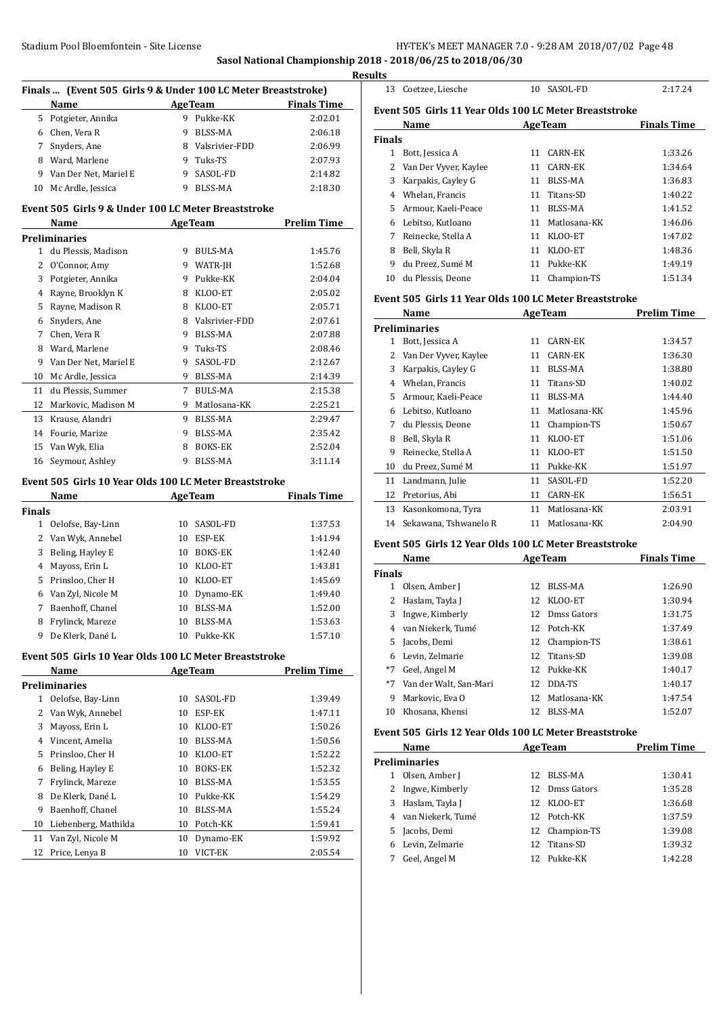**Sasol National Championship 2018 - 2018/06/25 to 2018/06/30**

|              | Finals  (Event 505 Girls 9 & Under 100 LC Meter Breaststroke) |             |                    |                    |  |  |  |
|--------------|---------------------------------------------------------------|-------------|--------------------|--------------------|--|--|--|
|              | Name                                                          |             | <b>AgeTeam</b>     | <b>Finals Time</b> |  |  |  |
|              | 5 Potgieter, Annika                                           |             | 9 Pukke-KK         | 2:02.01            |  |  |  |
|              | 6 Chen, Vera R                                                |             | 9 BLSS-MA          | 2:06.18            |  |  |  |
|              | 7 Snyders, Ane                                                |             | 8 Valsrivier-FDD   | 2:06.99            |  |  |  |
|              | 8 Ward, Marlene                                               |             | 9 Tuks-TS          | 2:07.93            |  |  |  |
|              | 9 Van Der Net, Mariel E                                       |             | 9 SASOL-FD         | 2:14.82            |  |  |  |
|              | 10 Mc Ardle, Jessica                                          |             | 9 BLSS-MA          | 2:18.30            |  |  |  |
|              | Event 505 Girls 9 & Under 100 LC Meter Breaststroke           |             |                    |                    |  |  |  |
|              | Name                                                          |             | <b>AgeTeam</b>     | <b>Prelim Time</b> |  |  |  |
|              | <b>Preliminaries</b>                                          |             |                    |                    |  |  |  |
|              | 1 du Plessis, Madison                                         |             | 9 BULS-MA          | 1:45.76            |  |  |  |
|              | 2 O'Connor, Amy                                               |             | 9 WATR-JH          | 1:52.68            |  |  |  |
|              | 3 Potgieter, Annika                                           |             | 9 Pukke-KK         | 2:04.04            |  |  |  |
|              | 4 Rayne, Brooklyn K                                           |             | 8 KLOO-ET          | 2:05.02            |  |  |  |
|              | 5 Rayne, Madison R                                            |             | 8 KLOO-ET          | 2:05.71            |  |  |  |
|              | 6 Snyders, Ane                                                |             | 8 Valsrivier-FDD   | 2:07.61            |  |  |  |
|              | 7 Chen, Vera R                                                |             | 9 BLSS-MA          | 2:07.88            |  |  |  |
|              | 8 Ward, Marlene                                               |             | 9 Tuks-TS          | 2:08.46            |  |  |  |
|              | 9 Van Der Net, Mariel E                                       | 9           | SASOL-FD           | 2:12.67            |  |  |  |
|              | 10 Mc Ardle, Jessica                                          |             | 9 BLSS-MA          | 2:14.39            |  |  |  |
|              | 11 du Plessis, Summer                                         | $7^{\circ}$ | <b>BULS-MA</b>     | 2:15.38            |  |  |  |
|              | 12 Markovic, Madison M                                        |             | 9 Matlosana-KK     | 2:25.21            |  |  |  |
| 13           | Krause, Alandri                                               | 9           | <b>BLSS-MA</b>     | 2:29.47            |  |  |  |
|              | 14 Fourie, Marize                                             | 9.          | <b>BLSS-MA</b>     | 2:35.42            |  |  |  |
|              |                                                               | 8           | <b>BOKS-EK</b>     | 2:52.04            |  |  |  |
| 15           | Van Wyk, Elia                                                 | 9           | <b>BLSS-MA</b>     | 3:11.14            |  |  |  |
| 16           | Seymour, Ashley                                               |             |                    |                    |  |  |  |
|              | Event 505 Girls 10 Year Olds 100 LC Meter Breaststroke        |             |                    |                    |  |  |  |
|              | Name                                                          |             | <b>AgeTeam</b>     | <b>Finals Time</b> |  |  |  |
| Finals       |                                                               |             |                    |                    |  |  |  |
| 1            | Oelofse, Bay-Linn                                             | 10          | SASOL-FD           | 1:37.53            |  |  |  |
|              | 2 Van Wyk, Annebel                                            |             | 10 ESP-EK          | 1:41.94            |  |  |  |
|              | 3 Beling, Hayley E                                            |             | 10 BOKS-EK         | 1:42.40            |  |  |  |
|              | 4 Mayoss, Erin L                                              |             | 10 KLOO-ET         | 1:43.81            |  |  |  |
|              | 5 Prinsloo, Cher H                                            |             | 10 KLOO-ET         | 1:45.69            |  |  |  |
|              | 6 Van Zyl, Nicole M                                           | 10          | Dynamo-EK          | 1:49.40            |  |  |  |
| 7            | Baenhoff, Chanel                                              |             | 10 BLSS-MA         | 1:52.00            |  |  |  |
| 8            | Frylinck, Mareze                                              | 10          | BLSS-MA            | 1:53.63            |  |  |  |
| 9            | De Klerk, Dané L                                              | 10          | Pukke-KK           | 1:57.10            |  |  |  |
|              | Event 505 Girls 10 Year Olds 100 LC Meter Breaststroke        |             |                    |                    |  |  |  |
|              | Name                                                          |             | <b>AgeTeam</b>     | <b>Prelim Time</b> |  |  |  |
|              |                                                               |             |                    |                    |  |  |  |
| $\mathbf{1}$ | <b>Preliminaries</b>                                          |             |                    |                    |  |  |  |
| 2            | Oelofse, Bay-Linn<br>Van Wyk, Annebel                         | 10<br>10    | SASOL-FD<br>ESP-EK | 1:39.49<br>1:47.11 |  |  |  |
|              |                                                               |             |                    |                    |  |  |  |
| 3            | Mayoss, Erin L                                                | 10          | KLOO-ET            | 1:50.26            |  |  |  |
|              | 4 Vincent, Amelia                                             | 10          | BLSS-MA            | 1:50.56            |  |  |  |
| 5            | Prinsloo, Cher H                                              | 10          | KLOO-ET            | 1:52.22            |  |  |  |
| 6            | Beling, Hayley E                                              | 10          | <b>BOKS-EK</b>     | 1:52.32            |  |  |  |
| 7            | Frylinck, Mareze                                              | 10          | BLSS-MA            | 1:53.55            |  |  |  |
| 8            | De Klerk, Dané L                                              | 10          | Pukke-KK           | 1:54.29            |  |  |  |
| 9            | Baenhoff, Chanel                                              | 10          | BLSS-MA            | 1:55.24            |  |  |  |
| 10           | Liebenberg, Mathilda                                          | 10          | Potch-KK           | 1:59.41            |  |  |  |
| 11           | Van Zyl, Nicole M                                             | 10          | Dynamo-EK          | 1:59.92            |  |  |  |
| 12           | Price, Lenya B                                                | 10          | VICT-EK            | 2:05.54            |  |  |  |

| <b>Results</b>                                         |             |         |
|--------------------------------------------------------|-------------|---------|
| 13 Coetzee. Liesche                                    | 10 SASOL-FD | 2:17.24 |
| Event 505 Girls 11 Year Olds 100 LC Meter Breaststroke |             |         |

|               | <b>Name</b>           |    | <b>AgeTeam</b> | <b>Finals Time</b> |
|---------------|-----------------------|----|----------------|--------------------|
| <b>Finals</b> |                       |    |                |                    |
|               | Bott, Jessica A       | 11 | CARN-EK        | 1:33.26            |
|               | Van Der Vyver, Kaylee | 11 | CARN-EK        | 1:34.64            |
| 3             | Karpakis, Cayley G    | 11 | BLSS-MA        | 1:36.83            |
| 4             | Whelan, Francis       | 11 | Titans-SD      | 1:40.22            |
| 5.            | Armour, Kaeli-Peace   | 11 | BLSS-MA        | 1:41.52            |
| 6             | Lebitso, Kutloano     | 11 | Matlosana-KK   | 1:46.06            |
| 7             | Reinecke, Stella A    | 11 | KLOO-ET        | 1:47.02            |
| 8             | Bell, Skyla R         | 11 | KLOO-ET        | 1:48.36            |
| 9             | du Preez. Sumé M      | 11 | Pukke-KK       | 1:49.19            |
| 10            | du Plessis, Deone     | 11 | Champion-TS    | 1:51.34            |

#### **Event 505 Girls 11 Year Olds 100 LC Meter Breaststroke**

|    | Name                  | <b>AgeTeam</b> |                | <b>Prelim Time</b> |
|----|-----------------------|----------------|----------------|--------------------|
|    | <b>Preliminaries</b>  |                |                |                    |
| 1  | Bott, Jessica A       | 11             | CARN-EK        | 1:34.57            |
| 2  | Van Der Vyver, Kaylee | 11             | CARN-EK        | 1:36.30            |
| 3  | Karpakis, Cayley G    | 11             | BLSS-MA        | 1:38.80            |
| 4  | Whelan, Francis       | 11             | Titans-SD      | 1:40.02            |
| 5. | Armour, Kaeli-Peace   | 11             | <b>BLSS-MA</b> | 1:44.40            |
| 6  | Lebitso, Kutloano     | 11             | Matlosana-KK   | 1:45.96            |
| 7  | du Plessis, Deone     | 11             | Champion-TS    | 1:50.67            |
| 8  | Bell, Skyla R         | 11             | KLOO-ET        | 1:51.06            |
| 9  | Reinecke, Stella A    | 11             | KLOO-ET        | 1:51.50            |
| 10 | du Preez, Sumé M      | 11             | Pukke-KK       | 1:51.97            |
| 11 | Landmann, Julie       | 11             | SASOL-FD       | 1:52.20            |
| 12 | Pretorius, Abi        | 11             | <b>CARN-EK</b> | 1:56.51            |
| 13 | Kasonkomona, Tyra     | 11             | Matlosana-KK   | 2:03.91            |
| 14 | Sekawana, Tshwanelo R | 11             | Matlosana-KK   | 2:04.90            |

#### **Event 505 Girls 12 Year Olds 100 LC Meter Breaststroke**

|               | <b>Name</b>               |     | <b>AgeTeam</b> | <b>Finals Time</b> |
|---------------|---------------------------|-----|----------------|--------------------|
| <b>Finals</b> |                           |     |                |                    |
|               | Olsen, Amber J            | 12. | BLSS-MA        | 1:26.90            |
| 2             | Haslam, Tayla J           | 12. | KLOO-ET        | 1:30.94            |
| 3             | Ingwe, Kimberly           | 12. | Dmss Gators    | 1:31.75            |
| 4             | van Niekerk, Tumé         |     | 12 Potch-KK    | 1:37.49            |
| 5.            | Jacobs, Demi              |     | 12 Champion-TS | 1:38.61            |
|               | Levin, Zelmarie           | 12. | Titans-SD      | 1:39.08            |
| *7            | Geel, Angel M             | 12. | Pukke-KK       | 1:40.17            |
|               | *7 Van der Walt, San-Mari | 12  | DDA-TS         | 1:40.17            |
| 9             | Markovic, Eva O           | 12. | Matlosana-KK   | 1:47.54            |
| 10            | Khosana, Khensi           | 12  | BLSS-MA        | 1:52.07            |

#### **Event 505 Girls 12 Year Olds 100 LC Meter Breaststroke**

|    | Name<br><b>AgeTeam</b> |    | <b>Prelim Time</b> |         |
|----|------------------------|----|--------------------|---------|
|    | <b>Preliminaries</b>   |    |                    |         |
|    | Olsen, Amber J         | 12 | BLSS-MA            | 1:30.41 |
|    | Ingwe, Kimberly        |    | 12 Dmss Gators     | 1:35.28 |
| 3  | Haslam, Tayla J        | 12 | KLOO-ET            | 1:36.68 |
| 4  | van Niekerk, Tumé      |    | 12 Potch-KK        | 1:37.59 |
| 5. | Jacobs, Demi           |    | 12 Champion-TS     | 1:39.08 |
|    | Levin, Zelmarie        | 12 | Titans-SD          | 1:39.32 |
|    | Geel, Angel M          |    | 12 Pukke-KK        | 1:42.28 |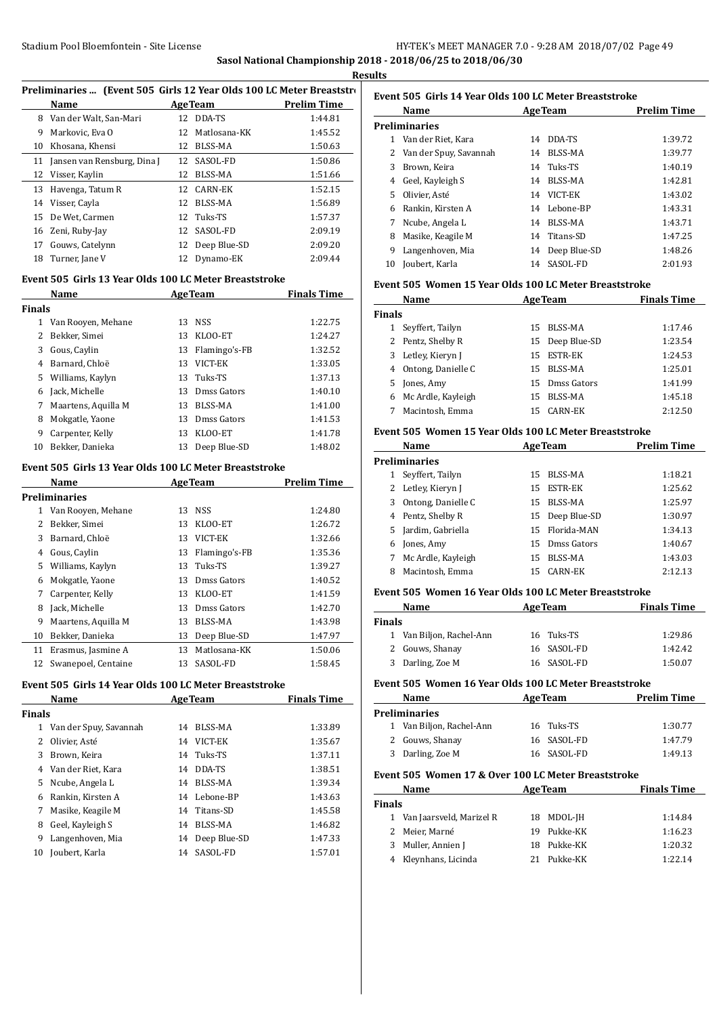#### Stadium Pool Bloemfontein - Site License HY-TEK's MEET MANAGER 7.0 - 9:28 AM 2018/07/02 Page 49 **Sasol National Championship 2018 - 2018/06/25 to 2018/06/30**

**Results**

# Preliminaries ... (Event 505 Girls 12 Year Olds 100 LC Meter Breaststrok

|    | Name                        |     | <b>AgeTeam</b> | <b>Prelim Time</b> |
|----|-----------------------------|-----|----------------|--------------------|
| 8  | Van der Walt, San-Mari      | 12  | DDA-TS         | 1:44.81            |
| 9  | Markovic, Eva O             | 12  | Matlosana-KK   | 1:45.52            |
| 10 | Khosana, Khensi             | 12  | BLSS-MA        | 1:50.63            |
| 11 | Jansen van Rensburg, Dina J | 12. | SASOL-FD       | 1:50.86            |
| 12 | Visser, Kaylin              | 12  | BLSS-MA        | 1:51.66            |
| 13 | Havenga, Tatum R            | 12. | CARN-EK        | 1:52.15            |
|    | 14 Visser, Cayla            | 12  | BLSS-MA        | 1:56.89            |
| 15 | De Wet, Carmen              |     | 12 Tuks-TS     | 1:57.37            |
| 16 | Zeni, Ruby-Jay              | 12  | SASOL-FD       | 2:09.19            |
| 17 | Gouws, Catelynn             | 12  | Deep Blue-SD   | 2:09.20            |
| 18 | Turner, Jane V              | 12  | Dynamo-EK      | 2:09.44            |

#### **Event 505 Girls 13 Year Olds 100 LC Meter Breaststroke**

| Name<br><b>AgeTeam</b> |                     |    | <b>Finals Time</b> |         |
|------------------------|---------------------|----|--------------------|---------|
| <b>Finals</b>          |                     |    |                    |         |
| 1                      | Van Rooyen, Mehane  | 13 | <b>NSS</b>         | 1:22.75 |
|                        | Bekker, Simei       | 13 | KLOO-ET            | 1:24.27 |
| 3                      | Gous, Caylin        | 13 | Flamingo's-FB      | 1:32.52 |
| 4                      | Barnard, Chloë      | 13 | VICT-EK            | 1:33.05 |
| 5.                     | Williams, Kaylyn    | 13 | Tuks-TS            | 1:37.13 |
| 6                      | Jack, Michelle      | 13 | Dmss Gators        | 1:40.10 |
| 7                      | Maartens, Aquilla M | 13 | BLSS-MA            | 1:41.00 |
| 8                      | Mokgatle, Yaone     | 13 | Dmss Gators        | 1:41.53 |
| 9                      | Carpenter, Kelly    | 13 | KLOO-ET            | 1:41.78 |
| 10                     | Bekker. Danieka     | 13 | Deep Blue-SD       | 1:48.02 |

## **Event 505 Girls 13 Year Olds 100 LC Meter Breaststroke**

|    | <b>Name</b>         | <b>AgeTeam</b> |               | <b>Prelim Time</b> |
|----|---------------------|----------------|---------------|--------------------|
|    | Preliminaries       |                |               |                    |
| 1  | Van Rooyen, Mehane  | 13             | <b>NSS</b>    | 1:24.80            |
| 2  | Bekker, Simei       | 13             | KLOO-ET       | 1:26.72            |
| 3  | Barnard, Chloë      | 13             | VICT-EK       | 1:32.66            |
| 4  | Gous, Caylin        | 13             | Flamingo's-FB | 1:35.36            |
| 5. | Williams, Kaylyn    | 13             | Tuks-TS       | 1:39.27            |
| 6  | Mokgatle, Yaone     | 13             | Dmss Gators   | 1:40.52            |
| 7  | Carpenter, Kelly    | 13             | KLOO-ET       | 1:41.59            |
| 8  | Jack, Michelle      | 13             | Dmss Gators   | 1:42.70            |
| 9  | Maartens, Aquilla M | 13             | BLSS-MA       | 1:43.98            |
| 10 | Bekker, Danieka     | 13             | Deep Blue-SD  | 1:47.97            |
| 11 | Erasmus, Jasmine A  | 13             | Matlosana-KK  | 1:50.06            |
| 12 | Swanepoel, Centaine | 13             | SASOL-FD      | 1:58.45            |

# **Event 505 Girls 14 Year Olds 100 LC Meter Breaststroke**

|               | Name                   | <b>AgeTeam</b> |                | <b>Finals Time</b> |
|---------------|------------------------|----------------|----------------|--------------------|
| <b>Finals</b> |                        |                |                |                    |
| 1             | Van der Spuy, Savannah | 14             | BLSS-MA        | 1:33.89            |
| 2             | Olivier, Asté          | 14             | VICT-EK        | 1:35.67            |
| 3             | Brown, Keira           |                | 14 Tuks-TS     | 1:37.11            |
| 4             | Van der Riet, Kara     | 14             | DDA-TS         | 1:38.51            |
|               | 5 Ncube, Angela L      | 14             | <b>BLSS-MA</b> | 1:39.34            |
| 6             | Rankin, Kirsten A      | 14             | Lebone-BP      | 1:43.63            |
| 7             | Masike, Keagile M      | 14             | Titans-SD      | 1:45.58            |
| 8             | Geel, Kayleigh S       | 14             | BLSS-MA        | 1:46.82            |
| 9             | Langenhoven, Mia       | 14             | Deep Blue-SD   | 1:47.33            |
| 10            | Joubert, Karla         | 14             | SASOL-FD       | 1:57.01            |
|               |                        |                |                |                    |

# **Event 505 Girls 14 Year Olds 100 LC Meter Breaststroke**

|    | Name                     |    | <b>AgeTeam</b> | <b>Prelim Time</b> |
|----|--------------------------|----|----------------|--------------------|
|    | Preliminaries            |    |                |                    |
| 1  | Van der Riet, Kara       | 14 | DDA-TS         | 1:39.72            |
|    | 2 Van der Spuy, Savannah | 14 | BLSS-MA        | 1:39.77            |
| 3  | Brown, Keira             |    | 14 Tuks-TS     | 1:40.19            |
| 4  | Geel, Kayleigh S         | 14 | BLSS-MA        | 1:42.81            |
| 5. | Olivier, Asté            | 14 | VICT-EK        | 1:43.02            |
| 6  | Rankin. Kirsten A        |    | 14 Lebone-BP   | 1:43.31            |
| 7  | Ncube, Angela L          | 14 | BLSS-MA        | 1:43.71            |
| 8  | Masike, Keagile M        |    | 14 Titans-SD   | 1:47.25            |
| 9  | Langenhoven, Mia         | 14 | Deep Blue-SD   | 1:48.26            |
| 10 | Joubert, Karla           | 14 | SASOL-FD       | 2:01.93            |

#### **Event 505 Women 15 Year Olds 100 LC Meter Breaststroke**

|               | Name                 |     | <b>AgeTeam</b>  | <b>Finals Time</b> |
|---------------|----------------------|-----|-----------------|--------------------|
| <b>Finals</b> |                      |     |                 |                    |
|               | Seyffert, Tailyn     | 15. | BLSS-MA         | 1:17.46            |
|               | 2 Pentz, Shelby R    |     | 15 Deep Blue-SD | 1:23.54            |
|               | 3 Letley, Kieryn J   |     | 15 ESTR-EK      | 1:24.53            |
|               | 4 Ontong, Danielle C |     | 15 BLSS-MA      | 1:25.01            |
|               | 5 Jones, Amy         | 15. | Dmss Gators     | 1:41.99            |
| 6             | Mc Ardle, Kayleigh   | 15  | BLSS-MA         | 1:45.18            |
|               | Macintosh, Emma      | 15  | CARN-EK         | 2:12.50            |

#### **Event 505 Women 15 Year Olds 100 LC Meter Breaststroke**

|    | Name                 | <b>AgeTeam</b> | <b>Prelim Time</b> |         |
|----|----------------------|----------------|--------------------|---------|
|    | <b>Preliminaries</b> |                |                    |         |
|    | Seyffert, Tailyn     | 15             | BLSS-MA            | 1:18.21 |
|    | 2 Letley, Kieryn J   | 15             | ESTR-EK            | 1:25.62 |
| 3  | Ontong, Danielle C   |                | 15 BLSS-MA         | 1:25.97 |
|    | 4 Pentz, Shelby R    |                | 15 Deep Blue-SD    | 1:30.97 |
| 5. | Jardim, Gabriella    |                | 15 Florida-MAN     | 1:34.13 |
| 6  | Jones, Amy           | 15.            | Dmss Gators        | 1:40.67 |
|    | Mc Ardle, Kayleigh   | 15             | BLSS-MA            | 1:43.03 |
| 8  | Macintosh, Emma      | 15.            | CARN-EK            | 2:12.13 |

# **Event 505 Women 16 Year Olds 100 LC Meter Breaststroke**

| Name          |                          | <b>AgeTeam</b> | <b>Finals Time</b> |
|---------------|--------------------------|----------------|--------------------|
| <b>Finals</b> |                          |                |                    |
|               | 1 Van Biljon, Rachel-Ann | 16 Tuks-TS     | 1:29.86            |
|               | 2 Gouws, Shanay          | 16 SASOL-FD    | 1:42.42            |
|               | 3 Darling, Zoe M         | 16 SASOL-FD    | 1:50.07            |
|               |                          |                |                    |

# **Event 505 Women 16 Year Olds 100 LC Meter Breaststroke**

| <b>Name</b> |                          | <b>AgeTeam</b> | <b>Prelim Time</b> |  |
|-------------|--------------------------|----------------|--------------------|--|
|             | Preliminaries            |                |                    |  |
|             | 1 Van Biljon, Rachel-Ann | 16 Tuks-TS     | 1:30.77            |  |
|             | 2 Gouws, Shanay          | 16 SASOL-FD    | 1:47.79            |  |
|             | 3 Darling, Zoe M         | 16 SASOL-FD    | 1:49.13            |  |

# **Event 505 Women 17 & Over 100 LC Meter Breaststroke**

|        | <b>Name</b>                |     | <b>AgeTeam</b> | <b>Finals Time</b> |  |
|--------|----------------------------|-----|----------------|--------------------|--|
| Finals |                            |     |                |                    |  |
|        | 1 Van Jaarsveld, Marizel R |     | 18 MDOL-JH     | 1:14.84            |  |
|        | 2 Meier, Marné             | 19  | Pukke-KK       | 1:16.23            |  |
|        | 3 Muller, Annien J         | 18. | Pukke-KK       | 1:20.32            |  |
|        | 4 Kleynhans, Licinda       | 21  | Pukke-KK       | 1:22.14            |  |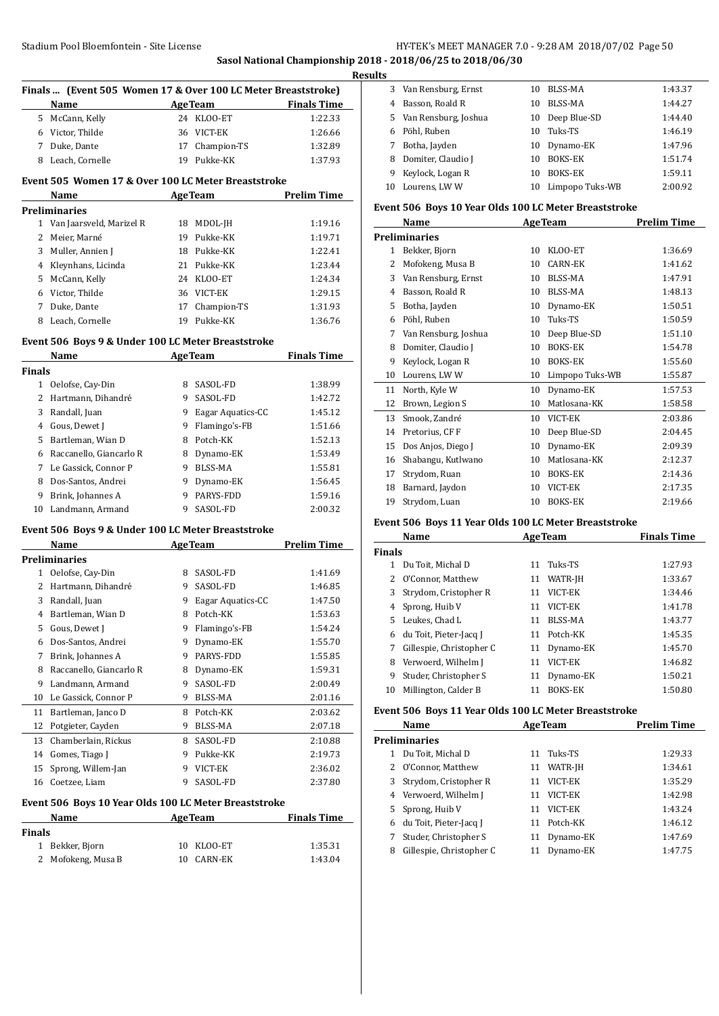## **Sasol National Championship 2018 - 2018/06/25 to 2018/06/30 Results**

 $\overline{a}$ 

 $\overline{a}$ 

|               | Finals  (Event 505 Women 17 & Over 100 LC Meter Breaststroke)<br>Name |         | <b>Example 2</b> Age Team | <b>Finals Time</b>            |
|---------------|-----------------------------------------------------------------------|---------|---------------------------|-------------------------------|
|               | 5 McCann, Kelly                                                       |         | 24 KLOO-ET                | 1:22.33                       |
|               | 6 Victor, Thilde                                                      |         | 36 VICT-EK                | 1:26.66                       |
|               | 7 Duke, Dante                                                         |         | 17 Champion-TS            | 1:32.89                       |
|               | 8 Leach, Cornelle                                                     |         | 19 Pukke-KK               | 1:37.93                       |
|               | Event 505 Women 17 & Over 100 LC Meter Breaststroke                   |         |                           |                               |
|               | Name                                                                  |         | <b>Age Team</b>           | <b>Prelim Time</b>            |
|               | <b>Preliminaries</b>                                                  |         |                           |                               |
|               | 1 Van Jaarsveld, Marizel R                                            |         | 18 MDOL-JH                | 1:19.16                       |
|               | 2 Meier, Marné                                                        |         | 19 Pukke-KK               | 1:19.71                       |
|               | 3 Muller, Annien J                                                    |         | 18 Pukke-KK               | 1:22.41                       |
|               | 4 Kleynhans, Licinda                                                  |         | 21 Pukke-KK               | 1:23.44                       |
|               | 5 McCann, Kelly                                                       |         | 24 KLOO-ET                | 1:24.34                       |
|               | 6 Victor, Thilde                                                      |         | 36 VICT-EK                | 1:29.15                       |
|               | 7 Duke, Dante                                                         |         | 17 Champion-TS            | 1:31.93                       |
|               | 8 Leach, Cornelle                                                     |         | 19 Pukke-KK               | 1:36.76                       |
|               | Event 506 Boys 9 & Under 100 LC Meter Breaststroke                    |         |                           |                               |
|               | Name                                                                  |         | <b>AgeTeam</b>            | <b>Finals Time</b>            |
| <b>Finals</b> |                                                                       |         |                           |                               |
|               | 1 Oelofse, Cay-Din                                                    |         | 8 SASOL-FD                | 1:38.99                       |
|               | 2 Hartmann, Dihandré                                                  |         | 9 SASOL-FD                | 1:42.72                       |
|               | 3 Randall, Juan                                                       |         | 9 Eagar Aquatics-CC       | 1:45.12                       |
|               | 4 Gous, Dewet J                                                       |         | 9 Flamingo's-FB           | 1:51.66                       |
|               | 5 Bartleman, Wian D                                                   |         | 8 Potch-KK                | 1:52.13                       |
|               | 6 Raccanello, Giancarlo R                                             |         | 8 Dynamo-EK               | 1:53.49                       |
|               | 7 Le Gassick, Connor P                                                |         | 9 BLSS-MA                 | 1:55.81                       |
|               | 8 Dos-Santos, Andrei                                                  |         | 9 Dynamo-EK               | 1:56.45                       |
|               | 9 Brink, Johannes A                                                   |         | 9 PARYS-FDD               | 1:59.16                       |
|               | 10 Landmann, Armand                                                   |         | 9 SASOL-FD                | 2:00.32                       |
|               | Event 506 Boys 9 & Under 100 LC Meter Breaststroke                    |         |                           |                               |
|               | Name                                                                  |         | <b>AgeTeam</b>            | <b>Prelim Time</b>            |
|               | <b>Preliminaries</b>                                                  |         |                           |                               |
|               | 1 Oelofse, Cay-Din                                                    |         | 8 SASOL-FD                | 1:41.69                       |
|               | 2 Hartmann, Dihandré                                                  |         | 9 SASOL-FD                | 1:46.85                       |
|               | 3 Randall, Juan                                                       |         | 9 Eagar Aquatics-CC       | 1:47.50                       |
|               | 4 Bartleman, Wian D                                                   | 8       | Potch-KK                  | 1:53.63                       |
| 5             | Gous, Dewet J                                                         | 9.      | Flamingo's-FB             | 1:54.24                       |
|               | 6 Dos-Santos, Andrei                                                  | 9       | Dynamo-EK                 | 1:55.70                       |
|               | 7 Brink, Johannes A                                                   |         | 9 PARYS-FDD               | 1:55.85                       |
|               | 8 Raccanello, Giancarlo R                                             |         | 8 Dynamo-EK               | 1:59.31                       |
|               |                                                                       |         |                           | 2:00.49                       |
|               | 9 Landmann, Armand                                                    | 9       | SASOL-FD                  |                               |
|               |                                                                       |         |                           |                               |
|               | 10 Le Gassick, Connor P                                               |         | 9 BLSS-MA                 |                               |
| 12            | 11 Bartleman, Janco D                                                 | 8<br>9. | Potch-KK<br>BLSS-MA       | 2:01.16<br>2:03.62<br>2:07.18 |
|               | Potgieter, Cayden                                                     |         |                           |                               |
| 13            | Chamberlain, Rickus                                                   | 8.      | SASOL-FD                  |                               |
|               | 14 Gomes, Tiago J                                                     |         | 9 Pukke-KK                |                               |
| 15<br>16      | Sprong, Willem-Jan<br>Coetzee, Liam                                   | 9.      | 9 VICT-EK<br>SASOL-FD     | 2:37.80                       |
|               |                                                                       |         |                           |                               |
|               | Event 506 Boys 10 Year Olds 100 LC Meter Breaststroke                 |         |                           | 2:10.88<br>2:19.73<br>2:36.02 |
|               | Name                                                                  |         | <b>AgeTeam</b>            | <b>Finals Time</b>            |
| <b>Finals</b> | 1 Bekker, Bjorn                                                       | 10      | KLOO-ET                   | 1:35.31                       |

| s  |                      |    |                 |         |
|----|----------------------|----|-----------------|---------|
| 3  | Van Rensburg, Ernst  | 10 | BLSS-MA         | 1:43.37 |
| 4  | Basson, Roald R      | 10 | BLSS-MA         | 1:44.27 |
| 5. | Van Rensburg, Joshua | 10 | Deep Blue-SD    | 1:44.40 |
| 6  | Pöhl, Ruben          | 10 | Tuks-TS         | 1:46.19 |
|    | Botha, Jayden        | 10 | Dynamo-EK       | 1:47.96 |
| 8  | Domiter, Claudio J   | 10 | <b>BOKS-EK</b>  | 1:51.74 |
| 9  | Keylock, Logan R     | 10 | <b>BOKS-EK</b>  | 1:59.11 |
| 10 | Lourens, LWW         | 10 | Limpopo Tuks-WB | 2:00.92 |
|    |                      |    |                 |         |

#### **Event 506 Boys 10 Year Olds 100 LC Meter Breaststroke**

|                | Name                 |    | <b>AgeTeam</b>  | <b>Prelim Time</b> |
|----------------|----------------------|----|-----------------|--------------------|
|                | Preliminaries        |    |                 |                    |
| $\mathbf{1}$   | Bekker, Bjorn        | 10 | KLOO-ET         | 1:36.69            |
| $\overline{c}$ | Mofokeng, Musa B     | 10 | <b>CARN-EK</b>  | 1:41.62            |
| 3              | Van Rensburg, Ernst  | 10 | <b>BLSS-MA</b>  | 1:47.91            |
| 4              | Basson, Roald R      | 10 | BLSS-MA         | 1:48.13            |
| 5              | Botha, Jayden        | 10 | Dynamo-EK       | 1:50.51            |
| 6              | Pöhl, Ruben          | 10 | Tuks-TS         | 1:50.59            |
| 7              | Van Rensburg, Joshua | 10 | Deep Blue-SD    | 1:51.10            |
| 8              | Domiter, Claudio J   | 10 | <b>BOKS-EK</b>  | 1:54.78            |
| 9              | Keylock, Logan R     | 10 | <b>BOKS-EK</b>  | 1:55.60            |
| 10             | Lourens, LWW         | 10 | Limpopo Tuks-WB | 1:55.87            |
| 11             | North, Kyle W        | 10 | Dynamo-EK       | 1:57.53            |
| 12             | Brown, Legion S      | 10 | Matlosana-KK    | 1:58.58            |
| 13             | Smook, Zandré        | 10 | VICT-EK         | 2:03.86            |
| 14             | Pretorius, CF F      | 10 | Deep Blue-SD    | 2:04.45            |
| 15             | Dos Anjos, Diego J   | 10 | Dynamo-EK       | 2:09.39            |
| 16             | Shabangu, Kutlwano   | 10 | Matlosana-KK    | 2:12.37            |
| 17             | Strydom, Ruan        | 10 | <b>BOKS-EK</b>  | 2:14.36            |
| 18             | Barnard, Jaydon      | 10 | VICT-EK         | 2:17.35            |
| 19             | Strydom, Luan        | 10 | <b>BOKS-EK</b>  | 2:19.66            |

#### **Event 506 Boys 11 Year Olds 100 LC Meter Breaststroke**

| Name                       |    |                | <b>Finals Time</b> |
|----------------------------|----|----------------|--------------------|
| <b>Finals</b>              |    |                |                    |
| Du Toit, Michal D          | 11 | Tuks-TS        | 1:27.93            |
| 2 O'Connor. Matthew        | 11 | WATR-JH        | 1:33.67            |
| Strydom, Cristopher R<br>3 | 11 | VICT-EK        | 1:34.46            |
| Sprong, Huib V             | 11 | VICT-EK        | 1:41.78            |
| Leukes. Chad L<br>5.       | 11 | BLSS-MA        | 1:43.77            |
| du Toit, Pieter-Jacq J     | 11 | Potch-KK       | 1:45.35            |
| Gillespie, Christopher C   | 11 | Dynamo-EK      | 1:45.70            |
| Verwoerd, Wilhelm J        | 11 | VICT-EK        | 1:46.82            |
| Studer, Christopher S      | 11 | Dynamo-EK      | 1:50.21            |
| Millington, Calder B       | 11 | <b>BOKS-EK</b> | 1:50.80            |
|                            |    |                | <b>AgeTeam</b>     |

#### **Event 506 Boys 11 Year Olds 100 LC Meter Breaststroke**

|    | Name                     |    | <b>AgeTeam</b> | <b>Prelim Time</b> |
|----|--------------------------|----|----------------|--------------------|
|    | Preliminaries            |    |                |                    |
|    | Du Toit, Michal D        | 11 | Tuks-TS        | 1:29.33            |
|    | 2 O'Connor, Matthew      | 11 | WATR-JH        | 1:34.61            |
| 3  | Strydom, Cristopher R    | 11 | VICT-EK        | 1:35.29            |
| 4  | Verwoerd, Wilhelm J      | 11 | VICT-EK        | 1:42.98            |
| 5. | Sprong, Huib V           | 11 | VICT-EK        | 1:43.24            |
| 6  | du Toit, Pieter-Jacq J   | 11 | Potch-KK       | 1:46.12            |
|    | Studer, Christopher S    | 11 | Dynamo-EK      | 1:47.69            |
| 8  | Gillespie, Christopher C |    | Dynamo-EK      | 1:47.75            |
|    |                          |    |                |                    |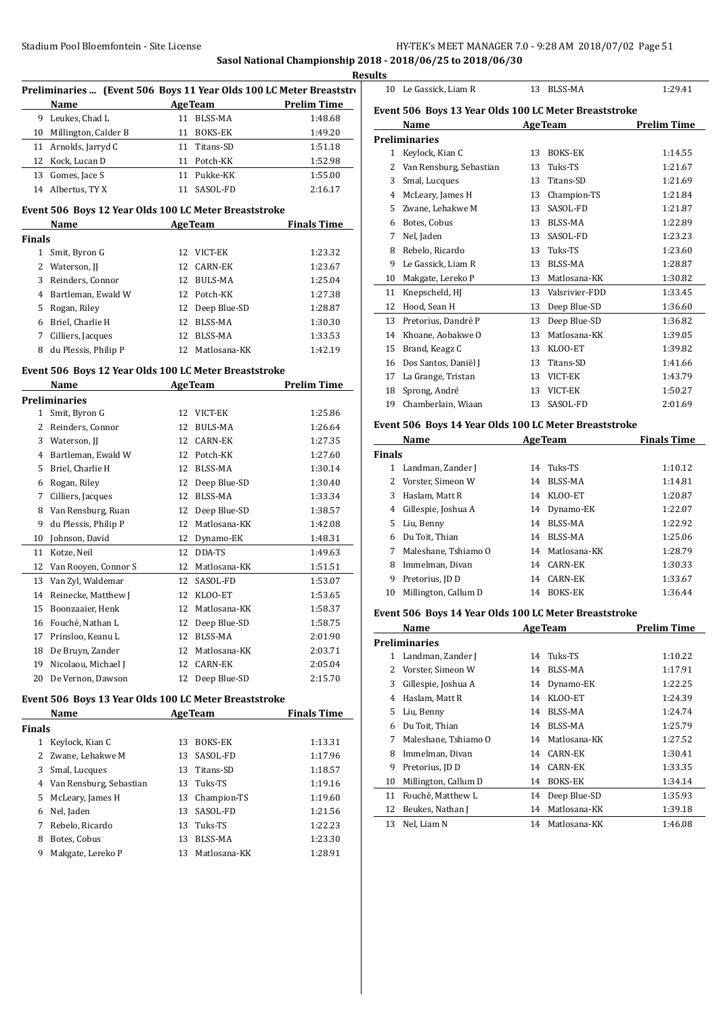**Sasol National Championship 2018 - 2018/06/25 to 2018/06/30**

|                        |                                                                     |    |                 | kesu               |
|------------------------|---------------------------------------------------------------------|----|-----------------|--------------------|
|                        | Preliminaries  (Event 506 Boys 11 Year Olds 100 LC Meter Breaststro |    |                 |                    |
|                        | Name                                                                |    | <b>AgeTeam</b>  | <b>Prelim Time</b> |
|                        | 9 Leukes, Chad L                                                    |    | 11 BLSS-MA      | 1:48.68            |
| 10                     | Millington, Calder B                                                |    | 11 BOKS-EK      | 1:49.20            |
| 11                     | Arnolds, Jarryd C                                                   |    | 11 Titans-SD    | 1:51.18            |
| 12                     | Kock, Lucan D                                                       |    | 11 Potch-KK     | 1:52.98            |
|                        | 13 Gomes, Jace S                                                    |    | 11 Pukke-KK     | 1:55.00            |
|                        | 14 Albertus, TY X                                                   |    | 11 SASOL-FD     | 2:16.17            |
|                        | Event 506 Boys 12 Year Olds 100 LC Meter Breaststroke               |    |                 |                    |
|                        | Name                                                                |    | <b>AgeTeam</b>  | <b>Finals Time</b> |
| Finals                 |                                                                     |    |                 |                    |
|                        | 1 Smit, Byron G                                                     |    | 12 VICT-EK      | 1:23.32            |
| $\overline{2}$         | Waterson, JJ                                                        |    | 12 CARN-EK      | 1:23.67            |
| 3                      | Reinders, Connor                                                    |    | 12 BULS-MA      | 1:25.04            |
| 4                      | Bartleman, Ewald W                                                  |    | 12 Potch-KK     | 1:27.38            |
| 5                      | Rogan, Riley                                                        |    | 12 Deep Blue-SD | 1:28.87            |
| 6                      | Briel, Charlie H                                                    |    | 12 BLSS-MA      | 1:30.30            |
| 7                      | Cilliers, Jacques                                                   |    | 12 BLSS-MA      | 1:33.53            |
| 8                      | du Plessis, Philip P                                                |    | 12 Matlosana-KK | 1:42.19            |
|                        |                                                                     |    |                 |                    |
|                        | Event 506 Boys 12 Year Olds 100 LC Meter Breaststroke               |    |                 |                    |
|                        | Name                                                                |    | AgeTeam         | <b>Prelim Time</b> |
|                        | <b>Preliminaries</b>                                                |    |                 |                    |
|                        | 1 Smit, Byron G                                                     |    | 12 VICT-EK      | 1:25.86            |
|                        | 2 Reinders, Connor                                                  |    | 12 BULS-MA      | 1:26.64            |
| 3                      | Waterson, JJ                                                        |    | 12 CARN-EK      | 1:27.35            |
|                        | 4 Bartleman, Ewald W                                                |    | 12 Potch-KK     | 1:27.60            |
| 5.                     | Briel, Charlie H                                                    |    | 12 BLSS-MA      | 1:30.14            |
| 6                      | Rogan, Riley                                                        |    | 12 Deep Blue-SD | 1:30.40            |
| 7                      | Cilliers, Jacques                                                   |    | 12 BLSS-MA      | 1:33.34            |
| 8                      | Van Rensburg, Ruan                                                  |    | 12 Deep Blue-SD | 1:38.57            |
| 9                      | du Plessis, Philip P                                                |    | 12 Matlosana-KK | 1:42.08            |
| 10                     | Johnson, David                                                      |    | 12 Dynamo-EK    | 1:48.31            |
| 11                     | Kotze, Neil                                                         |    | 12 DDA-TS       | 1:49.63            |
| 12                     | Van Rooyen, Connor S                                                |    | 12 Matlosana-KK | 1:51.51            |
| 13                     | Van Zyl, Waldemar                                                   |    | 12 SASOL-FD     | 1:53.07            |
| 14                     | Reinecke, Matthew J                                                 |    | 12 KLOO-ET      | 1:53.65            |
| 15                     | Boonzaaier, Henk                                                    |    | 12 Matlosana-KK | 1:58.37            |
| 16                     | Fouché, Nathan L                                                    | 12 | Deep Blue-SD    | 1:58.75            |
| 17                     | Prinsloo, Keanu L                                                   | 12 | <b>BLSS-MA</b>  | 2:01.90            |
| 18                     | De Bruyn, Zander                                                    |    | 12 Matlosana-KK | 2:03.71            |
| 19                     | Nicolaou, Michael J                                                 |    | 12 CARN-EK      | 2:05.04            |
| 20                     | De Vernon, Dawson                                                   | 12 | Deep Blue-SD    | 2:15.70            |
|                        |                                                                     |    |                 |                    |
|                        | Event 506 Boys 13 Year Olds 100 LC Meter Breaststroke               |    |                 |                    |
|                        | Name                                                                |    | <b>AgeTeam</b>  | <b>Finals Time</b> |
| Finals<br>$\mathbf{1}$ |                                                                     |    |                 |                    |
|                        | Keylock, Kian C                                                     | 13 | BOKS-EK         | 1:13.31            |
| 2                      | Zwane, Lehakwe M                                                    | 13 | SASOL-FD        | 1:17.96            |
| 3                      | Smal, Lucques                                                       | 13 | Titans-SD       | 1:18.57            |
| 4                      | Van Rensburg, Sebastian                                             |    | 13 Tuks-TS      | 1:19.16            |
| 5                      | McLeary, James H                                                    |    | 13 Champion-TS  | 1:19.60            |
| 6                      | Nel, Jaden                                                          | 13 | SASOL-FD        | 1:21.56            |
| 7                      | Rebelo, Ricardo                                                     | 13 | Tuks-TS         | 1:22.23            |
| 8                      | Botes, Cobus                                                        | 13 | BLSS-MA         | 1:23.30            |
| 9                      | Makgate, Lereko P                                                   | 13 | Matlosana-KK    | 1:28.91            |

**Results** 10 Le Gassick, Liam R 13 BLSS-MA 1:29.41

## **Event 506 Boys 13 Year Olds 100 LC Meter Breaststroke**

|    | Name                    |    | <b>AgeTeam</b> | <b>Prelim Time</b> |
|----|-------------------------|----|----------------|--------------------|
|    | Preliminaries           |    |                |                    |
| 1  | Keylock, Kian C         | 13 | <b>BOKS-EK</b> | 1:14.55            |
| 2  | Van Rensburg, Sebastian | 13 | Tuks-TS        | 1:21.67            |
| 3  | Smal, Lucques           | 13 | Titans-SD      | 1:21.69            |
| 4  | McLeary, James H        | 13 | Champion-TS    | 1:21.84            |
| 5  | Zwane, Lehakwe M        | 13 | SASOL-FD       | 1:21.87            |
| 6  | Botes, Cobus            | 13 | BLSS-MA        | 1:22.89            |
| 7  | Nel, Jaden              | 13 | SASOL-FD       | 1:23.23            |
| 8  | Rebelo, Ricardo         | 13 | Tuks-TS        | 1:23.60            |
| 9  | Le Gassick, Liam R      | 13 | BLSS-MA        | 1:28.87            |
| 10 | Makgate, Lereko P       | 13 | Matlosana-KK   | 1:30.82            |
| 11 | Knepscheld, HJ          | 13 | Valsrivier-FDD | 1:33.45            |
| 12 | Hood, Sean H            | 13 | Deep Blue-SD   | 1:36.60            |
| 13 | Pretorius, Dandré P     | 13 | Deep Blue-SD   | 1:36.82            |
| 14 | Khoane, Aobakwe O       | 13 | Matlosana-KK   | 1:39.05            |
| 15 | Brand, Keagz C          | 13 | KLOO-ET        | 1:39.82            |
| 16 | Dos Santos, Daniël J    | 13 | Titans-SD      | 1:41.66            |
| 17 | La Grange, Tristan      | 13 | VICT-EK        | 1:43.79            |
| 18 | Sprong, André           | 13 | VICT-EK        | 1:50.27            |
| 19 | Chamberlain, Wiaan      | 13 | SASOL-FD       | 2:01.69            |
|    |                         |    |                |                    |

# **Event 506 Boys 14 Year Olds 100 LC Meter Breaststroke**

|               | Name                 |    | <b>AgeTeam</b> | <b>Finals Time</b> |
|---------------|----------------------|----|----------------|--------------------|
| <b>Finals</b> |                      |    |                |                    |
| 1             | Landman, Zander J    |    | 14 Tuks-TS     | 1:10.12            |
| $\mathbf{Z}$  | Vorster, Simeon W    | 14 | BLSS-MA        | 1:14.81            |
| 3             | Haslam, Matt R       | 14 | KLOO-ET        | 1:20.87            |
| 4             | Gillespie, Joshua A  |    | 14 Dynamo-EK   | 1:22.07            |
| 5.            | Liu, Benny           | 14 | BLSS-MA        | 1:22.92            |
| 6             | Du Toit, Thian       | 14 | BLSS-MA        | 1:25.06            |
|               | Maleshane, Tshiamo O | 14 | Matlosana-KK   | 1:28.79            |
| 8             | Immelman, Divan      | 14 | CARN-EK        | 1:30.33            |
| 9             | Pretorius, JD D      | 14 | CARN-EK        | 1:33.67            |
| 10            | Millington, Callum D | 14 | <b>BOKS-EK</b> | 1:36.44            |
|               |                      |    |                |                    |

#### **Event 506 Boys 14 Year Olds 100 LC Meter Breaststroke**

|    | Name                 |    | <b>AgeTeam</b> | <b>Prelim Time</b> |  |
|----|----------------------|----|----------------|--------------------|--|
|    | Preliminaries        |    |                |                    |  |
| 1  | Landman, Zander J    | 14 | Tuks-TS        | 1:10.22            |  |
| 2  | Vorster, Simeon W    | 14 | BLSS-MA        | 1:17.91            |  |
| 3  | Gillespie, Joshua A  | 14 | Dynamo-EK      | 1:22.25            |  |
| 4  | Haslam, Matt R       | 14 | KLOO-ET        | 1:24.39            |  |
| 5  | Liu, Benny           | 14 | BLSS-MA        | 1:24.74            |  |
| 6  | Du Toit, Thian       | 14 | BLSS-MA        | 1:25.79            |  |
| 7  | Maleshane, Tshiamo O | 14 | Matlosana-KK   | 1:27.52            |  |
| 8  | Immelman, Divan      | 14 | CARN-EK        | 1:30.41            |  |
| 9  | Pretorius, JD D      | 14 | CARN-EK        | 1:33.35            |  |
| 10 | Millington, Callum D | 14 | BOKS-EK        | 1:34.14            |  |
| 11 | Fouché, Matthew L    | 14 | Deep Blue-SD   | 1:35.93            |  |
| 12 | Beukes, Nathan J     | 14 | Matlosana-KK   | 1:39.18            |  |
| 13 | Nel, Liam N          | 14 | Matlosana-KK   | 1:46.08            |  |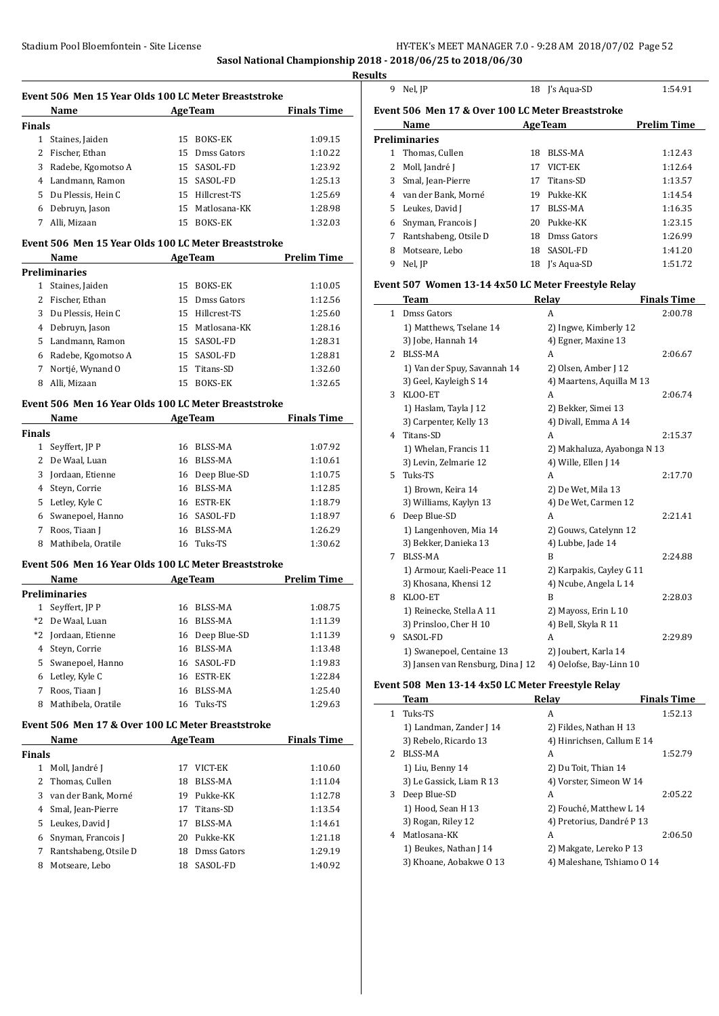**Sasol National Championship 2018 - 2018/06/25 to 2018/06/30**

 $\frac{1}{2}$ 

 $\overline{a}$ 

|         |                                                      |             | <b>Results</b> |
|---------|------------------------------------------------------|-------------|----------------|
|         | Event 506 Men 15 Year Olds 100 LC Meter Breaststroke |             |                |
| $N = 1$ | $A \sim \pi$                                         | Einele Time | $\Gamma$ vo    |

|               | Name                 |     | <b>AgeTeam</b>  | <b>Finals Time</b> |
|---------------|----------------------|-----|-----------------|--------------------|
| <b>Finals</b> |                      |     |                 |                    |
|               | Staines, Jaiden      | 15. | BOKS-EK         | 1:09.15            |
|               | 2 Fischer, Ethan     |     | 15 Dmss Gators  | 1:10.22            |
|               | 3 Radebe, Kgomotso A |     | 15 SASOL-FD     | 1:23.92            |
|               | 4 Landmann, Ramon    |     | 15 SASOL-FD     | 1:25.13            |
|               | 5 Du Plessis, Hein C |     | 15 Hillcrest-TS | 1:25.69            |
| 6             | Debruyn, Jason       |     | 15 Matlosana-KK | 1:28.98            |
|               | Alli, Mizaan         | 15  | <b>BOKS-EK</b>  | 1:32.03            |

#### **Event 506 Men 15 Year Olds 100 LC Meter Breaststroke**

|   | Name                 |    | <b>AgeTeam</b>  | <b>Prelim Time</b> |
|---|----------------------|----|-----------------|--------------------|
|   | <b>Preliminaries</b> |    |                 |                    |
| 1 | Staines, Jaiden      | 15 | BOKS-EK         | 1:10.05            |
|   | 2 Fischer, Ethan     |    | 15 Dmss Gators  | 1:12.56            |
|   | 3 Du Plessis, Hein C | 15 | Hillcrest-TS    | 1:25.60            |
|   | 4 Debruyn, Jason     |    | 15 Matlosana-KK | 1:28.16            |
|   | 5 Landmann, Ramon    |    | 15 SASOL-FD     | 1:28.31            |
| 6 | Radebe, Kgomotso A   |    | 15 SASOL-FD     | 1:28.81            |
| 7 | Nortié, Wynand O     | 15 | Titans-SD       | 1:32.60            |
| 8 | Alli, Mizaan         | 15 | <b>BOKS-EK</b>  | 1:32.65            |

#### **Event 506 Men 16 Year Olds 100 LC Meter Breaststroke**

|               |                                                                                                                                                                 |                | <b>Finals Time</b>                                          |  |
|---------------|-----------------------------------------------------------------------------------------------------------------------------------------------------------------|----------------|-------------------------------------------------------------|--|
| <b>Finals</b> |                                                                                                                                                                 |                |                                                             |  |
|               | 16                                                                                                                                                              | BLSS-MA        | 1:07.92                                                     |  |
|               | 16                                                                                                                                                              | BLSS-MA        | 1:10.61                                                     |  |
|               |                                                                                                                                                                 |                | 1:10.75                                                     |  |
|               | 16                                                                                                                                                              | BLSS-MA        | 1:12.85                                                     |  |
|               | 16                                                                                                                                                              |                | 1:18.79                                                     |  |
|               |                                                                                                                                                                 |                | 1:18.97                                                     |  |
|               | 16                                                                                                                                                              | <b>BLSS-MA</b> | 1:26.29                                                     |  |
|               | 16                                                                                                                                                              | Tuks-TS        | 1:30.62                                                     |  |
|               | Name<br>Seyffert, JP P<br>2 De Waal, Luan<br>Jordaan, Etienne<br>4 Steyn, Corrie<br>5 Letley, Kyle C<br>Swanepoel, Hanno<br>Roos, Tiaan J<br>Mathibela, Oratile |                | <b>AgeTeam</b><br>16 Deep Blue-SD<br>ESTR-EK<br>16 SASOL-FD |  |

#### **Event 506 Men 16 Year Olds 100 LC Meter Breaststroke**

|      | Name               |    | <b>AgeTeam</b>  | <b>Prelim Time</b> |  |  |
|------|--------------------|----|-----------------|--------------------|--|--|
|      | Preliminaries      |    |                 |                    |  |  |
|      | Seyffert, JP P     | 16 | BLSS-MA         | 1:08.75            |  |  |
|      | *2 De Waal, Luan   | 16 | BLSS-MA         | 1:11.39            |  |  |
| $*2$ | Jordaan, Etienne   |    | 16 Deep Blue-SD | 1:11.39            |  |  |
| 4    | Steyn, Corrie      | 16 | BLSS-MA         | 1:13.48            |  |  |
| 5.   | Swanepoel, Hanno   |    | 16 SASOL-FD     | 1:19.83            |  |  |
| 6    | Letley, Kyle C     | 16 | <b>ESTR-EK</b>  | 1:22.84            |  |  |
| 7    | Roos, Tiaan J      | 16 | <b>BLSS-MA</b>  | 1:25.40            |  |  |
| 8    | Mathibela, Oratile |    | 16 Tuks-TS      | 1:29.63            |  |  |

#### **Event 506 Men 17 & Over 100 LC Meter Breaststroke**

|               | Name                  |    | <b>AgeTeam</b> | <b>Finals Time</b> |
|---------------|-----------------------|----|----------------|--------------------|
| <b>Finals</b> |                       |    |                |                    |
| 1             | Moll, Jandré J        | 17 | VICT-EK        | 1:10.60            |
|               | 2 Thomas, Cullen      | 18 | BLSS-MA        | 1:11.04            |
|               | 3 van der Bank, Morné | 19 | Pukke-KK       | 1:12.78            |
|               | 4 Smal, Jean-Pierre   | 17 | Titans-SD      | 1:13.54            |
|               | 5 Leukes, David J     | 17 | BLSS-MA        | 1:14.61            |
| 6             | Snyman, Francois J    | 20 | Pukke-KK       | 1:21.18            |
| 7             | Rantshabeng, Otsile D | 18 | Dmss Gators    | 1:29.19            |
| 8             | Motseare, Lebo        | 18 | SASOL-FD       | 1:40.92            |

| 9 | Nel IP<br>. |  |
|---|-------------|--|

| ults                                              |           |                |                    |  |  |
|---------------------------------------------------|-----------|----------------|--------------------|--|--|
|                                                   | 9 Nel. IP | 18 I's Agua-SD | 1:54.91            |  |  |
| Event 506 Men 17 & Over 100 LC Meter Breaststroke |           |                |                    |  |  |
|                                                   | Name      | AgaTaam        | <b>Prolim Timo</b> |  |  |

|              | Name                  |    | <b>AgeTeam</b> | <b>Prelim Time</b> |  |  |
|--------------|-----------------------|----|----------------|--------------------|--|--|
|              | Preliminaries         |    |                |                    |  |  |
| 1            | Thomas, Cullen        | 18 | <b>BLSS-MA</b> | 1:12.43            |  |  |
| $\mathbf{2}$ | Moll, Jandré J        | 17 | VICT-EK        | 1:12.64            |  |  |
| 3            | Smal, Jean-Pierre     | 17 | Titans-SD      | 1:13.57            |  |  |
| 4            | van der Bank, Morné   | 19 | Pukke-KK       | 1:14.54            |  |  |
| 5.           | Leukes, David J       | 17 | BLSS-MA        | 1:16.35            |  |  |
| 6            | Snyman, Francois J    | 20 | Pukke-KK       | 1:23.15            |  |  |
|              | Rantshabeng, Otsile D | 18 | Dmss Gators    | 1:26.99            |  |  |
| 8            | Motseare, Lebo        | 18 | SASOL-FD       | 1:41.20            |  |  |
| 9            | Nel, JP               | 18 | I's Aqua-SD    | 1:51.72            |  |  |

#### **Event 507 Women 13-14 4x50 LC Meter Freestyle Relay**

|    | Team                              | Relay                       | <b>Finals Time</b> |
|----|-----------------------------------|-----------------------------|--------------------|
| 1  | Dmss Gators                       | A                           | 2:00.78            |
|    | 1) Matthews, Tselane 14           | 2) Ingwe, Kimberly 12       |                    |
|    | 3) Jobe, Hannah 14                | 4) Egner, Maxine 13         |                    |
| 2  | BLSS-MA                           | A                           | 2:06.67            |
|    | 1) Van der Spuy, Savannah 14      | 2) Olsen, Amber J 12        |                    |
|    | 3) Geel, Kayleigh S 14            | 4) Maartens, Aquilla M 13   |                    |
| 3  | KLOO-ET                           | A                           | 2:06.74            |
|    | 1) Haslam, Tayla J 12             | 2) Bekker, Simei 13         |                    |
|    | 3) Carpenter, Kelly 13            | 4) Divall, Emma A 14        |                    |
| 4  | Titans-SD                         | A                           | 2:15.37            |
|    | 1) Whelan, Francis 11             | 2) Makhaluza, Ayabonga N 13 |                    |
|    | 3) Levin, Zelmarie 12             | 4) Wille, Ellen J 14        |                    |
| 5. | Tuks-TS                           | A                           | 2:17.70            |
|    | 1) Brown, Keira 14                | 2) De Wet, Mila 13          |                    |
|    | 3) Williams, Kaylyn 13            | 4) De Wet, Carmen 12        |                    |
| 6  | Deep Blue-SD                      | A                           | 2:21.41            |
|    | 1) Langenhoven, Mia 14            | 2) Gouws, Catelynn 12       |                    |
|    | 3) Bekker, Danieka 13             | 4) Lubbe, Jade 14           |                    |
| 7  | <b>BLSS-MA</b>                    | B                           | 2:24.88            |
|    | 1) Armour, Kaeli-Peace 11         | 2) Karpakis, Cayley G 11    |                    |
|    | 3) Khosana, Khensi 12             | 4) Ncube, Angela L 14       |                    |
| 8  | KLOO-ET                           | B                           | 2:28.03            |
|    | 1) Reinecke, Stella A 11          | 2) Mayoss, Erin L 10        |                    |
|    | 3) Prinsloo, Cher H 10            | 4) Bell, Skyla R 11         |                    |
| 9  | SASOL-FD                          | A                           | 2:29.89            |
|    | 1) Swanepoel, Centaine 13         | 2) Joubert, Karla 14        |                    |
|    | 3) Jansen van Rensburg, Dina J 12 | 4) Oelofse, Bay-Linn 10     |                    |

#### **Event 508 Men 13-14 4x50 LC Meter Freestyle Relay**

|    | <b>Team</b>              | Relav                      | <b>Finals Time</b> |
|----|--------------------------|----------------------------|--------------------|
| 1. | Tuks-TS                  | A                          | 1:52.13            |
|    | 1) Landman, Zander J 14  | 2) Fildes, Nathan H 13     |                    |
|    | 3) Rebelo, Ricardo 13    | 4) Hinrichsen, Callum E 14 |                    |
| 2  | BLSS-MA                  | A                          | 1:52.79            |
|    | 1) Liu, Benny 14         | 2) Du Toit, Thian 14       |                    |
|    | 3) Le Gassick, Liam R 13 | 4) Vorster, Simeon W 14    |                    |
| 3  | Deep Blue-SD             | A                          | 2:05.22            |
|    | 1) Hood, Sean H 13       | 2) Fouché, Matthew L 14    |                    |
|    | 3) Rogan, Riley 12       | 4) Pretorius, Dandré P 13  |                    |
| 4  | Matlosana-KK             | A                          | 2:06.50            |
|    | 1) Beukes, Nathan J 14   | 2) Makgate, Lereko P 13    |                    |
|    | 3) Khoane, Aobakwe 0 13  | 4) Maleshane, Tshiamo 0 14 |                    |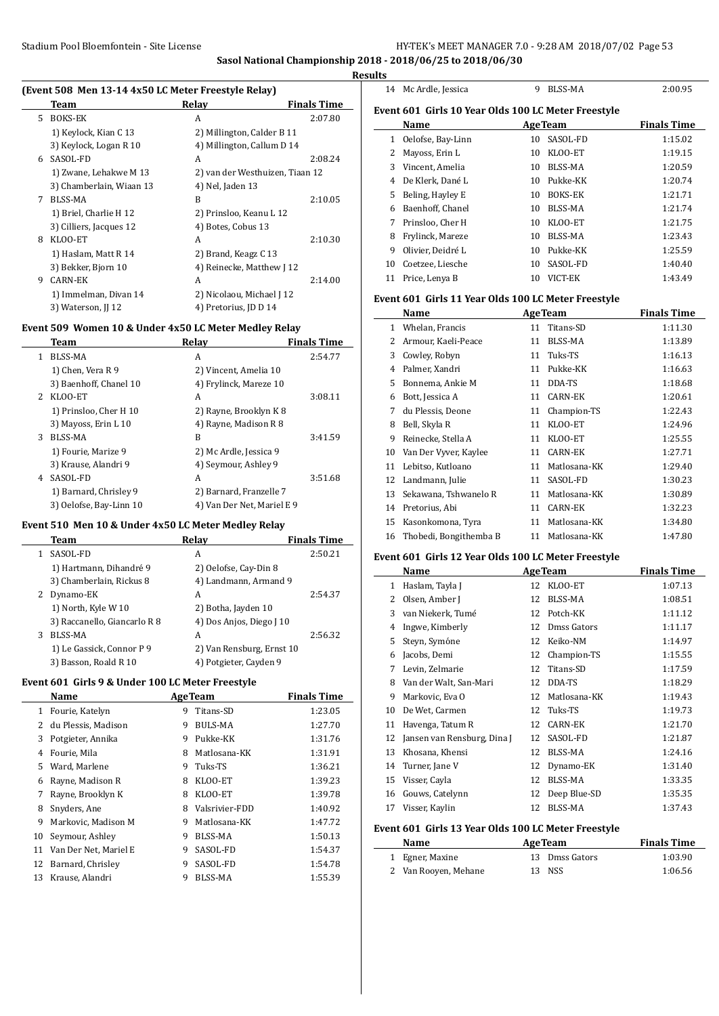**Sasol National Championship 2018 - 2018/06/25 to 2018/06/30**

**Results**

 $\overline{a}$ 

 $\overline{\phantom{a}}$ 

 $\overline{\phantom{a}}$ 

|    | Team                     | Relay                           | <b>Finals Time</b> |
|----|--------------------------|---------------------------------|--------------------|
| 5. | BOKS-EK                  | A                               | 2:07.80            |
|    | 1) Keylock, Kian C 13    | 2) Millington, Calder B 11      |                    |
|    | 3) Keylock, Logan R 10   | 4) Millington, Callum D 14      |                    |
| 6. | SASOL-FD                 | A                               | 2:08.24            |
|    | 1) Zwane, Lehakwe M 13   | 2) van der Westhuizen, Tiaan 12 |                    |
|    | 3) Chamberlain, Wiaan 13 | 4) Nel, Jaden 13                |                    |
| 7  | <b>BLSS-MA</b>           | B                               | 2:10.05            |
|    | 1) Briel, Charlie H 12   | 2) Prinsloo, Keanu L 12         |                    |
|    | 3) Cilliers, Jacques 12  | 4) Botes, Cobus 13              |                    |
| 8  | KLOO-ET                  | A                               | 2:10.30            |
|    | 1) Haslam, Matt R 14     | 2) Brand, Keagz C 13            |                    |
|    | 3) Bekker, Bjorn 10      | 4) Reinecke, Matthew J 12       |                    |
| 9  | <b>CARN-EK</b>           | A                               | 2:14.00            |
|    | 1) Immelman, Divan 14    | 2) Nicolaou, Michael J 12       |                    |
|    | 3) Waterson, II 12       | 4) Pretorius, JD D 14           |                    |

#### **Event 509 Women 10 & Under 4x50 LC Meter Medley Relay**

|              | Team                    | Relay                      | <b>Finals Time</b> |
|--------------|-------------------------|----------------------------|--------------------|
| $\mathbf{1}$ | BLSS-MA                 | A                          | 2:54.77            |
|              | 1) Chen, Vera R 9       | 2) Vincent, Amelia 10      |                    |
|              | 3) Baenhoff, Chanel 10  | 4) Frylinck, Mareze 10     |                    |
| $2^{\circ}$  | KLOO-ET                 | A                          | 3:08.11            |
|              | 1) Prinsloo, Cher H 10  | 2) Rayne, Brooklyn K 8     |                    |
|              | 3) Mayoss, Erin L 10    | 4) Rayne, Madison R 8      |                    |
| 3            | BLSS-MA                 | B                          | 3:41.59            |
|              | 1) Fourie, Marize 9     | 2) Mc Ardle, Jessica 9     |                    |
|              | 3) Krause, Alandri 9    | 4) Seymour, Ashley 9       |                    |
| 4            | SASOL-FD                | A                          | 3:51.68            |
|              | 1) Barnard, Chrisley 9  | 2) Barnard, Franzelle 7    |                    |
|              | 3) Oelofse, Bay-Linn 10 | 4) Van Der Net, Mariel E 9 |                    |
|              |                         |                            |                    |

#### **Event 510 Men 10 & Under 4x50 LC Meter Medley Relay**

|   | Team                         | Relay                     | <b>Finals Time</b> |
|---|------------------------------|---------------------------|--------------------|
| 1 | SASOL-FD                     | А                         | 2:50.21            |
|   | 1) Hartmann, Dihandré 9      | 2) Oelofse, Cay-Din 8     |                    |
|   | 3) Chamberlain, Rickus 8     | 4) Landmann, Armand 9     |                    |
| 2 | Dynamo-EK                    | A                         | 2:54.37            |
|   | 1) North, Kyle W 10          | 2) Botha, Jayden 10       |                    |
|   | 3) Raccanello, Giancarlo R 8 | 4) Dos Anjos, Diego J 10  |                    |
| 3 | <b>BLSS-MA</b>               | А                         | 2:56.32            |
|   | 1) Le Gassick, Connor P 9    | 2) Van Rensburg, Ernst 10 |                    |
|   | 3) Basson, Roald R 10        | 4) Potgieter, Cayden 9    |                    |

#### **Event 601 Girls 9 & Under 100 LC Meter Freestyle**

| Name                  | <b>AgeTeam</b> |                | <b>Finals Time</b> |
|-----------------------|----------------|----------------|--------------------|
| Fourie, Katelyn       | 9              | Titans-SD      | 1:23.05            |
| du Plessis, Madison   | 9              | BULS-MA        | 1:27.70            |
| Potgieter, Annika     | 9              | Pukke-KK       | 1:31.76            |
| Fourie, Mila          | 8              | Matlosana-KK   | 1:31.91            |
| Ward, Marlene         | 9              | Tuks-TS        | 1:36.21            |
| Rayne, Madison R      | 8              | KLOO-ET        | 1:39.23            |
| Rayne, Brooklyn K     | 8              | KLOO-ET        | 1:39.78            |
| Snyders, Ane          | 8              | Valsrivier-FDD | 1:40.92            |
| Markovic, Madison M   | 9              | Matlosana-KK   | 1:47.72            |
| Seymour, Ashley       | 9              | BLSS-MA        | 1:50.13            |
| Van Der Net, Mariel E | 9              | SASOL-FD       | 1:54.37            |
| Barnard, Chrisley     | 9              | SASOL-FD       | 1:54.78            |
| Krause, Alandri       | 9              | BLSS-MA        | 1:55.39            |
|                       |                |                |                    |

| 11 L.J |                                                     |    |                |                    |
|--------|-----------------------------------------------------|----|----------------|--------------------|
| 14     | Mc Ardle, Jessica                                   | 9  | BLSS-MA        | 2:00.95            |
|        | Event 601 Girls 10 Year Olds 100 LC Meter Freestyle |    |                |                    |
|        | Name                                                |    | <b>AgeTeam</b> | <b>Finals Time</b> |
| 1      | Oelofse, Bay-Linn                                   | 10 | SASOL-FD       | 1:15.02            |
| 2      | Mayoss, Erin L                                      | 10 | KLOO-ET        | 1:19.15            |
| 3      | Vincent, Amelia                                     | 10 | BLSS-MA        | 1:20.59            |
| 4      | De Klerk, Dané L                                    | 10 | Pukke-KK       | 1:20.74            |
| 5      | Beling, Hayley E                                    | 10 | BOKS-EK        | 1:21.71            |
| 6      | Baenhoff, Chanel                                    | 10 | BLSS-MA        | 1:21.74            |
| 7      | Prinsloo, Cher H                                    | 10 | KLOO-ET        | 1:21.75            |
| 8      | Frylinck, Mareze                                    | 10 | BLSS-MA        | 1:23.43            |
| 9      | Olivier, Deidré L                                   | 10 | Pukke-KK       | 1:25.59            |
| 10     | Coetzee, Liesche                                    | 10 | SASOL-FD       | 1:40.40            |
| 11     | Price, Lenya B                                      | 10 | VICT-EK        | 1:43.49            |
|        |                                                     |    |                |                    |

## **Event 601 Girls 11 Year Olds 100 LC Meter Freestyle**

|    | Name                   |    | <b>AgeTeam</b> | <b>Finals Time</b> |
|----|------------------------|----|----------------|--------------------|
| 1  | Whelan, Francis        | 11 | Titans-SD      | 1:11.30            |
| 2  | Armour, Kaeli-Peace    | 11 | BLSS-MA        | 1:13.89            |
| 3  | Cowley, Robyn          | 11 | Tuks-TS        | 1:16.13            |
| 4  | Palmer, Xandri         | 11 | Pukke-KK       | 1:16.63            |
| 5  | Bonnema, Ankie M       | 11 | DDA-TS         | 1:18.68            |
| 6  | Bott, Jessica A        | 11 | <b>CARN-EK</b> | 1:20.61            |
| 7  | du Plessis, Deone      | 11 | Champion-TS    | 1:22.43            |
| 8  | Bell, Skyla R          | 11 | KLOO-ET        | 1:24.96            |
| 9  | Reinecke, Stella A     | 11 | KLOO-ET        | 1:25.55            |
| 10 | Van Der Vyver, Kaylee  | 11 | CARN-EK        | 1:27.71            |
| 11 | Lebitso, Kutloano      | 11 | Matlosana-KK   | 1:29.40            |
| 12 | Landmann, Julie        | 11 | SASOL-FD       | 1:30.23            |
| 13 | Sekawana, Tshwanelo R  | 11 | Matlosana-KK   | 1:30.89            |
| 14 | Pretorius, Abi         | 11 | <b>CARN-EK</b> | 1:32.23            |
| 15 | Kasonkomona, Tyra      | 11 | Matlosana-KK   | 1:34.80            |
| 16 | Thobedi, Bongithemba B | 11 | Matlosana-KK   | 1:47.80            |

# **Event 601 Girls 12 Year Olds 100 LC Meter Freestyle**

|    | Name                        |    | <b>AgeTeam</b> | <b>Finals Time</b> |
|----|-----------------------------|----|----------------|--------------------|
| 1  | Haslam, Tayla J             | 12 | KLOO-ET        | 1:07.13            |
| 2  | Olsen, Amber J              | 12 | BLSS-MA        | 1:08.51            |
| 3  | van Niekerk, Tumé           | 12 | Potch-KK       | 1:11.12            |
| 4  | Ingwe, Kimberly             | 12 | Dmss Gators    | 1:11.17            |
| 5  | Steyn, Symóne               | 12 | Keiko-NM       | 1:14.97            |
| 6  | Jacobs, Demi                | 12 | Champion-TS    | 1:15.55            |
| 7  | Levin, Zelmarie             | 12 | Titans-SD      | 1:17.59            |
| 8  | Van der Walt, San-Mari      | 12 | DDA-TS         | 1:18.29            |
| 9  | Markovic, Eva O             | 12 | Matlosana-KK   | 1:19.43            |
| 10 | De Wet, Carmen              | 12 | Tuks-TS        | 1:19.73            |
| 11 | Havenga, Tatum R            | 12 | <b>CARN-EK</b> | 1:21.70            |
| 12 | Jansen van Rensburg, Dina J | 12 | SASOL-FD       | 1:21.87            |
| 13 | Khosana, Khensi             | 12 | BLSS-MA        | 1:24.16            |
| 14 | Turner, Jane V              | 12 | Dynamo-EK      | 1:31.40            |
| 15 | Visser, Cayla               | 12 | BLSS-MA        | 1:33.35            |
| 16 | Gouws, Catelynn             | 12 | Deep Blue-SD   | 1:35.35            |
| 17 | Visser, Kaylin              | 12 | BLSS-MA        | 1:37.43            |

## **Event 601 Girls 13 Year Olds 100 LC Meter Freestyle**

| Name                 | <b>AgeTeam</b> | <b>Finals Time</b> |
|----------------------|----------------|--------------------|
| 1 Egner, Maxine      | 13 Dmss Gators | 1:03.90            |
| 2 Van Rooyen, Mehane | 13 NSS         | 1:06.56            |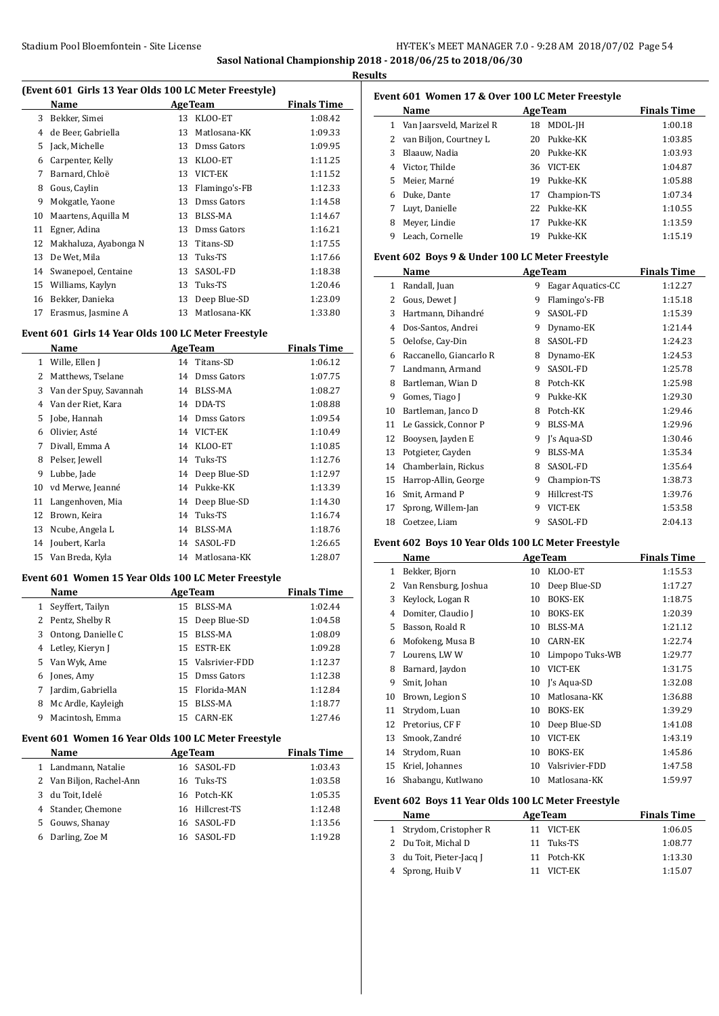#### Stadium Pool Bloemfontein - Site License HY-TEK's MEET MANAGER 7.0 - 9:28 AM 2018/07/02 Page 54 **Sasol National Championship 2018 - 2018/06/25 to 2018/06/30**

**Results**

J.

 $\overline{a}$ 

 $\overline{a}$ 

#### **(Event 601 Girls 13 Year Olds 100 LC Meter Freestyle)**

|    | Name                  |    | <b>AgeTeam</b> | <b>Finals Time</b> |
|----|-----------------------|----|----------------|--------------------|
| 3  | Bekker, Simei         | 13 | KLOO-ET        | 1:08.42            |
| 4  | de Beer, Gabriella    | 13 | Matlosana-KK   | 1:09.33            |
| 5  | Jack, Michelle        | 13 | Dmss Gators    | 1:09.95            |
| 6  | Carpenter, Kelly      | 13 | KLOO-ET        | 1:11.25            |
| 7  | Barnard, Chloë        | 13 | VICT-EK        | 1:11.52            |
| 8  | Gous, Caylin          | 13 | Flamingo's-FB  | 1:12.33            |
| 9  | Mokgatle, Yaone       | 13 | Dmss Gators    | 1:14.58            |
| 10 | Maartens, Aquilla M   | 13 | <b>BLSS-MA</b> | 1:14.67            |
| 11 | Egner, Adina          | 13 | Dmss Gators    | 1:16.21            |
| 12 | Makhaluza, Ayabonga N | 13 | Titans-SD      | 1:17.55            |
| 13 | De Wet, Mila          | 13 | Tuks-TS        | 1:17.66            |
| 14 | Swanepoel, Centaine   | 13 | SASOL-FD       | 1:18.38            |
| 15 | Williams, Kaylyn      | 13 | Tuks-TS        | 1:20.46            |
| 16 | Bekker, Danieka       | 13 | Deep Blue-SD   | 1:23.09            |
| 17 | Erasmus, Jasmine A    | 13 | Matlosana-KK   | 1:33.80            |

# **Event 601 Girls 14 Year Olds 100 LC Meter Freestyle**

|    | Name                   | <b>AgeTeam</b> |                 | <b>Finals Time</b> |
|----|------------------------|----------------|-----------------|--------------------|
| 1  | Wille, Ellen J         |                | 14 Titans-SD    | 1:06.12            |
| 2  | Matthews, Tselane      | 14             | Dmss Gators     | 1:07.75            |
| 3  | Van der Spuy, Savannah | 14             | BLSS-MA         | 1:08.27            |
| 4  | Van der Riet, Kara     | 14             | DDA-TS          | 1:08.88            |
| 5  | Jobe, Hannah           |                | 14 Dmss Gators  | 1:09.54            |
| 6  | Olivier, Asté          | 14             | VICT-EK         | 1:10.49            |
| 7  | Divall, Emma A         | 14             | KLOO-ET         | 1:10.85            |
| 8  | Pelser, Jewell         |                | 14 Tuks-TS      | 1:12.76            |
| 9  | Lubbe, Jade            |                | 14 Deep Blue-SD | 1:12.97            |
| 10 | vd Merwe, Jeanné       | 14             | Pukke-KK        | 1:13.39            |
| 11 | Langenhoven, Mia       |                | 14 Deep Blue-SD | 1:14.30            |
| 12 | Brown, Keira           | 14             | Tuks-TS         | 1:16.74            |
| 13 | Ncube, Angela L        | 14             | <b>BLSS-MA</b>  | 1:18.76            |
| 14 | Joubert, Karla         | 14             | SASOL-FD        | 1:26.65            |
| 15 | Van Breda, Kyla        | 14             | Matlosana-KK    | 1:28.07            |

#### **Event 601 Women 15 Year Olds 100 LC Meter Freestyle**

|   | Name               |    | <b>AgeTeam</b>    | <b>Finals Time</b> |
|---|--------------------|----|-------------------|--------------------|
| 1 | Seyffert, Tailyn   | 15 | BLSS-MA           | 1:02.44            |
|   | 2 Pentz, Shelby R  |    | 15 Deep Blue-SD   | 1:04.58            |
| 3 | Ontong, Danielle C | 15 | BLSS-MA           | 1:08.09            |
| 4 | Letley, Kieryn J   | 15 | ESTR-EK           | 1:09.28            |
| 5 | Van Wyk, Ame       |    | 15 Valsrivier-FDD | 1:12.37            |
| 6 | Jones, Amy         | 15 | Dmss Gators       | 1:12.38            |
| 7 | Jardim, Gabriella  | 15 | Florida-MAN       | 1:12.84            |
| 8 | Mc Ardle, Kayleigh | 15 | BLSS-MA           | 1:18.77            |
| 9 | Macintosh, Emma    | 15 | CARN-EK           | 1:27.46            |

# **Event 601 Women 16 Year Olds 100 LC Meter Freestyle**

|    | <b>Name</b>              | <b>AgeTeam</b>  | <b>Finals Time</b> |
|----|--------------------------|-----------------|--------------------|
|    | 1 Landmann, Natalie      | 16 SASOL-FD     | 1:03.43            |
|    | 2 Van Biljon, Rachel-Ann | 16 Tuks-TS      | 1:03.58            |
| 3  | du Toit, Idelé           | 16 Potch-KK     | 1:05.35            |
|    | 4 Stander, Chemone       | 16 Hillcrest-TS | 1:12.48            |
| 5. | Gouws, Shanay            | 16 SASOL-FD     | 1:13.56            |
| 6  | Darling, Zoe M           | 16 SASOL-FD     | 1:19.28            |

| Event 601 Women 17 & Over 100 LC Meter Freestyle |                          |    |                |                    |  |
|--------------------------------------------------|--------------------------|----|----------------|--------------------|--|
|                                                  | <b>Name</b>              |    | <b>AgeTeam</b> | <b>Finals Time</b> |  |
|                                                  | Van Jaarsveld, Marizel R | 18 | MDOL-JH        | 1:00.18            |  |
| 2                                                | van Biljon, Courtney L   | 20 | Pukke-KK       | 1:03.85            |  |
| 3                                                | Blaauw. Nadia            | 20 | Pukke-KK       | 1:03.93            |  |
| 4                                                | Victor, Thilde           | 36 | VICT-EK        | 1:04.87            |  |
| 5.                                               | Meier, Marné             | 19 | Pukke-KK       | 1:05.88            |  |
| 6                                                | Duke, Dante              | 17 | Champion-TS    | 1:07.34            |  |
| 7                                                | Luvt, Danielle           | 22 | Pukke-KK       | 1:10.55            |  |
| 8                                                | Meyer, Lindie            | 17 | Pukke-KK       | 1:13.59            |  |
| 9                                                | Leach, Cornelle          | 19 | Pukke-KK       | 1:15.19            |  |

#### **Event 602 Boys 9 & Under 100 LC Meter Freestyle**

|    | Name                    |   | <b>AgeTeam</b>    | <b>Finals Time</b> |
|----|-------------------------|---|-------------------|--------------------|
| 1  | Randall, Juan           | 9 | Eagar Aquatics-CC | 1:12.27            |
| 2  | Gous, Dewet J           | 9 | Flamingo's-FB     | 1:15.18            |
| 3  | Hartmann, Dihandré      | 9 | SASOL-FD          | 1:15.39            |
| 4  | Dos-Santos, Andrei      | 9 | Dynamo-EK         | 1:21.44            |
| 5  | Oelofse, Cay-Din        | 8 | SASOL-FD          | 1:24.23            |
| 6  | Raccanello, Giancarlo R | 8 | Dynamo-EK         | 1:24.53            |
| 7  | Landmann, Armand        | 9 | SASOL-FD          | 1:25.78            |
| 8  | Bartleman, Wian D       | 8 | Potch-KK          | 1:25.98            |
| 9  | Gomes, Tiago J          | 9 | Pukke-KK          | 1:29.30            |
| 10 | Bartleman, Janco D      | 8 | Potch-KK          | 1:29.46            |
| 11 | Le Gassick, Connor P    | 9 | BLSS-MA           | 1:29.96            |
| 12 | Booysen, Jayden E       | 9 | J's Aqua-SD       | 1:30.46            |
| 13 | Potgieter, Cayden       | 9 | BLSS-MA           | 1:35.34            |
| 14 | Chamberlain, Rickus     | 8 | SASOL-FD          | 1:35.64            |
| 15 | Harrop-Allin, George    | 9 | Champion-TS       | 1:38.73            |
| 16 | Smit, Armand P          | 9 | Hillcrest-TS      | 1:39.76            |
| 17 | Sprong, Willem-Jan      | 9 | VICT-EK           | 1:53.58            |
| 18 | Coetzee. Liam           | 9 | SASOL-FD          | 2:04.13            |

#### **Event 602 Boys 10 Year Olds 100 LC Meter Freestyle**

|    | Name                 |    | <b>AgeTeam</b>  | <b>Finals Time</b> |
|----|----------------------|----|-----------------|--------------------|
| 1  | Bekker, Bjorn        | 10 | KLOO-ET         | 1:15.53            |
| 2  | Van Rensburg, Joshua | 10 | Deep Blue-SD    | 1:17.27            |
| 3  | Keylock, Logan R     | 10 | <b>BOKS-EK</b>  | 1:18.75            |
| 4  | Domiter, Claudio J   | 10 | <b>BOKS-EK</b>  | 1:20.39            |
| 5  | Basson, Roald R      | 10 | BLSS-MA         | 1:21.12            |
| 6  | Mofokeng, Musa B     | 10 | <b>CARN-EK</b>  | 1:22.74            |
| 7  | Lourens, LWW         | 10 | Limpopo Tuks-WB | 1:29.77            |
| 8  | Barnard, Jaydon      | 10 | VICT-EK         | 1:31.75            |
| 9  | Smit, Johan          | 10 | J's Aqua-SD     | 1:32.08            |
| 10 | Brown, Legion S      | 10 | Matlosana-KK    | 1:36.88            |
| 11 | Strydom, Luan        | 10 | <b>BOKS-EK</b>  | 1:39.29            |
| 12 | Pretorius, CF F      | 10 | Deep Blue-SD    | 1:41.08            |
| 13 | Smook, Zandré        | 10 | VICT-EK         | 1:43.19            |
| 14 | Strydom, Ruan        | 10 | <b>BOKS-EK</b>  | 1:45.86            |
| 15 | Kriel, Johannes      | 10 | Valsrivier-FDD  | 1:47.58            |
| 16 | Shabangu, Kutlwano   | 10 | Matlosana-KK    | 1:59.97            |

#### **Event 602 Boys 11 Year Olds 100 LC Meter Freestyle**

| <b>Name</b>         |                          | <b>AgeTeam</b> | <b>Finals Time</b> |
|---------------------|--------------------------|----------------|--------------------|
|                     | 1 Strydom, Cristopher R  | 11 VICT-EK     | 1:06.05            |
| 2 Du Toit, Michal D |                          | 11 Tuks-TS     | 1:08.77            |
|                     | 3 du Toit, Pieter-Jacq J | 11 Potch-KK    | 1:13.30            |
| 4 Sprong, Huib V    |                          | 11 VICT-EK     | 1:15.07            |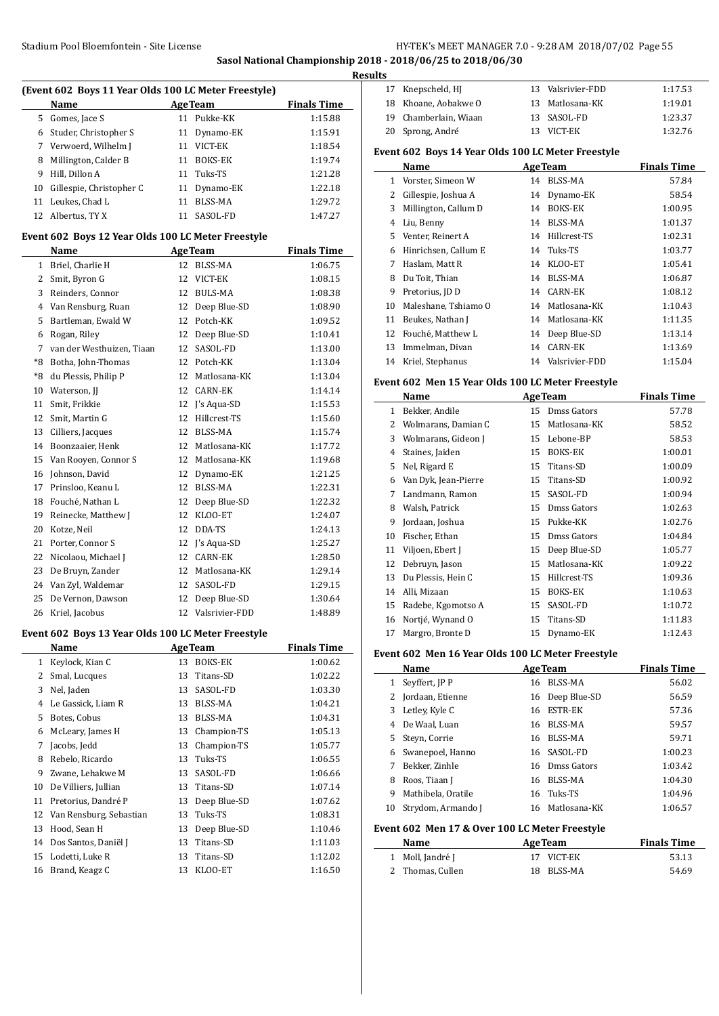**Sasol National Championship 2018 - 2018/06/25 to 2018/06/30**

 $\overline{a}$ 

 $\sim$ 

 $\overline{\phantom{a}}$ 

|              | (Event 602 Boys 11 Year Olds 100 LC Meter Freestyle) |    |                           |                               |
|--------------|------------------------------------------------------|----|---------------------------|-------------------------------|
|              | Name                                                 |    | <b>AgeTeam</b>            | <b>Finals Time</b>            |
| 5            | Gomes, Jace S                                        |    | 11 Pukke-KK               | 1:15.88                       |
| 6            | Studer, Christopher S                                | 11 | Dynamo-EK                 | 1:15.91                       |
|              | 7 Verwoerd, Wilhelm J                                |    | 11 VICT-EK                | 1:18.54                       |
| 8            | Millington, Calder B                                 |    | 11 BOKS-EK                | 1:19.74                       |
| 9            | Hill, Dillon A                                       |    | 11 Tuks-TS                | 1:21.28                       |
| 10           | Gillespie, Christopher C                             |    | 11 Dynamo-EK              | 1:22.18                       |
| 11           | Leukes, Chad L                                       | 11 | <b>BLSS-MA</b>            | 1:29.72                       |
| 12           | Albertus, TY X                                       |    | 11 SASOL-FD               | 1:47.27                       |
|              | Event 602 Boys 12 Year Olds 100 LC Meter Freestyle   |    |                           |                               |
| $\mathbf{1}$ | Name<br>Briel, Charlie H                             | 12 | <b>AgeTeam</b><br>BLSS-MA | <b>Finals Time</b><br>1:06.75 |
| 2            |                                                      | 12 | VICT-EK                   | 1:08.15                       |
|              | Smit, Byron G                                        |    |                           |                               |
| 3            | Reinders, Connor                                     |    | 12 BULS-MA                | 1:08.38                       |
| 4            | Van Rensburg, Ruan                                   |    | 12 Deep Blue-SD           | 1:08.90                       |
| 5            | Bartleman, Ewald W                                   |    | 12 Potch-KK               | 1:09.52                       |
| 6            | Rogan, Riley                                         |    | 12 Deep Blue-SD           | 1:10.41                       |
| 7            | van der Westhuizen. Tiaan                            |    | 12 SASOL-FD               | 1:13.00                       |
| *8           | Botha, John-Thomas                                   |    | 12 Potch-KK               | 1:13.04                       |
| *8           | du Plessis, Philip P                                 |    | 12 Matlosana-KK           | 1:13.04                       |
| 10           | Waterson, JJ                                         |    | 12 CARN-EK                | 1:14.14                       |
| 11           | Smit, Frikkie                                        |    | 12 J's Aqua-SD            | 1:15.53                       |
| 12           | Smit, Martin G                                       | 12 | Hillcrest-TS              | 1:15.60                       |
| 13           | Cilliers, Jacques                                    |    | 12 BLSS-MA                | 1:15.74                       |
| 14           | Boonzaaier, Henk                                     | 12 | Matlosana-KK              | 1:17.72                       |
| 15           | Van Rooyen, Connor S                                 | 12 | Matlosana-KK              | 1:19.68                       |
| 16           | Johnson, David                                       | 12 | Dynamo-EK                 | 1:21.25                       |
| 17           | Prinsloo, Keanu L                                    |    | 12 BLSS-MA                | 1:22.31                       |
| 18           | Fouché, Nathan L                                     |    | 12 Deep Blue-SD           | 1:22.32                       |
| 19           | Reinecke, Matthew J                                  | 12 | KLOO-ET                   | 1:24.07                       |
| 20           | Kotze, Neil                                          |    | 12 DDA-TS                 | 1:24.13                       |
| 21           | Porter, Connor S                                     |    | 12 J's Aqua-SD            | 1:25.27                       |
| 22           | Nicolaou, Michael J                                  |    | 12 CARN-EK                | 1:28.50                       |
| 23           | De Bruyn, Zander                                     |    | 12 Matlosana-KK           | 1:29.14                       |
| 24           | Van Zyl, Waldemar                                    | 12 | SASOL-FD                  | 1:29.15                       |
| 25           | De Vernon, Dawson                                    | 12 | Deep Blue-SD              | 1:30.64                       |
| 26           | Kriel, Jacobus                                       |    | 12 Valsrivier-FDD         | 1:48.89                       |
|              | Event 602 Boys 13 Year Olds 100 LC Meter Freestyle   |    |                           |                               |
|              | Name                                                 |    | <b>AgeTeam</b>            | <b>Finals Time</b>            |
| $\mathbf{1}$ | Keylock, Kian C                                      | 13 | <b>BOKS-EK</b>            | 1:00.62                       |
| 2            | Smal, Lucques                                        | 13 | Titans-SD                 | 1:02.22                       |
| 3            | Nel, Jaden                                           | 13 | SASOL-FD                  | 1:03.30                       |
| 4            | Le Gassick, Liam R                                   | 13 | BLSS-MA                   | 1:04.21                       |
| 5            | Botes, Cobus                                         | 13 | BLSS-MA                   | 1:04.31                       |
| 6            | McLeary, James H                                     | 13 | Champion-TS               | 1:05.13                       |
| 7            | Jacobs, Jedd                                         | 13 | Champion-TS               | 1:05.77                       |
| 8            | Rebelo, Ricardo                                      | 13 | Tuks-TS                   | 1:06.55                       |
| 9            | Zwane, Lehakwe M                                     | 13 | SASOL-FD                  | 1:06.66                       |
| 10           | De Villiers, Jullian                                 | 13 | Titans-SD                 | 1:07.14                       |
| 11           | Pretorius, Dandré P                                  | 13 | Deep Blue-SD              | 1:07.62                       |
| 12           | Van Rensburg, Sebastian                              | 13 | Tuks-TS                   | 1:08.31                       |
| 13           | Hood, Sean H                                         | 13 | Deep Blue-SD              | 1:10.46                       |
| 14           | Dos Santos, Daniël J                                 | 13 | Titans-SD                 | 1:11.03                       |
| 15           | Lodetti, Luke R                                      | 13 | Titans-SD                 | 1:12.02                       |
| 16           | Brand, Keagz C                                       | 13 | KLOO-ET                   | 1:16.50                       |

| <b>Results</b> |                       |      |                   |         |
|----------------|-----------------------|------|-------------------|---------|
|                | 17 Knepscheld, HJ     |      | 13 Valsrivier-FDD | 1:17.53 |
|                | 18 Khoane, Aobakwe O  |      | 13 Matlosana-KK   | 1:19.01 |
|                | 19 Chamberlain, Wiaan |      | 13 SASOL-FD       | 1:23.37 |
|                | 20 Sprong, André      | -13- | VICT-EK           | 1:32.76 |

#### **Event 602 Boys 14 Year Olds 100 LC Meter Freestyle**

|    | Name                 |    | <b>AgeTeam</b>    | <b>Finals Time</b> |
|----|----------------------|----|-------------------|--------------------|
| 1  | Vorster, Simeon W    | 14 | <b>BLSS-MA</b>    | 57.84              |
| 2  | Gillespie, Joshua A  | 14 | Dynamo-EK         | 58.54              |
| 3  | Millington, Callum D | 14 | BOKS-EK           | 1:00.95            |
| 4  | Liu, Benny           | 14 | BLSS-MA           | 1:01.37            |
| 5. | Venter, Reinert A    | 14 | Hillcrest-TS      | 1:02.31            |
| 6  | Hinrichsen, Callum E | 14 | Tuks-TS           | 1:03.77            |
| 7  | Haslam, Matt R       | 14 | KLOO-ET           | 1:05.41            |
| 8  | Du Toit, Thian       | 14 | BLSS-MA           | 1:06.87            |
| 9  | Pretorius, JD D      | 14 | CARN-EK           | 1:08.12            |
| 10 | Maleshane, Tshiamo O | 14 | Matlosana-KK      | 1:10.43            |
| 11 | Beukes, Nathan J     | 14 | Matlosana-KK      | 1:11.35            |
| 12 | Fouché, Matthew L    | 14 | Deep Blue-SD      | 1:13.14            |
| 13 | Immelman, Divan      | 14 | <b>CARN-EK</b>    | 1:13.69            |
| 14 | Kriel, Stephanus     |    | 14 Valsrivier-FDD | 1:15.04            |

#### **Event 602 Men 15 Year Olds 100 LC Meter Freestyle**

|    | Name                 |    | <b>AgeTeam</b> | <b>Finals Time</b> |
|----|----------------------|----|----------------|--------------------|
| 1  | Bekker, Andile       | 15 | Dmss Gators    | 57.78              |
| 2  | Wolmarans, Damian C  | 15 | Matlosana-KK   | 58.52              |
| 3  | Wolmarans, Gideon J  | 15 | Lebone-BP      | 58.53              |
| 4  | Staines, Jaiden      | 15 | <b>BOKS-EK</b> | 1:00.01            |
| 5  | Nel, Rigard E        | 15 | Titans-SD      | 1:00.09            |
| 6  | Van Dyk, Jean-Pierre | 15 | Titans-SD      | 1:00.92            |
| 7  | Landmann, Ramon      | 15 | SASOL-FD       | 1:00.94            |
| 8  | Walsh, Patrick       | 15 | Dmss Gators    | 1:02.63            |
| 9  | Jordaan, Joshua      | 15 | Pukke-KK       | 1:02.76            |
| 10 | Fischer, Ethan       | 15 | Dmss Gators    | 1:04.84            |
| 11 | Viljoen, Ebert J     | 15 | Deep Blue-SD   | 1:05.77            |
| 12 | Debruyn, Jason       | 15 | Matlosana-KK   | 1:09.22            |
| 13 | Du Plessis, Hein C   | 15 | Hillcrest-TS   | 1:09.36            |
| 14 | Alli, Mizaan         | 15 | <b>BOKS-EK</b> | 1:10.63            |
| 15 | Radebe, Kgomotso A   | 15 | SASOL-FD       | 1:10.72            |
| 16 | Nortjé, Wynand O     | 15 | Titans-SD      | 1:11.83            |
| 17 | Margro, Bronte D     | 15 | Dynamo-EK      | 1:12.43            |

#### **Event 602 Men 16 Year Olds 100 LC Meter Freestyle**

|    | Name               |    | <b>AgeTeam</b>  | <b>Finals Time</b> |
|----|--------------------|----|-----------------|--------------------|
| 1  | Seyffert, JP P     | 16 | <b>BLSS-MA</b>  | 56.02              |
| 2  | Jordaan, Etienne   |    | 16 Deep Blue-SD | 56.59              |
| 3  | Letley, Kyle C     | 16 | ESTR-EK         | 57.36              |
| 4  | De Waal, Luan      |    | 16 BLSS-MA      | 59.57              |
|    | 5 Stevn, Corrie    |    | 16 BLSS-MA      | 59.71              |
| 6  | Swanepoel, Hanno   |    | 16 SASOL-FD     | 1:00.23            |
| 7  | Bekker. Zinhle     |    | 16 Dmss Gators  | 1:03.42            |
| 8  | Roos, Tiaan J      | 16 | BLSS-MA         | 1:04.30            |
| 9  | Mathibela, Oratile |    | 16 Tuks-TS      | 1:04.96            |
| 10 | Strydom, Armando J |    | 16 Matlosana-KK | 1:06.57            |
|    |                    |    |                 |                    |

# **Event 602 Men 17 & Over 100 LC Meter Freestyle**

| <b>AgeTeam</b><br>Name |            | <b>Finals Time</b> |
|------------------------|------------|--------------------|
| 1 Moll, Jandré J       | 17 VICT-EK | 53.13              |
| 2 Thomas, Cullen       | 18 BLSS-MA | 54.69              |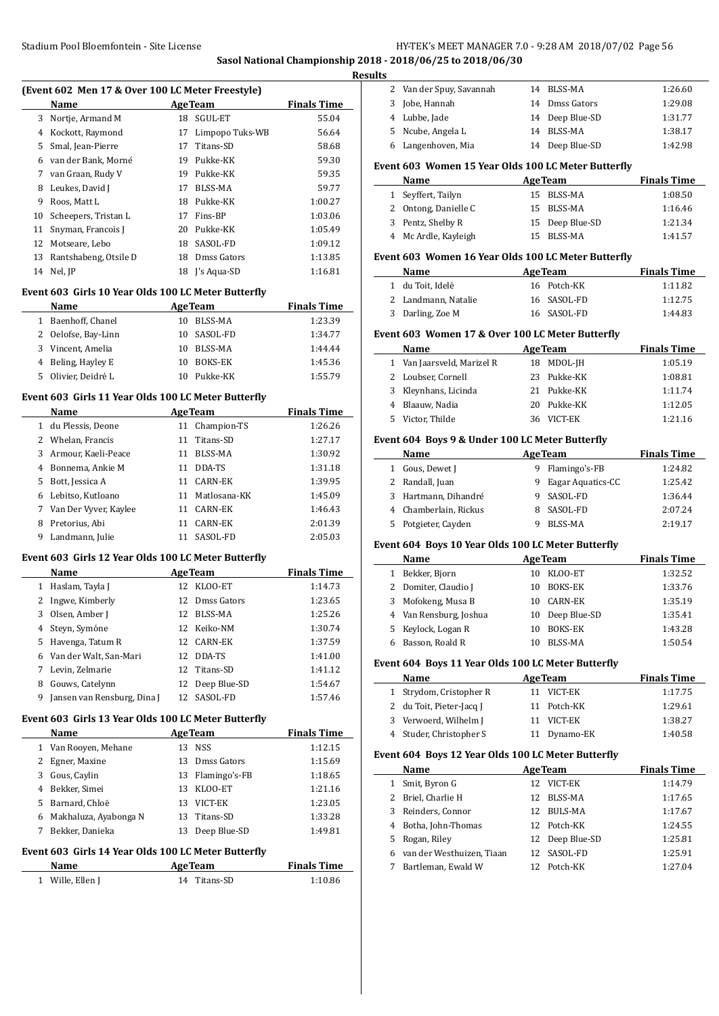**Sasol National Championship 2018** 

|    | (Event 602 Men 17 & Over 100 LC Meter Freestyle)<br>Name |    | <b>AgeTeam</b>         | <b>Finals Time</b> |
|----|----------------------------------------------------------|----|------------------------|--------------------|
|    | 3 Nortje, Armand M                                       |    | 18 SGUL-ET             | 55.04              |
|    | 4 Kockott, Raymond                                       |    | 17 Limpopo Tuks-WB     | 56.64              |
| 5  | Smal, Jean-Pierre                                        |    | 17 Titans-SD           | 58.68              |
|    | 6 van der Bank. Morné                                    |    | 19 Pukke-KK            | 59.30              |
|    | 7 van Graan, Rudy V                                      |    | 19 Pukke-KK            | 59.35              |
|    | 8 Leukes, David J                                        |    | 17 BLSS-MA             | 59.77              |
| 9  | Roos, Matt L                                             |    | 18 Pukke-KK            | 1:00.27            |
|    | 10 Scheepers, Tristan L                                  |    | 17 Fins-BP             | 1:03.06            |
| 11 | Snyman, Francois J                                       |    | 20 Pukke-KK            | 1:05.49            |
|    | 12 Motseare, Lebo                                        |    | 18 SASOL-FD            | 1:09.12            |
|    | 13 Rantshabeng, Otsile D                                 |    | 18 Dmss Gators         | 1:13.85            |
|    | 14 Nel, JP                                               |    | 18 J's Aqua-SD         | 1:16.81            |
|    | Event 603 Girls 10 Year Olds 100 LC Meter Butterfly      |    |                        |                    |
|    | Name                                                     |    | <u>AgeTeam AgeTeam</u> | <b>Finals Time</b> |
|    | 1 Baenhoff, Chanel                                       |    | 10 BLSS-MA             | 1:23.39            |
|    | 2 Oelofse, Bay-Linn                                      |    | 10 SASOL-FD            | 1:34.77            |
|    | 3 Vincent, Amelia                                        |    | 10 BLSS-MA             | 1:44.44            |
|    | 4 Beling, Hayley E                                       |    | 10 BOKS-EK             | 1:45.36            |
| 5  | Olivier, Deidré L                                        |    | 10 Pukke-KK            | 1:55.79            |
|    | Event 603 Girls 11 Year Olds 100 LC Meter Butterfly      |    |                        |                    |
|    | <b>Example 2 Age Team</b><br>Name                        |    |                        | <b>Finals Time</b> |
|    | 1 du Plessis, Deone                                      |    | 11 Champion-TS         | 1:26.26            |
|    | 2 Whelan, Francis                                        |    | 11 Titans-SD           | 1:27.17            |
|    | 3 Armour, Kaeli-Peace                                    |    | 11 BLSS-MA             | 1:30.92            |
|    | 4 Bonnema, Ankie M                                       |    | 11 DDA-TS              | 1:31.18            |
|    | 5 Bott, Jessica A                                        |    | 11 CARN-EK             | 1:39.95            |
|    | 6 Lebitso, Kutloano                                      |    | 11 Matlosana-KK        | 1:45.09            |
|    | 7 Van Der Vyver, Kaylee                                  |    | 11 CARN-EK             | 1:46.43            |
|    | 8 Pretorius, Abi                                         |    | 11 CARN-EK             | 2:01.39            |
| 9  | Landmann, Julie                                          |    | 11 SASOL-FD            | 2:05.03            |
|    | Event 603 Girls 12 Year Olds 100 LC Meter Butterfly      |    |                        |                    |
|    | Name                                                     |    | <b>AgeTeam</b>         | <b>Finals Time</b> |
|    | 1 Haslam, Tayla J                                        |    | 12 KLOO-ET             | 1:14.73            |
|    | 2 Ingwe, Kimberly                                        |    | 12 Dmss Gators         | 1:23.65            |
|    | 3 Olsen, Amber J                                         |    | 12 BLSS-MA             | 1:25.26            |
|    | 4 Steyn, Symóne                                          |    | 12 Keiko-NM            | 1:30.74            |
|    | 5 Havenga, Tatum R                                       | 12 | CARN-EK                | 1:37.59            |
|    | 6 Van der Walt, San-Mari                                 |    | 12 DDA-TS              | 1:41.00            |
|    | 7 Levin, Zelmarie                                        | 12 | Titans-SD              | 1:41.12            |
|    | 8 Gouws, Catelynn                                        | 12 | Deep Blue-SD           | 1:54.67            |
|    | 9 Jansen van Rensburg, Dina J                            |    | 12 SASOL-FD            | 1:57.46            |
|    | Event 603 Girls 13 Year Olds 100 LC Meter Butterfly      |    |                        |                    |
|    | Name                                                     |    | <b>AgeTeam</b>         | <b>Finals Time</b> |
|    | 1 Van Rooyen, Mehane                                     |    | 13 NSS                 | 1:12.15            |
|    | 2 Egner, Maxine                                          |    | 13 Dmss Gators         | 1:15.69            |
|    | 3 Gous, Caylin                                           |    | 13 Flamingo's-FB       | 1:18.65            |
|    | 4 Bekker, Simei                                          |    | 13 KLOO-ET             | 1:21.16            |
|    | 5 Barnard, Chloë                                         |    | 13 VICT-EK             | 1:23.05            |
|    | 6 Makhaluza, Ayabonga N                                  | 13 | Titans-SD              | 1:33.28            |
| 7  | Bekker, Danieka                                          | 13 | Deep Blue-SD           | 1:49.81            |
|    | Event 603 Girls 14 Year Olds 100 LC Meter Butterfly      |    |                        |                    |
|    |                                                          |    |                        |                    |
|    | Name                                                     |    | <b>AgeTeam</b>         | <b>Finals Time</b> |

|              | 8 - 2018/06/25 to 2018/06/30                        |    |                     |                    |
|--------------|-----------------------------------------------------|----|---------------------|--------------------|
| lts<br>2     | Van der Spuy, Savannah                              |    | 14 BLSS-MA          | 1:26.60            |
| 3            | Jobe, Hannah                                        |    | 14 Dmss Gators      | 1:29.08            |
|              | 4 Lubbe, Jade                                       |    | 14 Deep Blue-SD     | 1:31.77            |
| 5.           | Ncube, Angela L                                     | 14 | BLSS-MA             | 1:38.17            |
| 6            | Langenhoven, Mia                                    | 14 | Deep Blue-SD        | 1:42.98            |
|              |                                                     |    |                     |                    |
|              | Event 603 Women 15 Year Olds 100 LC Meter Butterfly |    |                     |                    |
|              | Name                                                |    | <b>AgeTeam</b>      | <b>Finals Time</b> |
| $\mathbf{1}$ | Seyffert, Tailyn                                    | 15 | <b>BLSS-MA</b>      | 1:08.50            |
|              | 2 Ontong, Danielle C                                | 15 | BLSS-MA             | 1:16.46            |
|              | 3 Pentz, Shelby R                                   | 15 | 15 Deep Blue-SD     | 1:21.34            |
|              | 4 Mc Ardle, Kayleigh                                |    | <b>BLSS-MA</b>      | 1:41.57            |
|              | Event 603 Women 16 Year Olds 100 LC Meter Butterfly |    |                     |                    |
|              | Name                                                |    | <b>AgeTeam</b>      | <b>Finals Time</b> |
|              | 1 du Toit, Idelé                                    |    | 16 Potch-KK         | 1:11.82            |
|              | 2 Landmann, Natalie                                 |    | 16 SASOL-FD         | 1:12.75            |
|              | 3 Darling, Zoe M                                    |    | 16 SASOL-FD         | 1:44.83            |
|              | Event 603 Women 17 & Over 100 LC Meter Butterfly    |    |                     |                    |
|              | Name                                                |    | <b>AgeTeam</b>      | <b>Finals Time</b> |
|              | 1 Van Jaarsveld, Marizel R                          | 18 | MDOL-JH             | 1:05.19            |
|              | 2 Loubser, Cornell                                  | 23 | Pukke-KK            | 1:08.81            |
| 3            | Kleynhans, Licinda                                  |    | 21 Pukke-KK         | 1:11.74            |
| 4            | Blaauw, Nadia                                       |    | 20 Pukke-KK         | 1:12.05            |
| 5            | Victor, Thilde                                      |    | 36 VICT-EK          | 1:21.16            |
|              | Event 604 Boys 9 & Under 100 LC Meter Butterfly     |    |                     |                    |
|              | Name                                                |    | <b>AgeTeam</b>      | <b>Finals Time</b> |
|              | 1 Gous, Dewet J                                     |    | 9 Flamingo's-FB     | 1:24.82            |
|              | 2 Randall, Juan                                     |    | 9 Eagar Aquatics-CC | 1:25.42            |
| 3            | Hartmann, Dihandré                                  | 9  | SASOL-FD            | 1:36.44            |
| 4            | Chamberlain, Rickus                                 | 8  | SASOL-FD            | 2:07.24            |
| 5            | Potgieter, Cayden                                   |    | 9 BLSS-MA           | 2:19.17            |
|              | Event 604 Boys 10 Year Olds 100 LC Meter Butterfly  |    |                     |                    |
|              | Name                                                |    | <b>AgeTeam</b>      | <b>Finals Time</b> |
| 1            | Bekker, Bjorn                                       | 10 | KLOO-ET             | 1:32.52            |
| 2            | Domiter, Claudio J                                  |    | 10 BOKS-EK          | 1:33.76            |
| 3            | Mofokeng, Musa B                                    |    | 10 CARN-EK          | 1:35.19            |
| 4            | Van Rensburg, Joshua                                | 10 | Deep Blue-SD        | 1:35.41            |
| 5            | Keylock, Logan R                                    | 10 | <b>BOKS-EK</b>      | 1:43.28            |
| 6            | Basson, Roald R                                     | 10 | BLSS-MA             | 1:50.54            |
|              | Event 604 Boys 11 Year Olds 100 LC Meter Butterfly  |    |                     |                    |
|              | Name                                                |    | <b>AgeTeam</b>      | <b>Finals Time</b> |
| $\mathbf{1}$ | Strydom, Cristopher R                               |    | 11 VICT-EK          | 1:17.75            |
| 2            | du Toit, Pieter-Jacq J                              | 11 | Potch-KK            | 1:29.61            |
| 3            | Verwoerd, Wilhelm J                                 | 11 | VICT-EK             | 1:38.27            |
|              | 4 Studer, Christopher S                             | 11 | Dynamo-EK           | 1:40.58            |
|              | Event 604 Boys 12 Year Olds 100 LC Meter Butterfly  |    |                     |                    |
|              | Name                                                |    | <b>AgeTeam</b>      | <b>Finals Time</b> |
| 1            | Smit, Byron G                                       | 12 | VICT-EK             | 1:14.79            |
| 2            | Briel, Charlie H                                    | 12 | BLSS-MA             | 1:17.65            |
| 3            | Reinders, Connor                                    | 12 | BULS-MA             | 1:17.67            |
| 4            | Botha, John-Thomas                                  | 12 | Potch-KK            | 1:24.55            |
| 5            | Rogan, Riley                                        | 12 | Deep Blue-SD        | 1:25.81            |
| 6            | van der Westhuizen, Tiaan                           | 12 | SASOL-FD            | 1:25.91            |

7 Bartleman, Ewald W 12 Potch-KK 1:27.04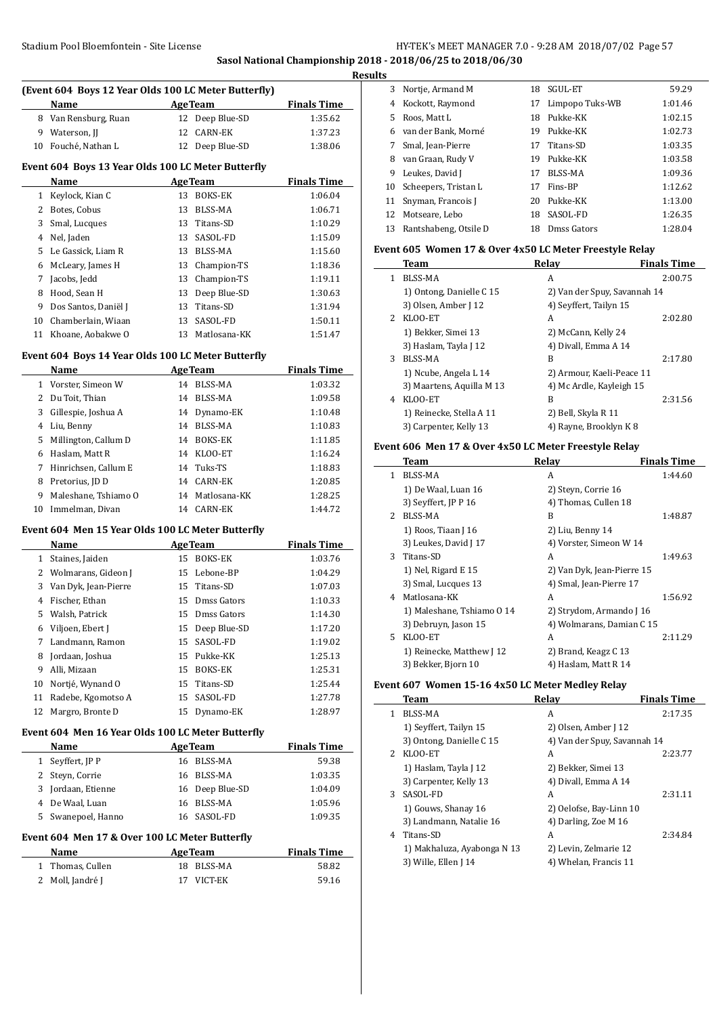# Stadium Pool Bloemfontein - Site License **HY-TEK's MEET MANAGER 7.0 - 9:28 AM 2018/07/02** Page 57 **Sasol National Championship 2018 - 2018/06/25 to 2018/06/30**

**Results**

 $\overline{\phantom{a}}$ 

 $\overline{\phantom{0}}$ 

|              | (Event 604 Boys 12 Year Olds 100 LC Meter Butterfly)<br>Name  |    | <b>AgeTeam</b>               | <b>Finals Time</b>          |
|--------------|---------------------------------------------------------------|----|------------------------------|-----------------------------|
|              | 8 Van Rensburg, Ruan                                          |    | 12 Deep Blue-SD              | 1:35.62                     |
| 9            | Waterson, JJ                                                  | 12 | <b>CARN-EK</b>               | 1:37.23                     |
|              | 10 Fouché, Nathan L                                           | 12 | Deep Blue-SD                 | 1:38.06                     |
|              |                                                               |    |                              |                             |
|              | Event 604 Boys 13 Year Olds 100 LC Meter Butterfly<br>Name    |    | <b>AgeTeam</b>               | <b>Finals Time</b>          |
| $\mathbf{1}$ | Keylock, Kian C                                               | 13 | <b>BOKS-EK</b>               | 1:06.04                     |
| 2            | Botes, Cobus                                                  | 13 | <b>BLSS-MA</b>               | 1:06.71                     |
| 3            | Smal, Lucques                                                 |    | 13 Titans-SD                 | 1:10.29                     |
| 4            | Nel, Jaden                                                    |    | 13 SASOL-FD                  | 1:15.09                     |
| 5            | Le Gassick, Liam R                                            |    | 13 BLSS-MA                   | 1:15.60                     |
| 6            | McLeary, James H                                              |    | 13 Champion-TS               | 1:18.36                     |
| 7            | Jacobs, Jedd                                                  |    | 13 Champion-TS               | 1:19.11                     |
| 8            | Hood, Sean H                                                  |    | 13 Deep Blue-SD              | 1:30.63                     |
| 9            | Dos Santos, Daniël J                                          | 13 | Titans-SD                    | 1:31.94                     |
| 10           | Chamberlain, Wiaan                                            | 13 | SASOL-FD                     | 1:50.11                     |
| 11           | Khoane. Aobakwe O                                             | 13 | Matlosana-KK                 | 1:51.47                     |
|              | Event 604 Boys 14 Year Olds 100 LC Meter Butterfly            |    |                              |                             |
|              | Name                                                          |    | <b>AgeTeam</b>               | <b>Finals Time</b>          |
|              | 1 Vorster, Simeon W                                           | 14 | <b>BLSS-MA</b>               | 1:03.32                     |
|              | 2 Du Toit, Thian                                              |    | 14 BLSS-MA                   | 1:09.58                     |
| 3            | Gillespie, Joshua A                                           |    | 14 Dynamo-EK                 | 1:10.48                     |
| 4            | Liu, Benny                                                    |    | 14 BLSS-MA                   | 1:10.83                     |
| 5            | Millington, Callum D                                          |    | 14 BOKS-EK                   | 1:11.85                     |
| 6            | Haslam, Matt R                                                |    | 14 KLOO-ET                   | 1:16.24                     |
| 7            | Hinrichsen, Callum E                                          |    | 14 Tuks-TS                   | 1:18.83                     |
| 8            | Pretorius, JD D                                               |    | 14 CARN-EK                   | 1:20.85                     |
| 9            | Maleshane, Tshiamo O                                          |    | 14 Matlosana-KK              | 1:28.25                     |
| 10           | Immelman, Divan                                               |    | 14 CARN-EK                   | 1:44.72                     |
|              | Event 604 Men 15 Year Olds 100 LC Meter Butterfly             |    |                              |                             |
|              | Name                                                          |    | <b>AgeTeam</b>               | <b>Finals Time</b>          |
|              | 1 Staines, Jaiden                                             |    | 15 BOKS-EK                   | 1:03.76                     |
|              | 2 Wolmarans, Gideon J                                         |    | 15 Lebone-BP                 | 1:04.29                     |
| 3            | Van Dyk, Jean-Pierre                                          |    | 15 Titans-SD                 | 1:07.03                     |
| 4            | Fischer, Ethan                                                |    | 15 Dmss Gators               | 1:10.33                     |
| 5            | Walsh, Patrick                                                | 15 | Dmss Gators                  | 1:14.30                     |
| 6            | Viljoen, Ebert J                                              | 15 | Deep Blue-SD                 | 1:17.20                     |
| 7            | Landmann, Ramon                                               | 15 | SASOL-FD                     | 1:19.02                     |
| 8            | Jordaan, Joshua                                               | 15 | Pukke-KK                     | 1:25.13                     |
| 9            | Alli, Mizaan                                                  | 15 | BOKS-EK                      | 1:25.31                     |
| 10           | Nortjé, Wynand O                                              | 15 | Titans-SD                    | 1:25.44                     |
| 11           | Radebe, Kgomotso A                                            | 15 | SASOL-FD                     | 1:27.78                     |
| 12           | Margro, Bronte D                                              | 15 | Dynamo-EK                    | 1:28.97                     |
|              | Event 604 Men 16 Year Olds 100 LC Meter Butterfly             |    |                              |                             |
| 1            | Name<br>Seyffert, JP P                                        |    | <b>AgeTeam</b><br>16 BLSS-MA | <b>Finals Time</b><br>59.38 |
| 2            | Steyn, Corrie                                                 |    | 16 BLSS-MA                   | 1:03.35                     |
| 3            | Jordaan, Etienne                                              |    | 16 Deep Blue-SD              | 1:04.09                     |
| 4            | De Waal, Luan                                                 | 16 | BLSS-MA                      | 1:05.96                     |
| 5            | Swanepoel, Hanno                                              | 16 | SASOL-FD                     | 1:09.35                     |
|              |                                                               |    |                              |                             |
|              | Event 604 Men 17 & Over 100 LC Meter Butterfly<br><b>Name</b> |    | <b>AgeTeam</b>               | <u>Finals Time</u>          |
|              |                                                               |    |                              |                             |
| $\mathbf{1}$ | Thomas, Cullen                                                | 18 | BLSS-MA                      | 58.82                       |

| ັ  |                       |     |                 |         |
|----|-----------------------|-----|-----------------|---------|
| 3  | Nortje, Armand M      | 18  | SGUL-ET         | 59.29   |
| 4  | Kockott, Raymond      | 17  | Limpopo Tuks-WB | 1:01.46 |
| 5  | Roos, Matt L          | 18  | Pukke-KK        | 1:02.15 |
| 6  | van der Bank, Morné   | 19. | Pukke-KK        | 1:02.73 |
| 7  | Smal, Jean-Pierre     |     | 17 Titans-SD    | 1:03.35 |
| 8  | van Graan, Rudy V     | 19  | Pukke-KK        | 1:03.58 |
| 9  | Leukes, David J       | 17  | BLSS-MA         | 1:09.36 |
| 10 | Scheepers, Tristan L  | 17  | Fins-BP         | 1:12.62 |
| 11 | Snyman, Francois J    | 20  | Pukke-KK        | 1:13.00 |
| 12 | Motseare. Lebo        | 18  | SASOL-FD        | 1:26.35 |
| 13 | Rantshabeng, Otsile D | 18  | Dmss Gators     | 1:28.04 |

#### **Event 605 Women 17 & Over 4x50 LC Meter Freestyle Relay**

|   | Team                      | Relav                        | <b>Finals Time</b> |
|---|---------------------------|------------------------------|--------------------|
| 1 | BLSS-MA                   | A                            | 2:00.75            |
|   | 1) Ontong, Danielle C 15  | 2) Van der Spuy, Savannah 14 |                    |
|   | 3) Olsen, Amber J 12      | 4) Seyffert, Tailyn 15       |                    |
| 2 | KLOO-ET                   | A                            | 2:02.80            |
|   | 1) Bekker, Simei 13       | 2) McCann, Kelly 24          |                    |
|   | 3) Haslam, Tayla J 12     | 4) Divall, Emma A 14         |                    |
| 3 | BLSS-MA                   | B                            | 2:17.80            |
|   | 1) Ncube, Angela L 14     | 2) Armour, Kaeli-Peace 11    |                    |
|   | 3) Maartens, Aquilla M 13 | 4) Mc Ardle, Kayleigh 15     |                    |
| 4 | KLOO-ET                   | B                            | 2:31.56            |
|   | 1) Reinecke, Stella A 11  | 2) Bell, Skyla R 11          |                    |
|   | 3) Carpenter, Kelly 13    | 4) Rayne, Brooklyn K 8       |                    |

#### **Event 606 Men 17 & Over 4x50 LC Meter Freestyle Relay**

|             | Team                       | Relay                      | <b>Finals Time</b> |
|-------------|----------------------------|----------------------------|--------------------|
| 1.          | BLSS-MA                    | A                          | 1:44.60            |
|             | 1) De Waal, Luan 16        | 2) Steyn, Corrie 16        |                    |
|             | 3) Seyffert, JP P 16       | 4) Thomas, Cullen 18       |                    |
| $2^{\circ}$ | BLSS-MA                    | B                          | 1:48.87            |
|             | 1) Roos, Tiaan J 16        | 2) Liu, Benny 14           |                    |
|             | 3) Leukes, David J 17      | 4) Vorster, Simeon W 14    |                    |
|             | 3 Titans-SD                | A                          | 1:49.63            |
|             | 1) Nel, Rigard E 15        | 2) Van Dyk, Jean-Pierre 15 |                    |
|             | 3) Smal, Lucques 13        | 4) Smal, Jean-Pierre 17    |                    |
| 4           | Matlosana-KK               | A                          | 1:56.92            |
|             | 1) Maleshane, Tshiamo 0 14 | 2) Strydom, Armando J 16   |                    |
|             | 3) Debruyn, Jason 15       | 4) Wolmarans, Damian C 15  |                    |
| 5.          | KLOO-ET                    | A                          | 2:11.29            |
|             | 1) Reinecke, Matthew J 12  | 2) Brand, Keagz C 13       |                    |
|             | 3) Bekker, Bjorn 10        | 4) Haslam, Matt R 14       |                    |

#### **Event 607 Women 15-16 4x50 LC Meter Medley Relay**

|             | Team                        | Relay                        | <b>Finals Time</b> |
|-------------|-----------------------------|------------------------------|--------------------|
| 1           | BLSS-MA                     | A                            | 2:17.35            |
|             | 1) Seyffert, Tailyn 15      | 2) Olsen, Amber J 12         |                    |
|             | 3) Ontong, Danielle C 15    | 4) Van der Spuy, Savannah 14 |                    |
| $2^{\circ}$ | KLOO-ET                     | A                            | 2:23.77            |
|             | 1) Haslam, Tayla J 12       | 2) Bekker, Simei 13          |                    |
|             | 3) Carpenter, Kelly 13      | 4) Divall, Emma A 14         |                    |
| 3           | SASOL-FD                    | A                            | 2:31.11            |
|             | 1) Gouws, Shanay 16         | 2) Oelofse, Bay-Linn 10      |                    |
|             | 3) Landmann, Natalie 16     | 4) Darling, Zoe M 16         |                    |
| 4           | Titans-SD                   | A                            | 2:34.84            |
|             | 1) Makhaluza, Ayabonga N 13 | 2) Levin, Zelmarie 12        |                    |
|             | 3) Wille, Ellen J 14        | 4) Whelan, Francis 11        |                    |